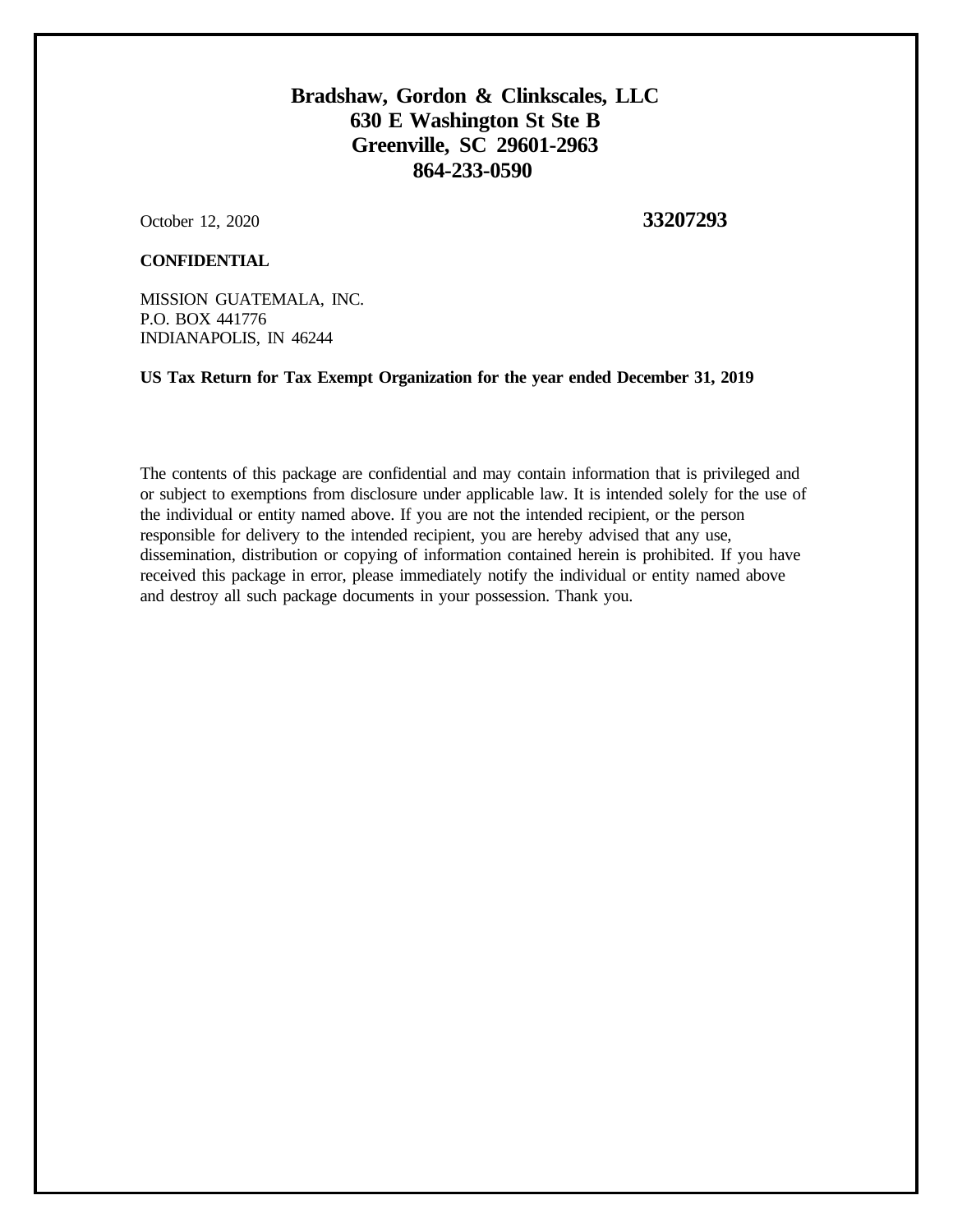# **Bradshaw, Gordon & Clinkscales, LLC 630 E Washington St Ste B Greenville, SC 29601-2963 864-233-0590**

October 12, 2020 **33207293** 

### **CONFIDENTIAL**

MISSION GUATEMALA, INC. P.O. BOX 441776 INDIANAPOLIS, IN 46244

**US Tax Return for Tax Exempt Organization for the year ended December 31, 2019**

The contents of this package are confidential and may contain information that is privileged and or subject to exemptions from disclosure under applicable law. It is intended solely for the use of the individual or entity named above. If you are not the intended recipient, or the person responsible for delivery to the intended recipient, you are hereby advised that any use, dissemination, distribution or copying of information contained herein is prohibited. If you have received this package in error, please immediately notify the individual or entity named above and destroy all such package documents in your possession. Thank you.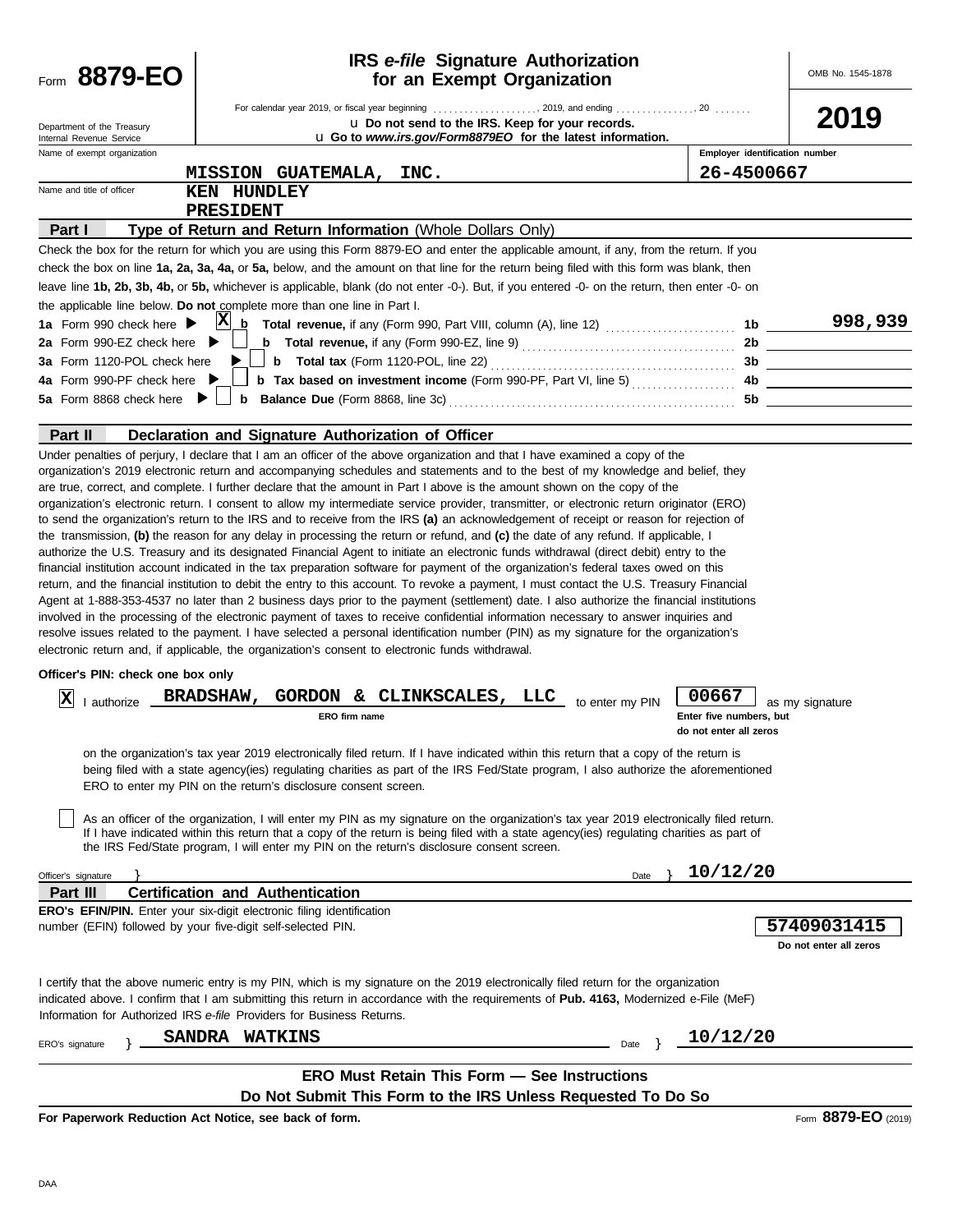| Form 8879-EO                                                                                                         | <b>IRS</b> e-file Signature Authorization<br>for an Exempt Organization                                                                                                                                                                                                                                                                                                                                                                                                                                                                                                                                                                                                                                                                                                                                                                                                                                                                                                                                                                                                                                                                                                                                                                                                                                                                                                                                                                                                                                                                                                                                                                                                                                                                                                                 |                                                            | OMB No. 1545-1878                     |
|----------------------------------------------------------------------------------------------------------------------|-----------------------------------------------------------------------------------------------------------------------------------------------------------------------------------------------------------------------------------------------------------------------------------------------------------------------------------------------------------------------------------------------------------------------------------------------------------------------------------------------------------------------------------------------------------------------------------------------------------------------------------------------------------------------------------------------------------------------------------------------------------------------------------------------------------------------------------------------------------------------------------------------------------------------------------------------------------------------------------------------------------------------------------------------------------------------------------------------------------------------------------------------------------------------------------------------------------------------------------------------------------------------------------------------------------------------------------------------------------------------------------------------------------------------------------------------------------------------------------------------------------------------------------------------------------------------------------------------------------------------------------------------------------------------------------------------------------------------------------------------------------------------------------------|------------------------------------------------------------|---------------------------------------|
| Department of the Treasury<br>Internal Revenue Service                                                               | u Do not send to the IRS. Keep for your records.<br><b>u</b> Go to <i>www.irs.gov/Form8879EO</i> for the latest information.                                                                                                                                                                                                                                                                                                                                                                                                                                                                                                                                                                                                                                                                                                                                                                                                                                                                                                                                                                                                                                                                                                                                                                                                                                                                                                                                                                                                                                                                                                                                                                                                                                                            |                                                            | 2019                                  |
| Name of exempt organization                                                                                          |                                                                                                                                                                                                                                                                                                                                                                                                                                                                                                                                                                                                                                                                                                                                                                                                                                                                                                                                                                                                                                                                                                                                                                                                                                                                                                                                                                                                                                                                                                                                                                                                                                                                                                                                                                                         | Employer identification number                             |                                       |
| Name and title of officer                                                                                            | MISSION GUATEMALA, INC.                                                                                                                                                                                                                                                                                                                                                                                                                                                                                                                                                                                                                                                                                                                                                                                                                                                                                                                                                                                                                                                                                                                                                                                                                                                                                                                                                                                                                                                                                                                                                                                                                                                                                                                                                                 | 26-4500667                                                 |                                       |
|                                                                                                                      | KEN HUNDLEY<br><b>PRESIDENT</b>                                                                                                                                                                                                                                                                                                                                                                                                                                                                                                                                                                                                                                                                                                                                                                                                                                                                                                                                                                                                                                                                                                                                                                                                                                                                                                                                                                                                                                                                                                                                                                                                                                                                                                                                                         |                                                            |                                       |
| Part I                                                                                                               | Type of Return and Return Information (Whole Dollars Only)                                                                                                                                                                                                                                                                                                                                                                                                                                                                                                                                                                                                                                                                                                                                                                                                                                                                                                                                                                                                                                                                                                                                                                                                                                                                                                                                                                                                                                                                                                                                                                                                                                                                                                                              |                                                            |                                       |
| 1a Form 990 check here $\blacktriangleright$                                                                         | Check the box for the return for which you are using this Form 8879-EO and enter the applicable amount, if any, from the return. If you<br>check the box on line 1a, 2a, 3a, 4a, or 5a, below, and the amount on that line for the return being filed with this form was blank, then<br>leave line 1b, 2b, 3b, 4b, or 5b, whichever is applicable, blank (do not enter -0-). But, if you entered -0- on the return, then enter -0- on<br>the applicable line below. Do not complete more than one line in Part I.<br>X<br>b                                                                                                                                                                                                                                                                                                                                                                                                                                                                                                                                                                                                                                                                                                                                                                                                                                                                                                                                                                                                                                                                                                                                                                                                                                                             | 1b                                                         | 998,939                               |
| 2a Form 990-EZ check here ▶<br>3a Form 1120-POL check here<br>4a Form 990-PF check here ▶<br>5a Form 8868 check here | <b>b</b> Tax based on investment income (Form 990-PF, Part VI, line 5)<br>b                                                                                                                                                                                                                                                                                                                                                                                                                                                                                                                                                                                                                                                                                                                                                                                                                                                                                                                                                                                                                                                                                                                                                                                                                                                                                                                                                                                                                                                                                                                                                                                                                                                                                                             | 2b<br>3b.<br>4b<br>5b                                      |                                       |
| Part II                                                                                                              | Declaration and Signature Authorization of Officer                                                                                                                                                                                                                                                                                                                                                                                                                                                                                                                                                                                                                                                                                                                                                                                                                                                                                                                                                                                                                                                                                                                                                                                                                                                                                                                                                                                                                                                                                                                                                                                                                                                                                                                                      |                                                            |                                       |
|                                                                                                                      | Under penalties of perjury, I declare that I am an officer of the above organization and that I have examined a copy of the<br>organization's 2019 electronic return and accompanying schedules and statements and to the best of my knowledge and belief, they<br>are true, correct, and complete. I further declare that the amount in Part I above is the amount shown on the copy of the<br>organization's electronic return. I consent to allow my intermediate service provider, transmitter, or electronic return originator (ERO)<br>to send the organization's return to the IRS and to receive from the IRS (a) an acknowledgement of receipt or reason for rejection of<br>the transmission, (b) the reason for any delay in processing the return or refund, and (c) the date of any refund. If applicable, I<br>authorize the U.S. Treasury and its designated Financial Agent to initiate an electronic funds withdrawal (direct debit) entry to the<br>financial institution account indicated in the tax preparation software for payment of the organization's federal taxes owed on this<br>return, and the financial institution to debit the entry to this account. To revoke a payment, I must contact the U.S. Treasury Financial<br>Agent at 1-888-353-4537 no later than 2 business days prior to the payment (settlement) date. I also authorize the financial institutions<br>involved in the processing of the electronic payment of taxes to receive confidential information necessary to answer inquiries and<br>resolve issues related to the payment. I have selected a personal identification number (PIN) as my signature for the organization's<br>electronic return and, if applicable, the organization's consent to electronic funds withdrawal. |                                                            |                                       |
| Officer's PIN: check one box only                                                                                    |                                                                                                                                                                                                                                                                                                                                                                                                                                                                                                                                                                                                                                                                                                                                                                                                                                                                                                                                                                                                                                                                                                                                                                                                                                                                                                                                                                                                                                                                                                                                                                                                                                                                                                                                                                                         |                                                            |                                       |
| x<br>authorize                                                                                                       | <b>BRADSHAW,</b><br><b>GORDON &amp;</b><br>CLINKSCALES, LLC<br>to enter my PIN<br>ERO firm name                                                                                                                                                                                                                                                                                                                                                                                                                                                                                                                                                                                                                                                                                                                                                                                                                                                                                                                                                                                                                                                                                                                                                                                                                                                                                                                                                                                                                                                                                                                                                                                                                                                                                         | 00667<br>Enter five numbers, but<br>do not enter all zeros | as my signature                       |
|                                                                                                                      | on the organization's tax year 2019 electronically filed return. If I have indicated within this return that a copy of the return is<br>being filed with a state agency(ies) regulating charities as part of the IRS Fed/State program, I also authorize the aforementioned<br>ERO to enter my PIN on the return's disclosure consent screen.                                                                                                                                                                                                                                                                                                                                                                                                                                                                                                                                                                                                                                                                                                                                                                                                                                                                                                                                                                                                                                                                                                                                                                                                                                                                                                                                                                                                                                           |                                                            |                                       |
|                                                                                                                      | As an officer of the organization, I will enter my PIN as my signature on the organization's tax year 2019 electronically filed return.<br>If I have indicated within this return that a copy of the return is being filed with a state agency(ies) regulating charities as part of<br>the IRS Fed/State program, I will enter my PIN on the return's disclosure consent screen.                                                                                                                                                                                                                                                                                                                                                                                                                                                                                                                                                                                                                                                                                                                                                                                                                                                                                                                                                                                                                                                                                                                                                                                                                                                                                                                                                                                                        |                                                            |                                       |
| Officer's signature                                                                                                  | Date                                                                                                                                                                                                                                                                                                                                                                                                                                                                                                                                                                                                                                                                                                                                                                                                                                                                                                                                                                                                                                                                                                                                                                                                                                                                                                                                                                                                                                                                                                                                                                                                                                                                                                                                                                                    | 10/12/20                                                   |                                       |
| Part III                                                                                                             | <b>Certification and Authentication</b>                                                                                                                                                                                                                                                                                                                                                                                                                                                                                                                                                                                                                                                                                                                                                                                                                                                                                                                                                                                                                                                                                                                                                                                                                                                                                                                                                                                                                                                                                                                                                                                                                                                                                                                                                 |                                                            |                                       |
|                                                                                                                      | ERO's EFIN/PIN. Enter your six-digit electronic filing identification<br>number (EFIN) followed by your five-digit self-selected PIN.                                                                                                                                                                                                                                                                                                                                                                                                                                                                                                                                                                                                                                                                                                                                                                                                                                                                                                                                                                                                                                                                                                                                                                                                                                                                                                                                                                                                                                                                                                                                                                                                                                                   |                                                            | 57409031415<br>Do not enter all zeros |
|                                                                                                                      | I certify that the above numeric entry is my PIN, which is my signature on the 2019 electronically filed return for the organization<br>indicated above. I confirm that I am submitting this return in accordance with the requirements of Pub. 4163, Modernized e-File (MeF)<br>Information for Authorized IRS e-file Providers for Business Returns.                                                                                                                                                                                                                                                                                                                                                                                                                                                                                                                                                                                                                                                                                                                                                                                                                                                                                                                                                                                                                                                                                                                                                                                                                                                                                                                                                                                                                                  |                                                            |                                       |
| ERO's signature                                                                                                      | <b>WATKINS</b><br><b>SANDRA</b><br>Date                                                                                                                                                                                                                                                                                                                                                                                                                                                                                                                                                                                                                                                                                                                                                                                                                                                                                                                                                                                                                                                                                                                                                                                                                                                                                                                                                                                                                                                                                                                                                                                                                                                                                                                                                 | 10/12/20                                                   |                                       |
|                                                                                                                      |                                                                                                                                                                                                                                                                                                                                                                                                                                                                                                                                                                                                                                                                                                                                                                                                                                                                                                                                                                                                                                                                                                                                                                                                                                                                                                                                                                                                                                                                                                                                                                                                                                                                                                                                                                                         |                                                            |                                       |
|                                                                                                                      | ERO Must Retain This Form - See Instructions                                                                                                                                                                                                                                                                                                                                                                                                                                                                                                                                                                                                                                                                                                                                                                                                                                                                                                                                                                                                                                                                                                                                                                                                                                                                                                                                                                                                                                                                                                                                                                                                                                                                                                                                            |                                                            |                                       |
|                                                                                                                      | Do Not Submit This Form to the IRS Unless Requested To Do So<br>For Paperwork Reduction Act Notice, see back of form.                                                                                                                                                                                                                                                                                                                                                                                                                                                                                                                                                                                                                                                                                                                                                                                                                                                                                                                                                                                                                                                                                                                                                                                                                                                                                                                                                                                                                                                                                                                                                                                                                                                                   |                                                            | Form 8879-EO (2019)                   |

DAA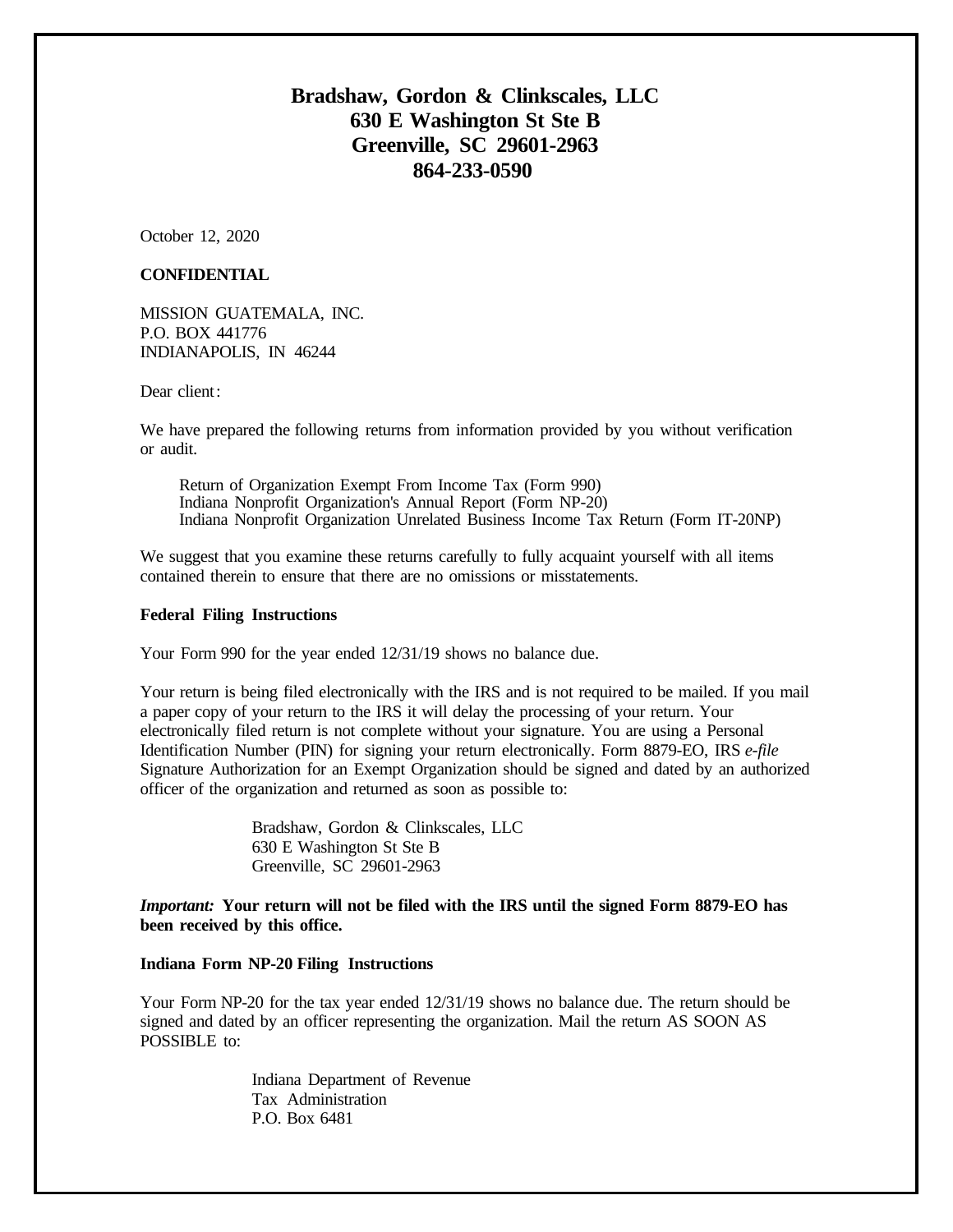## **Bradshaw, Gordon & Clinkscales, LLC 630 E Washington St Ste B Greenville, SC 29601-2963 864-233-0590**

October 12, 2020

#### **CONFIDENTIAL**

MISSION GUATEMALA, INC. P.O. BOX 441776 INDIANAPOLIS, IN 46244

Dear client:

We have prepared the following returns from information provided by you without verification or audit.

Return of Organization Exempt From Income Tax (Form 990) Indiana Nonprofit Organization's Annual Report (Form NP-20) Indiana Nonprofit Organization Unrelated Business Income Tax Return (Form IT-20NP)

We suggest that you examine these returns carefully to fully acquaint yourself with all items contained therein to ensure that there are no omissions or misstatements.

#### **Federal Filing Instructions**

Your Form 990 for the year ended 12/31/19 shows no balance due.

Your return is being filed electronically with the IRS and is not required to be mailed. If you mail a paper copy of your return to the IRS it will delay the processing of your return. Your electronically filed return is not complete without your signature. You are using a Personal Identification Number (PIN) for signing your return electronically. Form 8879-EO, IRS *e-file* Signature Authorization for an Exempt Organization should be signed and dated by an authorized officer of the organization and returned as soon as possible to:

> Bradshaw, Gordon & Clinkscales, LLC 630 E Washington St Ste B Greenville, SC 29601-2963

*Important:* **Your return will not be filed with the IRS until the signed Form 8879-EO has been received by this office.**

#### **Indiana Form NP-20 Filing Instructions**

Your Form NP-20 for the tax year ended 12/31/19 shows no balance due. The return should be signed and dated by an officer representing the organization. Mail the return AS SOON AS POSSIBLE to:

> Indiana Department of Revenue Tax Administration P.O. Box 6481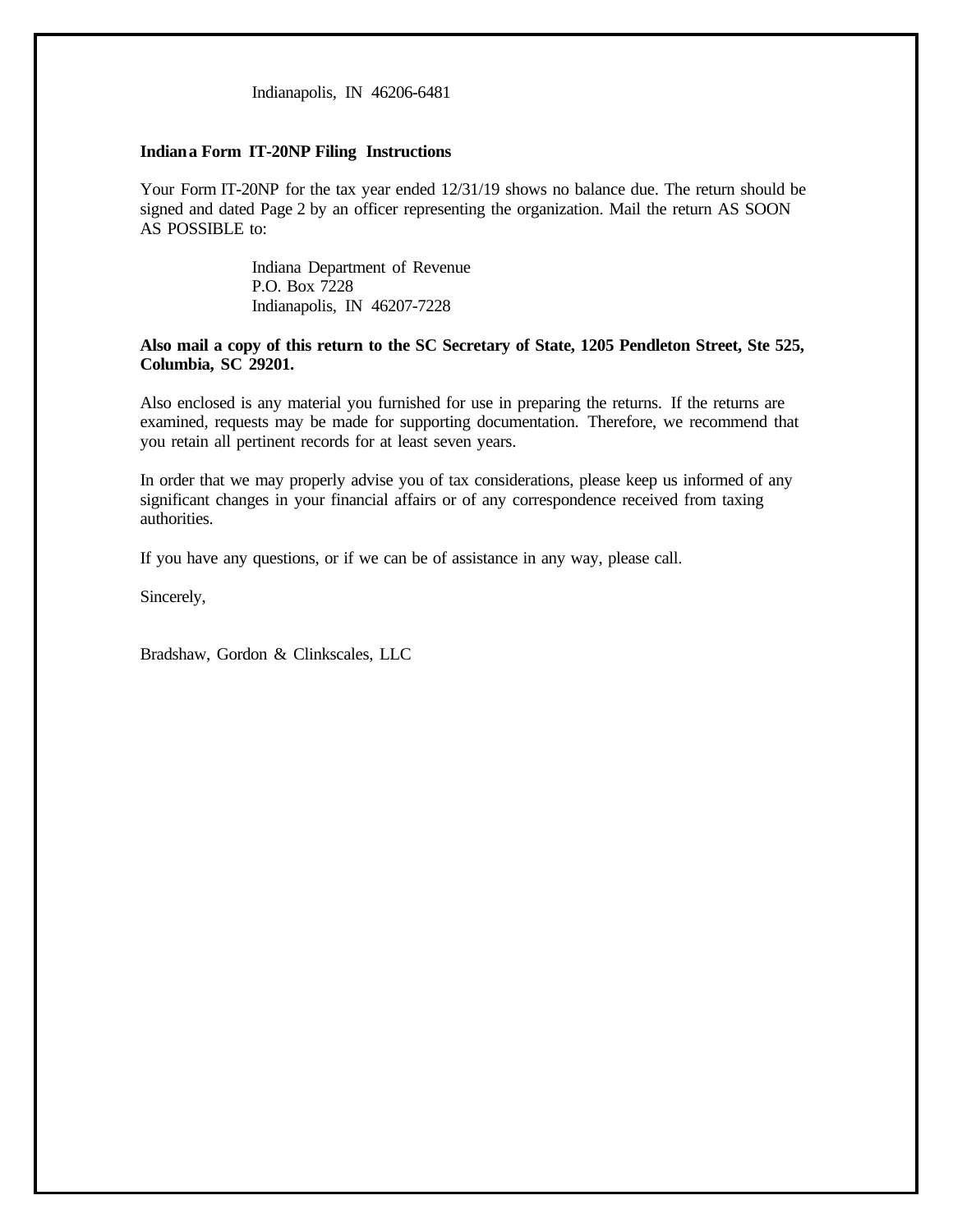Indianapolis, IN 46206-6481

#### **Indiana Form IT-20NP Filing Instructions**

Your Form IT-20NP for the tax year ended 12/31/19 shows no balance due. The return should be signed and dated Page 2 by an officer representing the organization. Mail the return AS SOON AS POSSIBLE to:

> Indiana Department of Revenue P.O. Box 7228 Indianapolis, IN 46207-7228

#### **Also mail a copy of this return to the SC Secretary of State, 1205 Pendleton Street, Ste 525, Columbia, SC 29201.**

Also enclosed is any material you furnished for use in preparing the returns. If the returns are examined, requests may be made for supporting documentation. Therefore, we recommend that you retain all pertinent records for at least seven years.

In order that we may properly advise you of tax considerations, please keep us informed of any significant changes in your financial affairs or of any correspondence received from taxing authorities.

If you have any questions, or if we can be of assistance in any way, please call.

Sincerely,

Bradshaw, Gordon & Clinkscales, LLC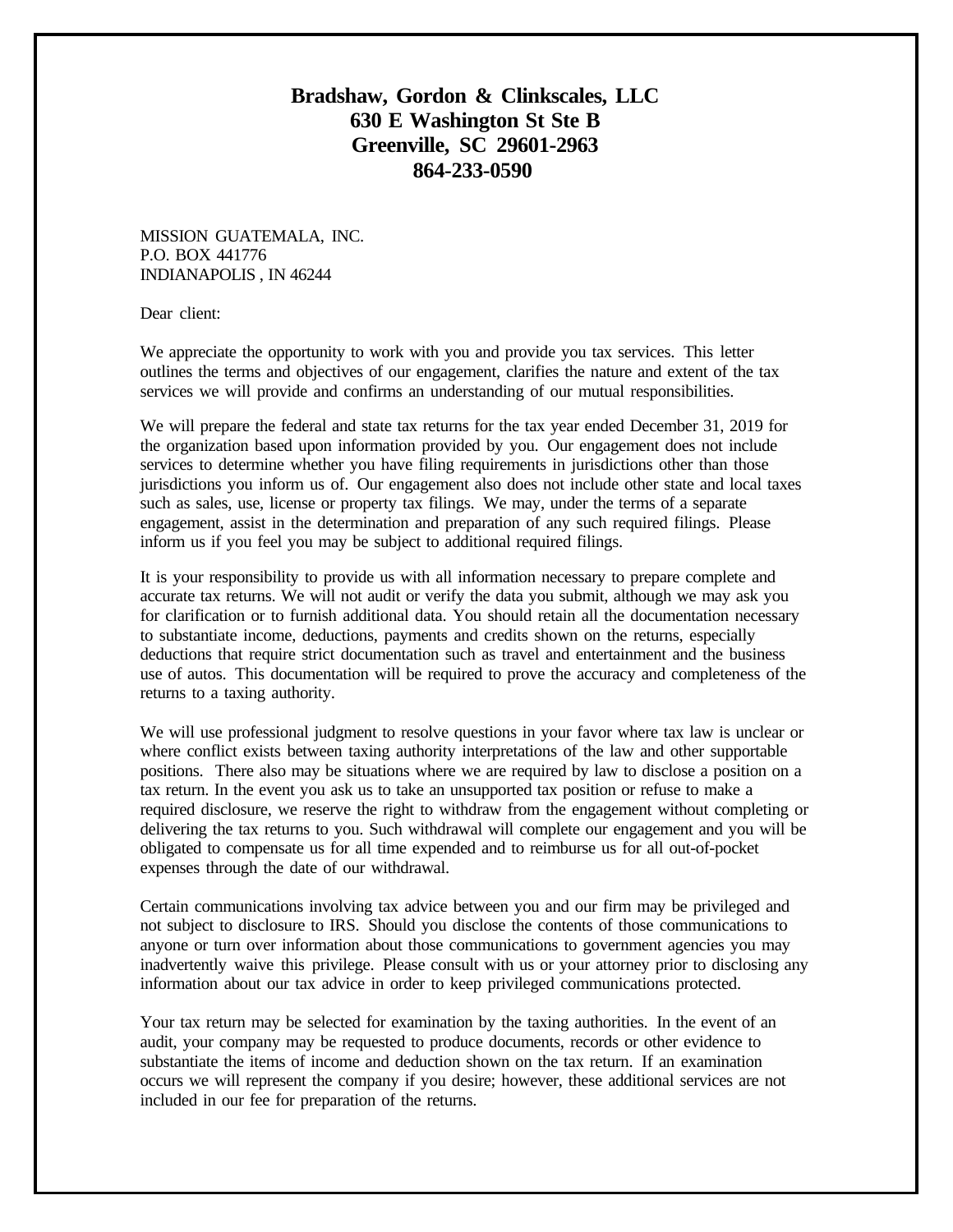## **Bradshaw, Gordon & Clinkscales, LLC 630 E Washington St Ste B Greenville, SC 29601-2963 864-233-0590**

MISSION GUATEMALA, INC. P.O. BOX 441776 INDIANAPOLIS , IN 46244

Dear client:

We appreciate the opportunity to work with you and provide you tax services. This letter outlines the terms and objectives of our engagement, clarifies the nature and extent of the tax services we will provide and confirms an understanding of our mutual responsibilities.

We will prepare the federal and state tax returns for the tax year ended December 31, 2019 for the organization based upon information provided by you. Our engagement does not include services to determine whether you have filing requirements in jurisdictions other than those jurisdictions you inform us of. Our engagement also does not include other state and local taxes such as sales, use, license or property tax filings. We may, under the terms of a separate engagement, assist in the determination and preparation of any such required filings. Please inform us if you feel you may be subject to additional required filings.

It is your responsibility to provide us with all information necessary to prepare complete and accurate tax returns. We will not audit or verify the data you submit, although we may ask you for clarification or to furnish additional data. You should retain all the documentation necessary to substantiate income, deductions, payments and credits shown on the returns, especially deductions that require strict documentation such as travel and entertainment and the business use of autos. This documentation will be required to prove the accuracy and completeness of the returns to a taxing authority.

We will use professional judgment to resolve questions in your favor where tax law is unclear or where conflict exists between taxing authority interpretations of the law and other supportable positions. There also may be situations where we are required by law to disclose a position on a tax return. In the event you ask us to take an unsupported tax position or refuse to make a required disclosure, we reserve the right to withdraw from the engagement without completing or delivering the tax returns to you. Such withdrawal will complete our engagement and you will be obligated to compensate us for all time expended and to reimburse us for all out-of-pocket expenses through the date of our withdrawal.

Certain communications involving tax advice between you and our firm may be privileged and not subject to disclosure to IRS. Should you disclose the contents of those communications to anyone or turn over information about those communications to government agencies you may inadvertently waive this privilege. Please consult with us or your attorney prior to disclosing any information about our tax advice in order to keep privileged communications protected.

Your tax return may be selected for examination by the taxing authorities. In the event of an audit, your company may be requested to produce documents, records or other evidence to substantiate the items of income and deduction shown on the tax return. If an examination occurs we will represent the company if you desire; however, these additional services are not included in our fee for preparation of the returns.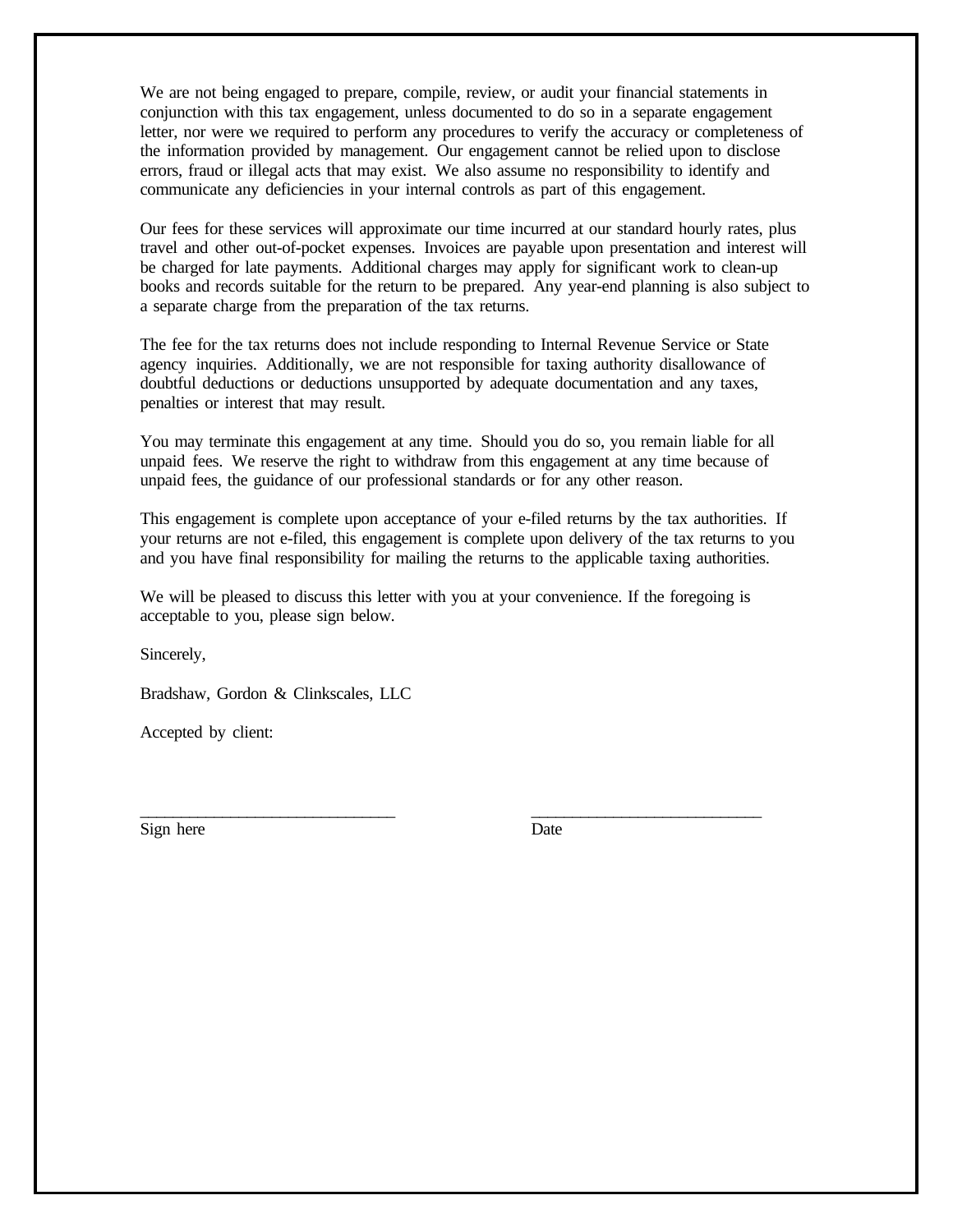We are not being engaged to prepare, compile, review, or audit your financial statements in conjunction with this tax engagement, unless documented to do so in a separate engagement letter, nor were we required to perform any procedures to verify the accuracy or completeness of the information provided by management. Our engagement cannot be relied upon to disclose errors, fraud or illegal acts that may exist. We also assume no responsibility to identify and communicate any deficiencies in your internal controls as part of this engagement.

Our fees for these services will approximate our time incurred at our standard hourly rates, plus travel and other out-of-pocket expenses. Invoices are payable upon presentation and interest will be charged for late payments. Additional charges may apply for significant work to clean-up books and records suitable for the return to be prepared. Any year-end planning is also subject to a separate charge from the preparation of the tax returns.

The fee for the tax returns does not include responding to Internal Revenue Service or State agency inquiries. Additionally, we are not responsible for taxing authority disallowance of doubtful deductions or deductions unsupported by adequate documentation and any taxes, penalties or interest that may result.

You may terminate this engagement at any time. Should you do so, you remain liable for all unpaid fees. We reserve the right to withdraw from this engagement at any time because of unpaid fees, the guidance of our professional standards or for any other reason.

This engagement is complete upon acceptance of your e-filed returns by the tax authorities. If your returns are not e-filed, this engagement is complete upon delivery of the tax returns to you and you have final responsibility for mailing the returns to the applicable taxing authorities.

We will be pleased to discuss this letter with you at your convenience. If the foregoing is acceptable to you, please sign below.

\_\_\_\_\_\_\_\_\_\_\_\_\_\_\_\_\_\_\_\_\_\_\_\_\_\_\_\_\_\_\_ \_\_\_\_\_\_\_\_\_\_\_\_\_\_\_\_\_\_\_\_\_\_\_\_\_\_\_\_

Sincerely,

Bradshaw, Gordon & Clinkscales, LLC

Accepted by client:

Sign here Date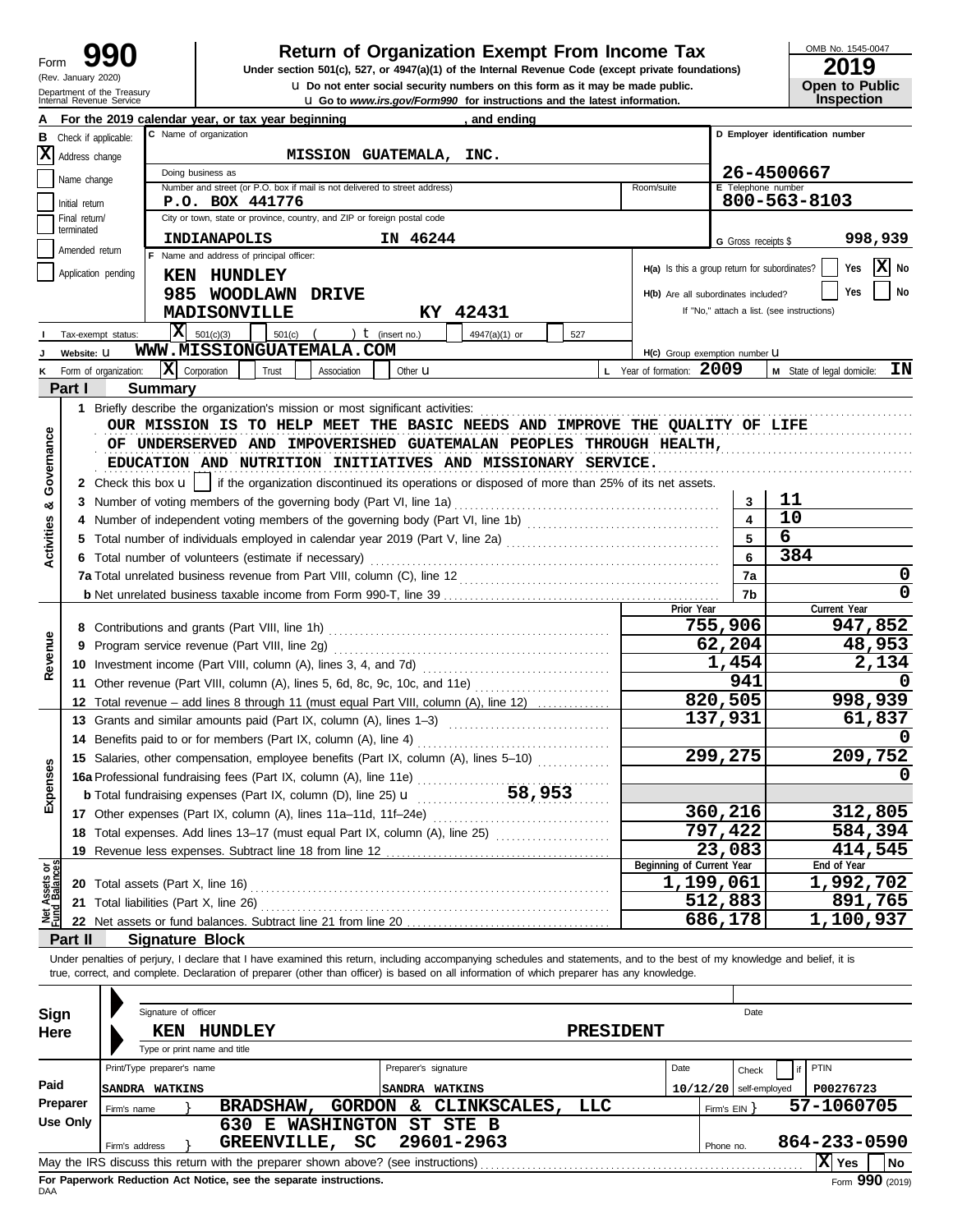**u** Do not enter social security numbers on this form as it may be made public.<br> **Open to Public Distribution** and the latest information. **990 2019 2019 2019 2019 Depend From Income Tax 2019 2019 2019 2019** 

OMB No. 1545-0047

|  | 20 I J                |
|--|-----------------------|
|  | <b>Open to Public</b> |
|  |                       |
|  | <b>Inspection</b>     |

|                                |                      | Internal Revenue Service |                            |                                                                                                                                                                            |                             |                      | <b>u</b> Go to www.irs.gov/Form990 for instructions and the latest information. |                  |                                               |                     | <b>Inspection</b>                          |
|--------------------------------|----------------------|--------------------------|----------------------------|----------------------------------------------------------------------------------------------------------------------------------------------------------------------------|-----------------------------|----------------------|---------------------------------------------------------------------------------|------------------|-----------------------------------------------|---------------------|--------------------------------------------|
|                                |                      |                          |                            | For the 2019 calendar year, or tax year beginning                                                                                                                          |                             |                      | , and ending                                                                    |                  |                                               |                     |                                            |
| в                              | Check if applicable: |                          |                            | C Name of organization                                                                                                                                                     |                             |                      |                                                                                 |                  |                                               |                     | D Employer identification number           |
|                                | X Address change     |                          |                            |                                                                                                                                                                            | MISSION GUATEMALA, INC.     |                      |                                                                                 |                  |                                               |                     |                                            |
|                                |                      |                          |                            | Doing business as                                                                                                                                                          |                             |                      |                                                                                 |                  |                                               |                     | 26-4500667                                 |
|                                | Name change          |                          |                            | Number and street (or P.O. box if mail is not delivered to street address)                                                                                                 |                             |                      |                                                                                 |                  | Room/suite                                    | E Telephone number  |                                            |
|                                | Initial return       |                          |                            | P.O. BOX 441776                                                                                                                                                            |                             |                      |                                                                                 |                  |                                               |                     | 800-563-8103                               |
|                                | Final return/        |                          |                            | City or town, state or province, country, and ZIP or foreign postal code                                                                                                   |                             |                      |                                                                                 |                  |                                               |                     |                                            |
|                                | terminated           |                          |                            | INDIANAPOLIS                                                                                                                                                               |                             | IN 46244             |                                                                                 |                  |                                               |                     |                                            |
|                                | Amended return       |                          |                            | F Name and address of principal officer:                                                                                                                                   |                             |                      |                                                                                 |                  |                                               | G Gross receipts \$ | 998,939                                    |
|                                |                      |                          |                            |                                                                                                                                                                            |                             |                      |                                                                                 |                  | H(a) Is this a group return for subordinates? |                     | $\overline{\mathbf{X}}$ No<br>Yes          |
|                                | Application pending  |                          |                            | <b>KEN HUNDLEY</b>                                                                                                                                                         |                             |                      |                                                                                 |                  |                                               |                     |                                            |
|                                |                      |                          |                            | 985 WOODLAWN DRIVE                                                                                                                                                         |                             |                      |                                                                                 |                  | H(b) Are all subordinates included?           |                     | Yes<br>No                                  |
|                                |                      |                          |                            | <b>MADISONVILLE</b>                                                                                                                                                        |                             |                      | KY 42431                                                                        |                  |                                               |                     | If "No," attach a list. (see instructions) |
|                                |                      | Tax-exempt status:       | x                          | 501(c)(3)<br>501(c)                                                                                                                                                        | $($ ) <b>t</b> (insert no.) |                      | 4947(a)(1) or                                                                   | 527              |                                               |                     |                                            |
|                                | Website: U           |                          |                            | WWW.MISSIONGUATEMALA.COM                                                                                                                                                   |                             |                      |                                                                                 |                  |                                               |                     |                                            |
|                                |                      |                          |                            |                                                                                                                                                                            |                             |                      |                                                                                 |                  | H(c) Group exemption number U                 |                     |                                            |
|                                |                      | K Form of organization:  |                            | $ \mathbf{X} $ Corporation<br>Trust                                                                                                                                        | Association                 | Other <b>u</b>       |                                                                                 |                  | L Year of formation: 2009                     |                     | ΙN<br>M State of legal domicile:           |
|                                | Part I               |                          | <b>Summary</b>             |                                                                                                                                                                            |                             |                      |                                                                                 |                  |                                               |                     |                                            |
|                                |                      |                          |                            |                                                                                                                                                                            |                             |                      |                                                                                 |                  |                                               |                     |                                            |
|                                |                      |                          |                            | OUR MISSION IS TO HELP MEET THE BASIC NEEDS AND IMPROVE THE QUALITY OF LIFE                                                                                                |                             |                      |                                                                                 |                  |                                               |                     |                                            |
|                                |                      |                          |                            | OF UNDERSERVED AND IMPOVERISHED GUATEMALAN PEOPLES THROUGH HEALTH,                                                                                                         |                             |                      |                                                                                 |                  |                                               |                     |                                            |
| Governance                     |                      |                          |                            | EDUCATION AND NUTRITION INITIATIVES AND MISSIONARY SERVICE.                                                                                                                |                             |                      |                                                                                 |                  |                                               |                     |                                            |
|                                |                      |                          |                            |                                                                                                                                                                            |                             |                      |                                                                                 |                  |                                               |                     |                                            |
|                                |                      |                          |                            | 2 Check this box $\mathbf{u}$   if the organization discontinued its operations or disposed of more than 25% of its net assets.                                            |                             |                      |                                                                                 |                  |                                               |                     |                                            |
| ಯ                              |                      |                          |                            | 3 Number of voting members of the governing body (Part VI, line 1a)                                                                                                        |                             |                      |                                                                                 |                  |                                               | 3                   | 11                                         |
|                                |                      |                          |                            |                                                                                                                                                                            |                             |                      |                                                                                 |                  |                                               | 4                   | 10                                         |
| <b>Activities</b>              | 5                    |                          |                            | Total number of individuals employed in calendar year 2019 (Part V, line 2a) [[[[[[[[[[[[[[[[[[[[[[[[[[[[[[[[                                                              |                             |                      |                                                                                 |                  |                                               | 5                   | 6                                          |
|                                |                      |                          |                            | 6 Total number of volunteers (estimate if necessary)                                                                                                                       |                             |                      |                                                                                 |                  |                                               | 6                   | 384                                        |
|                                |                      |                          |                            |                                                                                                                                                                            |                             |                      |                                                                                 |                  |                                               | 7a                  | 0                                          |
|                                |                      |                          |                            |                                                                                                                                                                            |                             |                      |                                                                                 |                  |                                               |                     | 0                                          |
|                                |                      |                          |                            |                                                                                                                                                                            |                             |                      |                                                                                 |                  | Prior Year                                    | 7b                  |                                            |
|                                |                      |                          |                            |                                                                                                                                                                            |                             |                      |                                                                                 |                  |                                               |                     | Current Year                               |
|                                |                      |                          |                            |                                                                                                                                                                            |                             |                      |                                                                                 |                  |                                               | 755,906             | 947,852                                    |
| Revenue                        | 9                    |                          |                            | Program service revenue (Part VIII, line 2g)                                                                                                                               |                             |                      |                                                                                 |                  |                                               | 62,204              | 48,953                                     |
|                                |                      |                          |                            | 10 Investment income (Part VIII, column (A), lines 3, 4, and 7d)                                                                                                           |                             |                      |                                                                                 |                  |                                               | 1,454               | 2,134                                      |
|                                | 11                   |                          |                            |                                                                                                                                                                            |                             |                      |                                                                                 |                  |                                               | 941                 |                                            |
|                                | 12                   |                          |                            | Total revenue – add lines 8 through 11 (must equal Part VIII, column (A), line 12)                                                                                         |                             |                      |                                                                                 |                  |                                               | 820,505             | 998,939                                    |
|                                | 13                   |                          |                            | Grants and similar amounts paid (Part IX, column (A), lines 1-3)                                                                                                           |                             |                      |                                                                                 |                  |                                               | 137,931             | 61,837                                     |
|                                |                      |                          |                            |                                                                                                                                                                            |                             |                      |                                                                                 |                  |                                               |                     |                                            |
|                                | 14                   |                          |                            | Benefits paid to or for members (Part IX, column (A), line 4)                                                                                                              |                             |                      |                                                                                 |                  |                                               |                     |                                            |
|                                |                      |                          |                            | 15 Salaries, other compensation, employee benefits (Part IX, column (A), lines 5-10)                                                                                       |                             |                      |                                                                                 |                  |                                               | 299,275             | 209,752                                    |
| enses                          |                      |                          |                            |                                                                                                                                                                            |                             |                      |                                                                                 |                  |                                               |                     | 0                                          |
|                                |                      |                          |                            | <b>b</b> Total fundraising expenses (Part IX, column (D), line 25) <b>u</b>                                                                                                |                             |                      | 58,953                                                                          |                  |                                               |                     |                                            |
| និ<br>ក                        |                      |                          |                            | 17 Other expenses (Part IX, column (A), lines 11a-11d, 11f-24e)                                                                                                            |                             |                      |                                                                                 |                  |                                               | 360,216             | 312,805                                    |
|                                |                      |                          |                            | 18 Total expenses. Add lines 13-17 (must equal Part IX, column (A), line 25)                                                                                               |                             |                      |                                                                                 |                  |                                               | 797,422             | 584,394                                    |
|                                |                      |                          |                            | 19 Revenue less expenses. Subtract line 18 from line 12                                                                                                                    |                             |                      |                                                                                 |                  |                                               | 23,083              | 414,545                                    |
|                                |                      |                          |                            |                                                                                                                                                                            |                             |                      |                                                                                 |                  | Beginning of Current Year                     |                     | End of Year                                |
| Net Assets or<br>Fund Balances |                      |                          |                            | 20 Total assets (Part X, line 16)                                                                                                                                          |                             |                      |                                                                                 |                  |                                               | 1,199,061           | 1,992,702                                  |
|                                |                      |                          |                            |                                                                                                                                                                            |                             |                      |                                                                                 |                  |                                               | 512,883             | 891,765                                    |
|                                |                      |                          |                            | 21 Total liabilities (Part X, line 26)                                                                                                                                     |                             |                      |                                                                                 |                  |                                               |                     |                                            |
|                                |                      |                          |                            | 22 Net assets or fund balances. Subtract line 21 from line 20                                                                                                              |                             |                      |                                                                                 |                  |                                               | 686,178             | 1,100,937                                  |
|                                | Part II              |                          |                            | <b>Signature Block</b>                                                                                                                                                     |                             |                      |                                                                                 |                  |                                               |                     |                                            |
|                                |                      |                          |                            | Under penalties of perjury, I declare that I have examined this return, including accompanying schedules and statements, and to the best of my knowledge and belief, it is |                             |                      |                                                                                 |                  |                                               |                     |                                            |
|                                |                      |                          |                            | true, correct, and complete. Declaration of preparer (other than officer) is based on all information of which preparer has any knowledge.                                 |                             |                      |                                                                                 |                  |                                               |                     |                                            |
|                                |                      |                          |                            |                                                                                                                                                                            |                             |                      |                                                                                 |                  |                                               |                     |                                            |
| Sign                           |                      |                          | Signature of officer       |                                                                                                                                                                            |                             |                      |                                                                                 |                  |                                               | Date                |                                            |
|                                |                      |                          |                            |                                                                                                                                                                            |                             |                      |                                                                                 |                  |                                               |                     |                                            |
| Here                           |                      |                          | KEN                        | <b>HUNDLEY</b>                                                                                                                                                             |                             |                      |                                                                                 | <b>PRESIDENT</b> |                                               |                     |                                            |
|                                |                      |                          |                            | Type or print name and title                                                                                                                                               |                             |                      |                                                                                 |                  |                                               |                     |                                            |
|                                |                      |                          | Print/Type preparer's name |                                                                                                                                                                            |                             | Preparer's signature |                                                                                 |                  | Date                                          | Check               | PTIN                                       |
| Paid                           |                      |                          | <b>SANDRA WATKINS</b>      |                                                                                                                                                                            |                             | SANDRA WATKINS       |                                                                                 |                  | 10/12/20                                      | self-employed       | P00276723                                  |
|                                | Preparer             |                          |                            | <b>BRADSHAW,</b>                                                                                                                                                           |                             | <b>GORDON &amp;</b>  | CLINKSCALES,                                                                    | LLC              |                                               |                     | 57-1060705                                 |
|                                | <b>Use Only</b>      | Firm's name              |                            |                                                                                                                                                                            |                             |                      |                                                                                 |                  |                                               | Firm's EIN }        |                                            |
|                                |                      |                          |                            | 630 E WASHINGTON ST STE B                                                                                                                                                  |                             |                      |                                                                                 |                  |                                               |                     |                                            |
|                                |                      | Firm's address           |                            | GREENVILLE, SC                                                                                                                                                             |                             | 29601-2963           |                                                                                 |                  |                                               | Phone no.           | 864-233-0590                               |
|                                |                      |                          |                            | May the IRS discuss this return with the preparer shown above? (see instructions)                                                                                          |                             |                      |                                                                                 |                  |                                               |                     | $ X $ Yes<br>  No                          |

| Sign            |                            | Signature of officer |                                                                                   |                   |                |                      |                  |          |              | Date          |              |     |
|-----------------|----------------------------|----------------------|-----------------------------------------------------------------------------------|-------------------|----------------|----------------------|------------------|----------|--------------|---------------|--------------|-----|
| Here            |                            | KEN                  | <b>HUNDLEY</b>                                                                    |                   |                |                      | <b>PRESIDENT</b> |          |              |               |              |     |
|                 |                            |                      | Type or print name and title                                                      |                   |                |                      |                  |          |              |               |              |     |
|                 | Print/Type preparer's name |                      |                                                                                   |                   |                | Preparer's signature |                  | Date     |              | Check         | I PTIN       |     |
| Paid            | <b>ISANDRA</b>             | <b>WATKINS</b>       |                                                                                   |                   | <b>ISANDRA</b> | <b>WATKINS</b>       |                  | 10/12/20 |              | self-employed | P00276723    |     |
| Preparer        | Firm's name                |                      | <b>BRADSHAW,</b>                                                                  | GORDON            | &.             | CLINKSCALES,         | LLC              |          | Firm's EIN Y |               | 57-1060705   |     |
| <b>Use Only</b> |                            |                      | Е<br>630.                                                                         | <b>WASHINGTON</b> |                | ST STE B             |                  |          |              |               |              |     |
|                 | Firm's address             |                      | <b>GREENVILLE,</b>                                                                | SC.               |                | 29601-2963           |                  |          | Phone no.    |               | 864-233-0590 |     |
|                 |                            |                      | May the IRS discuss this return with the preparer shown above? (see instructions) |                   |                |                      |                  |          |              |               | X Yes        | No  |
|                 |                            |                      |                                                                                   |                   |                |                      |                  |          |              |               |              | 000 |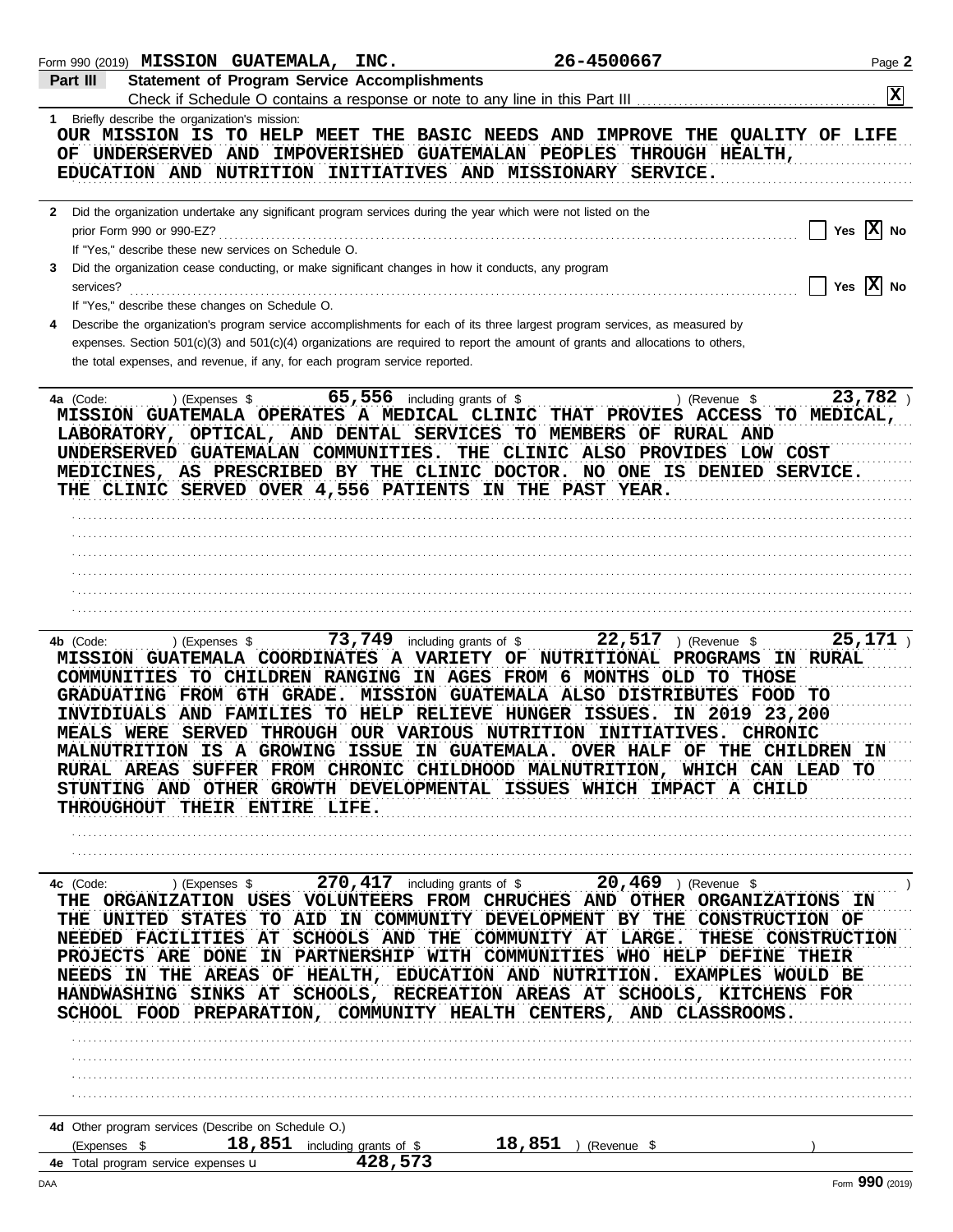| Form 990 (2019) MISSION GUATEMALA, INC.                                                                                       | 26-4500667                                                                                                                                                                                                                                                                                                                                                                                                                                                                                                                                                                                                                    | Page 2                  |
|-------------------------------------------------------------------------------------------------------------------------------|-------------------------------------------------------------------------------------------------------------------------------------------------------------------------------------------------------------------------------------------------------------------------------------------------------------------------------------------------------------------------------------------------------------------------------------------------------------------------------------------------------------------------------------------------------------------------------------------------------------------------------|-------------------------|
| <b>Statement of Program Service Accomplishments</b><br>Part III                                                               |                                                                                                                                                                                                                                                                                                                                                                                                                                                                                                                                                                                                                               |                         |
|                                                                                                                               |                                                                                                                                                                                                                                                                                                                                                                                                                                                                                                                                                                                                                               | $\overline{\mathbf{x}}$ |
| 1 Briefly describe the organization's mission:                                                                                | OUR MISSION IS TO HELP MEET THE BASIC NEEDS AND IMPROVE THE QUALITY OF LIFE<br>OF UNDERSERVED AND IMPOVERISHED GUATEMALAN PEOPLES THROUGH HEALTH,<br>EDUCATION AND NUTRITION INITIATIVES AND MISSIONARY SERVICE.                                                                                                                                                                                                                                                                                                                                                                                                              |                         |
|                                                                                                                               |                                                                                                                                                                                                                                                                                                                                                                                                                                                                                                                                                                                                                               |                         |
| 2 Did the organization undertake any significant program services during the year which were not listed on the                |                                                                                                                                                                                                                                                                                                                                                                                                                                                                                                                                                                                                                               |                         |
| prior Form 990 or 990-EZ?                                                                                                     |                                                                                                                                                                                                                                                                                                                                                                                                                                                                                                                                                                                                                               | Yes $ X $ No            |
| If "Yes," describe these new services on Schedule O.                                                                          |                                                                                                                                                                                                                                                                                                                                                                                                                                                                                                                                                                                                                               |                         |
| Did the organization cease conducting, or make significant changes in how it conducts, any program<br>3                       |                                                                                                                                                                                                                                                                                                                                                                                                                                                                                                                                                                                                                               | Yes $ X $ No            |
| services?<br>If "Yes," describe these changes on Schedule O.                                                                  |                                                                                                                                                                                                                                                                                                                                                                                                                                                                                                                                                                                                                               |                         |
|                                                                                                                               | Describe the organization's program service accomplishments for each of its three largest program services, as measured by                                                                                                                                                                                                                                                                                                                                                                                                                                                                                                    |                         |
| the total expenses, and revenue, if any, for each program service reported.                                                   | expenses. Section $501(c)(3)$ and $501(c)(4)$ organizations are required to report the amount of grants and allocations to others,                                                                                                                                                                                                                                                                                                                                                                                                                                                                                            |                         |
|                                                                                                                               |                                                                                                                                                                                                                                                                                                                                                                                                                                                                                                                                                                                                                               |                         |
| 4a (Code:<br>) (Expenses \$<br>UNDERSERVED GUATEMALAN COMMUNITIES.<br>THE CLINIC SERVED OVER 4,556 PATIENTS IN THE PAST YEAR. | $65,556$ including grants of \$<br>) (Revenue \$<br>MISSION GUATEMALA OPERATES A MEDICAL CLINIC THAT PROVIES ACCESS TO MEDICAL,<br>LABORATORY, OPTICAL, AND DENTAL SERVICES TO MEMBERS OF RURAL AND<br>THE CLINIC ALSO PROVIDES LOW COST<br>MEDICINES, AS PRESCRIBED BY THE CLINIC DOCTOR. NO ONE IS DENIED SERVICE.                                                                                                                                                                                                                                                                                                          | 23,782                  |
|                                                                                                                               |                                                                                                                                                                                                                                                                                                                                                                                                                                                                                                                                                                                                                               |                         |
|                                                                                                                               |                                                                                                                                                                                                                                                                                                                                                                                                                                                                                                                                                                                                                               |                         |
|                                                                                                                               |                                                                                                                                                                                                                                                                                                                                                                                                                                                                                                                                                                                                                               |                         |
|                                                                                                                               |                                                                                                                                                                                                                                                                                                                                                                                                                                                                                                                                                                                                                               |                         |
|                                                                                                                               |                                                                                                                                                                                                                                                                                                                                                                                                                                                                                                                                                                                                                               |                         |
| 4b (Code:<br>) (Expenses \$<br>COMMUNITIES TO CHILDREN RANGING<br>INVIDIUALS<br>THROUGHOUT THEIR ENTIRE LIFE.                 | 73,749 including grants of $$$<br>22,517<br>) (Revenue \$<br>MISSION GUATEMALA COORDINATES A VARIETY OF NUTRITIONAL PROGRAMS<br>IN AGES FROM 6 MONTHS OLD TO THOSE<br>GRADUATING FROM 6TH GRADE. MISSION GUATEMALA ALSO DISTRIBUTES FOOD TO<br>AND FAMILIES TO HELP RELIEVE HUNGER ISSUES.<br>IN 2019 23,200<br>MEALS WERE SERVED THROUGH OUR VARIOUS NUTRITION INITIATIVES. CHRONIC<br><b>MALNUTRITION IS A GROWING ISSUE IN GUATEMALA. OVER HALF OF THE CHILDREN IN</b><br>RURAL AREAS SUFFER FROM CHRONIC CHILDHOOD MALNUTRITION, WHICH CAN LEAD TO<br>STUNTING AND OTHER GROWTH DEVELOPMENTAL ISSUES WHICH IMPACT A CHILD | 25,171<br>IN RURAL      |
|                                                                                                                               |                                                                                                                                                                                                                                                                                                                                                                                                                                                                                                                                                                                                                               |                         |
|                                                                                                                               |                                                                                                                                                                                                                                                                                                                                                                                                                                                                                                                                                                                                                               |                         |
|                                                                                                                               | 4c (Code: ) (Expenses \$270,417 including grants of \$20,469 ) (Revenue \$<br>THE ORGANIZATION USES VOLUNTEERS FROM CHRUCHES AND OTHER ORGANIZATIONS IN<br>THE UNITED STATES TO AID IN COMMUNITY DEVELOPMENT BY THE CONSTRUCTION OF<br>NEEDED FACILITIES AT SCHOOLS AND THE COMMUNITY AT LARGE. THESE CONSTRUCTION<br>PROJECTS ARE DONE IN PARTNERSHIP WITH COMMUNITIES WHO HELP DEFINE THEIR<br>NEEDS IN THE AREAS OF HEALTH, EDUCATION AND NUTRITION. EXAMPLES WOULD BE<br>HANDWASHING SINKS AT SCHOOLS, RECREATION AREAS AT SCHOOLS, KITCHENS FOR<br>SCHOOL FOOD PREPARATION, COMMUNITY HEALTH CENTERS, AND CLASSROOMS.    |                         |
|                                                                                                                               |                                                                                                                                                                                                                                                                                                                                                                                                                                                                                                                                                                                                                               |                         |
|                                                                                                                               |                                                                                                                                                                                                                                                                                                                                                                                                                                                                                                                                                                                                                               |                         |
|                                                                                                                               |                                                                                                                                                                                                                                                                                                                                                                                                                                                                                                                                                                                                                               |                         |
|                                                                                                                               |                                                                                                                                                                                                                                                                                                                                                                                                                                                                                                                                                                                                                               |                         |
| 4d Other program services (Describe on Schedule O.)<br>$18,851$ including grants of \$<br>(Expenses \$                        | 18,851<br>(Revenue \$                                                                                                                                                                                                                                                                                                                                                                                                                                                                                                                                                                                                         |                         |
| 4e Total program service expenses u                                                                                           | 428,573                                                                                                                                                                                                                                                                                                                                                                                                                                                                                                                                                                                                                       |                         |
| DAA                                                                                                                           |                                                                                                                                                                                                                                                                                                                                                                                                                                                                                                                                                                                                                               | Form 990 (2019)         |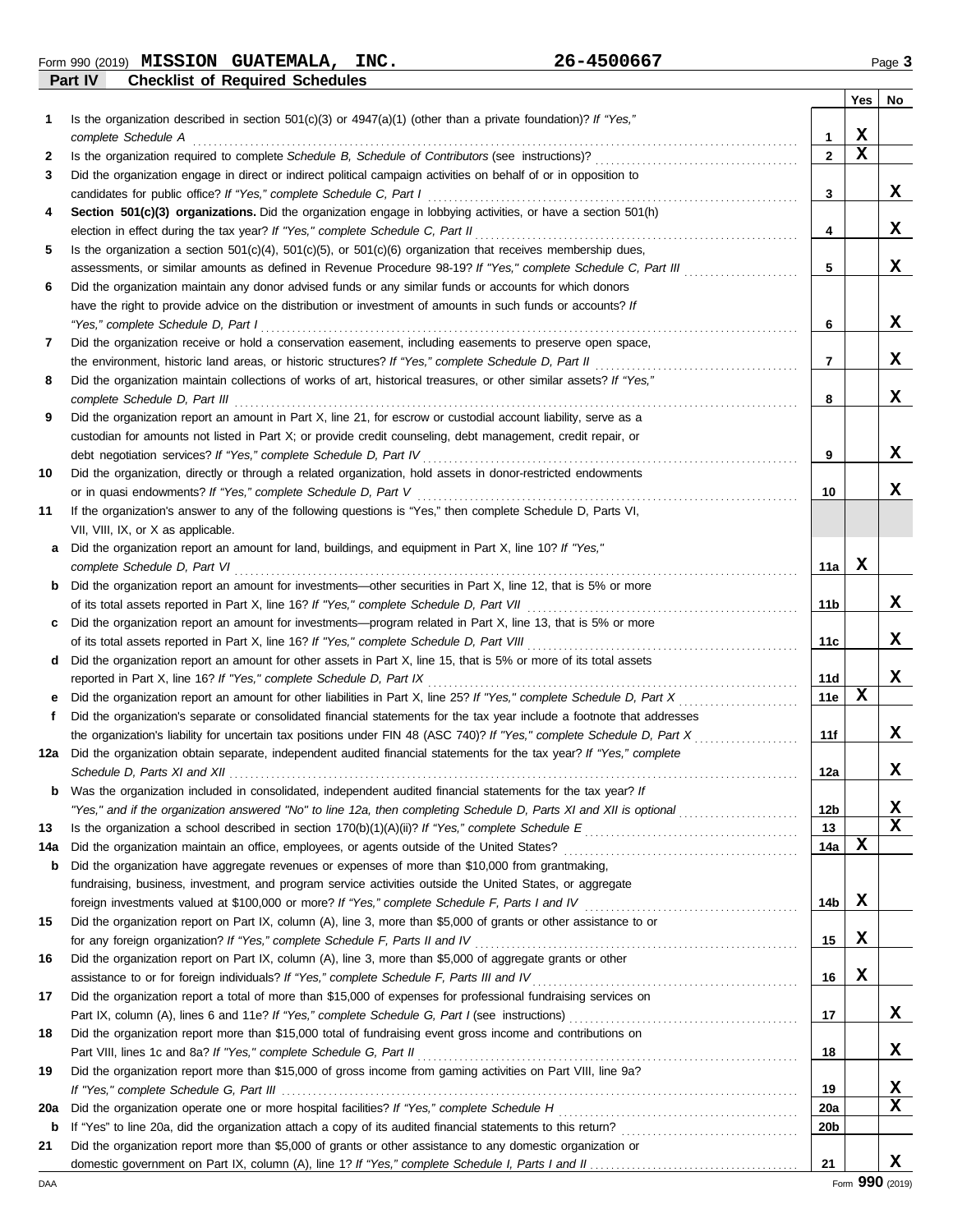**Part IV Checklist of Required Schedules** Form 990 (2019) Page **3 MISSION GUATEMALA, INC. 26-4500667**

|          |                                                                                                                                                                                                                                     |                 | Yes | No     |
|----------|-------------------------------------------------------------------------------------------------------------------------------------------------------------------------------------------------------------------------------------|-----------------|-----|--------|
| 1        | Is the organization described in section $501(c)(3)$ or $4947(a)(1)$ (other than a private foundation)? If "Yes,"<br>complete Schedule A                                                                                            | 1               | х   |        |
| 2        |                                                                                                                                                                                                                                     | $\mathbf{2}$    | X   |        |
| 3        | Did the organization engage in direct or indirect political campaign activities on behalf of or in opposition to                                                                                                                    |                 |     |        |
|          | candidates for public office? If "Yes," complete Schedule C, Part I                                                                                                                                                                 | 3               |     | x      |
| 4        | Section 501(c)(3) organizations. Did the organization engage in lobbying activities, or have a section 501(h)<br>election in effect during the tax year? If "Yes," complete Schedule C, Part II                                     | 4               |     | x      |
| 5        | Is the organization a section $501(c)(4)$ , $501(c)(5)$ , or $501(c)(6)$ organization that receives membership dues,                                                                                                                |                 |     |        |
|          | assessments, or similar amounts as defined in Revenue Procedure 98-19? If "Yes," complete Schedule C, Part III                                                                                                                      | 5               |     | x      |
| 6        | Did the organization maintain any donor advised funds or any similar funds or accounts for which donors                                                                                                                             |                 |     |        |
|          | have the right to provide advice on the distribution or investment of amounts in such funds or accounts? If                                                                                                                         |                 |     |        |
|          | "Yes," complete Schedule D, Part I                                                                                                                                                                                                  | 6               |     | x      |
| 7        | Did the organization receive or hold a conservation easement, including easements to preserve open space,                                                                                                                           |                 |     |        |
|          |                                                                                                                                                                                                                                     | 7               |     | x      |
| 8        | Did the organization maintain collections of works of art, historical treasures, or other similar assets? If "Yes,"                                                                                                                 |                 |     |        |
|          | complete Schedule D, Part III                                                                                                                                                                                                       | 8               |     | x      |
| 9        | Did the organization report an amount in Part X, line 21, for escrow or custodial account liability, serve as a                                                                                                                     |                 |     |        |
|          | custodian for amounts not listed in Part X; or provide credit counseling, debt management, credit repair, or                                                                                                                        | 9               |     | x      |
| 10       | debt negotiation services? If "Yes," complete Schedule D, Part IV [[20] Concretent content content content for<br>Did the organization, directly or through a related organization, hold assets in donor-restricted endowments      |                 |     |        |
|          | or in quasi endowments? If "Yes," complete Schedule D, Part V                                                                                                                                                                       | 10              |     | x      |
| 11       | If the organization's answer to any of the following questions is "Yes," then complete Schedule D, Parts VI,                                                                                                                        |                 |     |        |
|          | VII, VIII, IX, or X as applicable.                                                                                                                                                                                                  |                 |     |        |
| a        | Did the organization report an amount for land, buildings, and equipment in Part X, line 10? If "Yes,"                                                                                                                              |                 |     |        |
|          | complete Schedule D, Part VI                                                                                                                                                                                                        | 11a             | x   |        |
| b        | Did the organization report an amount for investments—other securities in Part X, line 12, that is 5% or more                                                                                                                       |                 |     |        |
|          | of its total assets reported in Part X, line 16? If "Yes," complete Schedule D, Part VII                                                                                                                                            | 11b             |     | x      |
| c        | Did the organization report an amount for investments—program related in Part X, line 13, that is 5% or more                                                                                                                        |                 |     |        |
|          | of its total assets reported in Part X, line 16? If "Yes," complete Schedule D, Part VIII                                                                                                                                           | 11c             |     | x      |
| d        | Did the organization report an amount for other assets in Part X, line 15, that is 5% or more of its total assets                                                                                                                   |                 |     | x      |
|          | reported in Part X, line 16? If "Yes," complete Schedule D, Part IX                                                                                                                                                                 | 11d<br>11e      | х   |        |
| е<br>f   | Did the organization's separate or consolidated financial statements for the tax year include a footnote that addresses                                                                                                             |                 |     |        |
|          | the organization's liability for uncertain tax positions under FIN 48 (ASC 740)? If "Yes," complete Schedule D, Part X                                                                                                              | 11f             |     | x      |
| 12a      | Did the organization obtain separate, independent audited financial statements for the tax year? If "Yes," complete                                                                                                                 |                 |     |        |
|          |                                                                                                                                                                                                                                     | 12a             |     | x      |
|          | <b>b</b> Was the organization included in consolidated, independent audited financial statements for the tax year? If                                                                                                               |                 |     |        |
|          | "Yes," and if the organization answered "No" to line 12a, then completing Schedule D, Parts XI and XII is optional                                                                                                                  | 12 <sub>b</sub> |     | x      |
| 13       |                                                                                                                                                                                                                                     | 13              |     | x      |
| 14a      |                                                                                                                                                                                                                                     | 14a             | X   |        |
| b        | Did the organization have aggregate revenues or expenses of more than \$10,000 from grantmaking,                                                                                                                                    |                 |     |        |
|          | fundraising, business, investment, and program service activities outside the United States, or aggregate                                                                                                                           | 14b             | x   |        |
| 15       | foreign investments valued at \$100,000 or more? If "Yes," complete Schedule F, Parts I and IV [[[[[[[[[[[[[[[<br>Did the organization report on Part IX, column (A), line 3, more than \$5,000 of grants or other assistance to or |                 |     |        |
|          |                                                                                                                                                                                                                                     | 15              | x   |        |
| 16       | Did the organization report on Part IX, column (A), line 3, more than \$5,000 of aggregate grants or other                                                                                                                          |                 |     |        |
|          | assistance to or for foreign individuals? If "Yes," complete Schedule F, Parts III and IV [[[[[[[[[[[[[[[[[[[                                                                                                                       | 16              | X   |        |
| 17       | Did the organization report a total of more than \$15,000 of expenses for professional fundraising services on                                                                                                                      |                 |     |        |
|          |                                                                                                                                                                                                                                     | 17              |     | X      |
| 18       | Did the organization report more than \$15,000 total of fundraising event gross income and contributions on                                                                                                                         |                 |     |        |
|          |                                                                                                                                                                                                                                     | 18              |     | x      |
| 19       | Did the organization report more than \$15,000 of gross income from gaming activities on Part VIII, line 9a?                                                                                                                        |                 |     |        |
|          |                                                                                                                                                                                                                                     | 19              |     | х<br>x |
| 20a<br>b |                                                                                                                                                                                                                                     | 20a<br>20b      |     |        |
| 21       | Did the organization report more than \$5,000 of grants or other assistance to any domestic organization or                                                                                                                         |                 |     |        |
|          |                                                                                                                                                                                                                                     | 21              |     | x      |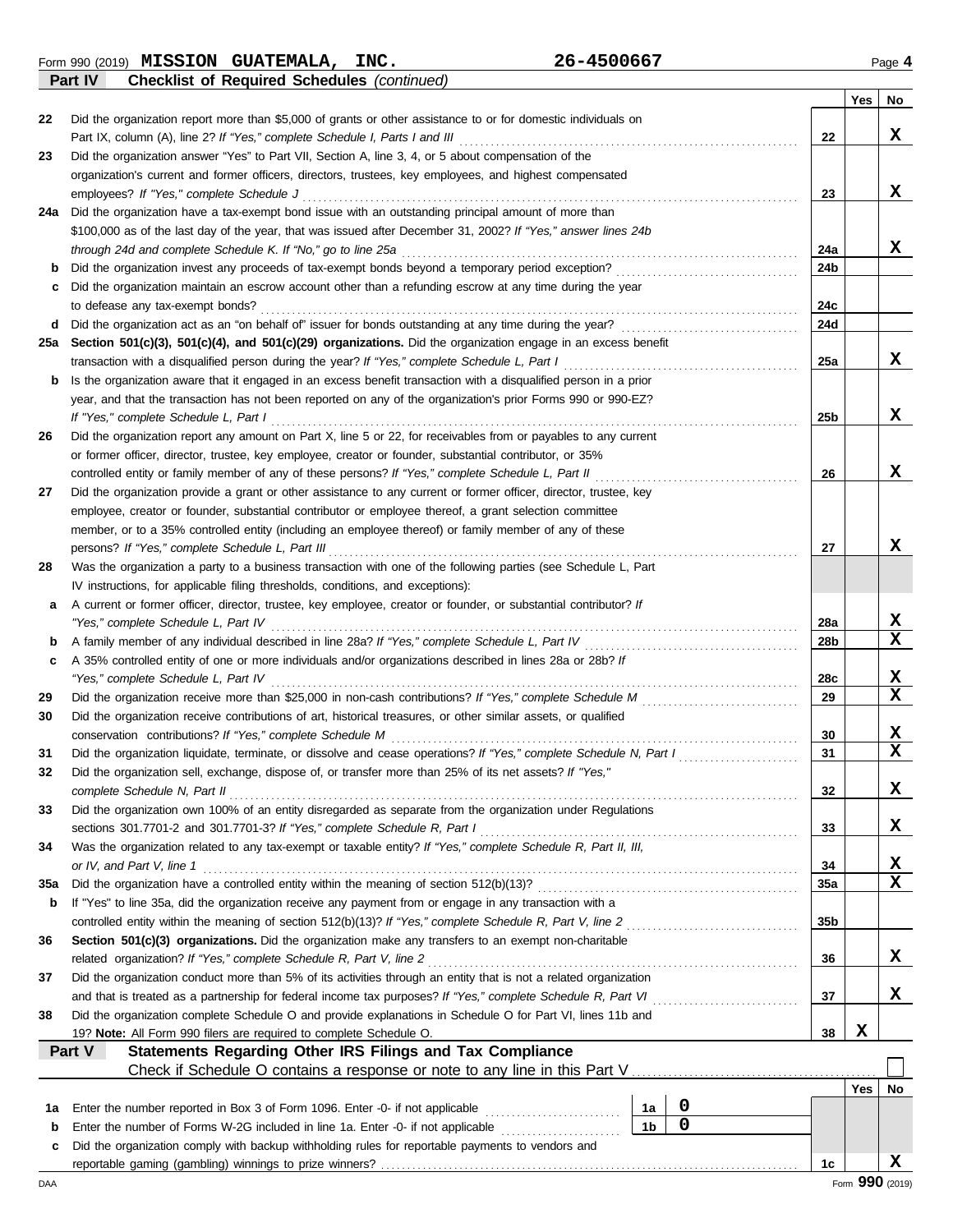**Part IV Checklist of Required Schedules** *(continued)*

|        |                                                                                                                                                                                                                       |                      |                  |     | Yes | No              |
|--------|-----------------------------------------------------------------------------------------------------------------------------------------------------------------------------------------------------------------------|----------------------|------------------|-----|-----|-----------------|
| 22     | Did the organization report more than \$5,000 of grants or other assistance to or for domestic individuals on                                                                                                         |                      |                  |     |     |                 |
|        |                                                                                                                                                                                                                       |                      |                  | 22  |     | x               |
| 23     | Did the organization answer "Yes" to Part VII, Section A, line 3, 4, or 5 about compensation of the                                                                                                                   |                      |                  |     |     |                 |
|        | organization's current and former officers, directors, trustees, key employees, and highest compensated                                                                                                               |                      |                  |     |     |                 |
|        | employees? If "Yes," complete Schedule J                                                                                                                                                                              |                      |                  | 23  |     | x               |
| 24a    | Did the organization have a tax-exempt bond issue with an outstanding principal amount of more than                                                                                                                   |                      |                  |     |     |                 |
|        | \$100,000 as of the last day of the year, that was issued after December 31, 2002? If "Yes," answer lines 24b                                                                                                         |                      |                  | 24a |     | X               |
| b      |                                                                                                                                                                                                                       |                      |                  | 24b |     |                 |
| c      | Did the organization maintain an escrow account other than a refunding escrow at any time during the year                                                                                                             |                      |                  |     |     |                 |
|        | to defease any tax-exempt bonds?                                                                                                                                                                                      |                      |                  | 24с |     |                 |
| d      |                                                                                                                                                                                                                       |                      |                  | 24d |     |                 |
| 25a    | Section 501(c)(3), 501(c)(4), and 501(c)(29) organizations. Did the organization engage in an excess benefit                                                                                                          |                      |                  |     |     |                 |
|        |                                                                                                                                                                                                                       |                      |                  | 25a |     | X               |
| b      | Is the organization aware that it engaged in an excess benefit transaction with a disqualified person in a prior                                                                                                      |                      |                  |     |     |                 |
|        | year, and that the transaction has not been reported on any of the organization's prior Forms 990 or 990-EZ?                                                                                                          |                      |                  |     |     |                 |
|        | If "Yes," complete Schedule L, Part I                                                                                                                                                                                 |                      |                  | 25b |     | x               |
| 26     | Did the organization report any amount on Part X, line 5 or 22, for receivables from or payables to any current                                                                                                       |                      |                  |     |     |                 |
|        | or former officer, director, trustee, key employee, creator or founder, substantial contributor, or 35%                                                                                                               |                      |                  |     |     |                 |
|        | controlled entity or family member of any of these persons? If "Yes," complete Schedule L, Part II                                                                                                                    |                      |                  | 26  |     | X               |
| 27     | Did the organization provide a grant or other assistance to any current or former officer, director, trustee, key                                                                                                     |                      |                  |     |     |                 |
|        | employee, creator or founder, substantial contributor or employee thereof, a grant selection committee                                                                                                                |                      |                  |     |     |                 |
|        | member, or to a 35% controlled entity (including an employee thereof) or family member of any of these                                                                                                                |                      |                  |     |     | X               |
| 28     | persons? If "Yes," complete Schedule L, Part III<br>Was the organization a party to a business transaction with one of the following parties (see Schedule L, Part                                                    |                      |                  | 27  |     |                 |
|        | IV instructions, for applicable filing thresholds, conditions, and exceptions):                                                                                                                                       |                      |                  |     |     |                 |
| a      | A current or former officer, director, trustee, key employee, creator or founder, or substantial contributor? If                                                                                                      |                      |                  |     |     |                 |
|        | "Yes," complete Schedule L, Part IV                                                                                                                                                                                   |                      |                  | 28a |     | X               |
| b      | A family member of any individual described in line 28a? If "Yes," complete Schedule L, Part IV [11] mattless contracts and the state of any individual described in line 28a? If "Yes," complete Schedule L, Part IV |                      |                  | 28b |     | х               |
| c      | A 35% controlled entity of one or more individuals and/or organizations described in lines 28a or 28b? If                                                                                                             |                      |                  |     |     |                 |
|        |                                                                                                                                                                                                                       |                      |                  | 28c |     | x               |
| 29     |                                                                                                                                                                                                                       |                      |                  | 29  |     | х               |
| 30     | Did the organization receive contributions of art, historical treasures, or other similar assets, or qualified                                                                                                        |                      |                  |     |     |                 |
|        |                                                                                                                                                                                                                       |                      |                  | 30  |     | х               |
| 31     | Did the organization liquidate, terminate, or dissolve and cease operations? If "Yes," complete Schedule N, Part I                                                                                                    |                      |                  | 31  |     | $\mathbf x$     |
| 32     | Did the organization sell, exchange, dispose of, or transfer more than 25% of its net assets? If "Yes,"                                                                                                               |                      |                  |     |     |                 |
|        | complete Schedule N, Part II                                                                                                                                                                                          |                      |                  | 32  |     | х               |
| 33     | Did the organization own 100% of an entity disregarded as separate from the organization under Regulations                                                                                                            |                      |                  |     |     |                 |
|        | sections 301.7701-2 and 301.7701-3? If "Yes," complete Schedule R, Part I<br>Was the organization related to any tax-exempt or taxable entity? If "Yes," complete Schedule R, Part II, III,                           |                      |                  | 33  |     | X               |
| 34     | or IV, and Part V, line 1                                                                                                                                                                                             |                      |                  | 34  |     | X               |
| 35a    |                                                                                                                                                                                                                       |                      |                  | 35a |     | х               |
| b      | If "Yes" to line 35a, did the organization receive any payment from or engage in any transaction with a                                                                                                               |                      |                  |     |     |                 |
|        |                                                                                                                                                                                                                       |                      |                  | 35b |     |                 |
| 36     | <b>Section 501(c)(3) organizations.</b> Did the organization make any transfers to an exempt non-charitable                                                                                                           |                      |                  |     |     |                 |
|        | related organization? If "Yes," complete Schedule R, Part V, line 2                                                                                                                                                   |                      |                  | 36  |     | x               |
| 37     | Did the organization conduct more than 5% of its activities through an entity that is not a related organization                                                                                                      |                      |                  |     |     |                 |
|        |                                                                                                                                                                                                                       |                      |                  | 37  |     | x               |
| 38     | Did the organization complete Schedule O and provide explanations in Schedule O for Part VI, lines 11b and                                                                                                            |                      |                  |     |     |                 |
|        | 19? Note: All Form 990 filers are required to complete Schedule O.                                                                                                                                                    |                      |                  | 38  | X   |                 |
|        | Part V<br><b>Statements Regarding Other IRS Filings and Tax Compliance</b>                                                                                                                                            |                      |                  |     |     |                 |
|        |                                                                                                                                                                                                                       |                      |                  |     |     |                 |
|        |                                                                                                                                                                                                                       |                      |                  |     | Yes | No              |
| 1а     | Enter the number reported in Box 3 of Form 1096. Enter -0- if not applicable<br>Enter the number of Forms W-2G included in line 1a. Enter -0- if not applicable                                                       | 1a<br>1 <sub>b</sub> | 0<br>$\mathbf 0$ |     |     |                 |
| b<br>c | Did the organization comply with backup withholding rules for reportable payments to vendors and                                                                                                                      |                      |                  |     |     |                 |
|        |                                                                                                                                                                                                                       |                      |                  | 1c  |     | x               |
| DAA    |                                                                                                                                                                                                                       |                      |                  |     |     | Form 990 (2019) |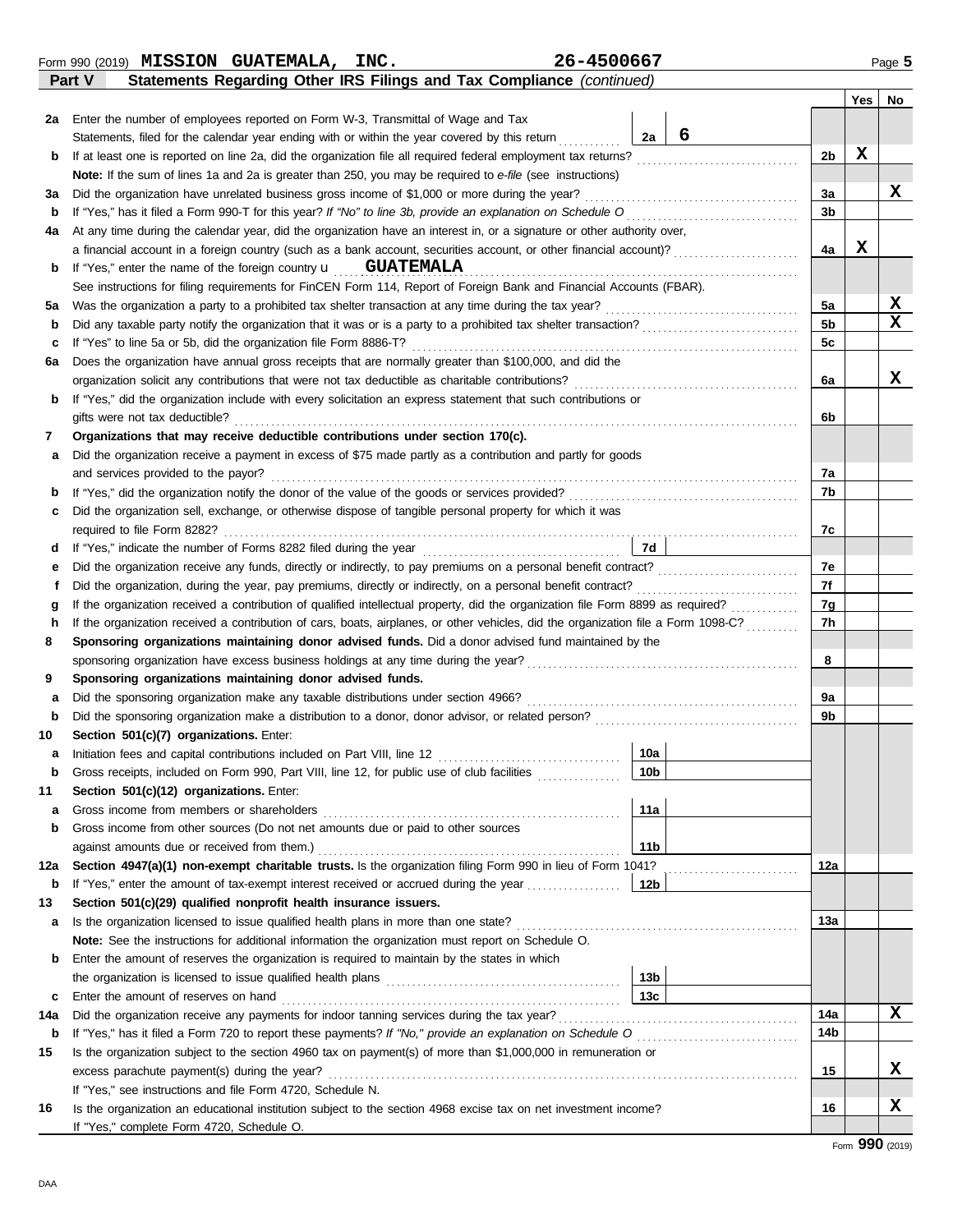Form 990 (2019) Page **5 MISSION GUATEMALA, INC. 26-4500667**

|        | Statements Regarding Other IRS Filings and Tax Compliance (continued)<br>Part V                                                    |                |     |    |
|--------|------------------------------------------------------------------------------------------------------------------------------------|----------------|-----|----|
|        |                                                                                                                                    |                | Yes | No |
| 2a     | Enter the number of employees reported on Form W-3, Transmittal of Wage and Tax                                                    |                |     |    |
|        | 6<br>2a<br>Statements, filed for the calendar year ending with or within the year covered by this return                           |                |     |    |
| b      |                                                                                                                                    | 2 <sub>b</sub> | X   |    |
|        | Note: If the sum of lines 1a and 2a is greater than 250, you may be required to e-file (see instructions)                          |                |     |    |
| За     | Did the organization have unrelated business gross income of \$1,000 or more during the year?                                      | За             |     | X  |
| b      |                                                                                                                                    | 3b             |     |    |
| 4a     | At any time during the calendar year, did the organization have an interest in, or a signature or other authority over,            |                |     |    |
|        | a financial account in a foreign country (such as a bank account, securities account, or other financial account)?                 | 4a             | х   |    |
| b      | If "Yes," enter the name of the foreign country $\mathbf{u}$ GUATEMALA                                                             |                |     |    |
|        | See instructions for filing requirements for FinCEN Form 114, Report of Foreign Bank and Financial Accounts (FBAR).                |                |     |    |
| 5a     |                                                                                                                                    | 5a             |     | X  |
| b      |                                                                                                                                    | 5 <sub>b</sub> |     | X  |
| c      |                                                                                                                                    | 5c             |     |    |
| 6а     | Does the organization have annual gross receipts that are normally greater than \$100,000, and did the                             |                |     |    |
|        |                                                                                                                                    | 6a             |     | X  |
| b      | If "Yes," did the organization include with every solicitation an express statement that such contributions or                     |                |     |    |
|        | gifts were not tax deductible?                                                                                                     | 6b             |     |    |
| 7      | Organizations that may receive deductible contributions under section 170(c).                                                      |                |     |    |
| а      | Did the organization receive a payment in excess of \$75 made partly as a contribution and partly for goods                        |                |     |    |
|        | and services provided to the payor?                                                                                                | 7a             |     |    |
| b      |                                                                                                                                    | 7b             |     |    |
| c      | Did the organization sell, exchange, or otherwise dispose of tangible personal property for which it was                           |                |     |    |
|        |                                                                                                                                    | 7c             |     |    |
| d      |                                                                                                                                    |                |     |    |
| е      | Did the organization receive any funds, directly or indirectly, to pay premiums on a personal benefit contract?                    | 7e             |     |    |
|        |                                                                                                                                    | 7f             |     |    |
| g      |                                                                                                                                    | 7g             |     |    |
| h      | If the organization received a contribution of cars, boats, airplanes, or other vehicles, did the organization file a Form 1098-C? | 7h             |     |    |
| 8      | Sponsoring organizations maintaining donor advised funds. Did a donor advised fund maintained by the                               | 8              |     |    |
|        |                                                                                                                                    |                |     |    |
| 9      | Sponsoring organizations maintaining donor advised funds.                                                                          | 9a             |     |    |
| a<br>b |                                                                                                                                    | 9b             |     |    |
| 10     | Section 501(c)(7) organizations. Enter:                                                                                            |                |     |    |
| а      | 10a<br>Initiation fees and capital contributions included on Part VIII, line 12 [11][11][12] [11][11][11][11][11][11]              |                |     |    |
| b      | 10 <sub>b</sub><br>Gross receipts, included on Form 990, Part VIII, line 12, for public use of club facilities                     |                |     |    |
| 11     | Section 501(c)(12) organizations. Enter:                                                                                           |                |     |    |
| a      | 11a<br>Gross income from members or shareholders                                                                                   |                |     |    |
| b      | Gross income from other sources (Do not net amounts due or paid to other sources                                                   |                |     |    |
|        | 11 <sub>b</sub><br>against amounts due or received from them.)                                                                     |                |     |    |
| 12a    | Section 4947(a)(1) non-exempt charitable trusts. Is the organization filing Form 990 in lieu of Form 1041?                         | 12a            |     |    |
| b      | If "Yes," enter the amount of tax-exempt interest received or accrued during the year<br>12 <sub>b</sub>                           |                |     |    |
| 13     | Section 501(c)(29) qualified nonprofit health insurance issuers.                                                                   |                |     |    |
| a      | Is the organization licensed to issue qualified health plans in more than one state?                                               | 13а            |     |    |
|        | Note: See the instructions for additional information the organization must report on Schedule O.                                  |                |     |    |
| b      | Enter the amount of reserves the organization is required to maintain by the states in which                                       |                |     |    |
|        | 13 <sub>b</sub>                                                                                                                    |                |     |    |
| c      | 13c<br>Enter the amount of reserves on hand                                                                                        |                |     |    |
| 14a    |                                                                                                                                    | 14a            |     | x  |
| b      |                                                                                                                                    | 14b            |     |    |
| 15     | Is the organization subject to the section 4960 tax on payment(s) of more than \$1,000,000 in remuneration or                      |                |     |    |
|        | excess parachute payment(s) during the year?                                                                                       | 15             |     | x  |
|        | If "Yes," see instructions and file Form 4720, Schedule N.                                                                         |                |     |    |
| 16     | Is the organization an educational institution subject to the section 4968 excise tax on net investment income?                    | 16             |     | X  |
|        | If "Yes," complete Form 4720, Schedule O.                                                                                          |                |     |    |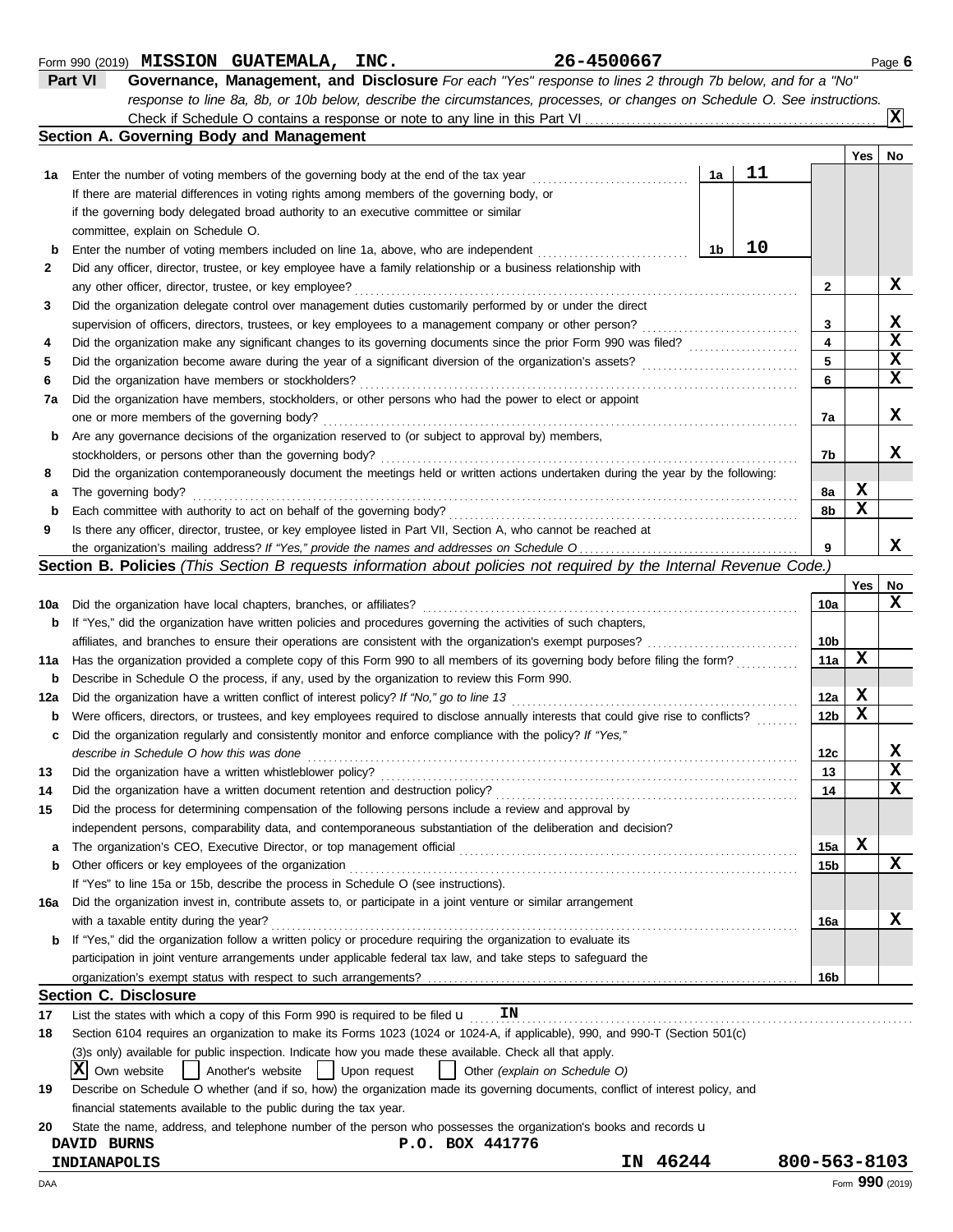| טט וו חסטווט |  |
|--------------|--|
|              |  |

Form 990 (2019) Page **6 MISSION GUATEMALA, INC. 26-4500667 Part VI Governance, Management, and Disclosure** *For each "Yes" response to lines 2 through 7b below, and for a "No"*

*response to line 8a, 8b, or 10b below, describe the circumstances, processes, or changes on Schedule O. See instructions.* Check if Schedule O contains a response or note to any line in this Part VI.

| 1a                       | Enter the number of voting members of the governing body at the end of the tax year<br>If there are material differences in voting rights among members of the governing body, or | 1a |    |    | Yes | No. |
|--------------------------|-----------------------------------------------------------------------------------------------------------------------------------------------------------------------------------|----|----|----|-----|-----|
|                          |                                                                                                                                                                                   |    |    |    |     |     |
|                          |                                                                                                                                                                                   |    | 11 |    |     |     |
|                          |                                                                                                                                                                                   |    |    |    |     |     |
|                          | if the governing body delegated broad authority to an executive committee or similar                                                                                              |    |    |    |     |     |
|                          | committee, explain on Schedule O.                                                                                                                                                 |    |    |    |     |     |
| b                        | Enter the number of voting members included on line 1a, above, who are independent                                                                                                | 1b | 10 |    |     |     |
| 2                        | Did any officer, director, trustee, or key employee have a family relationship or a business relationship with                                                                    |    |    |    |     |     |
|                          | any other officer, director, trustee, or key employee?                                                                                                                            |    |    | 2  |     | x   |
| 3                        | Did the organization delegate control over management duties customarily performed by or under the direct                                                                         |    |    |    |     |     |
|                          | supervision of officers, directors, trustees, or key employees to a management company or other person?                                                                           |    |    | 3  |     | x   |
| 4                        | Did the organization make any significant changes to its governing documents since the prior Form 990 was filed?                                                                  |    |    |    |     |     |
| 5                        |                                                                                                                                                                                   |    |    |    |     | x   |
| 6                        | Did the organization have members or stockholders?                                                                                                                                |    |    | 6  |     | x   |
| 7a                       | Did the organization have members, stockholders, or other persons who had the power to elect or appoint                                                                           |    |    |    |     |     |
|                          | one or more members of the governing body?                                                                                                                                        |    |    | 7а |     | x   |
| b                        | Are any governance decisions of the organization reserved to (or subject to approval by) members,                                                                                 |    |    |    |     |     |
|                          | stockholders, or persons other than the governing body?                                                                                                                           |    |    | 7b |     | x   |
| 8                        | Did the organization contemporaneously document the meetings held or written actions undertaken during the year by the following:                                                 |    |    |    |     |     |
| The governing body?<br>a |                                                                                                                                                                                   |    |    | 8a | х   |     |
| b                        | Each committee with authority to act on behalf of the governing body?                                                                                                             |    |    | 8b | X   |     |
| 9                        | Is there any officer, director, trustee, or key employee listed in Part VII, Section A, who cannot be reached at                                                                  |    |    |    |     |     |
|                          |                                                                                                                                                                                   |    |    | 9  |     | х   |

|  |  |  |  | <b>Section B. Policies</b> (This Section B requests information about policies not required by the Internal Revenue Code.) |
|--|--|--|--|----------------------------------------------------------------------------------------------------------------------------|
|--|--|--|--|----------------------------------------------------------------------------------------------------------------------------|

|     | Section B. Policies (This Section B requests information about policies not required by the Internal Revenue Code.)                                                                         |                 |     |    |
|-----|---------------------------------------------------------------------------------------------------------------------------------------------------------------------------------------------|-----------------|-----|----|
|     |                                                                                                                                                                                             |                 | Yes | No |
| 10a | Did the organization have local chapters, branches, or affiliates?                                                                                                                          | 10a             |     | X  |
| b   | If "Yes," did the organization have written policies and procedures governing the activities of such chapters,                                                                              |                 |     |    |
|     | affiliates, and branches to ensure their operations are consistent with the organization's exempt purposes?                                                                                 | 10 <sub>b</sub> |     |    |
| 11a | Has the organization provided a complete copy of this Form 990 to all members of its governing body before filing the form?                                                                 | 11a             | X   |    |
| b   | Describe in Schedule O the process, if any, used by the organization to review this Form 990.                                                                                               |                 |     |    |
| 12a | Did the organization have a written conflict of interest policy? If "No," go to line 13                                                                                                     | 12a             | х   |    |
| b   | Were officers, directors, or trustees, and key employees required to disclose annually interests that could give rise to conflicts?                                                         | 12 <sub>b</sub> | х   |    |
| c   | Did the organization regularly and consistently monitor and enforce compliance with the policy? If "Yes,"                                                                                   |                 |     |    |
|     | describe in Schedule O how this was done                                                                                                                                                    | 12c             |     | x  |
| 13  | Did the organization have a written whistleblower policy?                                                                                                                                   | 13              |     | X  |
| 14  | Did the organization have a written document retention and destruction policy?                                                                                                              | 14              |     | x  |
| 15  | Did the process for determining compensation of the following persons include a review and approval by                                                                                      |                 |     |    |
|     | independent persons, comparability data, and contemporaneous substantiation of the deliberation and decision?                                                                               |                 |     |    |
| а   | The organization's CEO, Executive Director, or top management official manufactor content content content content of the organization's CEO, executive Director, or top management official | 15a             | x   |    |
| b   | Other officers or key employees of the organization                                                                                                                                         | 15 <sub>b</sub> |     | X  |
|     | If "Yes" to line 15a or 15b, describe the process in Schedule O (see instructions).                                                                                                         |                 |     |    |
| 16a | Did the organization invest in, contribute assets to, or participate in a joint venture or similar arrangement                                                                              |                 |     |    |
|     | with a taxable entity during the year?                                                                                                                                                      | 16a             |     | x  |
| b   | If "Yes," did the organization follow a written policy or procedure requiring the organization to evaluate its                                                                              |                 |     |    |
|     | participation in joint venture arrangements under applicable federal tax law, and take steps to safeguard the                                                                               |                 |     |    |
|     |                                                                                                                                                                                             | 16 <sub>b</sub> |     |    |
|     | <b>Section C. Disclosure</b>                                                                                                                                                                |                 |     |    |
| 17  | List the states with which a copy of this Form 990 is required to be filed $\mathbf u$<br>ΙN                                                                                                |                 |     |    |
| 18  | Section 6104 requires an organization to make its Forms 1023 (1024 or 1024-A, if applicable), 990, and 990-T (Section 501(c)                                                                |                 |     |    |
|     | (3) sonly) available for public inspection. Indicate how you made these available. Check all that apply.                                                                                    |                 |     |    |
|     | X Own website<br>Another's website<br>  Upon request<br>Other (explain on Schedule O)                                                                                                       |                 |     |    |
| 19  | Describe on Schedule O whether (and if so, how) the organization made its governing documents, conflict of interest policy, and                                                             |                 |     |    |
|     | financial statements available to the public during the tax year.                                                                                                                           |                 |     |    |
| 20  | State the name, address, and telephone number of the person who possesses the organization's books and records u                                                                            |                 |     |    |

| <b>BURNS</b><br><b>DAVID</b> | 441776<br><b>BOX</b><br>৽.০. |             |              |
|------------------------------|------------------------------|-------------|--------------|
| INDIANAPOLIS                 |                              | 46244<br>ΙN | 800-563-8103 |

**X**

|  |  |  | 5-4500667 |  |  |
|--|--|--|-----------|--|--|
|  |  |  |           |  |  |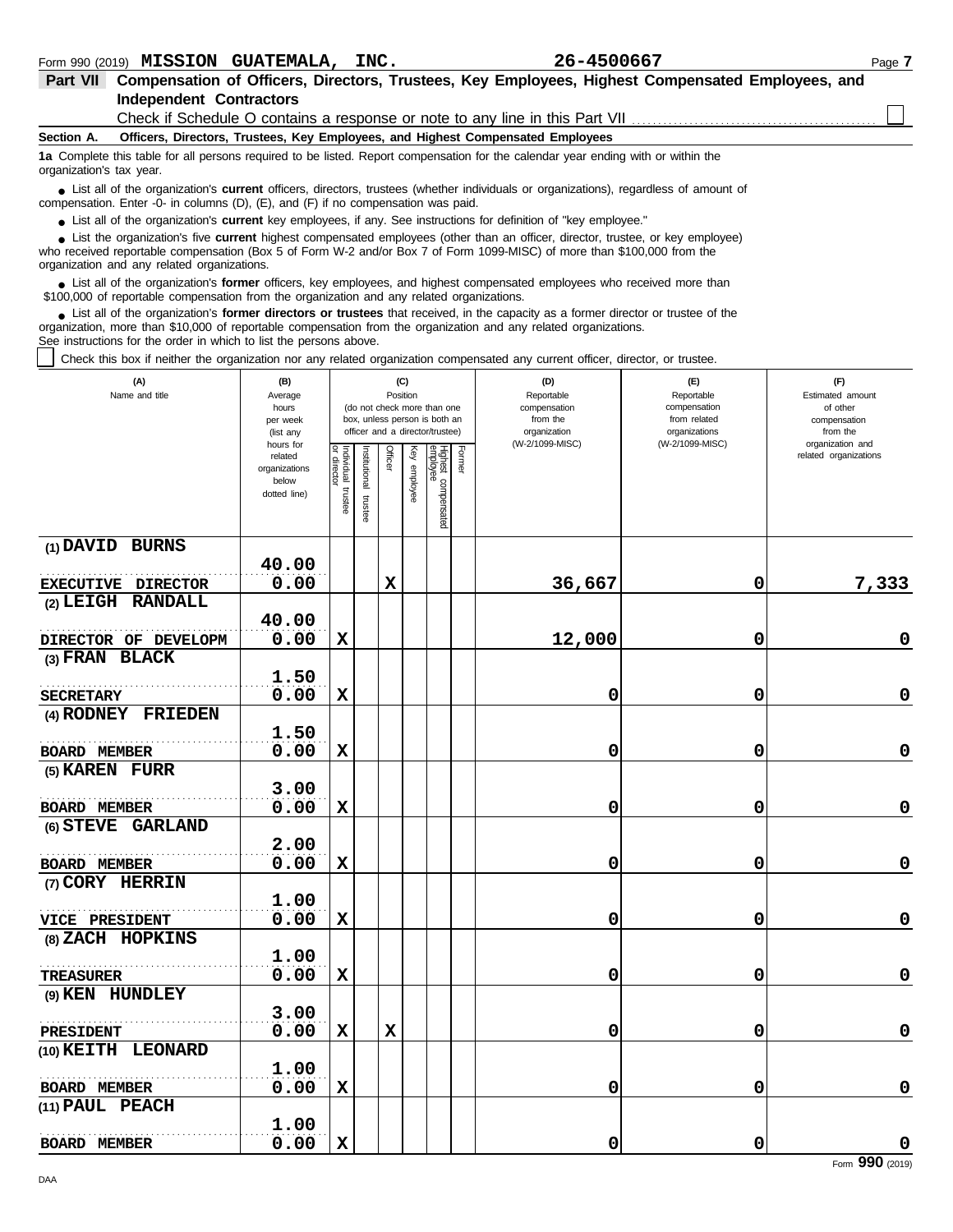| Part VII                 | Compensation of Officers, Directors, Trustees, Key Employees, Highest Compensated Employees, and<br><b>Independent Contractors</b>                                                                                                                                                                         |  |  |  |  |  |  |  |  |
|--------------------------|------------------------------------------------------------------------------------------------------------------------------------------------------------------------------------------------------------------------------------------------------------------------------------------------------------|--|--|--|--|--|--|--|--|
|                          | Check if Schedule O contains a response or note to any line in this Part VII                                                                                                                                                                                                                               |  |  |  |  |  |  |  |  |
| Section A.               | Officers, Directors, Trustees, Key Employees, and Highest Compensated Employees                                                                                                                                                                                                                            |  |  |  |  |  |  |  |  |
| organization's tax year. | 1a Complete this table for all persons required to be listed. Report compensation for the calendar year ending with or within the                                                                                                                                                                          |  |  |  |  |  |  |  |  |
|                          | • List all of the organization's <b>current</b> officers, directors, trustees (whether individuals or organizations), regardless of amount of<br>compensation. Enter -0- in columns $(D)$ , $(E)$ , and $(F)$ if no compensation was paid.                                                                 |  |  |  |  |  |  |  |  |
|                          | • List all of the organization's <b>current</b> key employees, if any. See instructions for definition of "key employee."                                                                                                                                                                                  |  |  |  |  |  |  |  |  |
|                          | • List the organization's five current highest compensated employees (other than an officer, director, trustee, or key employee)<br>who received reportable compensation (Box 5 of Form W-2 and/or Box 7 of Form 1099-MISC) of more than \$100,000 from the<br>organization and any related organizations. |  |  |  |  |  |  |  |  |
|                          | • List all of the organization's <b>former</b> officers, key employees, and highest compensated employees who received more than<br>\$100,000 of reportable compensation from the organization and any related organizations.                                                                              |  |  |  |  |  |  |  |  |

List all of the organization's **former directors or trustees** that received, in the capacity as a former director or trustee of the organization, more than \$10,000 of reportable compensation from the organization and any related organizations. See instructions for the order in which to list the persons above. **•**

Check this box if neither the organization nor any related organization compensated any current officer, director, or trustee.

| (A)<br>Name and title | (B)<br>Average<br>hours<br>per week<br>(list any<br>hours for |                                   |                         |             | (C)<br>Position | (do not check more than one<br>box, unless person is both an<br>officer and a director/trustee) |        | (D)<br>Reportable<br>compensation<br>from the<br>organization<br>(W-2/1099-MISC) | (E)<br>Reportable<br>compensation<br>from related<br>organizations<br>(W-2/1099-MISC) | (F)<br>Estimated amount<br>of other<br>compensation<br>from the<br>organization and |
|-----------------------|---------------------------------------------------------------|-----------------------------------|-------------------------|-------------|-----------------|-------------------------------------------------------------------------------------------------|--------|----------------------------------------------------------------------------------|---------------------------------------------------------------------------------------|-------------------------------------------------------------------------------------|
|                       | related<br>organizations<br>below<br>dotted line)             | Individual trustee<br>or director | nstitutional<br>trustee | Officer     | Key employee    | Highest compensated<br>employee                                                                 | Former |                                                                                  |                                                                                       | related organizations                                                               |
| (1) DAVID BURNS       |                                                               |                                   |                         |             |                 |                                                                                                 |        |                                                                                  |                                                                                       |                                                                                     |
|                       | 40.00                                                         |                                   |                         |             |                 |                                                                                                 |        |                                                                                  |                                                                                       |                                                                                     |
| EXECUTIVE DIRECTOR    | 0.00                                                          |                                   |                         | $\mathbf x$ |                 |                                                                                                 |        | 36,667                                                                           | 0                                                                                     | 7,333                                                                               |
| (2) LEIGH RANDALL     | 40.00                                                         |                                   |                         |             |                 |                                                                                                 |        |                                                                                  |                                                                                       |                                                                                     |
| DIRECTOR OF DEVELOPM  | 0.00                                                          | X                                 |                         |             |                 |                                                                                                 |        | 12,000                                                                           | 0                                                                                     | 0                                                                                   |
| (3) FRAN BLACK        |                                                               |                                   |                         |             |                 |                                                                                                 |        |                                                                                  |                                                                                       |                                                                                     |
|                       | 1.50                                                          |                                   |                         |             |                 |                                                                                                 |        |                                                                                  |                                                                                       |                                                                                     |
| <b>SECRETARY</b>      | 0.00                                                          | X                                 |                         |             |                 |                                                                                                 |        | 0                                                                                | 0                                                                                     | $\mathbf 0$                                                                         |
| (4) RODNEY FRIEDEN    |                                                               |                                   |                         |             |                 |                                                                                                 |        |                                                                                  |                                                                                       |                                                                                     |
|                       | 1.50                                                          |                                   |                         |             |                 |                                                                                                 |        |                                                                                  |                                                                                       |                                                                                     |
| <b>BOARD MEMBER</b>   | 0.00                                                          | $\mathbf x$                       |                         |             |                 |                                                                                                 |        | 0                                                                                | 0                                                                                     | $\mathbf 0$                                                                         |
| (5) KAREN FURR        |                                                               |                                   |                         |             |                 |                                                                                                 |        |                                                                                  |                                                                                       |                                                                                     |
|                       | 3.00                                                          |                                   |                         |             |                 |                                                                                                 |        |                                                                                  |                                                                                       |                                                                                     |
| BOARD MEMBER          | 0.00                                                          | X                                 |                         |             |                 |                                                                                                 |        | 0                                                                                | 0                                                                                     | 0                                                                                   |
| (6) STEVE GARLAND     |                                                               |                                   |                         |             |                 |                                                                                                 |        |                                                                                  |                                                                                       |                                                                                     |
|                       | 2.00                                                          |                                   |                         |             |                 |                                                                                                 |        |                                                                                  |                                                                                       |                                                                                     |
| <b>BOARD MEMBER</b>   | 0.00                                                          | X                                 |                         |             |                 |                                                                                                 |        | 0                                                                                | 0                                                                                     | $\pmb{0}$                                                                           |
| (7) CORY HERRIN       |                                                               |                                   |                         |             |                 |                                                                                                 |        |                                                                                  |                                                                                       |                                                                                     |
|                       | 1.00                                                          |                                   |                         |             |                 |                                                                                                 |        |                                                                                  |                                                                                       |                                                                                     |
| VICE PRESIDENT        | 0.00                                                          | $\mathbf x$                       |                         |             |                 |                                                                                                 |        | 0                                                                                | 0                                                                                     | $\mathbf 0$                                                                         |
| (8) ZACH HOPKINS      |                                                               |                                   |                         |             |                 |                                                                                                 |        |                                                                                  |                                                                                       |                                                                                     |
|                       | 1.00                                                          |                                   |                         |             |                 |                                                                                                 |        |                                                                                  |                                                                                       |                                                                                     |
| <b>TREASURER</b>      | 0.00                                                          | X                                 |                         |             |                 |                                                                                                 |        | 0                                                                                | 0                                                                                     | $\pmb{0}$                                                                           |
| (9) KEN HUNDLEY       |                                                               |                                   |                         |             |                 |                                                                                                 |        |                                                                                  |                                                                                       |                                                                                     |
|                       | 3.00                                                          |                                   |                         |             |                 |                                                                                                 |        |                                                                                  |                                                                                       |                                                                                     |
| <b>PRESIDENT</b>      | 0.00                                                          | $\mathbf x$                       |                         | X           |                 |                                                                                                 |        | 0                                                                                | 0                                                                                     | $\mathbf 0$                                                                         |
| (10) KEITH LEONARD    |                                                               |                                   |                         |             |                 |                                                                                                 |        |                                                                                  |                                                                                       |                                                                                     |
|                       | 1.00                                                          |                                   |                         |             |                 |                                                                                                 |        |                                                                                  |                                                                                       |                                                                                     |
| <b>BOARD MEMBER</b>   | 0.00                                                          | X                                 |                         |             |                 |                                                                                                 |        | 0                                                                                | 0                                                                                     | 0                                                                                   |
| (11) PAUL PEACH       |                                                               |                                   |                         |             |                 |                                                                                                 |        |                                                                                  |                                                                                       |                                                                                     |
|                       | 1.00                                                          |                                   |                         |             |                 |                                                                                                 |        |                                                                                  |                                                                                       |                                                                                     |
| <b>BOARD MEMBER</b>   | 0.00                                                          | $\mathbf x$                       |                         |             |                 |                                                                                                 |        | 0                                                                                | 0                                                                                     | $\pmb{0}$                                                                           |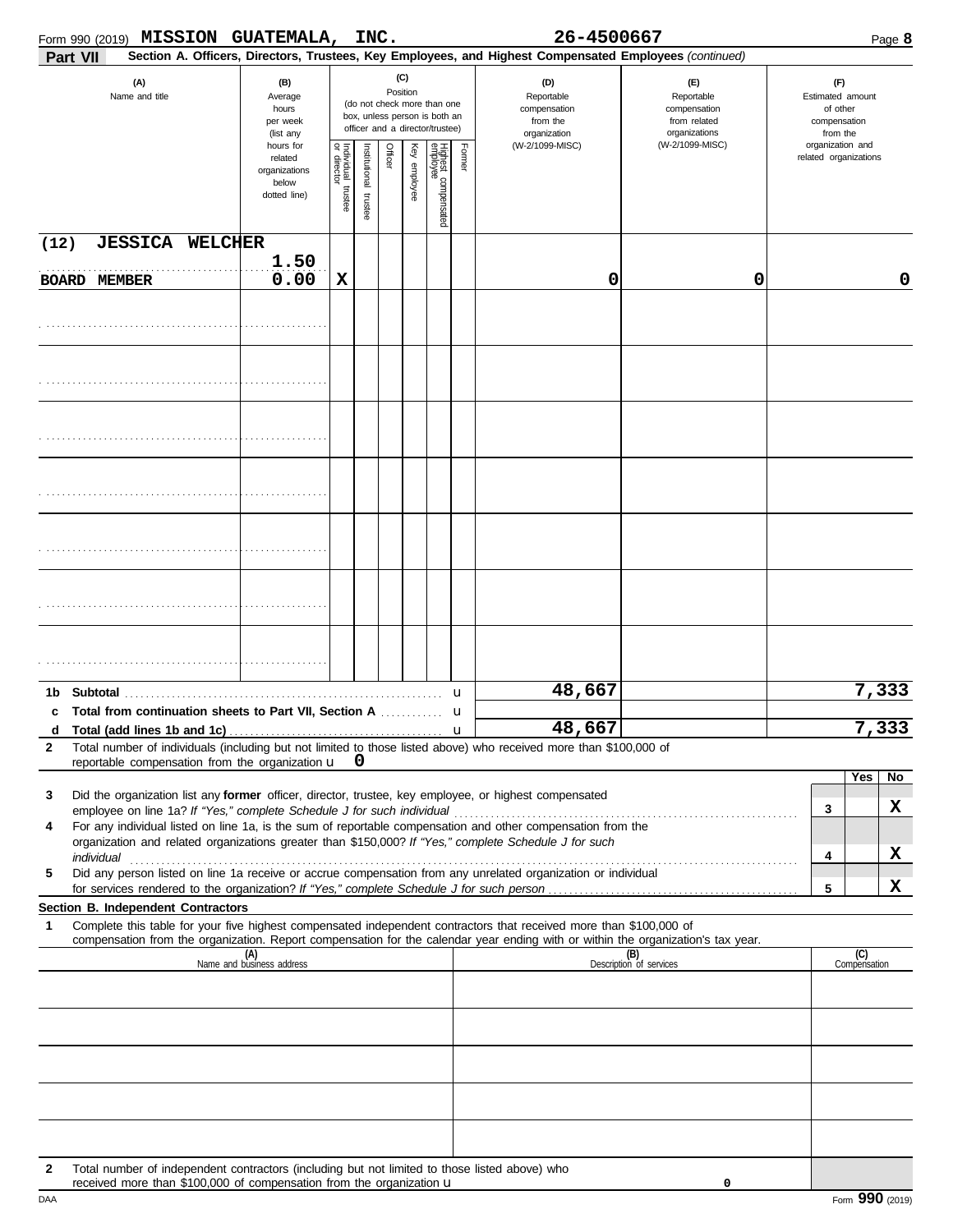|                   | <b>MISSION GUATEMALA,</b><br>Form 990 (2019)                                                                                                                                                                                                           |                                                                |                                                           | INC. |         |                                                 |                                                                                                 |              | 26-4500667                                                                                             |                                                                                       |                                                                                     |                     | Page 8 |
|-------------------|--------------------------------------------------------------------------------------------------------------------------------------------------------------------------------------------------------------------------------------------------------|----------------------------------------------------------------|-----------------------------------------------------------|------|---------|-------------------------------------------------|-------------------------------------------------------------------------------------------------|--------------|--------------------------------------------------------------------------------------------------------|---------------------------------------------------------------------------------------|-------------------------------------------------------------------------------------|---------------------|--------|
|                   | Part VII                                                                                                                                                                                                                                               |                                                                |                                                           |      |         |                                                 |                                                                                                 |              | Section A. Officers, Directors, Trustees, Key Employees, and Highest Compensated Employees (continued) |                                                                                       |                                                                                     |                     |        |
|                   | (A)<br>Name and title                                                                                                                                                                                                                                  | (B)<br>Average<br>hours<br>per week<br>(list any               |                                                           |      |         | (C)<br>Position                                 | (do not check more than one<br>box, unless person is both an<br>officer and a director/trustee) |              | (D)<br>Reportable<br>compensation<br>from the<br>organization<br>(W-2/1099-MISC)                       | (E)<br>Reportable<br>compensation<br>from related<br>organizations<br>(W-2/1099-MISC) | (F)<br>Estimated amount<br>of other<br>compensation<br>from the<br>organization and |                     |        |
|                   |                                                                                                                                                                                                                                                        | hours for<br>related<br>organizations<br>below<br>dotted line) | Individual trustee<br>or director<br>nstitutional trustee |      | Officer | Key employee<br>Highest compensated<br>employee |                                                                                                 | Former       |                                                                                                        |                                                                                       | related organizations                                                               |                     |        |
| (12)              | <b>JESSICA WELCHER</b>                                                                                                                                                                                                                                 |                                                                |                                                           |      |         |                                                 |                                                                                                 |              |                                                                                                        |                                                                                       |                                                                                     |                     |        |
|                   | <b>BOARD MEMBER</b>                                                                                                                                                                                                                                    | 1.50<br>0.00                                                   | $\mathbf x$                                               |      |         |                                                 |                                                                                                 |              | 0                                                                                                      | 0                                                                                     |                                                                                     |                     | 0      |
|                   |                                                                                                                                                                                                                                                        |                                                                |                                                           |      |         |                                                 |                                                                                                 |              |                                                                                                        |                                                                                       |                                                                                     |                     |        |
|                   |                                                                                                                                                                                                                                                        |                                                                |                                                           |      |         |                                                 |                                                                                                 |              |                                                                                                        |                                                                                       |                                                                                     |                     |        |
|                   |                                                                                                                                                                                                                                                        |                                                                |                                                           |      |         |                                                 |                                                                                                 |              |                                                                                                        |                                                                                       |                                                                                     |                     |        |
|                   |                                                                                                                                                                                                                                                        |                                                                |                                                           |      |         |                                                 |                                                                                                 |              |                                                                                                        |                                                                                       |                                                                                     |                     |        |
|                   |                                                                                                                                                                                                                                                        |                                                                |                                                           |      |         |                                                 |                                                                                                 |              |                                                                                                        |                                                                                       |                                                                                     |                     |        |
|                   |                                                                                                                                                                                                                                                        |                                                                |                                                           |      |         |                                                 |                                                                                                 |              |                                                                                                        |                                                                                       |                                                                                     |                     |        |
|                   |                                                                                                                                                                                                                                                        |                                                                |                                                           |      |         |                                                 |                                                                                                 |              |                                                                                                        |                                                                                       |                                                                                     |                     |        |
|                   |                                                                                                                                                                                                                                                        |                                                                |                                                           |      |         |                                                 |                                                                                                 |              |                                                                                                        |                                                                                       |                                                                                     |                     |        |
|                   |                                                                                                                                                                                                                                                        |                                                                |                                                           |      |         |                                                 |                                                                                                 |              |                                                                                                        |                                                                                       |                                                                                     |                     |        |
| 1b<br>c           | Subtotal<br>Total from continuation sheets to Part VII, Section A                                                                                                                                                                                      |                                                                |                                                           |      |         |                                                 |                                                                                                 | u<br>u       | 48,667                                                                                                 |                                                                                       |                                                                                     | 7,333               |        |
| d<br>$\mathbf{2}$ | Total (add lines 1b and 1c).<br>Total number of individuals (including but not limited to those listed above) who received more than \$100,000 of<br>reportable compensation from the organization $\mathbf{u}$ 0                                      |                                                                |                                                           |      |         |                                                 |                                                                                                 | $\mathbf{u}$ | 48,667                                                                                                 |                                                                                       |                                                                                     | 7,333               |        |
|                   |                                                                                                                                                                                                                                                        |                                                                |                                                           |      |         |                                                 |                                                                                                 |              |                                                                                                        |                                                                                       |                                                                                     | Yes                 | No     |
| 3                 | Did the organization list any former officer, director, trustee, key employee, or highest compensated                                                                                                                                                  |                                                                |                                                           |      |         |                                                 |                                                                                                 |              |                                                                                                        |                                                                                       | 3                                                                                   |                     | X      |
| 4                 | For any individual listed on line 1a, is the sum of reportable compensation and other compensation from the<br>organization and related organizations greater than \$150,000? If "Yes," complete Schedule J for such                                   |                                                                |                                                           |      |         |                                                 |                                                                                                 |              |                                                                                                        |                                                                                       | 4                                                                                   |                     | X      |
| 5                 | Did any person listed on line 1a receive or accrue compensation from any unrelated organization or individual                                                                                                                                          |                                                                |                                                           |      |         |                                                 |                                                                                                 |              |                                                                                                        |                                                                                       |                                                                                     |                     |        |
|                   | Section B. Independent Contractors                                                                                                                                                                                                                     |                                                                |                                                           |      |         |                                                 |                                                                                                 |              |                                                                                                        |                                                                                       | 5                                                                                   |                     | X      |
| 1                 | Complete this table for your five highest compensated independent contractors that received more than \$100,000 of<br>compensation from the organization. Report compensation for the calendar year ending with or within the organization's tax year. |                                                                |                                                           |      |         |                                                 |                                                                                                 |              |                                                                                                        |                                                                                       |                                                                                     |                     |        |
|                   |                                                                                                                                                                                                                                                        | (A)<br>Name and business address                               |                                                           |      |         |                                                 |                                                                                                 |              |                                                                                                        | (B)<br>Description of services                                                        |                                                                                     | (C)<br>Compensation |        |
|                   |                                                                                                                                                                                                                                                        |                                                                |                                                           |      |         |                                                 |                                                                                                 |              |                                                                                                        |                                                                                       |                                                                                     |                     |        |
|                   |                                                                                                                                                                                                                                                        |                                                                |                                                           |      |         |                                                 |                                                                                                 |              |                                                                                                        |                                                                                       |                                                                                     |                     |        |
|                   |                                                                                                                                                                                                                                                        |                                                                |                                                           |      |         |                                                 |                                                                                                 |              |                                                                                                        |                                                                                       |                                                                                     |                     |        |
|                   |                                                                                                                                                                                                                                                        |                                                                |                                                           |      |         |                                                 |                                                                                                 |              |                                                                                                        |                                                                                       |                                                                                     |                     |        |
|                   |                                                                                                                                                                                                                                                        |                                                                |                                                           |      |         |                                                 |                                                                                                 |              |                                                                                                        |                                                                                       |                                                                                     |                     |        |
| 2                 | Total number of independent contractors (including but not limited to those listed above) who<br>received more than \$100,000 of compensation from the organization u                                                                                  |                                                                |                                                           |      |         |                                                 |                                                                                                 |              |                                                                                                        | 0                                                                                     |                                                                                     |                     |        |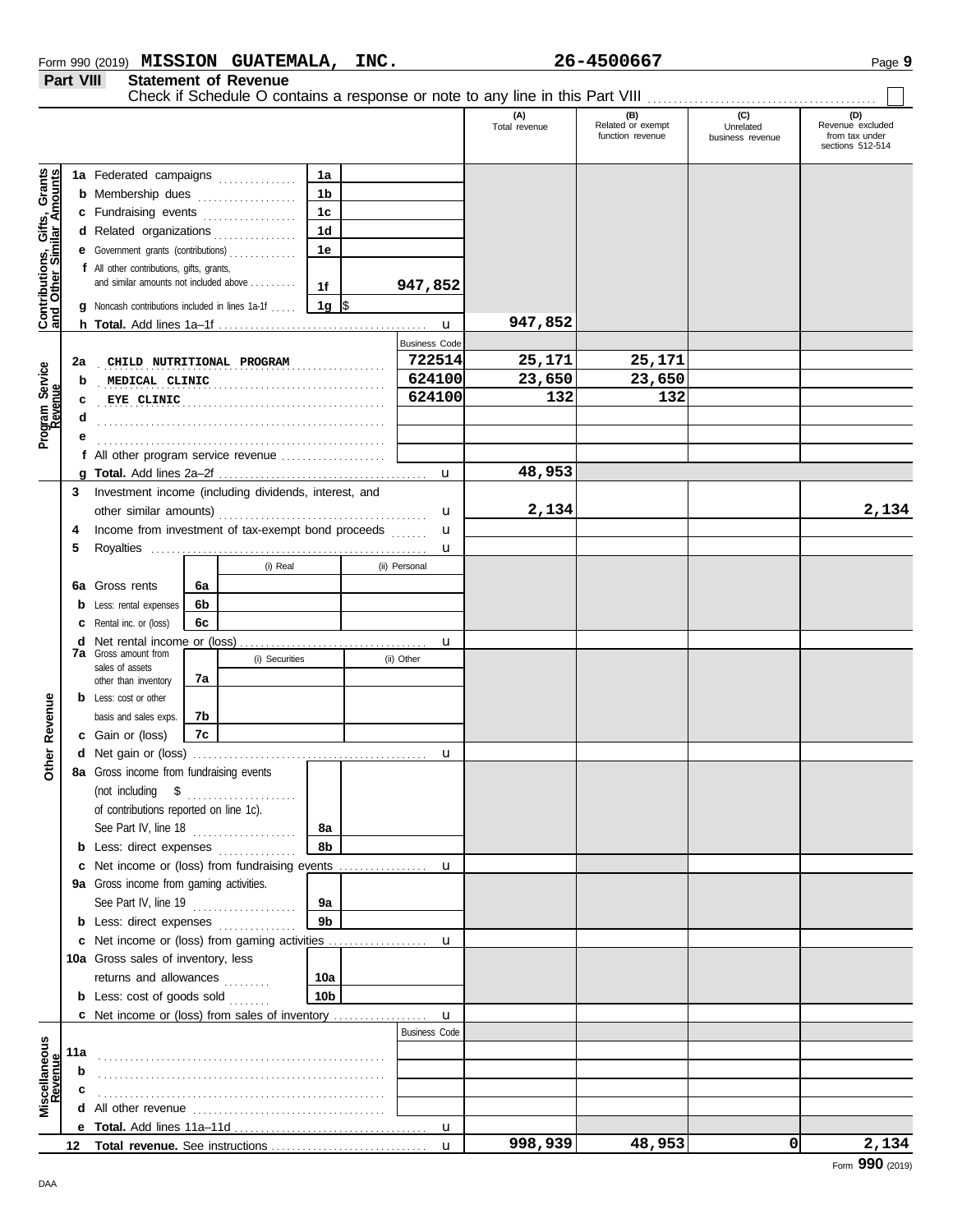| Form 990 (2019) | <b>MISSION</b> | <b>GUATEMALA,</b> | <b>INC.</b> | 4500667-د<br>26. | Page |
|-----------------|----------------|-------------------|-------------|------------------|------|
|                 |                |                   |             |                  |      |

**Part VIII Statement of Revenue**

|                                                                  |     |                                                        |    |                |                |  |                      | (A)<br>Total revenue | (B)<br>Related or exempt<br>function revenue | (C)<br>Unrelated<br>business revenue | (D)<br>Revenue excluded<br>from tax under<br>sections 512-514 |
|------------------------------------------------------------------|-----|--------------------------------------------------------|----|----------------|----------------|--|----------------------|----------------------|----------------------------------------------|--------------------------------------|---------------------------------------------------------------|
|                                                                  |     | 1a Federated campaigns                                 |    |                | 1a             |  |                      |                      |                                              |                                      |                                                               |
| <b>Contributions, Gifts, Grants</b><br>and Other Similar Amounts |     | <b>b</b> Membership dues                               |    |                | 1b             |  |                      |                      |                                              |                                      |                                                               |
|                                                                  |     | c Fundraising events                                   |    | .              | 1 <sub>c</sub> |  |                      |                      |                                              |                                      |                                                               |
|                                                                  |     | d Related organizations                                |    | .              | 1 <sub>d</sub> |  |                      |                      |                                              |                                      |                                                               |
|                                                                  |     | e Government grants (contributions)                    |    |                | 1e             |  |                      |                      |                                              |                                      |                                                               |
|                                                                  |     | f All other contributions, gifts, grants,              |    |                |                |  |                      |                      |                                              |                                      |                                                               |
|                                                                  |     | and similar amounts not included above                 |    |                | 1f             |  | 947,852              |                      |                                              |                                      |                                                               |
|                                                                  |     | <b>g</b> Noncash contributions included in lines 1a-1f |    |                | 1g $\sqrt{3}$  |  |                      |                      |                                              |                                      |                                                               |
|                                                                  |     |                                                        |    |                |                |  | $\mathbf{u}$         | 947,852              |                                              |                                      |                                                               |
|                                                                  |     |                                                        |    |                |                |  | <b>Business Code</b> |                      |                                              |                                      |                                                               |
|                                                                  | 2a  | CHILD NUTRITIONAL PROGRAM                              |    |                |                |  | 722514               | 25,171               | 25,171                                       |                                      |                                                               |
|                                                                  | b   | MEDICAL CLINIC                                         |    |                |                |  | 624100               | 23,650               | 23,650                                       |                                      |                                                               |
|                                                                  | c   | EYE CLINIC                                             |    |                |                |  | 624100               | 132                  | 132                                          |                                      |                                                               |
| Program Service<br>Revenue                                       |     |                                                        |    |                |                |  |                      |                      |                                              |                                      |                                                               |
|                                                                  |     |                                                        |    |                |                |  |                      |                      |                                              |                                      |                                                               |
|                                                                  |     | f All other program service revenue                    |    |                |                |  |                      |                      |                                              |                                      |                                                               |
|                                                                  |     |                                                        |    |                |                |  | $\mathbf u$          | 48,953               |                                              |                                      |                                                               |
|                                                                  | 3   | Investment income (including dividends, interest, and  |    |                |                |  |                      |                      |                                              |                                      |                                                               |
|                                                                  |     |                                                        |    |                |                |  | u                    | 2,134                |                                              |                                      | 2,134                                                         |
|                                                                  | 4   | Income from investment of tax-exempt bond proceeds     |    |                |                |  | u                    |                      |                                              |                                      |                                                               |
|                                                                  | 5   |                                                        |    |                |                |  | u                    |                      |                                              |                                      |                                                               |
|                                                                  |     |                                                        |    | (i) Real       |                |  | (ii) Personal        |                      |                                              |                                      |                                                               |
|                                                                  | 6a  | Gross rents                                            | 6a |                |                |  |                      |                      |                                              |                                      |                                                               |
|                                                                  | b   | Less: rental expenses                                  | 6b |                |                |  |                      |                      |                                              |                                      |                                                               |
|                                                                  |     | Rental inc. or (loss)                                  | 6с |                |                |  |                      |                      |                                              |                                      |                                                               |
|                                                                  | d   |                                                        |    |                |                |  | u                    |                      |                                              |                                      |                                                               |
|                                                                  |     | <b>7a</b> Gross amount from                            |    | (i) Securities |                |  | (ii) Other           |                      |                                              |                                      |                                                               |
|                                                                  |     | sales of assets<br>other than inventory                | 7a |                |                |  |                      |                      |                                              |                                      |                                                               |
|                                                                  |     | <b>b</b> Less: cost or other                           |    |                |                |  |                      |                      |                                              |                                      |                                                               |
|                                                                  |     | basis and sales exps.                                  | 7b |                |                |  |                      |                      |                                              |                                      |                                                               |
| Other Revenue                                                    |     | c Gain or (loss)                                       | 7c |                |                |  |                      |                      |                                              |                                      |                                                               |
|                                                                  |     |                                                        |    |                |                |  | u                    |                      |                                              |                                      |                                                               |
|                                                                  |     | 8a Gross income from fundraising events                |    |                |                |  |                      |                      |                                              |                                      |                                                               |
|                                                                  |     | (not including \$                                      |    | .              |                |  |                      |                      |                                              |                                      |                                                               |
|                                                                  |     | of contributions reported on line 1c).                 |    |                |                |  |                      |                      |                                              |                                      |                                                               |
|                                                                  |     | See Part IV, line 18                                   |    |                | 8a             |  |                      |                      |                                              |                                      |                                                               |
|                                                                  |     | <b>b</b> Less: direct expenses                         |    |                | 8b             |  |                      |                      |                                              |                                      |                                                               |
|                                                                  | c   | Net income or (loss) from fundraising events           |    |                |                |  | u                    |                      |                                              |                                      |                                                               |
|                                                                  |     | 9a Gross income from gaming activities.                |    |                |                |  |                      |                      |                                              |                                      |                                                               |
|                                                                  |     | See Part IV, line 19                                   |    |                | <b>9a</b>      |  |                      |                      |                                              |                                      |                                                               |
|                                                                  |     | <b>b</b> Less: direct expenses                         |    |                | 9 <sub>b</sub> |  |                      |                      |                                              |                                      |                                                               |
|                                                                  |     | c Net income or (loss) from gaming activities          |    |                |                |  | u                    |                      |                                              |                                      |                                                               |
|                                                                  |     | 10a Gross sales of inventory, less                     |    |                |                |  |                      |                      |                                              |                                      |                                                               |
|                                                                  |     | returns and allowances                                 |    |                | 10a            |  |                      |                      |                                              |                                      |                                                               |
|                                                                  |     | <b>b</b> Less: cost of goods sold                      |    |                | 10b            |  |                      |                      |                                              |                                      |                                                               |
|                                                                  |     | c Net income or (loss) from sales of inventory         |    |                |                |  | $\mathbf u$          |                      |                                              |                                      |                                                               |
|                                                                  |     |                                                        |    |                |                |  | <b>Business Code</b> |                      |                                              |                                      |                                                               |
|                                                                  | 11a |                                                        |    |                |                |  |                      |                      |                                              |                                      |                                                               |
|                                                                  | b   |                                                        |    |                |                |  |                      |                      |                                              |                                      |                                                               |
| Miscellaneous<br>Revenue                                         | c   |                                                        |    |                |                |  |                      |                      |                                              |                                      |                                                               |
|                                                                  |     |                                                        |    |                |                |  |                      |                      |                                              |                                      |                                                               |
|                                                                  |     |                                                        |    |                |                |  | u                    |                      |                                              |                                      |                                                               |
|                                                                  | 12  |                                                        |    |                |                |  | $\mathbf u$          | 998,939              | 48,953                                       | $\Omega$                             | 2,134                                                         |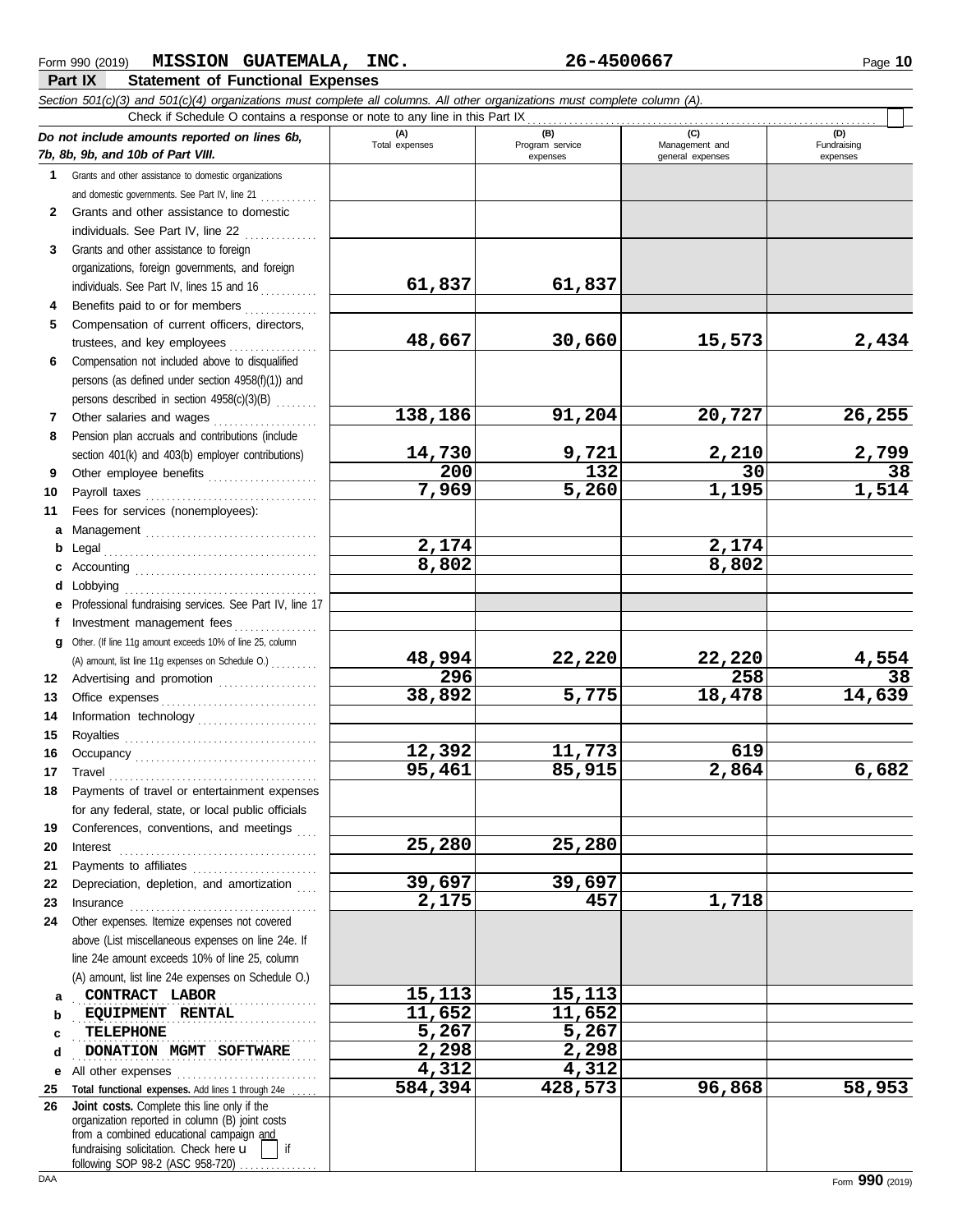|              | Section 501(c)(3) and 501(c)(4) organizations must complete all columns. All other organizations must complete column (A).<br>Check if Schedule O contains a response or note to any line in this Part IX                                                                                                                                                                                                                                                                                                                   |                |                             |                                    |                         |
|--------------|-----------------------------------------------------------------------------------------------------------------------------------------------------------------------------------------------------------------------------------------------------------------------------------------------------------------------------------------------------------------------------------------------------------------------------------------------------------------------------------------------------------------------------|----------------|-----------------------------|------------------------------------|-------------------------|
|              | Do not include amounts reported on lines 6b,                                                                                                                                                                                                                                                                                                                                                                                                                                                                                | (A)            | (B)                         | (C)                                | (D)                     |
|              | 7b, 8b, 9b, and 10b of Part VIII.                                                                                                                                                                                                                                                                                                                                                                                                                                                                                           | Total expenses | Program service<br>expenses | Management and<br>general expenses | Fundraising<br>expenses |
| 1            | Grants and other assistance to domestic organizations                                                                                                                                                                                                                                                                                                                                                                                                                                                                       |                |                             |                                    |                         |
|              | and domestic governments. See Part IV, line 21                                                                                                                                                                                                                                                                                                                                                                                                                                                                              |                |                             |                                    |                         |
| $\mathbf{2}$ | Grants and other assistance to domestic                                                                                                                                                                                                                                                                                                                                                                                                                                                                                     |                |                             |                                    |                         |
|              | individuals. See Part IV, line 22                                                                                                                                                                                                                                                                                                                                                                                                                                                                                           |                |                             |                                    |                         |
| 3            | Grants and other assistance to foreign                                                                                                                                                                                                                                                                                                                                                                                                                                                                                      |                |                             |                                    |                         |
|              | organizations, foreign governments, and foreign                                                                                                                                                                                                                                                                                                                                                                                                                                                                             |                |                             |                                    |                         |
|              | individuals. See Part IV, lines 15 and 16                                                                                                                                                                                                                                                                                                                                                                                                                                                                                   | 61,837         | 61,837                      |                                    |                         |
| 4            | Benefits paid to or for members                                                                                                                                                                                                                                                                                                                                                                                                                                                                                             |                |                             |                                    |                         |
| 5            | Compensation of current officers, directors,                                                                                                                                                                                                                                                                                                                                                                                                                                                                                |                |                             |                                    |                         |
|              | trustees, and key employees                                                                                                                                                                                                                                                                                                                                                                                                                                                                                                 | 48,667         | 30,660                      | 15,573                             | 2,434                   |
| 6            | Compensation not included above to disqualified                                                                                                                                                                                                                                                                                                                                                                                                                                                                             |                |                             |                                    |                         |
|              | persons (as defined under section 4958(f)(1)) and                                                                                                                                                                                                                                                                                                                                                                                                                                                                           |                |                             |                                    |                         |
|              | persons described in section 4958(c)(3)(B)                                                                                                                                                                                                                                                                                                                                                                                                                                                                                  |                |                             |                                    |                         |
| 7            | Other salaries and wages                                                                                                                                                                                                                                                                                                                                                                                                                                                                                                    | 138,186        | 91,204                      | 20,727                             | 26,255                  |
| 8            | Pension plan accruals and contributions (include                                                                                                                                                                                                                                                                                                                                                                                                                                                                            |                |                             |                                    |                         |
|              | section 401(k) and 403(b) employer contributions)                                                                                                                                                                                                                                                                                                                                                                                                                                                                           | 14,730         | 9,721                       | 2,210                              | 2,799                   |
| 9            | Other employee benefits                                                                                                                                                                                                                                                                                                                                                                                                                                                                                                     | 200            | 132                         | $\overline{30}$                    | $\overline{38}$         |
| 10           |                                                                                                                                                                                                                                                                                                                                                                                                                                                                                                                             | 7,969          | 5,260                       | 1,195                              | 1,514                   |
| 11           | Fees for services (nonemployees):                                                                                                                                                                                                                                                                                                                                                                                                                                                                                           |                |                             |                                    |                         |
| a            | Management                                                                                                                                                                                                                                                                                                                                                                                                                                                                                                                  |                |                             |                                    |                         |
| b            | Legal                                                                                                                                                                                                                                                                                                                                                                                                                                                                                                                       | 2,174          |                             | 2,174                              |                         |
| c            |                                                                                                                                                                                                                                                                                                                                                                                                                                                                                                                             | 8,802          |                             | 8,802                              |                         |
| d            | Lobbying                                                                                                                                                                                                                                                                                                                                                                                                                                                                                                                    |                |                             |                                    |                         |
|              | Professional fundraising services. See Part IV, line 17                                                                                                                                                                                                                                                                                                                                                                                                                                                                     |                |                             |                                    |                         |
| f            | Investment management fees                                                                                                                                                                                                                                                                                                                                                                                                                                                                                                  |                |                             |                                    |                         |
| g            | Other. (If line 11g amount exceeds 10% of line 25, column                                                                                                                                                                                                                                                                                                                                                                                                                                                                   |                |                             |                                    |                         |
|              | (A) amount, list line 11g expenses on Schedule O.)                                                                                                                                                                                                                                                                                                                                                                                                                                                                          | 48,994         | 22,220                      | 22,220                             | 4,554                   |
| 12           | Advertising and promotion                                                                                                                                                                                                                                                                                                                                                                                                                                                                                                   | 296            |                             | 258                                | 38                      |
| 13           |                                                                                                                                                                                                                                                                                                                                                                                                                                                                                                                             | 38,892         | 5,775                       | 18,478                             | 14,639                  |
| 14           | Information technology                                                                                                                                                                                                                                                                                                                                                                                                                                                                                                      |                |                             |                                    |                         |
| 15           |                                                                                                                                                                                                                                                                                                                                                                                                                                                                                                                             |                |                             |                                    |                         |
| 16           |                                                                                                                                                                                                                                                                                                                                                                                                                                                                                                                             | 12,392         | 11,773                      | 619                                |                         |
| 17           | $\begin{minipage}[c]{0.9\linewidth} \begin{tabular}{l} \textbf{True} \end{tabular} \end{minipage} \begin{minipage}[c]{0.9\linewidth} \begin{tabular}{l} \textbf{True} \end{tabular} \end{minipage} \end{minipage} \begin{minipage}[c]{0.9\linewidth} \begin{tabular}{l} \textbf{True} \end{tabular} \end{minipage} \end{minipage} \begin{minipage}[c]{0.9\linewidth} \begin{tabular}{l} \textbf{True} \end{tabular} \end{minipage} \end{minipage} \begin{minipage}[c]{0.9\linewidth} \begin{tabular}{l} \textbf{True} \end$ | 95,461         | 85,915                      | 2,864                              | 6,682                   |
| 18           | Payments of travel or entertainment expenses                                                                                                                                                                                                                                                                                                                                                                                                                                                                                |                |                             |                                    |                         |
|              | for any federal, state, or local public officials                                                                                                                                                                                                                                                                                                                                                                                                                                                                           |                |                             |                                    |                         |
| 19           | Conferences, conventions, and meetings                                                                                                                                                                                                                                                                                                                                                                                                                                                                                      |                |                             |                                    |                         |
| 20           | $Interest$                                                                                                                                                                                                                                                                                                                                                                                                                                                                                                                  | 25,280         | 25,280                      |                                    |                         |
| 21           | Payments to affiliates                                                                                                                                                                                                                                                                                                                                                                                                                                                                                                      |                |                             |                                    |                         |
| 22           | Depreciation, depletion, and amortization                                                                                                                                                                                                                                                                                                                                                                                                                                                                                   | 39,697         | 39,697                      |                                    |                         |
| 23           | $In \textbf{surance} \begin{tabular}{@{}l@{}} \hline \textbf{unsum} & \textbf{unsum} \\ \hline \textbf{unsum} & \textbf{unsum} \\ \hline \textbf{unsum} & \textbf{unsum} \\ \hline \textbf{unsum} & \textbf{unsum} \\ \hline \textbf{unsum} & \textbf{unsum} \\ \hline \textbf{unsum} & \textbf{unsum} \\ \hline \textbf{unsum} & \textbf{unsum} \\ \hline \textbf{unsum} & \textbf{unsum} \\ \hline \textbf{unsum} & \textbf{unsum} \\ \hline \textbf{unsum} & \textbf{unsum} \\ \hline \textbf{unsum}$                    | 2,175          | 457                         | 1,718                              |                         |
| 24           | Other expenses. Itemize expenses not covered                                                                                                                                                                                                                                                                                                                                                                                                                                                                                |                |                             |                                    |                         |
|              | above (List miscellaneous expenses on line 24e. If                                                                                                                                                                                                                                                                                                                                                                                                                                                                          |                |                             |                                    |                         |
|              | line 24e amount exceeds 10% of line 25, column                                                                                                                                                                                                                                                                                                                                                                                                                                                                              |                |                             |                                    |                         |
|              | (A) amount, list line 24e expenses on Schedule O.)                                                                                                                                                                                                                                                                                                                                                                                                                                                                          |                |                             |                                    |                         |
| a            | CONTRACT LABOR                                                                                                                                                                                                                                                                                                                                                                                                                                                                                                              | 15,113         | 15,113                      |                                    |                         |
| b            | EQUIPMENT RENTAL                                                                                                                                                                                                                                                                                                                                                                                                                                                                                                            | 11,652         | 11,652                      |                                    |                         |
| c            | TELEPHONE                                                                                                                                                                                                                                                                                                                                                                                                                                                                                                                   | 5,267          | 5,267                       |                                    |                         |
| d            | DONATION MGMT SOFTWARE                                                                                                                                                                                                                                                                                                                                                                                                                                                                                                      | 2,298<br>4,312 | 2,298<br>4,312              |                                    |                         |
| е            | All other expenses                                                                                                                                                                                                                                                                                                                                                                                                                                                                                                          | 584,394        | 428,573                     | 96,868                             | 58,953                  |
| 25<br>26     | Total functional expenses. Add lines 1 through 24e<br>Joint costs. Complete this line only if the                                                                                                                                                                                                                                                                                                                                                                                                                           |                |                             |                                    |                         |
|              | organization reported in column (B) joint costs                                                                                                                                                                                                                                                                                                                                                                                                                                                                             |                |                             |                                    |                         |
|              | from a combined educational campaign and                                                                                                                                                                                                                                                                                                                                                                                                                                                                                    |                |                             |                                    |                         |
|              | fundraising solicitation. Check here u<br>if<br>following SOP 98-2 (ASC 958-720)                                                                                                                                                                                                                                                                                                                                                                                                                                            |                |                             |                                    |                         |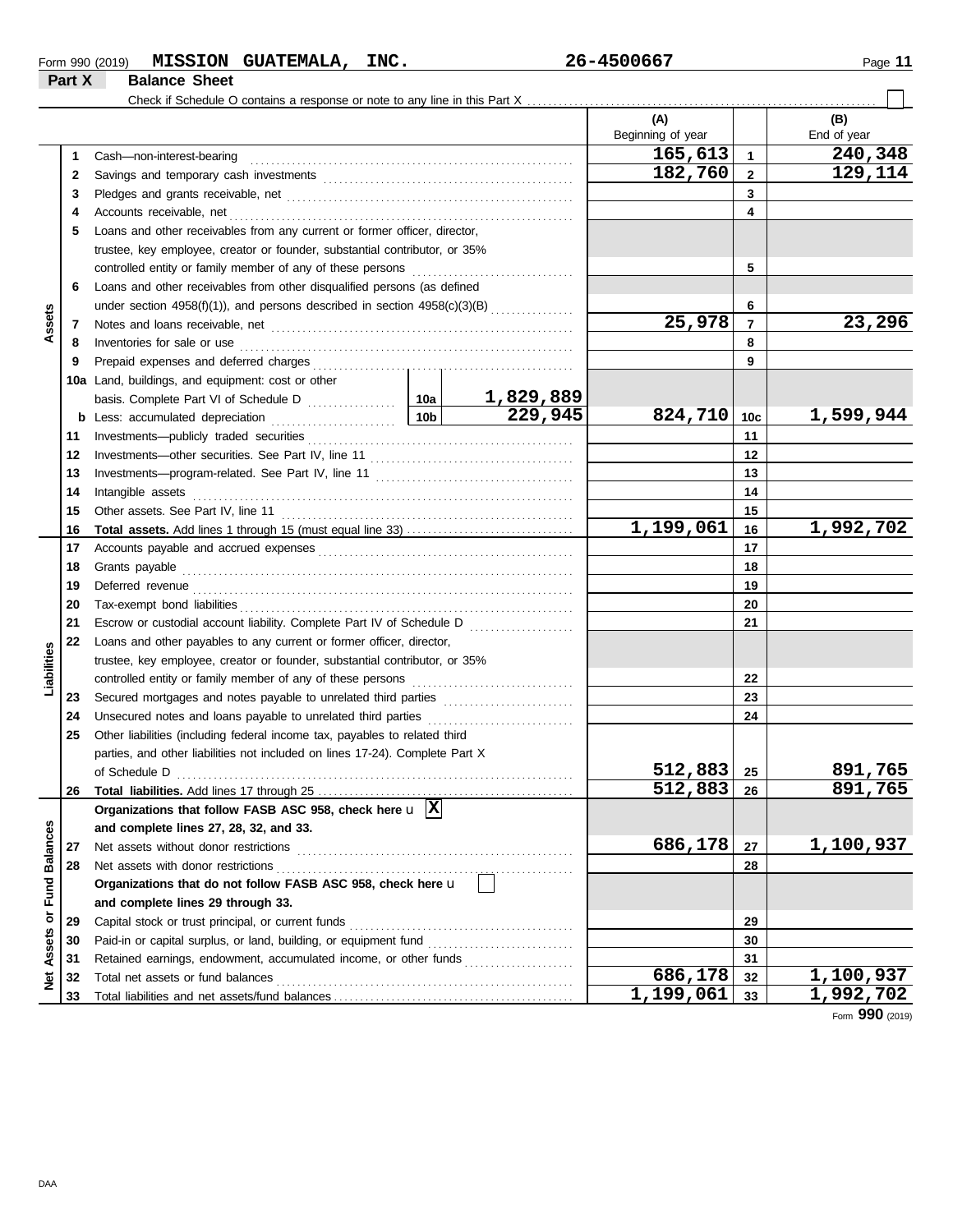| Form 990 (2019) | <b>MISSION</b>       | <b>GUATEMALA,</b> | INC. | 26-4500667 | Page |
|-----------------|----------------------|-------------------|------|------------|------|
| Part X          | <b>Balance Sheet</b> |                   |      |            |      |

|                      |    | Check if Schedule O contains a response or note to any line in this Part X   |                 |                  |                      |                |                        |
|----------------------|----|------------------------------------------------------------------------------|-----------------|------------------|----------------------|----------------|------------------------|
|                      |    |                                                                              |                 |                  | (A)                  |                | (B)                    |
|                      |    |                                                                              |                 |                  | Beginning of year    |                | End of year            |
|                      | 1  | Cash-non-interest-bearing                                                    |                 |                  | 165,613              | $\mathbf{1}$   | 240,348                |
|                      | 2  |                                                                              |                 |                  | 182,760              | $\overline{2}$ | 129,114                |
|                      | 3  |                                                                              |                 |                  |                      | 3              |                        |
|                      | 4  | Accounts receivable, net                                                     |                 |                  |                      | 4              |                        |
|                      | 5  | Loans and other receivables from any current or former officer, director,    |                 |                  |                      |                |                        |
|                      |    | trustee, key employee, creator or founder, substantial contributor, or 35%   |                 |                  |                      |                |                        |
|                      |    | controlled entity or family member of any of these persons                   |                 | 5                |                      |                |                        |
|                      | 6  | Loans and other receivables from other disqualified persons (as defined      |                 |                  |                      |                |                        |
|                      |    | under section 4958(f)(1)), and persons described in section $4958(c)(3)(B)$  |                 | 6                |                      |                |                        |
| Assets               | 7  |                                                                              |                 |                  | 25,978               | $\overline{7}$ | 23,296                 |
|                      | 8  | Inventories for sale or use                                                  |                 |                  |                      | 8              |                        |
|                      | 9  |                                                                              |                 |                  |                      | 9              |                        |
|                      |    | 10a Land, buildings, and equipment: cost or other                            |                 |                  |                      |                |                        |
|                      |    |                                                                              |                 | <u>1,829,889</u> |                      |                |                        |
|                      | b  | Less: accumulated depreciation                                               | 10 <sub>b</sub> | 229,945          | 824,710              | 10c            | 1,599,944              |
|                      | 11 | Investments-publicly traded securities                                       |                 |                  |                      | 11             |                        |
|                      | 12 |                                                                              |                 |                  |                      | 12             |                        |
|                      | 13 |                                                                              |                 |                  |                      | 13             |                        |
|                      | 14 | Intangible assets                                                            |                 |                  |                      | 14             |                        |
|                      | 15 | Other assets. See Part IV, line 11                                           |                 |                  |                      | 15             |                        |
|                      | 16 |                                                                              |                 |                  | 1,199,061            | 16             | 1,992,702              |
|                      | 17 |                                                                              |                 |                  | 17                   |                |                        |
|                      | 18 | Grants payable                                                               |                 |                  |                      | 18             |                        |
|                      | 19 | Deferred revenue                                                             |                 |                  | 19                   |                |                        |
|                      | 20 | Tax-exempt bond liabilities                                                  |                 |                  |                      | 20             |                        |
|                      | 21 | Escrow or custodial account liability. Complete Part IV of Schedule D        |                 |                  |                      | 21             |                        |
|                      | 22 | Loans and other payables to any current or former officer, director,         |                 |                  |                      |                |                        |
| Liabilities          |    | trustee, key employee, creator or founder, substantial contributor, or 35%   |                 |                  |                      |                |                        |
|                      |    | controlled entity or family member of any of these persons                   |                 |                  |                      | 22             |                        |
|                      | 23 | Secured mortgages and notes payable to unrelated third parties               |                 |                  |                      | 23             |                        |
|                      | 24 | Unsecured notes and loans payable to unrelated third parties                 |                 |                  |                      | 24             |                        |
|                      | 25 | Other liabilities (including federal income tax, payables to related third   |                 |                  |                      |                |                        |
|                      |    | parties, and other liabilities not included on lines 17-24). Complete Part X |                 |                  |                      |                |                        |
|                      |    | of Schedule D<br>$\ldots$                                                    |                 |                  | 512,883              | 25             | 891,765                |
|                      |    | 26 Total liabilities. Add lines 17 through 25                                |                 |                  | $\overline{512,883}$ | 26             | 891,765                |
|                      |    | Organizations that follow FASB ASC 958, check here $\mathbf{u}$  X           |                 |                  |                      |                |                        |
|                      |    | and complete lines 27, 28, 32, and 33.                                       |                 |                  |                      |                |                        |
|                      | 27 | Net assets without donor restrictions                                        |                 |                  | 686,178              | 27             | 1,100,937              |
| <b>Fund Balances</b> | 28 | Net assets with donor restrictions                                           |                 |                  |                      | 28             |                        |
|                      |    | Organizations that do not follow FASB ASC 958, check here u                  |                 |                  |                      |                |                        |
|                      |    | and complete lines 29 through 33.                                            |                 |                  |                      |                |                        |
| ŏ                    | 29 | Capital stock or trust principal, or current funds                           |                 |                  |                      | 29             |                        |
|                      | 30 | Paid-in or capital surplus, or land, building, or equipment fund             |                 |                  | 30                   |                |                        |
| Assets               | 31 | Retained earnings, endowment, accumulated income, or other funds             |                 |                  | 31                   |                |                        |
| ğ                    | 32 | Total net assets or fund balances                                            |                 |                  | 686, 178             | 32             | 1,100,937              |
|                      | 33 |                                                                              |                 |                  | 1,199,061            | 33             | $\overline{1,992,702}$ |

Form **990** (2019)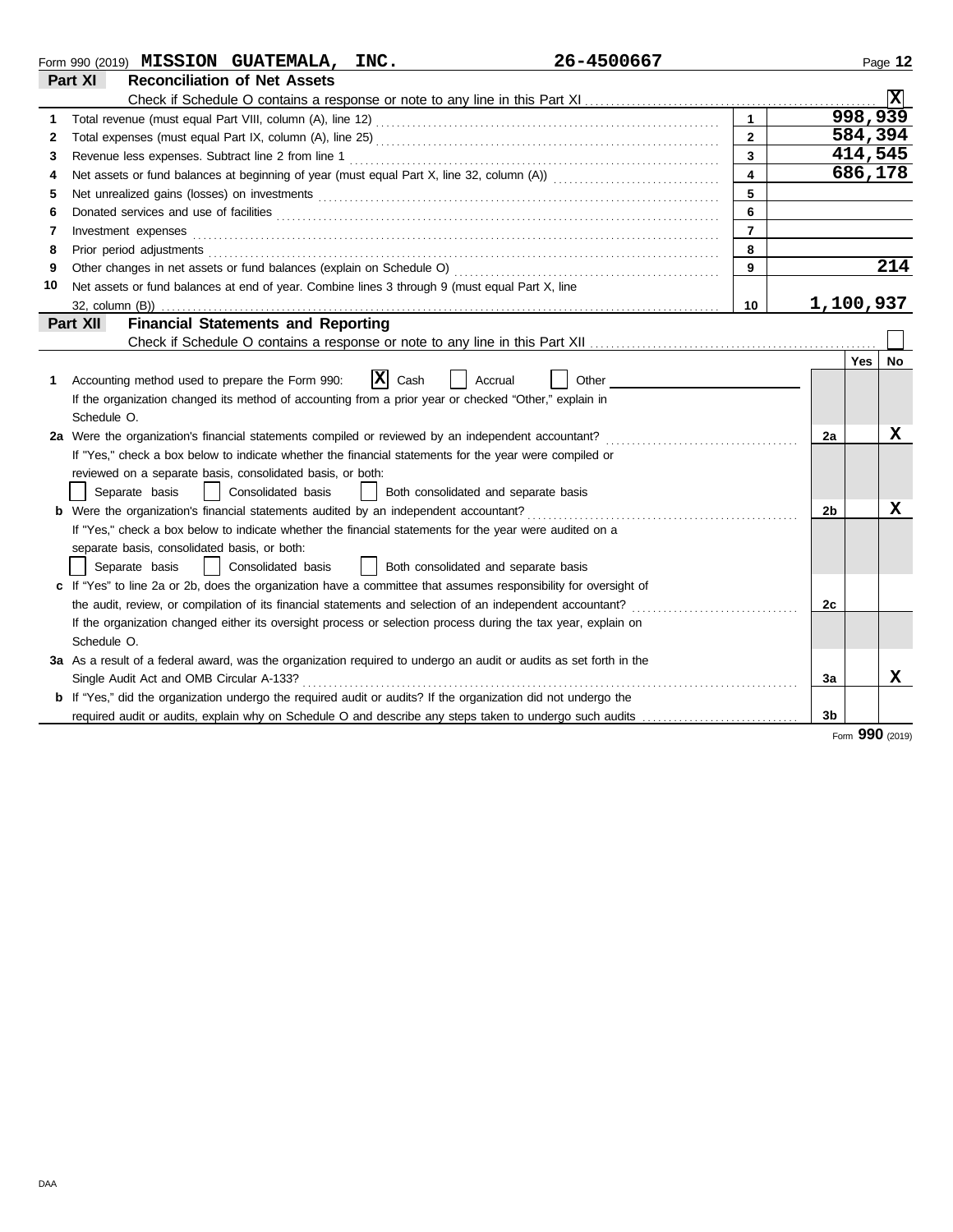|    | 26-4500667<br>Form 990 (2019) $MISSION$ GUATEMALA, INC.                                                               |                         |                |         | Page 12 |
|----|-----------------------------------------------------------------------------------------------------------------------|-------------------------|----------------|---------|---------|
|    | Part XI<br><b>Reconciliation of Net Assets</b>                                                                        |                         |                |         |         |
|    |                                                                                                                       |                         |                |         | X       |
| 1  |                                                                                                                       | $\mathbf{1}$            |                | 998,939 |         |
| 2  |                                                                                                                       | $\overline{2}$          |                | 584,394 |         |
| 3  | Revenue less expenses. Subtract line 2 from line 1                                                                    | $\overline{3}$          |                | 414,545 |         |
| 4  |                                                                                                                       | $\overline{\mathbf{4}}$ |                | 686,178 |         |
| 5  |                                                                                                                       | 5                       |                |         |         |
| 6  | Donated services and use of facilities <b>constants and interview of facilities</b>                                   | 6                       |                |         |         |
| 7  | Investment expenses                                                                                                   | $\overline{7}$          |                |         |         |
| 8  |                                                                                                                       | 8                       |                |         |         |
| 9  |                                                                                                                       | 9                       |                |         | 214     |
| 10 | Net assets or fund balances at end of year. Combine lines 3 through 9 (must equal Part X, line                        |                         |                |         |         |
|    | 32, column (B))                                                                                                       | 10                      | 1,100,937      |         |         |
|    | <b>Financial Statements and Reporting</b><br>Part XII                                                                 |                         |                |         |         |
|    |                                                                                                                       |                         |                |         |         |
|    |                                                                                                                       |                         |                | Yes     | No      |
| 1. | $ \mathbf{x} $<br>Accounting method used to prepare the Form 990:<br>Cash<br>Accrual<br>Other                         |                         |                |         |         |
|    | If the organization changed its method of accounting from a prior year or checked "Other," explain in                 |                         |                |         |         |
|    | Schedule O.                                                                                                           |                         |                |         |         |
|    | 2a Were the organization's financial statements compiled or reviewed by an independent accountant?                    |                         | 2a             |         | x       |
|    | If "Yes," check a box below to indicate whether the financial statements for the year were compiled or                |                         |                |         |         |
|    | reviewed on a separate basis, consolidated basis, or both:                                                            |                         |                |         |         |
|    | Separate basis<br>Consolidated basis<br>Both consolidated and separate basis                                          |                         |                |         |         |
|    | <b>b</b> Were the organization's financial statements audited by an independent accountant?                           |                         | 2 <sub>b</sub> |         | x       |
|    | If "Yes," check a box below to indicate whether the financial statements for the year were audited on a               |                         |                |         |         |
|    | separate basis, consolidated basis, or both:                                                                          |                         |                |         |         |
|    | Consolidated basis<br>  Both consolidated and separate basis<br>Separate basis                                        |                         |                |         |         |
|    | c If "Yes" to line 2a or 2b, does the organization have a committee that assumes responsibility for oversight of      |                         |                |         |         |
|    | the audit, review, or compilation of its financial statements and selection of an independent accountant?             |                         | 2c             |         |         |
|    | If the organization changed either its oversight process or selection process during the tax year, explain on         |                         |                |         |         |
|    | Schedule O.                                                                                                           |                         |                |         |         |
|    | 3a As a result of a federal award, was the organization required to undergo an audit or audits as set forth in the    |                         |                |         |         |
|    | Single Audit Act and OMB Circular A-133?                                                                              |                         | За             |         | x       |
|    | <b>b</b> If "Yes," did the organization undergo the required audit or audits? If the organization did not undergo the |                         |                |         |         |
|    | required audit or audits, explain why on Schedule O and describe any steps taken to undergo such audits               |                         | 3 <sub>b</sub> | nnn     |         |

Form **990** (2019)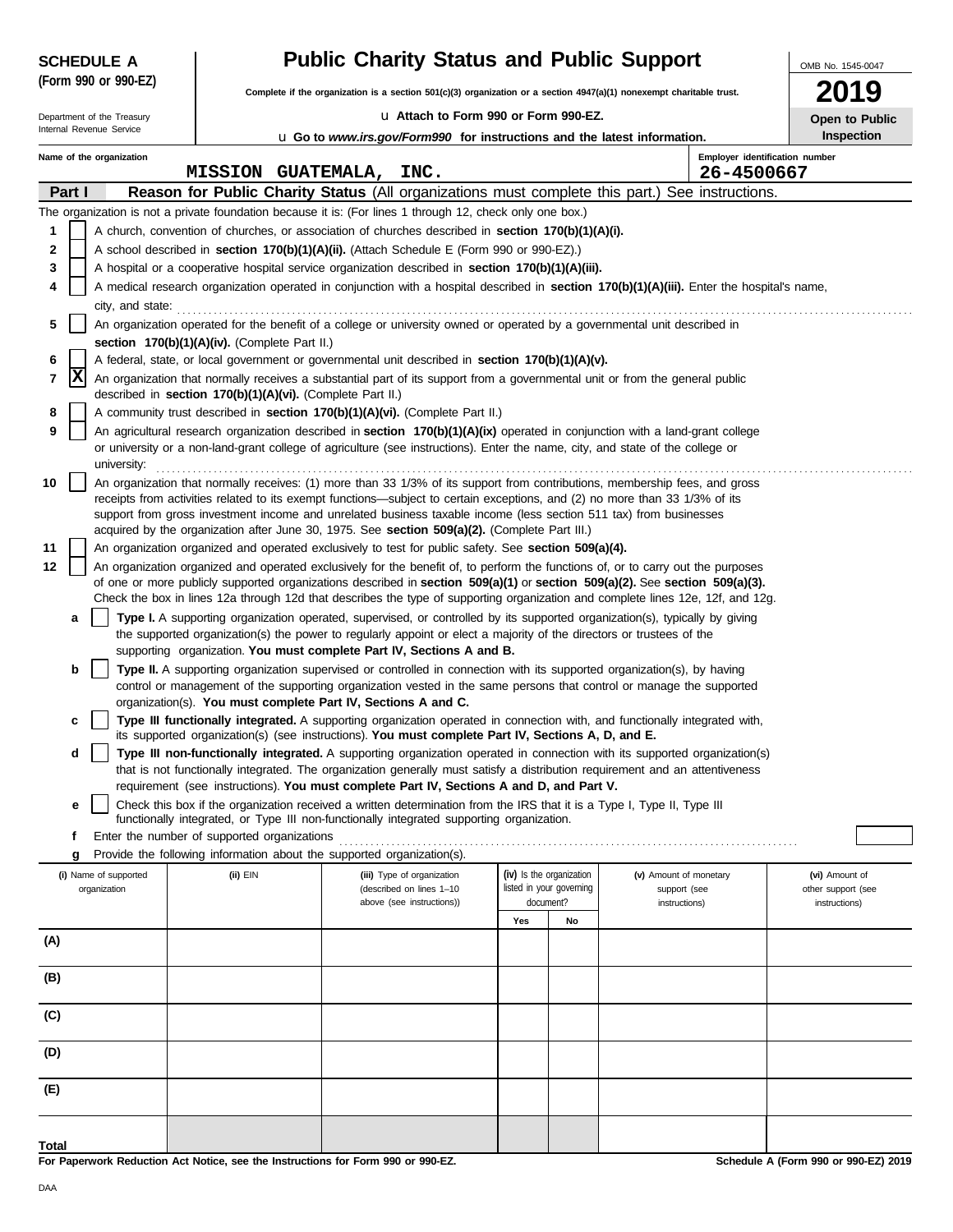|       | <b>SCHEDULE A</b>                                                                                                         |                                                                                                                                                   | <b>Public Charity Status and Public Support</b>            |                                                                                                                                                                                                                                                                        | OMB No. 1545-0047 |                                                      |                                        |                                |                                      |  |  |  |
|-------|---------------------------------------------------------------------------------------------------------------------------|---------------------------------------------------------------------------------------------------------------------------------------------------|------------------------------------------------------------|------------------------------------------------------------------------------------------------------------------------------------------------------------------------------------------------------------------------------------------------------------------------|-------------------|------------------------------------------------------|----------------------------------------|--------------------------------|--------------------------------------|--|--|--|
|       | (Form 990 or 990-EZ)                                                                                                      |                                                                                                                                                   |                                                            | Complete if the organization is a section $501(c)(3)$ organization or a section $4947(a)(1)$ nonexempt charitable trust.                                                                                                                                               |                   |                                                      |                                        |                                | 19                                   |  |  |  |
|       | Department of the Treasury                                                                                                |                                                                                                                                                   |                                                            | La Attach to Form 990 or Form 990-EZ.                                                                                                                                                                                                                                  |                   |                                                      |                                        |                                | Open to Public                       |  |  |  |
|       | Internal Revenue Service                                                                                                  |                                                                                                                                                   |                                                            | <b>u</b> Go to www.irs.gov/Form990 for instructions and the latest information.                                                                                                                                                                                        |                   |                                                      |                                        |                                | <b>Inspection</b>                    |  |  |  |
|       | Name of the organization                                                                                                  |                                                                                                                                                   |                                                            |                                                                                                                                                                                                                                                                        |                   |                                                      |                                        | Employer identification number |                                      |  |  |  |
|       | Part I                                                                                                                    |                                                                                                                                                   |                                                            | MISSION GUATEMALA, INC.                                                                                                                                                                                                                                                |                   |                                                      |                                        | 26-4500667                     |                                      |  |  |  |
|       |                                                                                                                           |                                                                                                                                                   |                                                            | Reason for Public Charity Status (All organizations must complete this part.) See instructions.<br>The organization is not a private foundation because it is: (For lines 1 through 12, check only one box.)                                                           |                   |                                                      |                                        |                                |                                      |  |  |  |
| 1     |                                                                                                                           |                                                                                                                                                   |                                                            | A church, convention of churches, or association of churches described in section 170(b)(1)(A)(i).                                                                                                                                                                     |                   |                                                      |                                        |                                |                                      |  |  |  |
| 2     |                                                                                                                           |                                                                                                                                                   |                                                            | A school described in section 170(b)(1)(A)(ii). (Attach Schedule E (Form 990 or 990-EZ).)                                                                                                                                                                              |                   |                                                      |                                        |                                |                                      |  |  |  |
| 3     |                                                                                                                           |                                                                                                                                                   |                                                            | A hospital or a cooperative hospital service organization described in section 170(b)(1)(A)(iii).                                                                                                                                                                      |                   |                                                      |                                        |                                |                                      |  |  |  |
| 4     |                                                                                                                           |                                                                                                                                                   |                                                            | A medical research organization operated in conjunction with a hospital described in section 170(b)(1)(A)(iii). Enter the hospital's name,                                                                                                                             |                   |                                                      |                                        |                                |                                      |  |  |  |
|       | city, and state:                                                                                                          |                                                                                                                                                   |                                                            |                                                                                                                                                                                                                                                                        |                   |                                                      |                                        |                                |                                      |  |  |  |
| 5     | An organization operated for the benefit of a college or university owned or operated by a governmental unit described in |                                                                                                                                                   |                                                            |                                                                                                                                                                                                                                                                        |                   |                                                      |                                        |                                |                                      |  |  |  |
| 6     |                                                                                                                           | section 170(b)(1)(A)(iv). (Complete Part II.)<br>A federal, state, or local government or governmental unit described in section 170(b)(1)(A)(v). |                                                            |                                                                                                                                                                                                                                                                        |                   |                                                      |                                        |                                |                                      |  |  |  |
| 7     | Ιx                                                                                                                        |                                                                                                                                                   |                                                            | An organization that normally receives a substantial part of its support from a governmental unit or from the general public                                                                                                                                           |                   |                                                      |                                        |                                |                                      |  |  |  |
|       |                                                                                                                           |                                                                                                                                                   | described in section 170(b)(1)(A)(vi). (Complete Part II.) |                                                                                                                                                                                                                                                                        |                   |                                                      |                                        |                                |                                      |  |  |  |
| 8     |                                                                                                                           |                                                                                                                                                   |                                                            | A community trust described in section 170(b)(1)(A)(vi). (Complete Part II.)                                                                                                                                                                                           |                   |                                                      |                                        |                                |                                      |  |  |  |
| 9     |                                                                                                                           |                                                                                                                                                   |                                                            | An agricultural research organization described in section 170(b)(1)(A)(ix) operated in conjunction with a land-grant college<br>or university or a non-land-grant college of agriculture (see instructions). Enter the name, city, and state of the college or        |                   |                                                      |                                        |                                |                                      |  |  |  |
|       | university:                                                                                                               |                                                                                                                                                   |                                                            |                                                                                                                                                                                                                                                                        |                   |                                                      |                                        |                                |                                      |  |  |  |
| 10    |                                                                                                                           |                                                                                                                                                   |                                                            | An organization that normally receives: (1) more than 33 1/3% of its support from contributions, membership fees, and gross                                                                                                                                            |                   |                                                      |                                        |                                |                                      |  |  |  |
|       |                                                                                                                           |                                                                                                                                                   |                                                            | receipts from activities related to its exempt functions—subject to certain exceptions, and (2) no more than 33 1/3% of its<br>support from gross investment income and unrelated business taxable income (less section 511 tax) from businesses                       |                   |                                                      |                                        |                                |                                      |  |  |  |
|       |                                                                                                                           |                                                                                                                                                   |                                                            | acquired by the organization after June 30, 1975. See section 509(a)(2). (Complete Part III.)                                                                                                                                                                          |                   |                                                      |                                        |                                |                                      |  |  |  |
| 11    |                                                                                                                           |                                                                                                                                                   |                                                            | An organization organized and operated exclusively to test for public safety. See section 509(a)(4).                                                                                                                                                                   |                   |                                                      |                                        |                                |                                      |  |  |  |
| 12    |                                                                                                                           |                                                                                                                                                   |                                                            | An organization organized and operated exclusively for the benefit of, to perform the functions of, or to carry out the purposes                                                                                                                                       |                   |                                                      |                                        |                                |                                      |  |  |  |
|       |                                                                                                                           |                                                                                                                                                   |                                                            | of one or more publicly supported organizations described in section $509(a)(1)$ or section $509(a)(2)$ . See section $509(a)(3)$ .<br>Check the box in lines 12a through 12d that describes the type of supporting organization and complete lines 12e, 12f, and 12g. |                   |                                                      |                                        |                                |                                      |  |  |  |
|       | а                                                                                                                         |                                                                                                                                                   |                                                            | Type I. A supporting organization operated, supervised, or controlled by its supported organization(s), typically by giving                                                                                                                                            |                   |                                                      |                                        |                                |                                      |  |  |  |
|       |                                                                                                                           |                                                                                                                                                   |                                                            | the supported organization(s) the power to regularly appoint or elect a majority of the directors or trustees of the                                                                                                                                                   |                   |                                                      |                                        |                                |                                      |  |  |  |
|       | b                                                                                                                         |                                                                                                                                                   |                                                            | supporting organization. You must complete Part IV, Sections A and B.<br>Type II. A supporting organization supervised or controlled in connection with its supported organization(s), by having                                                                       |                   |                                                      |                                        |                                |                                      |  |  |  |
|       |                                                                                                                           |                                                                                                                                                   |                                                            | control or management of the supporting organization vested in the same persons that control or manage the supported                                                                                                                                                   |                   |                                                      |                                        |                                |                                      |  |  |  |
|       |                                                                                                                           |                                                                                                                                                   |                                                            | organization(s). You must complete Part IV, Sections A and C.                                                                                                                                                                                                          |                   |                                                      |                                        |                                |                                      |  |  |  |
|       | c                                                                                                                         |                                                                                                                                                   |                                                            | Type III functionally integrated. A supporting organization operated in connection with, and functionally integrated with,<br>its supported organization(s) (see instructions). You must complete Part IV, Sections A, D, and E.                                       |                   |                                                      |                                        |                                |                                      |  |  |  |
|       | d                                                                                                                         |                                                                                                                                                   |                                                            | Type III non-functionally integrated. A supporting organization operated in connection with its supported organization(s)                                                                                                                                              |                   |                                                      |                                        |                                |                                      |  |  |  |
|       |                                                                                                                           |                                                                                                                                                   |                                                            | that is not functionally integrated. The organization generally must satisfy a distribution requirement and an attentiveness                                                                                                                                           |                   |                                                      |                                        |                                |                                      |  |  |  |
|       |                                                                                                                           |                                                                                                                                                   |                                                            | requirement (see instructions). You must complete Part IV, Sections A and D, and Part V.                                                                                                                                                                               |                   |                                                      |                                        |                                |                                      |  |  |  |
|       | е                                                                                                                         |                                                                                                                                                   |                                                            | Check this box if the organization received a written determination from the IRS that it is a Type I, Type II, Type III<br>functionally integrated, or Type III non-functionally integrated supporting organization.                                                   |                   |                                                      |                                        |                                |                                      |  |  |  |
|       | f                                                                                                                         |                                                                                                                                                   | Enter the number of supported organizations                |                                                                                                                                                                                                                                                                        |                   |                                                      |                                        |                                |                                      |  |  |  |
|       | g                                                                                                                         |                                                                                                                                                   |                                                            | Provide the following information about the supported organization(s).                                                                                                                                                                                                 |                   |                                                      |                                        |                                |                                      |  |  |  |
|       | (i) Name of supported<br>organization                                                                                     |                                                                                                                                                   | (ii) EIN                                                   | (iii) Type of organization<br>(described on lines 1-10                                                                                                                                                                                                                 |                   | (iv) Is the organization<br>listed in your governing | (v) Amount of monetary<br>support (see |                                | (vi) Amount of<br>other support (see |  |  |  |
|       |                                                                                                                           |                                                                                                                                                   |                                                            | above (see instructions))                                                                                                                                                                                                                                              |                   | document?                                            | instructions)                          |                                | instructions)                        |  |  |  |
|       |                                                                                                                           |                                                                                                                                                   |                                                            |                                                                                                                                                                                                                                                                        | Yes               | No                                                   |                                        |                                |                                      |  |  |  |
| (A)   |                                                                                                                           |                                                                                                                                                   |                                                            |                                                                                                                                                                                                                                                                        |                   |                                                      |                                        |                                |                                      |  |  |  |
| (B)   |                                                                                                                           |                                                                                                                                                   |                                                            |                                                                                                                                                                                                                                                                        |                   |                                                      |                                        |                                |                                      |  |  |  |
|       |                                                                                                                           |                                                                                                                                                   |                                                            |                                                                                                                                                                                                                                                                        |                   |                                                      |                                        |                                |                                      |  |  |  |
| (C)   |                                                                                                                           |                                                                                                                                                   |                                                            |                                                                                                                                                                                                                                                                        |                   |                                                      |                                        |                                |                                      |  |  |  |
|       |                                                                                                                           |                                                                                                                                                   |                                                            |                                                                                                                                                                                                                                                                        |                   |                                                      |                                        |                                |                                      |  |  |  |
| (D)   |                                                                                                                           |                                                                                                                                                   |                                                            |                                                                                                                                                                                                                                                                        |                   |                                                      |                                        |                                |                                      |  |  |  |
| (E)   |                                                                                                                           |                                                                                                                                                   |                                                            |                                                                                                                                                                                                                                                                        |                   |                                                      |                                        |                                |                                      |  |  |  |
|       |                                                                                                                           |                                                                                                                                                   |                                                            |                                                                                                                                                                                                                                                                        |                   |                                                      |                                        |                                |                                      |  |  |  |
|       |                                                                                                                           |                                                                                                                                                   |                                                            |                                                                                                                                                                                                                                                                        |                   |                                                      |                                        |                                |                                      |  |  |  |
| Total |                                                                                                                           |                                                                                                                                                   |                                                            |                                                                                                                                                                                                                                                                        |                   |                                                      |                                        |                                |                                      |  |  |  |

**For Paperwork Reduction Act Notice, see the Instructions for Form 990 or 990-EZ.**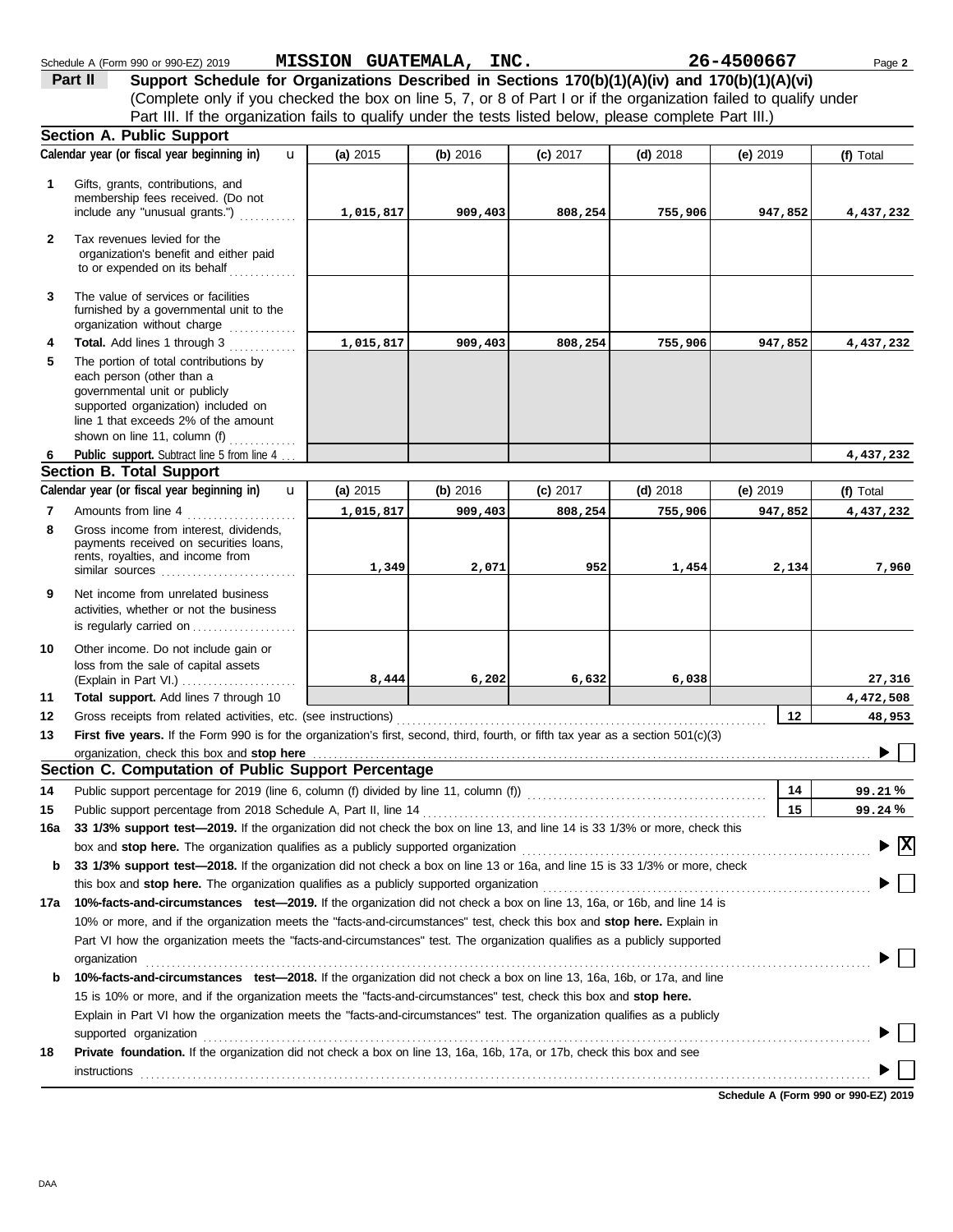|              | <b>Section A. Public Support</b>                                                                                                                                                                                                                     |            |            |            |            |                 |                  |
|--------------|------------------------------------------------------------------------------------------------------------------------------------------------------------------------------------------------------------------------------------------------------|------------|------------|------------|------------|-----------------|------------------|
|              | Calendar year (or fiscal year beginning in)<br>$\mathbf{u}$                                                                                                                                                                                          | (a) 2015   | (b) 2016   | $(c)$ 2017 | $(d)$ 2018 | (e) $2019$      | (f) Total        |
| 1            | Gifts, grants, contributions, and<br>membership fees received. (Do not<br>include any "unusual grants.")                                                                                                                                             | 1,015,817  | 909,403    | 808,254    | 755,906    | 947,852         | 4,437,232        |
| $\mathbf{2}$ | Tax revenues levied for the<br>organization's benefit and either paid<br>to or expended on its behalf                                                                                                                                                |            |            |            |            |                 |                  |
| 3            | The value of services or facilities<br>furnished by a governmental unit to the<br>organization without charge                                                                                                                                        |            |            |            |            |                 |                  |
| 4<br>5       | Total. Add lines 1 through 3<br>The portion of total contributions by<br>each person (other than a<br>governmental unit or publicly<br>supported organization) included on<br>line 1 that exceeds 2% of the amount<br>shown on line 11, column $(f)$ | 1,015,817  | 909,403    | 808,254    | 755,906    | 947,852         | 4,437,232        |
| 6            | Public support. Subtract line 5 from line 4                                                                                                                                                                                                          |            |            |            |            |                 | 4,437,232        |
|              | <b>Section B. Total Support</b>                                                                                                                                                                                                                      |            |            |            |            |                 |                  |
|              | Calendar year (or fiscal year beginning in)<br>$\mathbf{u}$                                                                                                                                                                                          | (a) $2015$ | (b) $2016$ | $(c)$ 2017 | $(d)$ 2018 | (e) $2019$      | (f) Total        |
| 7            | Amounts from line 4                                                                                                                                                                                                                                  | 1,015,817  | 909,403    | 808,254    | 755,906    | 947,852         | 4,437,232        |
| 8            | Gross income from interest, dividends,<br>payments received on securities loans,<br>rents, royalties, and income from                                                                                                                                | 1,349      | 2,071      | 952        | 1,454      | 2,134           | 7,960            |
| 9            | Net income from unrelated business<br>activities, whether or not the business<br>is regularly carried on                                                                                                                                             |            |            |            |            |                 |                  |
| 10           | Other income. Do not include gain or<br>loss from the sale of capital assets<br>(Explain in Part VI.)                                                                                                                                                | 8,444      | 6,202      | 6,632      | 6,038      |                 | 27,316           |
| 11           | Total support. Add lines 7 through 10                                                                                                                                                                                                                |            |            |            |            |                 | 4,472,508        |
| 12           |                                                                                                                                                                                                                                                      |            |            |            |            | 12 <sub>2</sub> | 48,953           |
| 13           | First five years. If the Form 990 is for the organization's first, second, third, fourth, or fifth tax year as a section 501(c)(3)                                                                                                                   |            |            |            |            |                 |                  |
|              | organization, check this box and stop here                                                                                                                                                                                                           |            |            |            |            |                 |                  |
|              | Section C. Computation of Public Support Percentage                                                                                                                                                                                                  |            |            |            |            |                 |                  |
| 14           | Public support percentage for 2019 (line 6, column (f) divided by line 11, column (f)) [[[[[[[[[[[[[[[[[[[[[[                                                                                                                                        |            |            |            |            | 14<br>15        | 99.21%<br>99.24% |
| 15           | 33 1/3% support test-2019. If the organization did not check the box on line 13, and line 14 is 33 1/3% or more, check this                                                                                                                          |            |            |            |            |                 |                  |
| 16а          |                                                                                                                                                                                                                                                      |            |            |            |            |                 | $\mathbf{x}$     |
| b            | 33 1/3% support test-2018. If the organization did not check a box on line 13 or 16a, and line 15 is 33 1/3% or more, check                                                                                                                          |            |            |            |            |                 |                  |
|              |                                                                                                                                                                                                                                                      |            |            |            |            |                 |                  |
| 17a          | 10%-facts-and-circumstances test-2019. If the organization did not check a box on line 13, 16a, or 16b, and line 14 is                                                                                                                               |            |            |            |            |                 |                  |
|              | 10% or more, and if the organization meets the "facts-and-circumstances" test, check this box and stop here. Explain in                                                                                                                              |            |            |            |            |                 |                  |
|              | Part VI how the organization meets the "facts-and-circumstances" test. The organization qualifies as a publicly supported                                                                                                                            |            |            |            |            |                 |                  |
|              |                                                                                                                                                                                                                                                      |            |            |            |            |                 |                  |
| b            | 10%-facts-and-circumstances test-2018. If the organization did not check a box on line 13, 16a, 16b, or 17a, and line                                                                                                                                |            |            |            |            |                 |                  |
|              | 15 is 10% or more, and if the organization meets the "facts-and-circumstances" test, check this box and stop here.                                                                                                                                   |            |            |            |            |                 |                  |
|              | Explain in Part VI how the organization meets the "facts-and-circumstances" test. The organization qualifies as a publicly                                                                                                                           |            |            |            |            |                 |                  |
|              |                                                                                                                                                                                                                                                      |            |            |            |            |                 |                  |
| 18           | Private foundation. If the organization did not check a box on line 13, 16a, 16b, 17a, or 17b, check this box and see                                                                                                                                |            |            |            |            |                 |                  |
|              | <b>instructions</b>                                                                                                                                                                                                                                  |            |            |            |            |                 |                  |

Schedule A (Form 990 or 990-EZ) 2019 Page **2 MISSION GUATEMALA, INC. 26-4500667**

**Part II** Support Schedule for Organizations Described in Sections 170(b)(1)(A)(iv) and 170(b)(1)(A)(vi)

Part III. If the organization fails to qualify under the tests listed below, please complete Part III.)

(Complete only if you checked the box on line 5, 7, or 8 of Part I or if the organization failed to qualify under

**Schedule A (Form 990 or 990-EZ) 2019**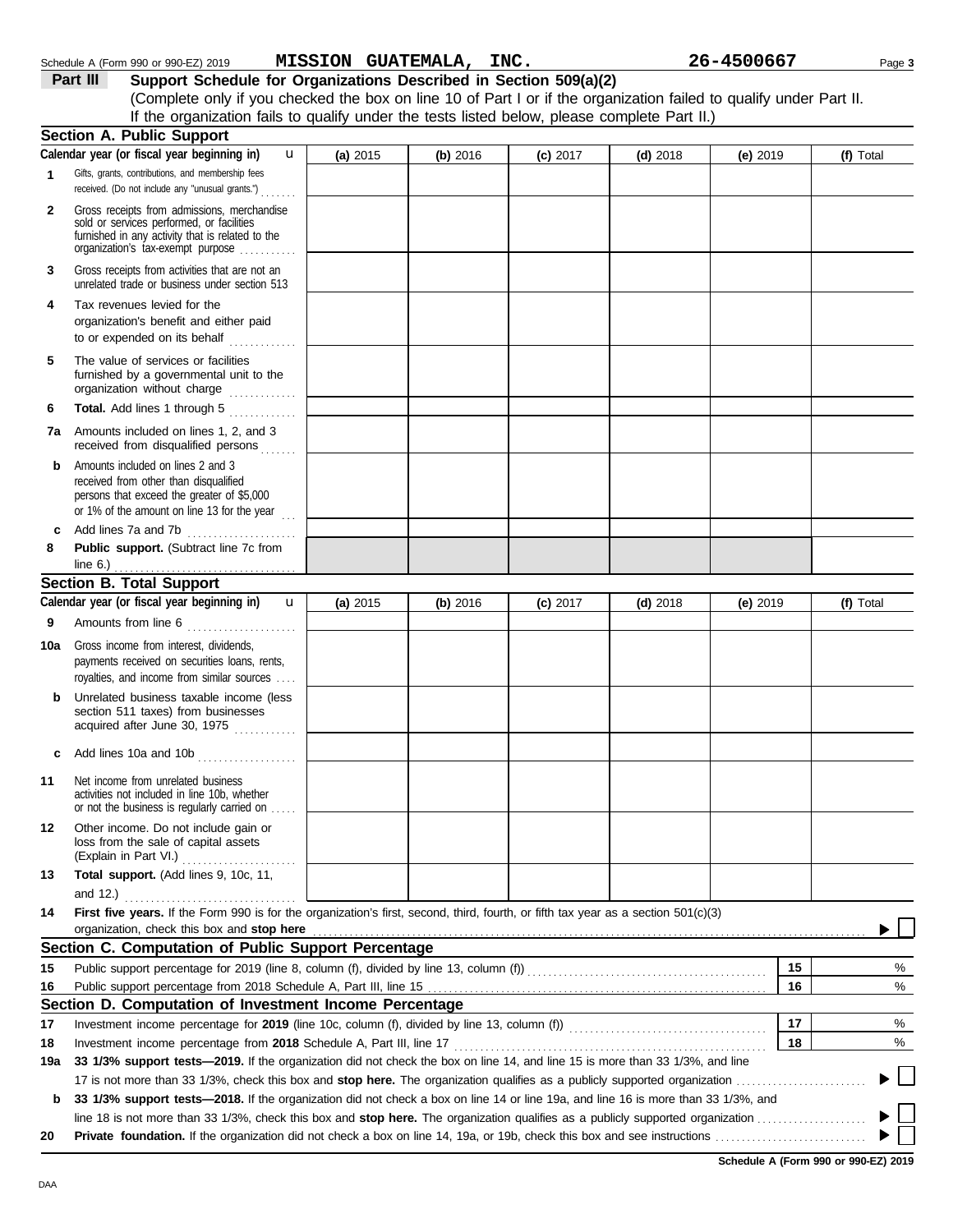|     | received. (Do not include any "unusual grants.")                                                                                                                                                                |          |          |            |            |          |    |                                        |
|-----|-----------------------------------------------------------------------------------------------------------------------------------------------------------------------------------------------------------------|----------|----------|------------|------------|----------|----|----------------------------------------|
| 2   | Gross receipts from admissions, merchandise<br>sold or services performed, or facilities<br>furnished in any activity that is related to the<br>organization's tax-exempt purpose                               |          |          |            |            |          |    |                                        |
| 3   | Gross receipts from activities that are not an<br>unrelated trade or business under section 513                                                                                                                 |          |          |            |            |          |    |                                        |
| 4   | Tax revenues levied for the<br>organization's benefit and either paid<br>to or expended on its behalf<br>.                                                                                                      |          |          |            |            |          |    |                                        |
| 5   | The value of services or facilities<br>furnished by a governmental unit to the<br>organization without charge                                                                                                   |          |          |            |            |          |    |                                        |
| 6   | Total. Add lines 1 through 5                                                                                                                                                                                    |          |          |            |            |          |    |                                        |
| 7a  | Amounts included on lines 1, 2, and 3<br>received from disqualified persons                                                                                                                                     |          |          |            |            |          |    |                                        |
| b   | Amounts included on lines 2 and 3<br>received from other than disqualified<br>persons that exceed the greater of \$5,000<br>or 1% of the amount on line 13 for the year $\ldots$                                |          |          |            |            |          |    |                                        |
| c   | Add lines 7a and 7b<br>                                                                                                                                                                                         |          |          |            |            |          |    |                                        |
| 8   | Public support. (Subtract line 7c from                                                                                                                                                                          |          |          |            |            |          |    |                                        |
|     | line $6.$ )<br><u>.</u><br><b>Section B. Total Support</b>                                                                                                                                                      |          |          |            |            |          |    |                                        |
|     | Calendar year (or fiscal year beginning in)<br>$\mathbf{u}$                                                                                                                                                     | (a) 2015 | (b) 2016 | $(c)$ 2017 | $(d)$ 2018 | (e) 2019 |    | (f) Total                              |
| 9   | Amounts from line 6                                                                                                                                                                                             |          |          |            |            |          |    |                                        |
|     |                                                                                                                                                                                                                 |          |          |            |            |          |    |                                        |
| 10a | Gross income from interest, dividends,<br>payments received on securities loans, rents,<br>royalties, and income from similar sources                                                                           |          |          |            |            |          |    |                                        |
| b   | Unrelated business taxable income (less<br>section 511 taxes) from businesses<br>acquired after June 30, 1975                                                                                                   |          |          |            |            |          |    |                                        |
| c   | Add lines 10a and 10b $\ldots$                                                                                                                                                                                  |          |          |            |            |          |    |                                        |
| 11  | Net income from unrelated business<br>activities not included in line 10b, whether<br>or not the business is regularly carried on                                                                               |          |          |            |            |          |    |                                        |
| 12  | Other income. Do not include gain or<br>loss from the sale of capital assets                                                                                                                                    |          |          |            |            |          |    |                                        |
| 13  | Total support. (Add lines 9, 10c, 11,                                                                                                                                                                           |          |          |            |            |          |    |                                        |
|     | and 12.) $\ldots$                                                                                                                                                                                               |          |          |            |            |          |    |                                        |
| 14  | First five years. If the Form 990 is for the organization's first, second, third, fourth, or fifth tax year as a section 501(c)(3)                                                                              |          |          |            |            |          |    |                                        |
|     | organization, check this box and stop here                                                                                                                                                                      |          |          |            |            |          |    |                                        |
|     | Section C. Computation of Public Support Percentage                                                                                                                                                             |          |          |            |            |          |    |                                        |
| 15  |                                                                                                                                                                                                                 |          |          |            |            |          | 15 | %                                      |
| 16  |                                                                                                                                                                                                                 |          |          |            |            |          | 16 | %                                      |
|     | Section D. Computation of Investment Income Percentage                                                                                                                                                          |          |          |            |            |          |    |                                        |
| 17  | 17<br>%                                                                                                                                                                                                         |          |          |            |            |          |    |                                        |
| 18  | Investment income percentage from 2018 Schedule A, Part III, line 17<br>18<br>%<br>33 1/3% support tests-2019. If the organization did not check the box on line 14, and line 15 is more than 33 1/3%, and line |          |          |            |            |          |    |                                        |
| 19a |                                                                                                                                                                                                                 |          |          |            |            |          |    |                                        |
|     | 33 1/3% support tests-2018. If the organization did not check a box on line 14 or line 19a, and line 16 is more than 33 1/3%, and                                                                               |          |          |            |            |          |    |                                        |
| b   |                                                                                                                                                                                                                 |          |          |            |            |          |    |                                        |
| 20  |                                                                                                                                                                                                                 |          |          |            |            |          |    |                                        |
|     |                                                                                                                                                                                                                 |          |          |            |            |          |    | <b>Cohodule A (Ferm 000 or 000 F7)</b> |

| Schedule A (Form 990 or 990-EZ) 2019 |  |  |  |
|--------------------------------------|--|--|--|

**1**

Gifts, grants, contributions, and membership fees

**Section A. Public Support**

**Calendar year (or fiscal year beginning in)** 

Schedule A (Form 990 or 990-EZ) 2019 Page **3 MISSION GUATEMALA, INC. 26-4500667**

u

**Part III Support Schedule for Organizations Described in Section 509(a)(2)** (Complete only if you checked the box on line 10 of Part I or if the organization failed to qualify under Part II. If the organization fails to qualify under the tests listed below, please complete Part II.)

**(a)** 2015 **(b)** 2016 **(c)** 2017 **(d)** 2018 **(e)** 2019 **(f)** Total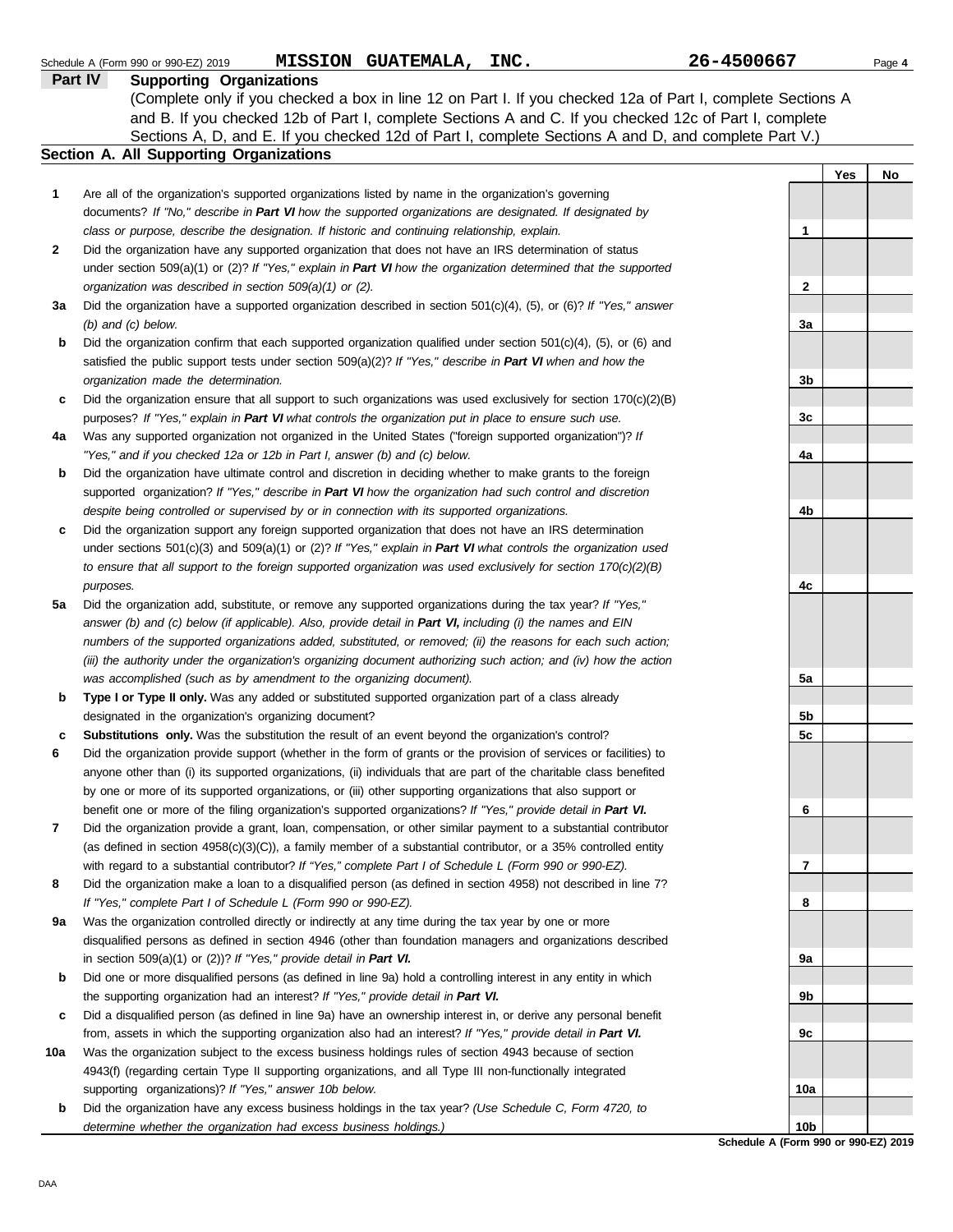|         | MISSION GUATEMALA, INC.<br>Schedule A (Form 990 or 990-EZ) 2019                                                     | 26-4500667      |     | Page 4 |
|---------|---------------------------------------------------------------------------------------------------------------------|-----------------|-----|--------|
| Part IV | <b>Supporting Organizations</b>                                                                                     |                 |     |        |
|         | (Complete only if you checked a box in line 12 on Part I. If you checked 12a of Part I, complete Sections A         |                 |     |        |
|         | and B. If you checked 12b of Part I, complete Sections A and C. If you checked 12c of Part I, complete              |                 |     |        |
|         | Sections A, D, and E. If you checked 12d of Part I, complete Sections A and D, and complete Part V.)                |                 |     |        |
|         | Section A. All Supporting Organizations                                                                             |                 |     |        |
|         |                                                                                                                     |                 | Yes | No     |
| 1       | Are all of the organization's supported organizations listed by name in the organization's governing                |                 |     |        |
|         | documents? If "No," describe in Part VI how the supported organizations are designated. If designated by            |                 |     |        |
|         | class or purpose, describe the designation. If historic and continuing relationship, explain.                       | 1               |     |        |
| 2       | Did the organization have any supported organization that does not have an IRS determination of status              |                 |     |        |
|         | under section $509(a)(1)$ or (2)? If "Yes," explain in Part VI how the organization determined that the supported   |                 |     |        |
|         | organization was described in section 509(a)(1) or (2).                                                             | 2               |     |        |
| За      | Did the organization have a supported organization described in section $501(c)(4)$ , (5), or (6)? If "Yes," answer |                 |     |        |
|         | $(b)$ and $(c)$ below.                                                                                              | 3a              |     |        |
| b       | Did the organization confirm that each supported organization qualified under section 501(c)(4), (5), or (6) and    |                 |     |        |
|         | satisfied the public support tests under section 509(a)(2)? If "Yes," describe in Part VI when and how the          |                 |     |        |
|         | organization made the determination.                                                                                | 3b              |     |        |
| c       | Did the organization ensure that all support to such organizations was used exclusively for section $170(c)(2)(B)$  |                 |     |        |
|         | purposes? If "Yes," explain in Part VI what controls the organization put in place to ensure such use.              | 3c              |     |        |
| 4a      | Was any supported organization not organized in the United States ("foreign supported organization")? If            |                 |     |        |
|         | "Yes," and if you checked 12a or 12b in Part I, answer (b) and (c) below.                                           | 4a              |     |        |
|         | Did the organization have ultimate control and discretion in deciding whether to make grants to the foreign         |                 |     |        |
| b       |                                                                                                                     |                 |     |        |
|         | supported organization? If "Yes," describe in Part VI how the organization had such control and discretion          |                 |     |        |
|         | despite being controlled or supervised by or in connection with its supported organizations.                        | 4b              |     |        |
| c       | Did the organization support any foreign supported organization that does not have an IRS determination             |                 |     |        |
|         | under sections $501(c)(3)$ and $509(a)(1)$ or (2)? If "Yes," explain in Part VI what controls the organization used |                 |     |        |
|         | to ensure that all support to the foreign supported organization was used exclusively for section $170(c)(2)(B)$    |                 |     |        |
|         | purposes.                                                                                                           | 4c              |     |        |
| 5a      | Did the organization add, substitute, or remove any supported organizations during the tax year? If "Yes,"          |                 |     |        |
|         | answer (b) and (c) below (if applicable). Also, provide detail in Part VI, including (i) the names and EIN          |                 |     |        |
|         | numbers of the supported organizations added, substituted, or removed; (ii) the reasons for each such action;       |                 |     |        |
|         | (iii) the authority under the organization's organizing document authorizing such action; and (iv) how the action   |                 |     |        |
|         | was accomplished (such as by amendment to the organizing document).                                                 | 5а              |     |        |
| b       | Type I or Type II only. Was any added or substituted supported organization part of a class already                 |                 |     |        |
|         | designated in the organization's organizing document?                                                               | 5b              |     |        |
| c       | <b>Substitutions only.</b> Was the substitution the result of an event beyond the organization's control?           | 5c              |     |        |
|         | Did the organization provide support (whether in the form of grants or the provision of services or facilities) to  |                 |     |        |
|         | anyone other than (i) its supported organizations, (ii) individuals that are part of the charitable class benefited |                 |     |        |
|         | by one or more of its supported organizations, or (iii) other supporting organizations that also support or         |                 |     |        |
|         | benefit one or more of the filing organization's supported organizations? If "Yes," provide detail in Part VI.      | 6               |     |        |
| 7       | Did the organization provide a grant, loan, compensation, or other similar payment to a substantial contributor     |                 |     |        |
|         | (as defined in section $4958(c)(3)(C)$ ), a family member of a substantial contributor, or a 35% controlled entity  |                 |     |        |
|         | with regard to a substantial contributor? If "Yes," complete Part I of Schedule L (Form 990 or 990-EZ).             | 7               |     |        |
| 8       | Did the organization make a loan to a disqualified person (as defined in section 4958) not described in line 7?     |                 |     |        |
|         | If "Yes," complete Part I of Schedule L (Form 990 or 990-EZ).                                                       | 8               |     |        |
| 9a      | Was the organization controlled directly or indirectly at any time during the tax year by one or more               |                 |     |        |
|         | disqualified persons as defined in section 4946 (other than foundation managers and organizations described         |                 |     |        |
|         | in section $509(a)(1)$ or $(2)$ ? If "Yes," provide detail in Part VI.                                              | 9а              |     |        |
| b       | Did one or more disqualified persons (as defined in line 9a) hold a controlling interest in any entity in which     |                 |     |        |
|         | the supporting organization had an interest? If "Yes," provide detail in Part VI.                                   | 9b              |     |        |
| c       | Did a disqualified person (as defined in line 9a) have an ownership interest in, or derive any personal benefit     |                 |     |        |
|         | from, assets in which the supporting organization also had an interest? If "Yes," provide detail in Part VI.        | 9c              |     |        |
| 10a     | Was the organization subject to the excess business holdings rules of section 4943 because of section               |                 |     |        |
|         | 4943(f) (regarding certain Type II supporting organizations, and all Type III non-functionally integrated           |                 |     |        |
|         | supporting organizations)? If "Yes," answer 10b below.                                                              | 10a             |     |        |
| b       | Did the organization have any excess business holdings in the tax year? (Use Schedule C, Form 4720, to              |                 |     |        |
|         | determine whether the organization had excess business holdings.)                                                   | 10 <sub>b</sub> |     |        |

**Schedule A (Form 990 or 990-EZ) 2019**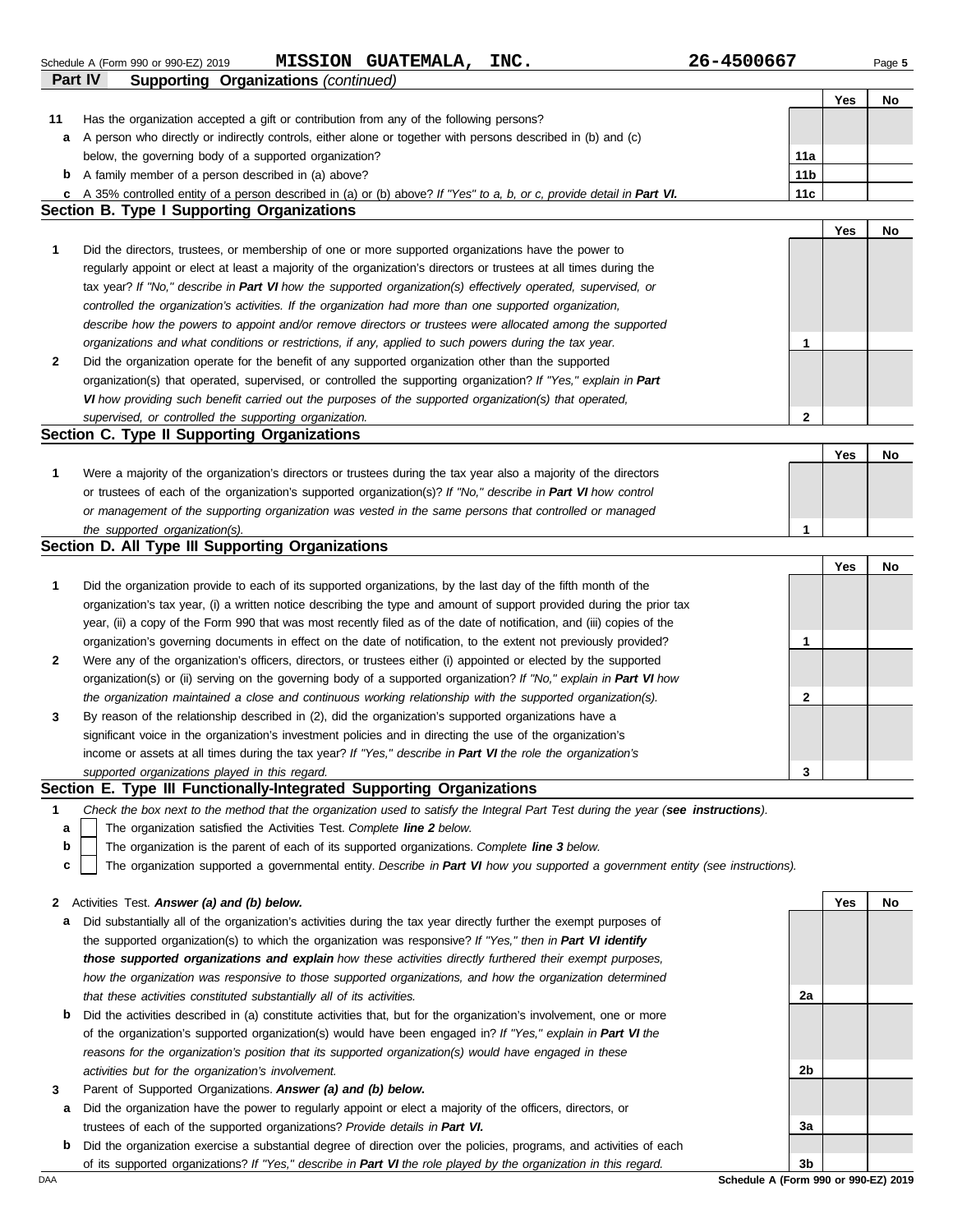**Part IV Supporting Organizations** *(continued)* Schedule A (Form 990 or 990-EZ) 2019 Page **5 MISSION GUATEMALA, INC. 26-4500667**

| 11<br>Has the organization accepted a gift or contribution from any of the following persons?<br>A person who directly or indirectly controls, either alone or together with persons described in (b) and (c)<br>a<br>below, the governing body of a supported organization?<br>11a<br>11 <sub>b</sub><br>A family member of a person described in (a) above?<br>b<br>11c<br>A 35% controlled entity of a person described in (a) or (b) above? If "Yes" to a, b, or c, provide detail in Part VI.<br>c<br><b>Section B. Type I Supporting Organizations</b><br>Yes<br>No<br>1<br>Did the directors, trustees, or membership of one or more supported organizations have the power to<br>regularly appoint or elect at least a majority of the organization's directors or trustees at all times during the<br>tax year? If "No," describe in Part VI how the supported organization(s) effectively operated, supervised, or<br>controlled the organization's activities. If the organization had more than one supported organization,<br>describe how the powers to appoint and/or remove directors or trustees were allocated among the supported<br>organizations and what conditions or restrictions, if any, applied to such powers during the tax year.<br>1<br>2<br>Did the organization operate for the benefit of any supported organization other than the supported<br>organization(s) that operated, supervised, or controlled the supporting organization? If "Yes," explain in Part<br>VI how providing such benefit carried out the purposes of the supported organization(s) that operated,<br>$\mathbf{2}$<br>supervised, or controlled the supporting organization.<br>Section C. Type II Supporting Organizations<br>Yes<br>No<br>1<br>Were a majority of the organization's directors or trustees during the tax year also a majority of the directors<br>or trustees of each of the organization's supported organization(s)? If "No," describe in Part VI how control<br>or management of the supporting organization was vested in the same persons that controlled or managed<br>1<br>the supported organization(s).<br>Section D. All Type III Supporting Organizations<br>Yes<br>No<br>1<br>Did the organization provide to each of its supported organizations, by the last day of the fifth month of the<br>organization's tax year, (i) a written notice describing the type and amount of support provided during the prior tax<br>year, (ii) a copy of the Form 990 that was most recently filed as of the date of notification, and (iii) copies of the<br>organization's governing documents in effect on the date of notification, to the extent not previously provided?<br>1<br>2<br>Were any of the organization's officers, directors, or trustees either (i) appointed or elected by the supported<br>organization(s) or (ii) serving on the governing body of a supported organization? If "No," explain in Part VI how<br>the organization maintained a close and continuous working relationship with the supported organization(s).<br>2<br>By reason of the relationship described in (2), did the organization's supported organizations have a<br>3<br>significant voice in the organization's investment policies and in directing the use of the organization's<br>income or assets at all times during the tax year? If "Yes," describe in Part VI the role the organization's<br>3<br>supported organizations played in this regard.<br>Section E. Type III Functionally-Integrated Supporting Organizations<br>Check the box next to the method that the organization used to satisfy the Integral Part Test during the year (see instructions).<br>1<br>The organization satisfied the Activities Test. Complete line 2 below.<br>а<br>b<br>The organization is the parent of each of its supported organizations. Complete line 3 below.<br>The organization supported a governmental entity. Describe in Part VI how you supported a government entity (see instructions).<br>c<br>2 Activities Test. Answer (a) and (b) below.<br>Yes<br>No<br>Did substantially all of the organization's activities during the tax year directly further the exempt purposes of<br>а<br>the supported organization(s) to which the organization was responsive? If "Yes," then in Part VI identify<br>those supported organizations and explain how these activities directly furthered their exempt purposes,<br>how the organization was responsive to those supported organizations, and how the organization determined<br>that these activities constituted substantially all of its activities.<br>2a<br>Did the activities described in (a) constitute activities that, but for the organization's involvement, one or more<br>b<br>of the organization's supported organization(s) would have been engaged in? If "Yes," explain in Part VI the<br>reasons for the organization's position that its supported organization(s) would have engaged in these<br>activities but for the organization's involvement.<br>2b<br>Parent of Supported Organizations. Answer (a) and (b) below.<br>3<br>Did the organization have the power to regularly appoint or elect a majority of the officers, directors, or<br>а<br>trustees of each of the supported organizations? Provide details in Part VI.<br>За<br>Did the organization exercise a substantial degree of direction over the policies, programs, and activities of each<br>b<br>of its supported organizations? If "Yes," describe in Part VI the role played by the organization in this regard.<br>3b<br>Schedule A (Form 990 or 990-EZ) 2019 |  | Yes | No |
|-------------------------------------------------------------------------------------------------------------------------------------------------------------------------------------------------------------------------------------------------------------------------------------------------------------------------------------------------------------------------------------------------------------------------------------------------------------------------------------------------------------------------------------------------------------------------------------------------------------------------------------------------------------------------------------------------------------------------------------------------------------------------------------------------------------------------------------------------------------------------------------------------------------------------------------------------------------------------------------------------------------------------------------------------------------------------------------------------------------------------------------------------------------------------------------------------------------------------------------------------------------------------------------------------------------------------------------------------------------------------------------------------------------------------------------------------------------------------------------------------------------------------------------------------------------------------------------------------------------------------------------------------------------------------------------------------------------------------------------------------------------------------------------------------------------------------------------------------------------------------------------------------------------------------------------------------------------------------------------------------------------------------------------------------------------------------------------------------------------------------------------------------------------------------------------------------------------------------------------------------------------------------------------------------------------------------------------------------------------------------------------------------------------------------------------------------------------------------------------------------------------------------------------------------------------------------------------------------------------------------------------------------------------------------------------------------------------------------------------------------------------------------------------------------------------------------------------------------------------------------------------------------------------------------------------------------------------------------------------------------------------------------------------------------------------------------------------------------------------------------------------------------------------------------------------------------------------------------------------------------------------------------------------------------------------------------------------------------------------------------------------------------------------------------------------------------------------------------------------------------------------------------------------------------------------------------------------------------------------------------------------------------------------------------------------------------------------------------------------------------------------------------------------------------------------------------------------------------------------------------------------------------------------------------------------------------------------------------------------------------------------------------------------------------------------------------------------------------------------------------------------------------------------------------------------------------------------------------------------------------------------------------------------------------------------------------------------------------------------------------------------------------------------------------------------------------------------------------------------------------------------------------------------------------------------------------------------------------------------------------------------------------------------------------------------------------------------------------------------------------------------------------------------------------------------------------------------------------------------------------------------------------------------------------------------------------------------------------------------------------------------------------------------------------------------------------------------------------------------------------------------------------------------------------------------------------------------------------------------------------------------------------------------------------------------------------------------------------------------------------------------------------------------------------------------------------------------------------------------------------------------------------------------------------------------------------------------------------------------------------------------------------------|--|-----|----|
| DAA                                                                                                                                                                                                                                                                                                                                                                                                                                                                                                                                                                                                                                                                                                                                                                                                                                                                                                                                                                                                                                                                                                                                                                                                                                                                                                                                                                                                                                                                                                                                                                                                                                                                                                                                                                                                                                                                                                                                                                                                                                                                                                                                                                                                                                                                                                                                                                                                                                                                                                                                                                                                                                                                                                                                                                                                                                                                                                                                                                                                                                                                                                                                                                                                                                                                                                                                                                                                                                                                                                                                                                                                                                                                                                                                                                                                                                                                                                                                                                                                                                                                                                                                                                                                                                                                                                                                                                                                                                                                                                                                                                                                                                                                                                                                                                                                                                                                                                                                                                                                                                                                                                                                                                                                                                                                                                                                                                                                                                                                                                                                                                                                                                                   |  |     |    |
|                                                                                                                                                                                                                                                                                                                                                                                                                                                                                                                                                                                                                                                                                                                                                                                                                                                                                                                                                                                                                                                                                                                                                                                                                                                                                                                                                                                                                                                                                                                                                                                                                                                                                                                                                                                                                                                                                                                                                                                                                                                                                                                                                                                                                                                                                                                                                                                                                                                                                                                                                                                                                                                                                                                                                                                                                                                                                                                                                                                                                                                                                                                                                                                                                                                                                                                                                                                                                                                                                                                                                                                                                                                                                                                                                                                                                                                                                                                                                                                                                                                                                                                                                                                                                                                                                                                                                                                                                                                                                                                                                                                                                                                                                                                                                                                                                                                                                                                                                                                                                                                                                                                                                                                                                                                                                                                                                                                                                                                                                                                                                                                                                                                       |  |     |    |
|                                                                                                                                                                                                                                                                                                                                                                                                                                                                                                                                                                                                                                                                                                                                                                                                                                                                                                                                                                                                                                                                                                                                                                                                                                                                                                                                                                                                                                                                                                                                                                                                                                                                                                                                                                                                                                                                                                                                                                                                                                                                                                                                                                                                                                                                                                                                                                                                                                                                                                                                                                                                                                                                                                                                                                                                                                                                                                                                                                                                                                                                                                                                                                                                                                                                                                                                                                                                                                                                                                                                                                                                                                                                                                                                                                                                                                                                                                                                                                                                                                                                                                                                                                                                                                                                                                                                                                                                                                                                                                                                                                                                                                                                                                                                                                                                                                                                                                                                                                                                                                                                                                                                                                                                                                                                                                                                                                                                                                                                                                                                                                                                                                                       |  |     |    |
|                                                                                                                                                                                                                                                                                                                                                                                                                                                                                                                                                                                                                                                                                                                                                                                                                                                                                                                                                                                                                                                                                                                                                                                                                                                                                                                                                                                                                                                                                                                                                                                                                                                                                                                                                                                                                                                                                                                                                                                                                                                                                                                                                                                                                                                                                                                                                                                                                                                                                                                                                                                                                                                                                                                                                                                                                                                                                                                                                                                                                                                                                                                                                                                                                                                                                                                                                                                                                                                                                                                                                                                                                                                                                                                                                                                                                                                                                                                                                                                                                                                                                                                                                                                                                                                                                                                                                                                                                                                                                                                                                                                                                                                                                                                                                                                                                                                                                                                                                                                                                                                                                                                                                                                                                                                                                                                                                                                                                                                                                                                                                                                                                                                       |  |     |    |
|                                                                                                                                                                                                                                                                                                                                                                                                                                                                                                                                                                                                                                                                                                                                                                                                                                                                                                                                                                                                                                                                                                                                                                                                                                                                                                                                                                                                                                                                                                                                                                                                                                                                                                                                                                                                                                                                                                                                                                                                                                                                                                                                                                                                                                                                                                                                                                                                                                                                                                                                                                                                                                                                                                                                                                                                                                                                                                                                                                                                                                                                                                                                                                                                                                                                                                                                                                                                                                                                                                                                                                                                                                                                                                                                                                                                                                                                                                                                                                                                                                                                                                                                                                                                                                                                                                                                                                                                                                                                                                                                                                                                                                                                                                                                                                                                                                                                                                                                                                                                                                                                                                                                                                                                                                                                                                                                                                                                                                                                                                                                                                                                                                                       |  |     |    |
|                                                                                                                                                                                                                                                                                                                                                                                                                                                                                                                                                                                                                                                                                                                                                                                                                                                                                                                                                                                                                                                                                                                                                                                                                                                                                                                                                                                                                                                                                                                                                                                                                                                                                                                                                                                                                                                                                                                                                                                                                                                                                                                                                                                                                                                                                                                                                                                                                                                                                                                                                                                                                                                                                                                                                                                                                                                                                                                                                                                                                                                                                                                                                                                                                                                                                                                                                                                                                                                                                                                                                                                                                                                                                                                                                                                                                                                                                                                                                                                                                                                                                                                                                                                                                                                                                                                                                                                                                                                                                                                                                                                                                                                                                                                                                                                                                                                                                                                                                                                                                                                                                                                                                                                                                                                                                                                                                                                                                                                                                                                                                                                                                                                       |  |     |    |
|                                                                                                                                                                                                                                                                                                                                                                                                                                                                                                                                                                                                                                                                                                                                                                                                                                                                                                                                                                                                                                                                                                                                                                                                                                                                                                                                                                                                                                                                                                                                                                                                                                                                                                                                                                                                                                                                                                                                                                                                                                                                                                                                                                                                                                                                                                                                                                                                                                                                                                                                                                                                                                                                                                                                                                                                                                                                                                                                                                                                                                                                                                                                                                                                                                                                                                                                                                                                                                                                                                                                                                                                                                                                                                                                                                                                                                                                                                                                                                                                                                                                                                                                                                                                                                                                                                                                                                                                                                                                                                                                                                                                                                                                                                                                                                                                                                                                                                                                                                                                                                                                                                                                                                                                                                                                                                                                                                                                                                                                                                                                                                                                                                                       |  |     |    |
|                                                                                                                                                                                                                                                                                                                                                                                                                                                                                                                                                                                                                                                                                                                                                                                                                                                                                                                                                                                                                                                                                                                                                                                                                                                                                                                                                                                                                                                                                                                                                                                                                                                                                                                                                                                                                                                                                                                                                                                                                                                                                                                                                                                                                                                                                                                                                                                                                                                                                                                                                                                                                                                                                                                                                                                                                                                                                                                                                                                                                                                                                                                                                                                                                                                                                                                                                                                                                                                                                                                                                                                                                                                                                                                                                                                                                                                                                                                                                                                                                                                                                                                                                                                                                                                                                                                                                                                                                                                                                                                                                                                                                                                                                                                                                                                                                                                                                                                                                                                                                                                                                                                                                                                                                                                                                                                                                                                                                                                                                                                                                                                                                                                       |  |     |    |
|                                                                                                                                                                                                                                                                                                                                                                                                                                                                                                                                                                                                                                                                                                                                                                                                                                                                                                                                                                                                                                                                                                                                                                                                                                                                                                                                                                                                                                                                                                                                                                                                                                                                                                                                                                                                                                                                                                                                                                                                                                                                                                                                                                                                                                                                                                                                                                                                                                                                                                                                                                                                                                                                                                                                                                                                                                                                                                                                                                                                                                                                                                                                                                                                                                                                                                                                                                                                                                                                                                                                                                                                                                                                                                                                                                                                                                                                                                                                                                                                                                                                                                                                                                                                                                                                                                                                                                                                                                                                                                                                                                                                                                                                                                                                                                                                                                                                                                                                                                                                                                                                                                                                                                                                                                                                                                                                                                                                                                                                                                                                                                                                                                                       |  |     |    |
|                                                                                                                                                                                                                                                                                                                                                                                                                                                                                                                                                                                                                                                                                                                                                                                                                                                                                                                                                                                                                                                                                                                                                                                                                                                                                                                                                                                                                                                                                                                                                                                                                                                                                                                                                                                                                                                                                                                                                                                                                                                                                                                                                                                                                                                                                                                                                                                                                                                                                                                                                                                                                                                                                                                                                                                                                                                                                                                                                                                                                                                                                                                                                                                                                                                                                                                                                                                                                                                                                                                                                                                                                                                                                                                                                                                                                                                                                                                                                                                                                                                                                                                                                                                                                                                                                                                                                                                                                                                                                                                                                                                                                                                                                                                                                                                                                                                                                                                                                                                                                                                                                                                                                                                                                                                                                                                                                                                                                                                                                                                                                                                                                                                       |  |     |    |
|                                                                                                                                                                                                                                                                                                                                                                                                                                                                                                                                                                                                                                                                                                                                                                                                                                                                                                                                                                                                                                                                                                                                                                                                                                                                                                                                                                                                                                                                                                                                                                                                                                                                                                                                                                                                                                                                                                                                                                                                                                                                                                                                                                                                                                                                                                                                                                                                                                                                                                                                                                                                                                                                                                                                                                                                                                                                                                                                                                                                                                                                                                                                                                                                                                                                                                                                                                                                                                                                                                                                                                                                                                                                                                                                                                                                                                                                                                                                                                                                                                                                                                                                                                                                                                                                                                                                                                                                                                                                                                                                                                                                                                                                                                                                                                                                                                                                                                                                                                                                                                                                                                                                                                                                                                                                                                                                                                                                                                                                                                                                                                                                                                                       |  |     |    |
|                                                                                                                                                                                                                                                                                                                                                                                                                                                                                                                                                                                                                                                                                                                                                                                                                                                                                                                                                                                                                                                                                                                                                                                                                                                                                                                                                                                                                                                                                                                                                                                                                                                                                                                                                                                                                                                                                                                                                                                                                                                                                                                                                                                                                                                                                                                                                                                                                                                                                                                                                                                                                                                                                                                                                                                                                                                                                                                                                                                                                                                                                                                                                                                                                                                                                                                                                                                                                                                                                                                                                                                                                                                                                                                                                                                                                                                                                                                                                                                                                                                                                                                                                                                                                                                                                                                                                                                                                                                                                                                                                                                                                                                                                                                                                                                                                                                                                                                                                                                                                                                                                                                                                                                                                                                                                                                                                                                                                                                                                                                                                                                                                                                       |  |     |    |
|                                                                                                                                                                                                                                                                                                                                                                                                                                                                                                                                                                                                                                                                                                                                                                                                                                                                                                                                                                                                                                                                                                                                                                                                                                                                                                                                                                                                                                                                                                                                                                                                                                                                                                                                                                                                                                                                                                                                                                                                                                                                                                                                                                                                                                                                                                                                                                                                                                                                                                                                                                                                                                                                                                                                                                                                                                                                                                                                                                                                                                                                                                                                                                                                                                                                                                                                                                                                                                                                                                                                                                                                                                                                                                                                                                                                                                                                                                                                                                                                                                                                                                                                                                                                                                                                                                                                                                                                                                                                                                                                                                                                                                                                                                                                                                                                                                                                                                                                                                                                                                                                                                                                                                                                                                                                                                                                                                                                                                                                                                                                                                                                                                                       |  |     |    |
|                                                                                                                                                                                                                                                                                                                                                                                                                                                                                                                                                                                                                                                                                                                                                                                                                                                                                                                                                                                                                                                                                                                                                                                                                                                                                                                                                                                                                                                                                                                                                                                                                                                                                                                                                                                                                                                                                                                                                                                                                                                                                                                                                                                                                                                                                                                                                                                                                                                                                                                                                                                                                                                                                                                                                                                                                                                                                                                                                                                                                                                                                                                                                                                                                                                                                                                                                                                                                                                                                                                                                                                                                                                                                                                                                                                                                                                                                                                                                                                                                                                                                                                                                                                                                                                                                                                                                                                                                                                                                                                                                                                                                                                                                                                                                                                                                                                                                                                                                                                                                                                                                                                                                                                                                                                                                                                                                                                                                                                                                                                                                                                                                                                       |  |     |    |
|                                                                                                                                                                                                                                                                                                                                                                                                                                                                                                                                                                                                                                                                                                                                                                                                                                                                                                                                                                                                                                                                                                                                                                                                                                                                                                                                                                                                                                                                                                                                                                                                                                                                                                                                                                                                                                                                                                                                                                                                                                                                                                                                                                                                                                                                                                                                                                                                                                                                                                                                                                                                                                                                                                                                                                                                                                                                                                                                                                                                                                                                                                                                                                                                                                                                                                                                                                                                                                                                                                                                                                                                                                                                                                                                                                                                                                                                                                                                                                                                                                                                                                                                                                                                                                                                                                                                                                                                                                                                                                                                                                                                                                                                                                                                                                                                                                                                                                                                                                                                                                                                                                                                                                                                                                                                                                                                                                                                                                                                                                                                                                                                                                                       |  |     |    |
|                                                                                                                                                                                                                                                                                                                                                                                                                                                                                                                                                                                                                                                                                                                                                                                                                                                                                                                                                                                                                                                                                                                                                                                                                                                                                                                                                                                                                                                                                                                                                                                                                                                                                                                                                                                                                                                                                                                                                                                                                                                                                                                                                                                                                                                                                                                                                                                                                                                                                                                                                                                                                                                                                                                                                                                                                                                                                                                                                                                                                                                                                                                                                                                                                                                                                                                                                                                                                                                                                                                                                                                                                                                                                                                                                                                                                                                                                                                                                                                                                                                                                                                                                                                                                                                                                                                                                                                                                                                                                                                                                                                                                                                                                                                                                                                                                                                                                                                                                                                                                                                                                                                                                                                                                                                                                                                                                                                                                                                                                                                                                                                                                                                       |  |     |    |
|                                                                                                                                                                                                                                                                                                                                                                                                                                                                                                                                                                                                                                                                                                                                                                                                                                                                                                                                                                                                                                                                                                                                                                                                                                                                                                                                                                                                                                                                                                                                                                                                                                                                                                                                                                                                                                                                                                                                                                                                                                                                                                                                                                                                                                                                                                                                                                                                                                                                                                                                                                                                                                                                                                                                                                                                                                                                                                                                                                                                                                                                                                                                                                                                                                                                                                                                                                                                                                                                                                                                                                                                                                                                                                                                                                                                                                                                                                                                                                                                                                                                                                                                                                                                                                                                                                                                                                                                                                                                                                                                                                                                                                                                                                                                                                                                                                                                                                                                                                                                                                                                                                                                                                                                                                                                                                                                                                                                                                                                                                                                                                                                                                                       |  |     |    |
|                                                                                                                                                                                                                                                                                                                                                                                                                                                                                                                                                                                                                                                                                                                                                                                                                                                                                                                                                                                                                                                                                                                                                                                                                                                                                                                                                                                                                                                                                                                                                                                                                                                                                                                                                                                                                                                                                                                                                                                                                                                                                                                                                                                                                                                                                                                                                                                                                                                                                                                                                                                                                                                                                                                                                                                                                                                                                                                                                                                                                                                                                                                                                                                                                                                                                                                                                                                                                                                                                                                                                                                                                                                                                                                                                                                                                                                                                                                                                                                                                                                                                                                                                                                                                                                                                                                                                                                                                                                                                                                                                                                                                                                                                                                                                                                                                                                                                                                                                                                                                                                                                                                                                                                                                                                                                                                                                                                                                                                                                                                                                                                                                                                       |  |     |    |
|                                                                                                                                                                                                                                                                                                                                                                                                                                                                                                                                                                                                                                                                                                                                                                                                                                                                                                                                                                                                                                                                                                                                                                                                                                                                                                                                                                                                                                                                                                                                                                                                                                                                                                                                                                                                                                                                                                                                                                                                                                                                                                                                                                                                                                                                                                                                                                                                                                                                                                                                                                                                                                                                                                                                                                                                                                                                                                                                                                                                                                                                                                                                                                                                                                                                                                                                                                                                                                                                                                                                                                                                                                                                                                                                                                                                                                                                                                                                                                                                                                                                                                                                                                                                                                                                                                                                                                                                                                                                                                                                                                                                                                                                                                                                                                                                                                                                                                                                                                                                                                                                                                                                                                                                                                                                                                                                                                                                                                                                                                                                                                                                                                                       |  |     |    |
|                                                                                                                                                                                                                                                                                                                                                                                                                                                                                                                                                                                                                                                                                                                                                                                                                                                                                                                                                                                                                                                                                                                                                                                                                                                                                                                                                                                                                                                                                                                                                                                                                                                                                                                                                                                                                                                                                                                                                                                                                                                                                                                                                                                                                                                                                                                                                                                                                                                                                                                                                                                                                                                                                                                                                                                                                                                                                                                                                                                                                                                                                                                                                                                                                                                                                                                                                                                                                                                                                                                                                                                                                                                                                                                                                                                                                                                                                                                                                                                                                                                                                                                                                                                                                                                                                                                                                                                                                                                                                                                                                                                                                                                                                                                                                                                                                                                                                                                                                                                                                                                                                                                                                                                                                                                                                                                                                                                                                                                                                                                                                                                                                                                       |  |     |    |
|                                                                                                                                                                                                                                                                                                                                                                                                                                                                                                                                                                                                                                                                                                                                                                                                                                                                                                                                                                                                                                                                                                                                                                                                                                                                                                                                                                                                                                                                                                                                                                                                                                                                                                                                                                                                                                                                                                                                                                                                                                                                                                                                                                                                                                                                                                                                                                                                                                                                                                                                                                                                                                                                                                                                                                                                                                                                                                                                                                                                                                                                                                                                                                                                                                                                                                                                                                                                                                                                                                                                                                                                                                                                                                                                                                                                                                                                                                                                                                                                                                                                                                                                                                                                                                                                                                                                                                                                                                                                                                                                                                                                                                                                                                                                                                                                                                                                                                                                                                                                                                                                                                                                                                                                                                                                                                                                                                                                                                                                                                                                                                                                                                                       |  |     |    |
|                                                                                                                                                                                                                                                                                                                                                                                                                                                                                                                                                                                                                                                                                                                                                                                                                                                                                                                                                                                                                                                                                                                                                                                                                                                                                                                                                                                                                                                                                                                                                                                                                                                                                                                                                                                                                                                                                                                                                                                                                                                                                                                                                                                                                                                                                                                                                                                                                                                                                                                                                                                                                                                                                                                                                                                                                                                                                                                                                                                                                                                                                                                                                                                                                                                                                                                                                                                                                                                                                                                                                                                                                                                                                                                                                                                                                                                                                                                                                                                                                                                                                                                                                                                                                                                                                                                                                                                                                                                                                                                                                                                                                                                                                                                                                                                                                                                                                                                                                                                                                                                                                                                                                                                                                                                                                                                                                                                                                                                                                                                                                                                                                                                       |  |     |    |
|                                                                                                                                                                                                                                                                                                                                                                                                                                                                                                                                                                                                                                                                                                                                                                                                                                                                                                                                                                                                                                                                                                                                                                                                                                                                                                                                                                                                                                                                                                                                                                                                                                                                                                                                                                                                                                                                                                                                                                                                                                                                                                                                                                                                                                                                                                                                                                                                                                                                                                                                                                                                                                                                                                                                                                                                                                                                                                                                                                                                                                                                                                                                                                                                                                                                                                                                                                                                                                                                                                                                                                                                                                                                                                                                                                                                                                                                                                                                                                                                                                                                                                                                                                                                                                                                                                                                                                                                                                                                                                                                                                                                                                                                                                                                                                                                                                                                                                                                                                                                                                                                                                                                                                                                                                                                                                                                                                                                                                                                                                                                                                                                                                                       |  |     |    |
|                                                                                                                                                                                                                                                                                                                                                                                                                                                                                                                                                                                                                                                                                                                                                                                                                                                                                                                                                                                                                                                                                                                                                                                                                                                                                                                                                                                                                                                                                                                                                                                                                                                                                                                                                                                                                                                                                                                                                                                                                                                                                                                                                                                                                                                                                                                                                                                                                                                                                                                                                                                                                                                                                                                                                                                                                                                                                                                                                                                                                                                                                                                                                                                                                                                                                                                                                                                                                                                                                                                                                                                                                                                                                                                                                                                                                                                                                                                                                                                                                                                                                                                                                                                                                                                                                                                                                                                                                                                                                                                                                                                                                                                                                                                                                                                                                                                                                                                                                                                                                                                                                                                                                                                                                                                                                                                                                                                                                                                                                                                                                                                                                                                       |  |     |    |
|                                                                                                                                                                                                                                                                                                                                                                                                                                                                                                                                                                                                                                                                                                                                                                                                                                                                                                                                                                                                                                                                                                                                                                                                                                                                                                                                                                                                                                                                                                                                                                                                                                                                                                                                                                                                                                                                                                                                                                                                                                                                                                                                                                                                                                                                                                                                                                                                                                                                                                                                                                                                                                                                                                                                                                                                                                                                                                                                                                                                                                                                                                                                                                                                                                                                                                                                                                                                                                                                                                                                                                                                                                                                                                                                                                                                                                                                                                                                                                                                                                                                                                                                                                                                                                                                                                                                                                                                                                                                                                                                                                                                                                                                                                                                                                                                                                                                                                                                                                                                                                                                                                                                                                                                                                                                                                                                                                                                                                                                                                                                                                                                                                                       |  |     |    |
|                                                                                                                                                                                                                                                                                                                                                                                                                                                                                                                                                                                                                                                                                                                                                                                                                                                                                                                                                                                                                                                                                                                                                                                                                                                                                                                                                                                                                                                                                                                                                                                                                                                                                                                                                                                                                                                                                                                                                                                                                                                                                                                                                                                                                                                                                                                                                                                                                                                                                                                                                                                                                                                                                                                                                                                                                                                                                                                                                                                                                                                                                                                                                                                                                                                                                                                                                                                                                                                                                                                                                                                                                                                                                                                                                                                                                                                                                                                                                                                                                                                                                                                                                                                                                                                                                                                                                                                                                                                                                                                                                                                                                                                                                                                                                                                                                                                                                                                                                                                                                                                                                                                                                                                                                                                                                                                                                                                                                                                                                                                                                                                                                                                       |  |     |    |
|                                                                                                                                                                                                                                                                                                                                                                                                                                                                                                                                                                                                                                                                                                                                                                                                                                                                                                                                                                                                                                                                                                                                                                                                                                                                                                                                                                                                                                                                                                                                                                                                                                                                                                                                                                                                                                                                                                                                                                                                                                                                                                                                                                                                                                                                                                                                                                                                                                                                                                                                                                                                                                                                                                                                                                                                                                                                                                                                                                                                                                                                                                                                                                                                                                                                                                                                                                                                                                                                                                                                                                                                                                                                                                                                                                                                                                                                                                                                                                                                                                                                                                                                                                                                                                                                                                                                                                                                                                                                                                                                                                                                                                                                                                                                                                                                                                                                                                                                                                                                                                                                                                                                                                                                                                                                                                                                                                                                                                                                                                                                                                                                                                                       |  |     |    |
|                                                                                                                                                                                                                                                                                                                                                                                                                                                                                                                                                                                                                                                                                                                                                                                                                                                                                                                                                                                                                                                                                                                                                                                                                                                                                                                                                                                                                                                                                                                                                                                                                                                                                                                                                                                                                                                                                                                                                                                                                                                                                                                                                                                                                                                                                                                                                                                                                                                                                                                                                                                                                                                                                                                                                                                                                                                                                                                                                                                                                                                                                                                                                                                                                                                                                                                                                                                                                                                                                                                                                                                                                                                                                                                                                                                                                                                                                                                                                                                                                                                                                                                                                                                                                                                                                                                                                                                                                                                                                                                                                                                                                                                                                                                                                                                                                                                                                                                                                                                                                                                                                                                                                                                                                                                                                                                                                                                                                                                                                                                                                                                                                                                       |  |     |    |
|                                                                                                                                                                                                                                                                                                                                                                                                                                                                                                                                                                                                                                                                                                                                                                                                                                                                                                                                                                                                                                                                                                                                                                                                                                                                                                                                                                                                                                                                                                                                                                                                                                                                                                                                                                                                                                                                                                                                                                                                                                                                                                                                                                                                                                                                                                                                                                                                                                                                                                                                                                                                                                                                                                                                                                                                                                                                                                                                                                                                                                                                                                                                                                                                                                                                                                                                                                                                                                                                                                                                                                                                                                                                                                                                                                                                                                                                                                                                                                                                                                                                                                                                                                                                                                                                                                                                                                                                                                                                                                                                                                                                                                                                                                                                                                                                                                                                                                                                                                                                                                                                                                                                                                                                                                                                                                                                                                                                                                                                                                                                                                                                                                                       |  |     |    |
|                                                                                                                                                                                                                                                                                                                                                                                                                                                                                                                                                                                                                                                                                                                                                                                                                                                                                                                                                                                                                                                                                                                                                                                                                                                                                                                                                                                                                                                                                                                                                                                                                                                                                                                                                                                                                                                                                                                                                                                                                                                                                                                                                                                                                                                                                                                                                                                                                                                                                                                                                                                                                                                                                                                                                                                                                                                                                                                                                                                                                                                                                                                                                                                                                                                                                                                                                                                                                                                                                                                                                                                                                                                                                                                                                                                                                                                                                                                                                                                                                                                                                                                                                                                                                                                                                                                                                                                                                                                                                                                                                                                                                                                                                                                                                                                                                                                                                                                                                                                                                                                                                                                                                                                                                                                                                                                                                                                                                                                                                                                                                                                                                                                       |  |     |    |
|                                                                                                                                                                                                                                                                                                                                                                                                                                                                                                                                                                                                                                                                                                                                                                                                                                                                                                                                                                                                                                                                                                                                                                                                                                                                                                                                                                                                                                                                                                                                                                                                                                                                                                                                                                                                                                                                                                                                                                                                                                                                                                                                                                                                                                                                                                                                                                                                                                                                                                                                                                                                                                                                                                                                                                                                                                                                                                                                                                                                                                                                                                                                                                                                                                                                                                                                                                                                                                                                                                                                                                                                                                                                                                                                                                                                                                                                                                                                                                                                                                                                                                                                                                                                                                                                                                                                                                                                                                                                                                                                                                                                                                                                                                                                                                                                                                                                                                                                                                                                                                                                                                                                                                                                                                                                                                                                                                                                                                                                                                                                                                                                                                                       |  |     |    |
|                                                                                                                                                                                                                                                                                                                                                                                                                                                                                                                                                                                                                                                                                                                                                                                                                                                                                                                                                                                                                                                                                                                                                                                                                                                                                                                                                                                                                                                                                                                                                                                                                                                                                                                                                                                                                                                                                                                                                                                                                                                                                                                                                                                                                                                                                                                                                                                                                                                                                                                                                                                                                                                                                                                                                                                                                                                                                                                                                                                                                                                                                                                                                                                                                                                                                                                                                                                                                                                                                                                                                                                                                                                                                                                                                                                                                                                                                                                                                                                                                                                                                                                                                                                                                                                                                                                                                                                                                                                                                                                                                                                                                                                                                                                                                                                                                                                                                                                                                                                                                                                                                                                                                                                                                                                                                                                                                                                                                                                                                                                                                                                                                                                       |  |     |    |
|                                                                                                                                                                                                                                                                                                                                                                                                                                                                                                                                                                                                                                                                                                                                                                                                                                                                                                                                                                                                                                                                                                                                                                                                                                                                                                                                                                                                                                                                                                                                                                                                                                                                                                                                                                                                                                                                                                                                                                                                                                                                                                                                                                                                                                                                                                                                                                                                                                                                                                                                                                                                                                                                                                                                                                                                                                                                                                                                                                                                                                                                                                                                                                                                                                                                                                                                                                                                                                                                                                                                                                                                                                                                                                                                                                                                                                                                                                                                                                                                                                                                                                                                                                                                                                                                                                                                                                                                                                                                                                                                                                                                                                                                                                                                                                                                                                                                                                                                                                                                                                                                                                                                                                                                                                                                                                                                                                                                                                                                                                                                                                                                                                                       |  |     |    |
|                                                                                                                                                                                                                                                                                                                                                                                                                                                                                                                                                                                                                                                                                                                                                                                                                                                                                                                                                                                                                                                                                                                                                                                                                                                                                                                                                                                                                                                                                                                                                                                                                                                                                                                                                                                                                                                                                                                                                                                                                                                                                                                                                                                                                                                                                                                                                                                                                                                                                                                                                                                                                                                                                                                                                                                                                                                                                                                                                                                                                                                                                                                                                                                                                                                                                                                                                                                                                                                                                                                                                                                                                                                                                                                                                                                                                                                                                                                                                                                                                                                                                                                                                                                                                                                                                                                                                                                                                                                                                                                                                                                                                                                                                                                                                                                                                                                                                                                                                                                                                                                                                                                                                                                                                                                                                                                                                                                                                                                                                                                                                                                                                                                       |  |     |    |
|                                                                                                                                                                                                                                                                                                                                                                                                                                                                                                                                                                                                                                                                                                                                                                                                                                                                                                                                                                                                                                                                                                                                                                                                                                                                                                                                                                                                                                                                                                                                                                                                                                                                                                                                                                                                                                                                                                                                                                                                                                                                                                                                                                                                                                                                                                                                                                                                                                                                                                                                                                                                                                                                                                                                                                                                                                                                                                                                                                                                                                                                                                                                                                                                                                                                                                                                                                                                                                                                                                                                                                                                                                                                                                                                                                                                                                                                                                                                                                                                                                                                                                                                                                                                                                                                                                                                                                                                                                                                                                                                                                                                                                                                                                                                                                                                                                                                                                                                                                                                                                                                                                                                                                                                                                                                                                                                                                                                                                                                                                                                                                                                                                                       |  |     |    |
|                                                                                                                                                                                                                                                                                                                                                                                                                                                                                                                                                                                                                                                                                                                                                                                                                                                                                                                                                                                                                                                                                                                                                                                                                                                                                                                                                                                                                                                                                                                                                                                                                                                                                                                                                                                                                                                                                                                                                                                                                                                                                                                                                                                                                                                                                                                                                                                                                                                                                                                                                                                                                                                                                                                                                                                                                                                                                                                                                                                                                                                                                                                                                                                                                                                                                                                                                                                                                                                                                                                                                                                                                                                                                                                                                                                                                                                                                                                                                                                                                                                                                                                                                                                                                                                                                                                                                                                                                                                                                                                                                                                                                                                                                                                                                                                                                                                                                                                                                                                                                                                                                                                                                                                                                                                                                                                                                                                                                                                                                                                                                                                                                                                       |  |     |    |
|                                                                                                                                                                                                                                                                                                                                                                                                                                                                                                                                                                                                                                                                                                                                                                                                                                                                                                                                                                                                                                                                                                                                                                                                                                                                                                                                                                                                                                                                                                                                                                                                                                                                                                                                                                                                                                                                                                                                                                                                                                                                                                                                                                                                                                                                                                                                                                                                                                                                                                                                                                                                                                                                                                                                                                                                                                                                                                                                                                                                                                                                                                                                                                                                                                                                                                                                                                                                                                                                                                                                                                                                                                                                                                                                                                                                                                                                                                                                                                                                                                                                                                                                                                                                                                                                                                                                                                                                                                                                                                                                                                                                                                                                                                                                                                                                                                                                                                                                                                                                                                                                                                                                                                                                                                                                                                                                                                                                                                                                                                                                                                                                                                                       |  |     |    |
|                                                                                                                                                                                                                                                                                                                                                                                                                                                                                                                                                                                                                                                                                                                                                                                                                                                                                                                                                                                                                                                                                                                                                                                                                                                                                                                                                                                                                                                                                                                                                                                                                                                                                                                                                                                                                                                                                                                                                                                                                                                                                                                                                                                                                                                                                                                                                                                                                                                                                                                                                                                                                                                                                                                                                                                                                                                                                                                                                                                                                                                                                                                                                                                                                                                                                                                                                                                                                                                                                                                                                                                                                                                                                                                                                                                                                                                                                                                                                                                                                                                                                                                                                                                                                                                                                                                                                                                                                                                                                                                                                                                                                                                                                                                                                                                                                                                                                                                                                                                                                                                                                                                                                                                                                                                                                                                                                                                                                                                                                                                                                                                                                                                       |  |     |    |
|                                                                                                                                                                                                                                                                                                                                                                                                                                                                                                                                                                                                                                                                                                                                                                                                                                                                                                                                                                                                                                                                                                                                                                                                                                                                                                                                                                                                                                                                                                                                                                                                                                                                                                                                                                                                                                                                                                                                                                                                                                                                                                                                                                                                                                                                                                                                                                                                                                                                                                                                                                                                                                                                                                                                                                                                                                                                                                                                                                                                                                                                                                                                                                                                                                                                                                                                                                                                                                                                                                                                                                                                                                                                                                                                                                                                                                                                                                                                                                                                                                                                                                                                                                                                                                                                                                                                                                                                                                                                                                                                                                                                                                                                                                                                                                                                                                                                                                                                                                                                                                                                                                                                                                                                                                                                                                                                                                                                                                                                                                                                                                                                                                                       |  |     |    |
|                                                                                                                                                                                                                                                                                                                                                                                                                                                                                                                                                                                                                                                                                                                                                                                                                                                                                                                                                                                                                                                                                                                                                                                                                                                                                                                                                                                                                                                                                                                                                                                                                                                                                                                                                                                                                                                                                                                                                                                                                                                                                                                                                                                                                                                                                                                                                                                                                                                                                                                                                                                                                                                                                                                                                                                                                                                                                                                                                                                                                                                                                                                                                                                                                                                                                                                                                                                                                                                                                                                                                                                                                                                                                                                                                                                                                                                                                                                                                                                                                                                                                                                                                                                                                                                                                                                                                                                                                                                                                                                                                                                                                                                                                                                                                                                                                                                                                                                                                                                                                                                                                                                                                                                                                                                                                                                                                                                                                                                                                                                                                                                                                                                       |  |     |    |
|                                                                                                                                                                                                                                                                                                                                                                                                                                                                                                                                                                                                                                                                                                                                                                                                                                                                                                                                                                                                                                                                                                                                                                                                                                                                                                                                                                                                                                                                                                                                                                                                                                                                                                                                                                                                                                                                                                                                                                                                                                                                                                                                                                                                                                                                                                                                                                                                                                                                                                                                                                                                                                                                                                                                                                                                                                                                                                                                                                                                                                                                                                                                                                                                                                                                                                                                                                                                                                                                                                                                                                                                                                                                                                                                                                                                                                                                                                                                                                                                                                                                                                                                                                                                                                                                                                                                                                                                                                                                                                                                                                                                                                                                                                                                                                                                                                                                                                                                                                                                                                                                                                                                                                                                                                                                                                                                                                                                                                                                                                                                                                                                                                                       |  |     |    |
|                                                                                                                                                                                                                                                                                                                                                                                                                                                                                                                                                                                                                                                                                                                                                                                                                                                                                                                                                                                                                                                                                                                                                                                                                                                                                                                                                                                                                                                                                                                                                                                                                                                                                                                                                                                                                                                                                                                                                                                                                                                                                                                                                                                                                                                                                                                                                                                                                                                                                                                                                                                                                                                                                                                                                                                                                                                                                                                                                                                                                                                                                                                                                                                                                                                                                                                                                                                                                                                                                                                                                                                                                                                                                                                                                                                                                                                                                                                                                                                                                                                                                                                                                                                                                                                                                                                                                                                                                                                                                                                                                                                                                                                                                                                                                                                                                                                                                                                                                                                                                                                                                                                                                                                                                                                                                                                                                                                                                                                                                                                                                                                                                                                       |  |     |    |
|                                                                                                                                                                                                                                                                                                                                                                                                                                                                                                                                                                                                                                                                                                                                                                                                                                                                                                                                                                                                                                                                                                                                                                                                                                                                                                                                                                                                                                                                                                                                                                                                                                                                                                                                                                                                                                                                                                                                                                                                                                                                                                                                                                                                                                                                                                                                                                                                                                                                                                                                                                                                                                                                                                                                                                                                                                                                                                                                                                                                                                                                                                                                                                                                                                                                                                                                                                                                                                                                                                                                                                                                                                                                                                                                                                                                                                                                                                                                                                                                                                                                                                                                                                                                                                                                                                                                                                                                                                                                                                                                                                                                                                                                                                                                                                                                                                                                                                                                                                                                                                                                                                                                                                                                                                                                                                                                                                                                                                                                                                                                                                                                                                                       |  |     |    |
|                                                                                                                                                                                                                                                                                                                                                                                                                                                                                                                                                                                                                                                                                                                                                                                                                                                                                                                                                                                                                                                                                                                                                                                                                                                                                                                                                                                                                                                                                                                                                                                                                                                                                                                                                                                                                                                                                                                                                                                                                                                                                                                                                                                                                                                                                                                                                                                                                                                                                                                                                                                                                                                                                                                                                                                                                                                                                                                                                                                                                                                                                                                                                                                                                                                                                                                                                                                                                                                                                                                                                                                                                                                                                                                                                                                                                                                                                                                                                                                                                                                                                                                                                                                                                                                                                                                                                                                                                                                                                                                                                                                                                                                                                                                                                                                                                                                                                                                                                                                                                                                                                                                                                                                                                                                                                                                                                                                                                                                                                                                                                                                                                                                       |  |     |    |
|                                                                                                                                                                                                                                                                                                                                                                                                                                                                                                                                                                                                                                                                                                                                                                                                                                                                                                                                                                                                                                                                                                                                                                                                                                                                                                                                                                                                                                                                                                                                                                                                                                                                                                                                                                                                                                                                                                                                                                                                                                                                                                                                                                                                                                                                                                                                                                                                                                                                                                                                                                                                                                                                                                                                                                                                                                                                                                                                                                                                                                                                                                                                                                                                                                                                                                                                                                                                                                                                                                                                                                                                                                                                                                                                                                                                                                                                                                                                                                                                                                                                                                                                                                                                                                                                                                                                                                                                                                                                                                                                                                                                                                                                                                                                                                                                                                                                                                                                                                                                                                                                                                                                                                                                                                                                                                                                                                                                                                                                                                                                                                                                                                                       |  |     |    |
|                                                                                                                                                                                                                                                                                                                                                                                                                                                                                                                                                                                                                                                                                                                                                                                                                                                                                                                                                                                                                                                                                                                                                                                                                                                                                                                                                                                                                                                                                                                                                                                                                                                                                                                                                                                                                                                                                                                                                                                                                                                                                                                                                                                                                                                                                                                                                                                                                                                                                                                                                                                                                                                                                                                                                                                                                                                                                                                                                                                                                                                                                                                                                                                                                                                                                                                                                                                                                                                                                                                                                                                                                                                                                                                                                                                                                                                                                                                                                                                                                                                                                                                                                                                                                                                                                                                                                                                                                                                                                                                                                                                                                                                                                                                                                                                                                                                                                                                                                                                                                                                                                                                                                                                                                                                                                                                                                                                                                                                                                                                                                                                                                                                       |  |     |    |
|                                                                                                                                                                                                                                                                                                                                                                                                                                                                                                                                                                                                                                                                                                                                                                                                                                                                                                                                                                                                                                                                                                                                                                                                                                                                                                                                                                                                                                                                                                                                                                                                                                                                                                                                                                                                                                                                                                                                                                                                                                                                                                                                                                                                                                                                                                                                                                                                                                                                                                                                                                                                                                                                                                                                                                                                                                                                                                                                                                                                                                                                                                                                                                                                                                                                                                                                                                                                                                                                                                                                                                                                                                                                                                                                                                                                                                                                                                                                                                                                                                                                                                                                                                                                                                                                                                                                                                                                                                                                                                                                                                                                                                                                                                                                                                                                                                                                                                                                                                                                                                                                                                                                                                                                                                                                                                                                                                                                                                                                                                                                                                                                                                                       |  |     |    |
|                                                                                                                                                                                                                                                                                                                                                                                                                                                                                                                                                                                                                                                                                                                                                                                                                                                                                                                                                                                                                                                                                                                                                                                                                                                                                                                                                                                                                                                                                                                                                                                                                                                                                                                                                                                                                                                                                                                                                                                                                                                                                                                                                                                                                                                                                                                                                                                                                                                                                                                                                                                                                                                                                                                                                                                                                                                                                                                                                                                                                                                                                                                                                                                                                                                                                                                                                                                                                                                                                                                                                                                                                                                                                                                                                                                                                                                                                                                                                                                                                                                                                                                                                                                                                                                                                                                                                                                                                                                                                                                                                                                                                                                                                                                                                                                                                                                                                                                                                                                                                                                                                                                                                                                                                                                                                                                                                                                                                                                                                                                                                                                                                                                       |  |     |    |
|                                                                                                                                                                                                                                                                                                                                                                                                                                                                                                                                                                                                                                                                                                                                                                                                                                                                                                                                                                                                                                                                                                                                                                                                                                                                                                                                                                                                                                                                                                                                                                                                                                                                                                                                                                                                                                                                                                                                                                                                                                                                                                                                                                                                                                                                                                                                                                                                                                                                                                                                                                                                                                                                                                                                                                                                                                                                                                                                                                                                                                                                                                                                                                                                                                                                                                                                                                                                                                                                                                                                                                                                                                                                                                                                                                                                                                                                                                                                                                                                                                                                                                                                                                                                                                                                                                                                                                                                                                                                                                                                                                                                                                                                                                                                                                                                                                                                                                                                                                                                                                                                                                                                                                                                                                                                                                                                                                                                                                                                                                                                                                                                                                                       |  |     |    |
|                                                                                                                                                                                                                                                                                                                                                                                                                                                                                                                                                                                                                                                                                                                                                                                                                                                                                                                                                                                                                                                                                                                                                                                                                                                                                                                                                                                                                                                                                                                                                                                                                                                                                                                                                                                                                                                                                                                                                                                                                                                                                                                                                                                                                                                                                                                                                                                                                                                                                                                                                                                                                                                                                                                                                                                                                                                                                                                                                                                                                                                                                                                                                                                                                                                                                                                                                                                                                                                                                                                                                                                                                                                                                                                                                                                                                                                                                                                                                                                                                                                                                                                                                                                                                                                                                                                                                                                                                                                                                                                                                                                                                                                                                                                                                                                                                                                                                                                                                                                                                                                                                                                                                                                                                                                                                                                                                                                                                                                                                                                                                                                                                                                       |  |     |    |
|                                                                                                                                                                                                                                                                                                                                                                                                                                                                                                                                                                                                                                                                                                                                                                                                                                                                                                                                                                                                                                                                                                                                                                                                                                                                                                                                                                                                                                                                                                                                                                                                                                                                                                                                                                                                                                                                                                                                                                                                                                                                                                                                                                                                                                                                                                                                                                                                                                                                                                                                                                                                                                                                                                                                                                                                                                                                                                                                                                                                                                                                                                                                                                                                                                                                                                                                                                                                                                                                                                                                                                                                                                                                                                                                                                                                                                                                                                                                                                                                                                                                                                                                                                                                                                                                                                                                                                                                                                                                                                                                                                                                                                                                                                                                                                                                                                                                                                                                                                                                                                                                                                                                                                                                                                                                                                                                                                                                                                                                                                                                                                                                                                                       |  |     |    |
|                                                                                                                                                                                                                                                                                                                                                                                                                                                                                                                                                                                                                                                                                                                                                                                                                                                                                                                                                                                                                                                                                                                                                                                                                                                                                                                                                                                                                                                                                                                                                                                                                                                                                                                                                                                                                                                                                                                                                                                                                                                                                                                                                                                                                                                                                                                                                                                                                                                                                                                                                                                                                                                                                                                                                                                                                                                                                                                                                                                                                                                                                                                                                                                                                                                                                                                                                                                                                                                                                                                                                                                                                                                                                                                                                                                                                                                                                                                                                                                                                                                                                                                                                                                                                                                                                                                                                                                                                                                                                                                                                                                                                                                                                                                                                                                                                                                                                                                                                                                                                                                                                                                                                                                                                                                                                                                                                                                                                                                                                                                                                                                                                                                       |  |     |    |
|                                                                                                                                                                                                                                                                                                                                                                                                                                                                                                                                                                                                                                                                                                                                                                                                                                                                                                                                                                                                                                                                                                                                                                                                                                                                                                                                                                                                                                                                                                                                                                                                                                                                                                                                                                                                                                                                                                                                                                                                                                                                                                                                                                                                                                                                                                                                                                                                                                                                                                                                                                                                                                                                                                                                                                                                                                                                                                                                                                                                                                                                                                                                                                                                                                                                                                                                                                                                                                                                                                                                                                                                                                                                                                                                                                                                                                                                                                                                                                                                                                                                                                                                                                                                                                                                                                                                                                                                                                                                                                                                                                                                                                                                                                                                                                                                                                                                                                                                                                                                                                                                                                                                                                                                                                                                                                                                                                                                                                                                                                                                                                                                                                                       |  |     |    |
|                                                                                                                                                                                                                                                                                                                                                                                                                                                                                                                                                                                                                                                                                                                                                                                                                                                                                                                                                                                                                                                                                                                                                                                                                                                                                                                                                                                                                                                                                                                                                                                                                                                                                                                                                                                                                                                                                                                                                                                                                                                                                                                                                                                                                                                                                                                                                                                                                                                                                                                                                                                                                                                                                                                                                                                                                                                                                                                                                                                                                                                                                                                                                                                                                                                                                                                                                                                                                                                                                                                                                                                                                                                                                                                                                                                                                                                                                                                                                                                                                                                                                                                                                                                                                                                                                                                                                                                                                                                                                                                                                                                                                                                                                                                                                                                                                                                                                                                                                                                                                                                                                                                                                                                                                                                                                                                                                                                                                                                                                                                                                                                                                                                       |  |     |    |
|                                                                                                                                                                                                                                                                                                                                                                                                                                                                                                                                                                                                                                                                                                                                                                                                                                                                                                                                                                                                                                                                                                                                                                                                                                                                                                                                                                                                                                                                                                                                                                                                                                                                                                                                                                                                                                                                                                                                                                                                                                                                                                                                                                                                                                                                                                                                                                                                                                                                                                                                                                                                                                                                                                                                                                                                                                                                                                                                                                                                                                                                                                                                                                                                                                                                                                                                                                                                                                                                                                                                                                                                                                                                                                                                                                                                                                                                                                                                                                                                                                                                                                                                                                                                                                                                                                                                                                                                                                                                                                                                                                                                                                                                                                                                                                                                                                                                                                                                                                                                                                                                                                                                                                                                                                                                                                                                                                                                                                                                                                                                                                                                                                                       |  |     |    |
|                                                                                                                                                                                                                                                                                                                                                                                                                                                                                                                                                                                                                                                                                                                                                                                                                                                                                                                                                                                                                                                                                                                                                                                                                                                                                                                                                                                                                                                                                                                                                                                                                                                                                                                                                                                                                                                                                                                                                                                                                                                                                                                                                                                                                                                                                                                                                                                                                                                                                                                                                                                                                                                                                                                                                                                                                                                                                                                                                                                                                                                                                                                                                                                                                                                                                                                                                                                                                                                                                                                                                                                                                                                                                                                                                                                                                                                                                                                                                                                                                                                                                                                                                                                                                                                                                                                                                                                                                                                                                                                                                                                                                                                                                                                                                                                                                                                                                                                                                                                                                                                                                                                                                                                                                                                                                                                                                                                                                                                                                                                                                                                                                                                       |  |     |    |
|                                                                                                                                                                                                                                                                                                                                                                                                                                                                                                                                                                                                                                                                                                                                                                                                                                                                                                                                                                                                                                                                                                                                                                                                                                                                                                                                                                                                                                                                                                                                                                                                                                                                                                                                                                                                                                                                                                                                                                                                                                                                                                                                                                                                                                                                                                                                                                                                                                                                                                                                                                                                                                                                                                                                                                                                                                                                                                                                                                                                                                                                                                                                                                                                                                                                                                                                                                                                                                                                                                                                                                                                                                                                                                                                                                                                                                                                                                                                                                                                                                                                                                                                                                                                                                                                                                                                                                                                                                                                                                                                                                                                                                                                                                                                                                                                                                                                                                                                                                                                                                                                                                                                                                                                                                                                                                                                                                                                                                                                                                                                                                                                                                                       |  |     |    |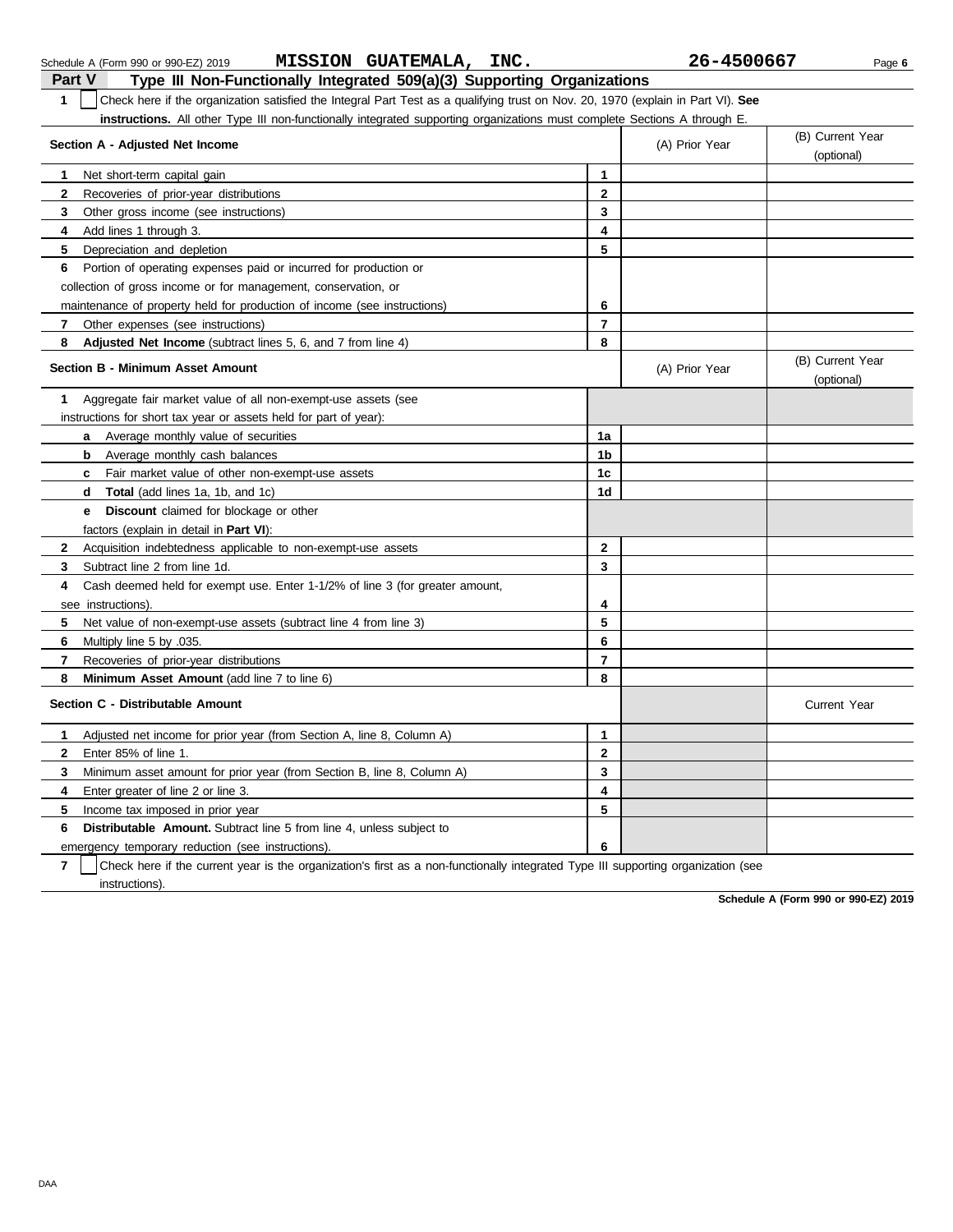|                | <b>MISSION GUATEMALA,</b><br>INC.<br>Schedule A (Form 990 or 990-EZ) 2019                                                        |                | 26-4500667     | Page 6                         |
|----------------|----------------------------------------------------------------------------------------------------------------------------------|----------------|----------------|--------------------------------|
| <b>Part V</b>  | Type III Non-Functionally Integrated 509(a)(3) Supporting Organizations                                                          |                |                |                                |
| $\mathbf{1}$   | Check here if the organization satisfied the Integral Part Test as a qualifying trust on Nov. 20, 1970 (explain in Part VI). See |                |                |                                |
|                | <b>instructions.</b> All other Type III non-functionally integrated supporting organizations must complete Sections A through E. |                |                |                                |
|                | Section A - Adjusted Net Income                                                                                                  |                | (A) Prior Year | (B) Current Year<br>(optional) |
| 1.             | Net short-term capital gain                                                                                                      | $\mathbf{1}$   |                |                                |
| 2              | Recoveries of prior-year distributions                                                                                           | $\overline{2}$ |                |                                |
| 3              | Other gross income (see instructions)                                                                                            | 3              |                |                                |
| 4              | Add lines 1 through 3.                                                                                                           | 4              |                |                                |
| 5              | Depreciation and depletion                                                                                                       | 5              |                |                                |
| 6              | Portion of operating expenses paid or incurred for production or                                                                 |                |                |                                |
|                | collection of gross income or for management, conservation, or                                                                   |                |                |                                |
|                | maintenance of property held for production of income (see instructions)                                                         | 6              |                |                                |
| 7              | Other expenses (see instructions)                                                                                                | $\overline{7}$ |                |                                |
| 8              | <b>Adjusted Net Income</b> (subtract lines 5, 6, and 7 from line 4)                                                              | 8              |                |                                |
|                | <b>Section B - Minimum Asset Amount</b>                                                                                          |                | (A) Prior Year | (B) Current Year<br>(optional) |
| 1              | Aggregate fair market value of all non-exempt-use assets (see                                                                    |                |                |                                |
|                | instructions for short tax year or assets held for part of year):                                                                |                |                |                                |
|                | Average monthly value of securities<br>a                                                                                         | 1a             |                |                                |
|                | b<br>Average monthly cash balances                                                                                               | 1 <sub>b</sub> |                |                                |
|                | Fair market value of other non-exempt-use assets<br>C                                                                            | 1c             |                |                                |
|                | Total (add lines 1a, 1b, and 1c)<br>d                                                                                            | 1 <sub>d</sub> |                |                                |
|                | <b>Discount</b> claimed for blockage or other<br>e                                                                               |                |                |                                |
|                | factors (explain in detail in <b>Part VI)</b> :                                                                                  |                |                |                                |
| $\mathbf{2}$   | Acquisition indebtedness applicable to non-exempt-use assets                                                                     | $\mathbf{2}$   |                |                                |
| 3              | Subtract line 2 from line 1d.                                                                                                    | 3              |                |                                |
| 4              | Cash deemed held for exempt use. Enter 1-1/2% of line 3 (for greater amount,                                                     |                |                |                                |
|                | see instructions)                                                                                                                | 4              |                |                                |
| 5              | Net value of non-exempt-use assets (subtract line 4 from line 3)                                                                 | 5              |                |                                |
| 6              | Multiply line 5 by .035.                                                                                                         | 6              |                |                                |
| $\overline{7}$ | Recoveries of prior-year distributions                                                                                           | $\overline{7}$ |                |                                |
| 8              | Minimum Asset Amount (add line 7 to line 6)                                                                                      | 8              |                |                                |
|                | Section C - Distributable Amount                                                                                                 |                |                | <b>Current Year</b>            |
| 1              | Adjusted net income for prior year (from Section A, line 8, Column A)                                                            | 1              |                |                                |
| $\mathbf{2}$   | Enter 85% of line 1.                                                                                                             | $\mathbf{2}$   |                |                                |
| 3              | Minimum asset amount for prior year (from Section B, line 8, Column A)                                                           | 3              |                |                                |
| 4              | Enter greater of line 2 or line 3.                                                                                               | 4              |                |                                |
| 5.             | Income tax imposed in prior year                                                                                                 | 5              |                |                                |
| 6              | <b>Distributable Amount.</b> Subtract line 5 from line 4, unless subject to                                                      |                |                |                                |
|                | emergency temporary reduction (see instructions).                                                                                | 6              |                |                                |
|                |                                                                                                                                  |                |                |                                |

**7** | Check here if the current year is the organization's first as a non-functionally integrated Type III supporting organization (see instructions).

**Schedule A (Form 990 or 990-EZ) 2019**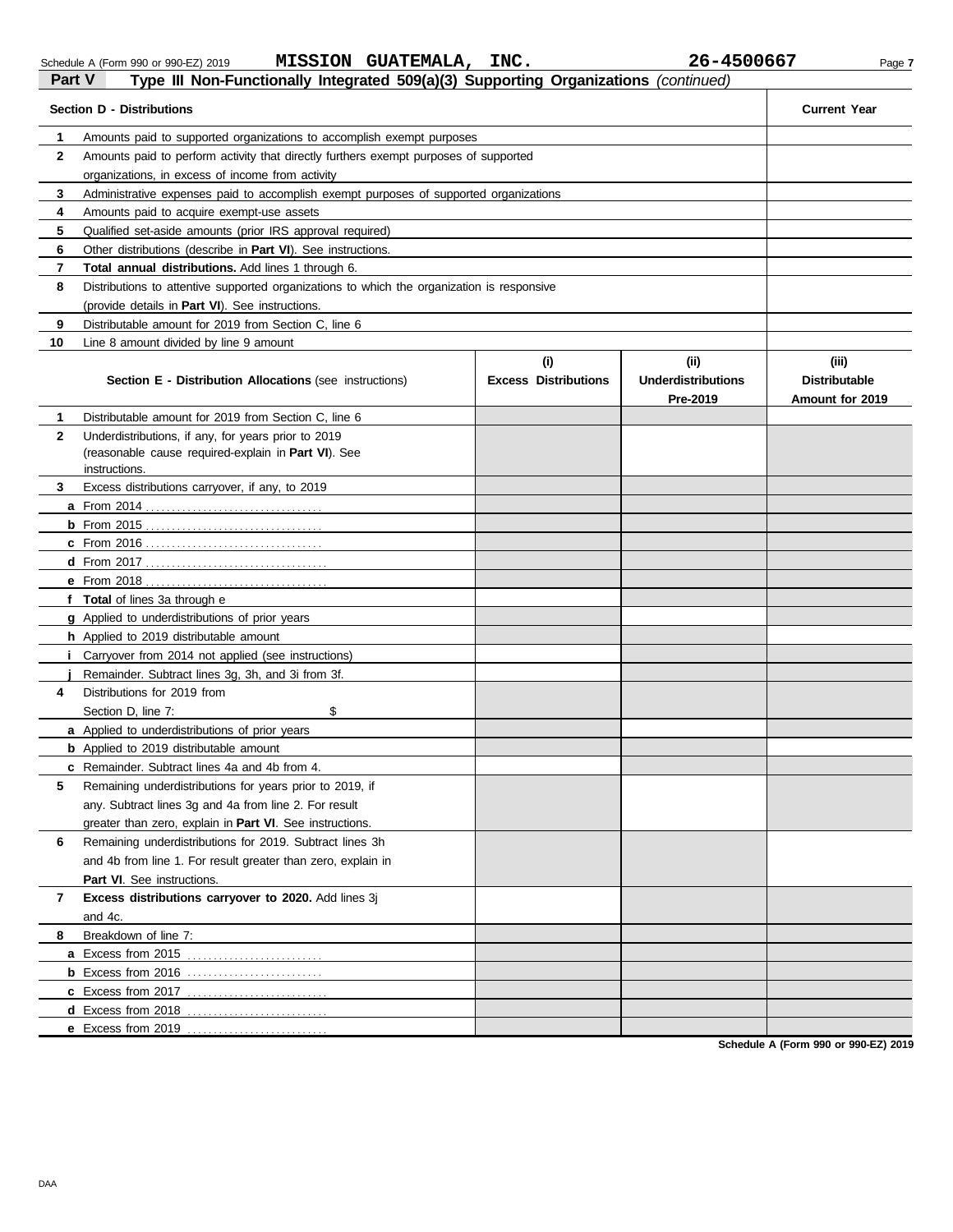## Schedule A (Form 990 or 990-EZ) 2019 **MISSION GUATEMALA, INC.** 26-4500667 Page 7 **Part V Part V Type III Non-Functionally Integrated 509(a)(3) Supporting Organizations** *(continued)*<br>**Part V Type III Non-Functionally Integrated 509(a)(3) Supporting Organizations** *(continued)*

| Section D - Distributions | <b>Current Year</b>                                                                                                                                           |                             |                                       |                                         |  |  |  |  |
|---------------------------|---------------------------------------------------------------------------------------------------------------------------------------------------------------|-----------------------------|---------------------------------------|-----------------------------------------|--|--|--|--|
| 1                         |                                                                                                                                                               |                             |                                       |                                         |  |  |  |  |
| $\mathbf{2}$              | Amounts paid to supported organizations to accomplish exempt purposes<br>Amounts paid to perform activity that directly furthers exempt purposes of supported |                             |                                       |                                         |  |  |  |  |
|                           | organizations, in excess of income from activity                                                                                                              |                             |                                       |                                         |  |  |  |  |
| 3                         | Administrative expenses paid to accomplish exempt purposes of supported organizations                                                                         |                             |                                       |                                         |  |  |  |  |
| 4                         | Amounts paid to acquire exempt-use assets                                                                                                                     |                             |                                       |                                         |  |  |  |  |
| 5                         | Qualified set-aside amounts (prior IRS approval required)                                                                                                     |                             |                                       |                                         |  |  |  |  |
| 6                         | Other distributions (describe in <b>Part VI</b> ). See instructions.                                                                                          |                             |                                       |                                         |  |  |  |  |
| 7                         | Total annual distributions. Add lines 1 through 6.                                                                                                            |                             |                                       |                                         |  |  |  |  |
| 8                         | Distributions to attentive supported organizations to which the organization is responsive                                                                    |                             |                                       |                                         |  |  |  |  |
|                           | (provide details in <b>Part VI</b> ). See instructions.                                                                                                       |                             |                                       |                                         |  |  |  |  |
| 9                         | Distributable amount for 2019 from Section C, line 6                                                                                                          |                             |                                       |                                         |  |  |  |  |
| 10                        | Line 8 amount divided by line 9 amount                                                                                                                        |                             |                                       |                                         |  |  |  |  |
|                           |                                                                                                                                                               | (i)                         | (iii)                                 | (iii)                                   |  |  |  |  |
|                           | Section E - Distribution Allocations (see instructions)                                                                                                       | <b>Excess Distributions</b> | <b>Underdistributions</b><br>Pre-2019 | <b>Distributable</b><br>Amount for 2019 |  |  |  |  |
| 1                         | Distributable amount for 2019 from Section C, line 6                                                                                                          |                             |                                       |                                         |  |  |  |  |
| $\mathbf{2}$              | Underdistributions, if any, for years prior to 2019                                                                                                           |                             |                                       |                                         |  |  |  |  |
|                           | (reasonable cause required-explain in Part VI). See                                                                                                           |                             |                                       |                                         |  |  |  |  |
|                           | instructions.                                                                                                                                                 |                             |                                       |                                         |  |  |  |  |
| 3                         | Excess distributions carryover, if any, to 2019                                                                                                               |                             |                                       |                                         |  |  |  |  |
|                           |                                                                                                                                                               |                             |                                       |                                         |  |  |  |  |
|                           |                                                                                                                                                               |                             |                                       |                                         |  |  |  |  |
|                           |                                                                                                                                                               |                             |                                       |                                         |  |  |  |  |
|                           |                                                                                                                                                               |                             |                                       |                                         |  |  |  |  |
|                           | <b>e</b> From 2018                                                                                                                                            |                             |                                       |                                         |  |  |  |  |
|                           | f Total of lines 3a through e                                                                                                                                 |                             |                                       |                                         |  |  |  |  |
|                           | <b>g</b> Applied to underdistributions of prior years                                                                                                         |                             |                                       |                                         |  |  |  |  |
|                           | <b>h</b> Applied to 2019 distributable amount                                                                                                                 |                             |                                       |                                         |  |  |  |  |
|                           | Carryover from 2014 not applied (see instructions)                                                                                                            |                             |                                       |                                         |  |  |  |  |
|                           | Remainder. Subtract lines 3g, 3h, and 3i from 3f.                                                                                                             |                             |                                       |                                         |  |  |  |  |
| 4                         | Distributions for 2019 from                                                                                                                                   |                             |                                       |                                         |  |  |  |  |
|                           | \$<br>Section D, line 7:                                                                                                                                      |                             |                                       |                                         |  |  |  |  |
|                           | a Applied to underdistributions of prior years                                                                                                                |                             |                                       |                                         |  |  |  |  |
|                           | <b>b</b> Applied to 2019 distributable amount                                                                                                                 |                             |                                       |                                         |  |  |  |  |
|                           | <b>c</b> Remainder. Subtract lines 4a and 4b from 4.                                                                                                          |                             |                                       |                                         |  |  |  |  |
| 5                         | Remaining underdistributions for years prior to 2019, if                                                                                                      |                             |                                       |                                         |  |  |  |  |
|                           | any. Subtract lines 3g and 4a from line 2. For result                                                                                                         |                             |                                       |                                         |  |  |  |  |
|                           | greater than zero, explain in Part VI. See instructions.                                                                                                      |                             |                                       |                                         |  |  |  |  |
| 6                         | Remaining underdistributions for 2019. Subtract lines 3h                                                                                                      |                             |                                       |                                         |  |  |  |  |
|                           | and 4b from line 1. For result greater than zero, explain in                                                                                                  |                             |                                       |                                         |  |  |  |  |
|                           | <b>Part VI.</b> See instructions.                                                                                                                             |                             |                                       |                                         |  |  |  |  |
| 7                         | Excess distributions carryover to 2020. Add lines 3j                                                                                                          |                             |                                       |                                         |  |  |  |  |
|                           | and 4c.                                                                                                                                                       |                             |                                       |                                         |  |  |  |  |
| 8                         | Breakdown of line 7:                                                                                                                                          |                             |                                       |                                         |  |  |  |  |
|                           | a Excess from 2015<br>.                                                                                                                                       |                             |                                       |                                         |  |  |  |  |
|                           | <b>b</b> Excess from 2016                                                                                                                                     |                             |                                       |                                         |  |  |  |  |
|                           | c Excess from 2017<br>.                                                                                                                                       |                             |                                       |                                         |  |  |  |  |
|                           | <b>d</b> Excess from 2018                                                                                                                                     |                             |                                       |                                         |  |  |  |  |
|                           | e Excess from 2019                                                                                                                                            |                             |                                       |                                         |  |  |  |  |

**Schedule A (Form 990 or 990-EZ) 2019**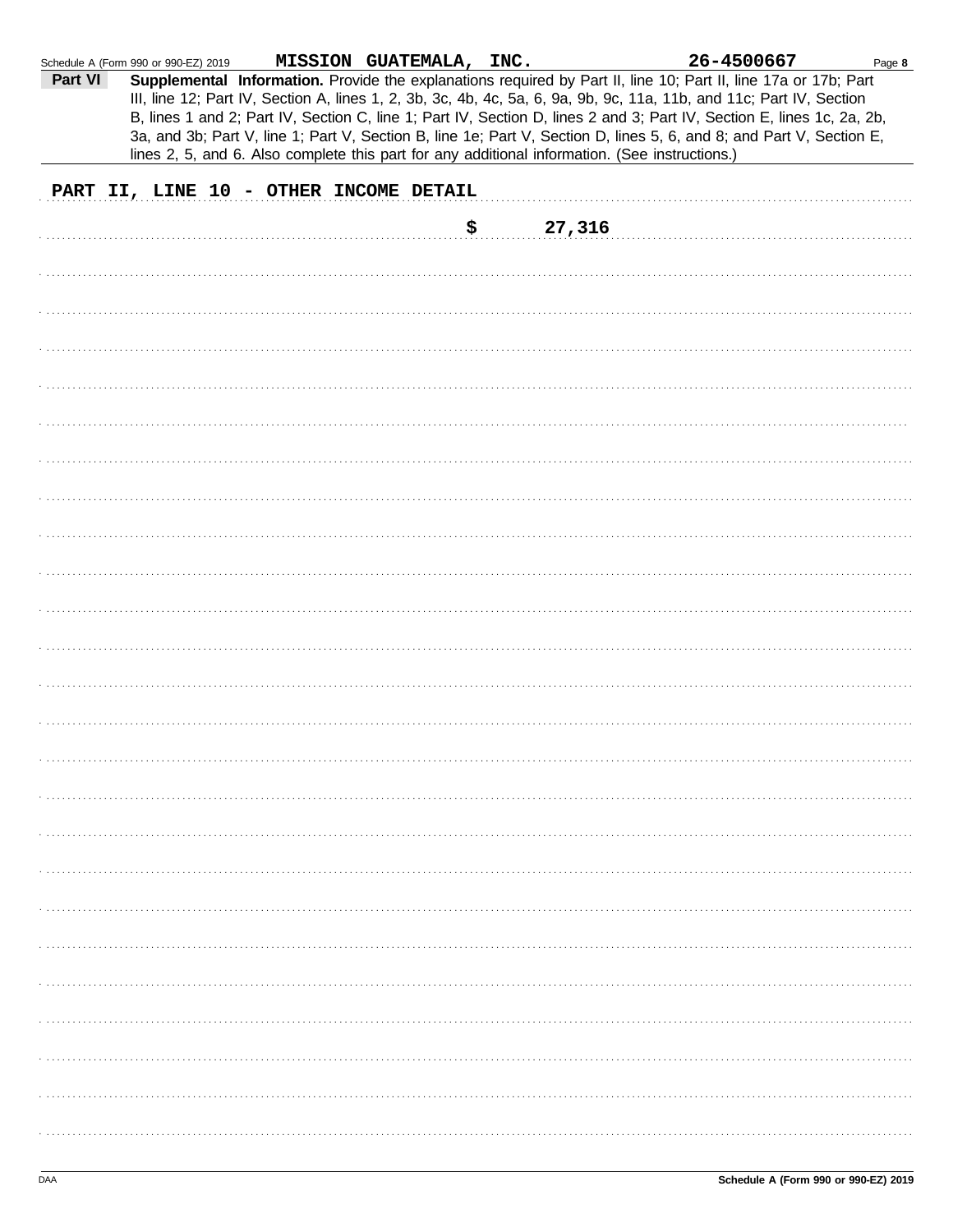|         | Schedule A (Form 990 or 990-EZ) 2019 | MISSION GUATEMALA, INC.                |        | 26-4500667                                                                                                                                                                                                                                                                                                                                                                                                                                                                                                                                                                                  | Page 8 |
|---------|--------------------------------------|----------------------------------------|--------|---------------------------------------------------------------------------------------------------------------------------------------------------------------------------------------------------------------------------------------------------------------------------------------------------------------------------------------------------------------------------------------------------------------------------------------------------------------------------------------------------------------------------------------------------------------------------------------------|--------|
| Part VI |                                      |                                        |        | Supplemental Information. Provide the explanations required by Part II, line 10; Part II, line 17a or 17b; Part<br>III, line 12; Part IV, Section A, lines 1, 2, 3b, 3c, 4b, 4c, 5a, 6, 9a, 9b, 9c, 11a, 11b, and 11c; Part IV, Section<br>B, lines 1 and 2; Part IV, Section C, line 1; Part IV, Section D, lines 2 and 3; Part IV, Section E, lines 1c, 2a, 2b,<br>3a, and 3b; Part V, line 1; Part V, Section B, line 1e; Part V, Section D, lines 5, 6, and 8; and Part V, Section E,<br>lines 2, 5, and 6. Also complete this part for any additional information. (See instructions.) |        |
|         |                                      | PART II, LINE 10 - OTHER INCOME DETAIL |        |                                                                                                                                                                                                                                                                                                                                                                                                                                                                                                                                                                                             |        |
|         |                                      | \$                                     | 27,316 |                                                                                                                                                                                                                                                                                                                                                                                                                                                                                                                                                                                             |        |
|         |                                      |                                        |        |                                                                                                                                                                                                                                                                                                                                                                                                                                                                                                                                                                                             |        |
|         |                                      |                                        |        |                                                                                                                                                                                                                                                                                                                                                                                                                                                                                                                                                                                             |        |
|         |                                      |                                        |        |                                                                                                                                                                                                                                                                                                                                                                                                                                                                                                                                                                                             |        |
|         |                                      |                                        |        |                                                                                                                                                                                                                                                                                                                                                                                                                                                                                                                                                                                             |        |
|         |                                      |                                        |        |                                                                                                                                                                                                                                                                                                                                                                                                                                                                                                                                                                                             |        |
|         |                                      |                                        |        |                                                                                                                                                                                                                                                                                                                                                                                                                                                                                                                                                                                             |        |
|         |                                      |                                        |        |                                                                                                                                                                                                                                                                                                                                                                                                                                                                                                                                                                                             |        |
|         |                                      |                                        |        |                                                                                                                                                                                                                                                                                                                                                                                                                                                                                                                                                                                             |        |
|         |                                      |                                        |        |                                                                                                                                                                                                                                                                                                                                                                                                                                                                                                                                                                                             |        |
|         |                                      |                                        |        |                                                                                                                                                                                                                                                                                                                                                                                                                                                                                                                                                                                             |        |
|         |                                      |                                        |        |                                                                                                                                                                                                                                                                                                                                                                                                                                                                                                                                                                                             |        |
|         |                                      |                                        |        |                                                                                                                                                                                                                                                                                                                                                                                                                                                                                                                                                                                             |        |
|         |                                      |                                        |        |                                                                                                                                                                                                                                                                                                                                                                                                                                                                                                                                                                                             |        |
|         |                                      |                                        |        |                                                                                                                                                                                                                                                                                                                                                                                                                                                                                                                                                                                             |        |
|         |                                      |                                        |        |                                                                                                                                                                                                                                                                                                                                                                                                                                                                                                                                                                                             |        |
|         |                                      |                                        |        |                                                                                                                                                                                                                                                                                                                                                                                                                                                                                                                                                                                             |        |
|         |                                      |                                        |        |                                                                                                                                                                                                                                                                                                                                                                                                                                                                                                                                                                                             |        |
|         |                                      |                                        |        |                                                                                                                                                                                                                                                                                                                                                                                                                                                                                                                                                                                             |        |
|         |                                      |                                        |        |                                                                                                                                                                                                                                                                                                                                                                                                                                                                                                                                                                                             |        |
|         |                                      |                                        |        |                                                                                                                                                                                                                                                                                                                                                                                                                                                                                                                                                                                             |        |
|         |                                      |                                        |        |                                                                                                                                                                                                                                                                                                                                                                                                                                                                                                                                                                                             |        |
|         |                                      |                                        |        |                                                                                                                                                                                                                                                                                                                                                                                                                                                                                                                                                                                             |        |
|         |                                      |                                        |        |                                                                                                                                                                                                                                                                                                                                                                                                                                                                                                                                                                                             |        |
|         |                                      |                                        |        |                                                                                                                                                                                                                                                                                                                                                                                                                                                                                                                                                                                             |        |
|         |                                      |                                        |        |                                                                                                                                                                                                                                                                                                                                                                                                                                                                                                                                                                                             |        |
|         |                                      |                                        |        |                                                                                                                                                                                                                                                                                                                                                                                                                                                                                                                                                                                             |        |
|         |                                      |                                        |        |                                                                                                                                                                                                                                                                                                                                                                                                                                                                                                                                                                                             |        |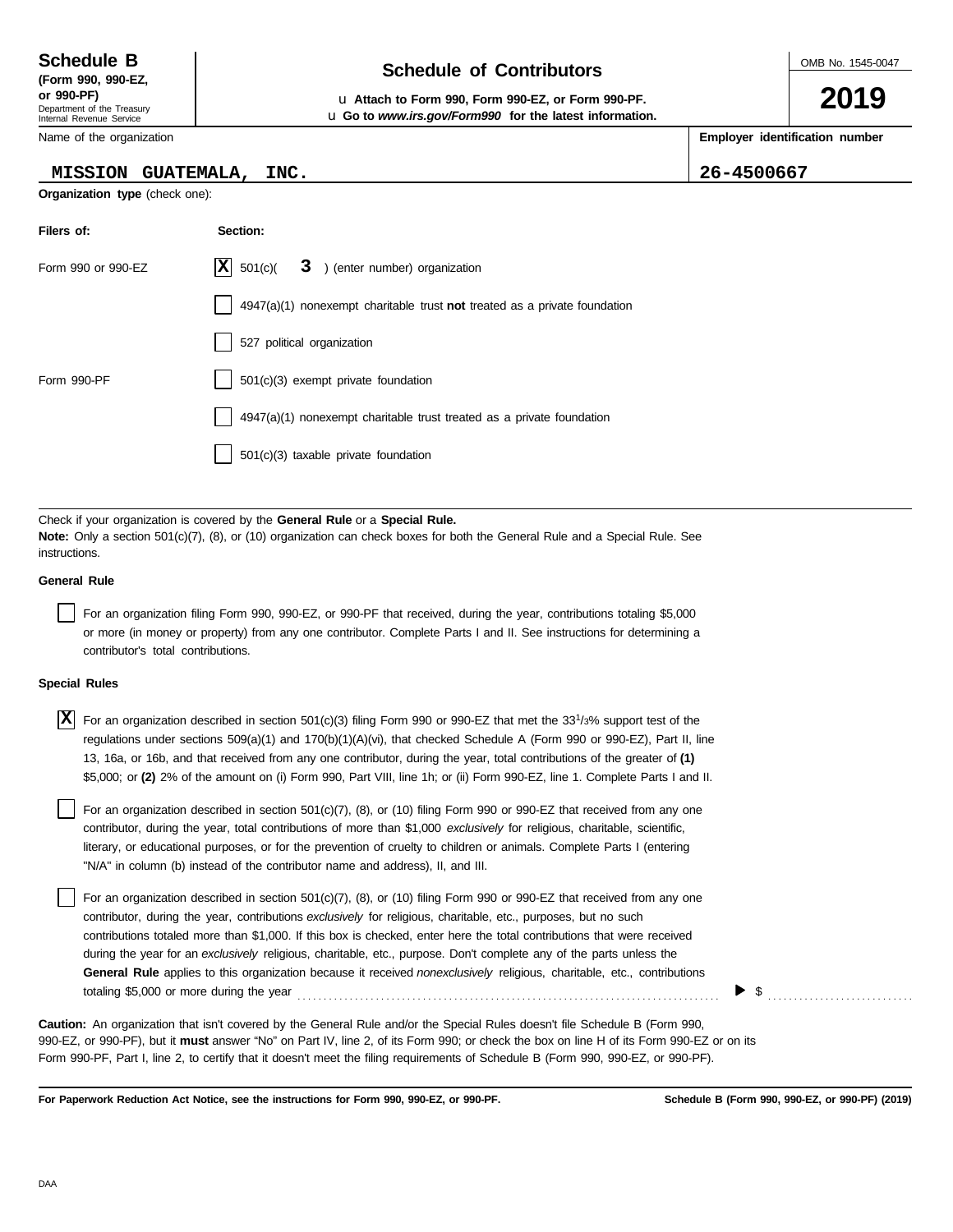# **Schedule of Contributors Schedule B**

**or 990-PF)** u **Attach to Form 990, Form 990-EZ, or Form 990-PF.** u **Go to** *www.irs.gov/Form990* **for the latest information.**

Name of the organization

### **MISSION GUATEMALA, INC. 26-4500667**

**Organization type** (check one):

**Filers of: Section:**

| Form 990 or 990-EZ                 | ΙX<br>3 ) (enter number) organization<br>501(c)                                                                                                                                                                                                                                                                                                                                                                                                                                                                                                                                                                           |
|------------------------------------|---------------------------------------------------------------------------------------------------------------------------------------------------------------------------------------------------------------------------------------------------------------------------------------------------------------------------------------------------------------------------------------------------------------------------------------------------------------------------------------------------------------------------------------------------------------------------------------------------------------------------|
|                                    | 4947(a)(1) nonexempt charitable trust not treated as a private foundation                                                                                                                                                                                                                                                                                                                                                                                                                                                                                                                                                 |
|                                    | 527 political organization                                                                                                                                                                                                                                                                                                                                                                                                                                                                                                                                                                                                |
| Form 990-PF                        | $501(c)(3)$ exempt private foundation                                                                                                                                                                                                                                                                                                                                                                                                                                                                                                                                                                                     |
|                                    | 4947(a)(1) nonexempt charitable trust treated as a private foundation                                                                                                                                                                                                                                                                                                                                                                                                                                                                                                                                                     |
|                                    | 501(c)(3) taxable private foundation                                                                                                                                                                                                                                                                                                                                                                                                                                                                                                                                                                                      |
|                                    |                                                                                                                                                                                                                                                                                                                                                                                                                                                                                                                                                                                                                           |
| instructions.                      | Check if your organization is covered by the General Rule or a Special Rule.<br><b>Note:</b> Only a section 501(c)(7), (8), or (10) organization can check boxes for both the General Rule and a Special Rule. See                                                                                                                                                                                                                                                                                                                                                                                                        |
| <b>General Rule</b>                |                                                                                                                                                                                                                                                                                                                                                                                                                                                                                                                                                                                                                           |
| contributor's total contributions. | For an organization filing Form 990, 990-EZ, or 990-PF that received, during the year, contributions totaling \$5,000<br>or more (in money or property) from any one contributor. Complete Parts I and II. See instructions for determining a                                                                                                                                                                                                                                                                                                                                                                             |
| <b>Special Rules</b>               |                                                                                                                                                                                                                                                                                                                                                                                                                                                                                                                                                                                                                           |
| X                                  | For an organization described in section $501(c)(3)$ filing Form 990 or 990-EZ that met the 33 <sup>1</sup> /3% support test of the<br>regulations under sections $509(a)(1)$ and $170(b)(1)(A)(vi)$ , that checked Schedule A (Form 990 or 990-EZ), Part II, line<br>13, 16a, or 16b, and that received from any one contributor, during the year, total contributions of the greater of (1)<br>\$5,000; or (2) 2% of the amount on (i) Form 990, Part VIII, line 1h; or (ii) Form 990-EZ, line 1. Complete Parts I and II.                                                                                              |
|                                    | For an organization described in section 501(c)(7), (8), or (10) filing Form 990 or 990-EZ that received from any one<br>contributor, during the year, total contributions of more than \$1,000 exclusively for religious, charitable, scientific,<br>literary, or educational purposes, or for the prevention of cruelty to children or animals. Complete Parts I (entering<br>"N/A" in column (b) instead of the contributor name and address), II, and III.                                                                                                                                                            |
|                                    | For an organization described in section 501(c)(7), (8), or (10) filing Form 990 or 990-EZ that received from any one<br>contributor, during the year, contributions exclusively for religious, charitable, etc., purposes, but no such<br>contributions totaled more than \$1,000. If this box is checked, enter here the total contributions that were received<br>during the year for an exclusively religious, charitable, etc., purpose. Don't complete any of the parts unless the<br>General Rule applies to this organization because it received nonexclusively religious, charitable, etc., contributions<br>\$ |
|                                    | <b>Caution:</b> An organization that isn't covered by the General Rule and/or the Special Rules doesn't file Schedule B (Form 990,<br>990-EZ, or 990-PF), but it must answer "No" on Part IV, line 2, of its Form 990; or check the box on line H of its Form 990-EZ or on its<br>Form 990-PF, Part I, line 2, to certify that it doesn't meet the filing requirements of Schedule B (Form 990, 990-EZ, or 990-PF).                                                                                                                                                                                                       |

**For Paperwork Reduction Act Notice, see the instructions for Form 990, 990-EZ, or 990-PF.**

OMB No. 1545-0047

**2019**

**Employer identification number**

Department of the Treasury Internal Revenue Service

| <b>Screage</b> D |  |                    |  |  |  |  |  |
|------------------|--|--------------------|--|--|--|--|--|
|                  |  | (Form 990, 990-EZ, |  |  |  |  |  |
| or 990-PF)       |  |                    |  |  |  |  |  |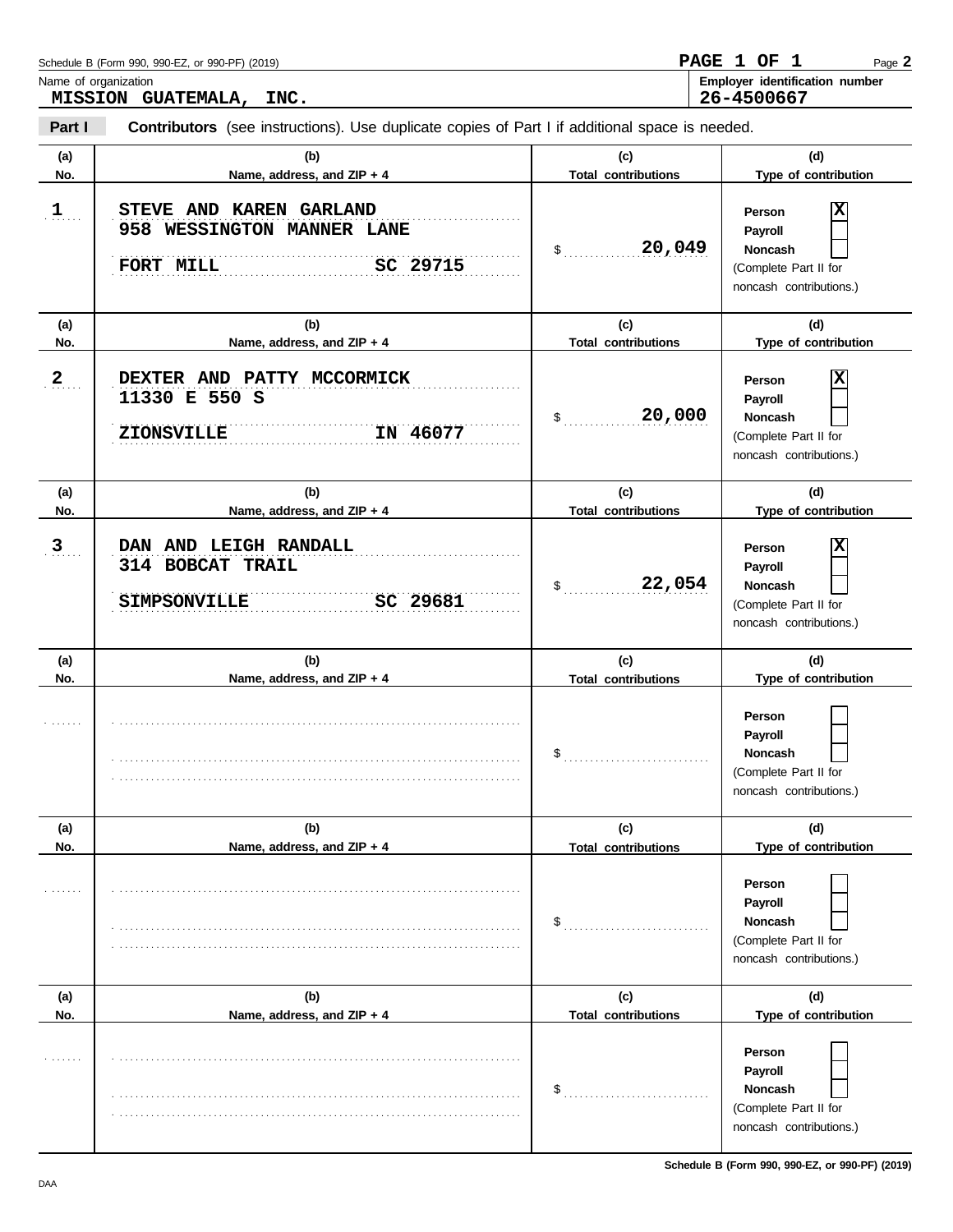| Name of organization  | MISSION GUATEMALA, INC.                                                                               |                                   | Employer identification number<br>26-4500667                                                 |
|-----------------------|-------------------------------------------------------------------------------------------------------|-----------------------------------|----------------------------------------------------------------------------------------------|
| Part I                | <b>Contributors</b> (see instructions). Use duplicate copies of Part I if additional space is needed. |                                   |                                                                                              |
| (a)<br>No.            | (b)<br>Name, address, and ZIP + 4                                                                     | (c)<br><b>Total contributions</b> | (d)<br>Type of contribution                                                                  |
| $\mathbf{1}_{\ldots}$ | STEVE AND KAREN GARLAND<br>958 WESSINGTON MANNER LANE<br>SC 29715<br>FORT MILL                        | 20,049<br>$\mathsf{\$}$           | х<br>Person<br>Payroll<br>Noncash<br>(Complete Part II for<br>noncash contributions.)        |
| (a)<br>No.            | (b)<br>Name, address, and ZIP + 4                                                                     | (c)<br><b>Total contributions</b> | (d)<br>Type of contribution                                                                  |
| 2                     | DEXTER AND PATTY MCCORMICK<br>11330 E 550 S<br>IN 46077<br><b>ZIONSVILLE</b>                          | 20,000<br>$\mathsf{\$}$           | х<br>Person<br>Payroll<br><b>Noncash</b><br>(Complete Part II for<br>noncash contributions.) |
| (a)<br>No.            | (b)<br>Name, address, and ZIP + 4                                                                     | (c)<br><b>Total contributions</b> | (d)<br>Type of contribution                                                                  |
| 3                     | DAN AND LEIGH RANDALL<br>314 BOBCAT TRAIL<br>SC 29681<br><b>SIMPSONVILLE</b>                          | 22,054<br>$\mathsf{\$}$           | Person<br>Payroll<br>Noncash<br>(Complete Part II for<br>noncash contributions.)             |
| (a)<br>No.            | (b)<br>Name, address, and ZIP + 4                                                                     | (c)<br><b>Total contributions</b> | (d)<br>Type of contribution                                                                  |
|                       |                                                                                                       | $\frac{1}{2}$                     | Person<br>Payroll<br>Noncash<br>(Complete Part II for<br>noncash contributions.)             |
| (a)                   | (b)                                                                                                   | (c)                               | (d)                                                                                          |
| No.                   | Name, address, and ZIP + 4                                                                            | <b>Total contributions</b>        | Type of contribution                                                                         |
|                       |                                                                                                       | $\mathsf{S}_{\dots}$              | Person<br>Payroll<br>Noncash<br>(Complete Part II for<br>noncash contributions.)             |
| (a)<br>No.            | (b)<br>Name, address, and ZIP + 4                                                                     | (c)<br><b>Total contributions</b> | (d)<br>Type of contribution                                                                  |
|                       |                                                                                                       | \$                                | Person<br>Payroll<br><b>Noncash</b><br>(Complete Part II for<br>noncash contributions.)      |

Page **2**

**PAGE 1 OF 1**

Schedule B (Form 990, 990-EZ, or 990-PF) (2019)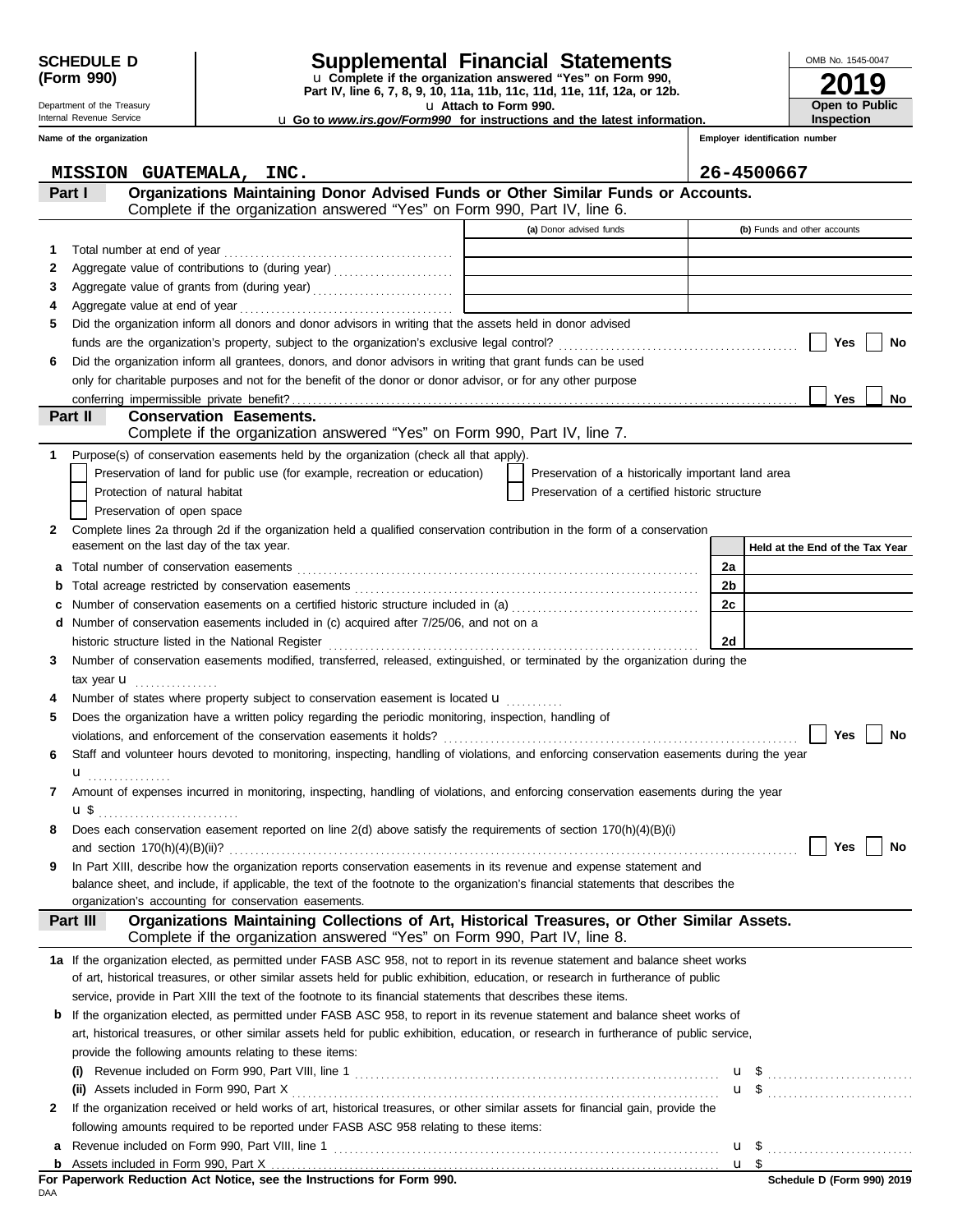Department of the Treasury Internal Revenue Service **Name of the organization**

# **SCHEDULE D Supplemental Financial Statements**

u **Attach to Form 990. Part IV, line 6, 7, 8, 9, 10, 11a, 11b, 11c, 11d, 11e, 11f, 12a, or 12b.** u **Complete if the organization answered "Yes" on Form 990,**

u **Go to** *www.irs.gov/Form990* **for instructions and the latest information.**

**2019** OMB No. 1545-0047 **Open to Public Inspection**

**Employer identification number**

|   | MISSION GUATEMALA, INC.                                                                                                                   |                                                    | 26-4500667                        |
|---|-------------------------------------------------------------------------------------------------------------------------------------------|----------------------------------------------------|-----------------------------------|
|   | Organizations Maintaining Donor Advised Funds or Other Similar Funds or Accounts.<br>Part I                                               |                                                    |                                   |
|   | Complete if the organization answered "Yes" on Form 990, Part IV, line 6.                                                                 |                                                    |                                   |
|   |                                                                                                                                           | (a) Donor advised funds                            | (b) Funds and other accounts      |
| 1 |                                                                                                                                           |                                                    |                                   |
| 2 | Aggregate value of contributions to (during year) [10] (10] Aggregate value of contributions to (during year)                             | the control of the control of the                  |                                   |
| З | Aggregate value of grants from (during year)                                                                                              |                                                    |                                   |
| 4 |                                                                                                                                           |                                                    |                                   |
| 5 | Did the organization inform all donors and donor advisors in writing that the assets held in donor advised                                |                                                    |                                   |
|   |                                                                                                                                           |                                                    | Yes<br>No                         |
| 6 | Did the organization inform all grantees, donors, and donor advisors in writing that grant funds can be used                              |                                                    |                                   |
|   | only for charitable purposes and not for the benefit of the donor or donor advisor, or for any other purpose                              |                                                    |                                   |
|   |                                                                                                                                           |                                                    | <b>Yes</b><br>No                  |
|   | <b>Conservation Easements.</b><br>Part II                                                                                                 |                                                    |                                   |
|   | Complete if the organization answered "Yes" on Form 990, Part IV, line 7.                                                                 |                                                    |                                   |
| 1 | Purpose(s) of conservation easements held by the organization (check all that apply).                                                     |                                                    |                                   |
|   | Preservation of land for public use (for example, recreation or education)                                                                | Preservation of a historically important land area |                                   |
|   | Protection of natural habitat                                                                                                             | Preservation of a certified historic structure     |                                   |
|   | Preservation of open space                                                                                                                |                                                    |                                   |
| 2 | Complete lines 2a through 2d if the organization held a qualified conservation contribution in the form of a conservation                 |                                                    |                                   |
|   | easement on the last day of the tax year.                                                                                                 |                                                    | Held at the End of the Tax Year   |
| а |                                                                                                                                           |                                                    | 2a                                |
| b |                                                                                                                                           |                                                    | 2b                                |
| c | Number of conservation easements on a certified historic structure included in (a) [[[[[ [ [ a]]]                                         |                                                    | 2c                                |
| d | Number of conservation easements included in (c) acquired after 7/25/06, and not on a                                                     |                                                    |                                   |
|   | historic structure listed in the National Register [11] Martin Martin Martin Martin Martin Martin Martin Marti                            |                                                    | 2d                                |
| 3 | Number of conservation easements modified, transferred, released, extinguished, or terminated by the organization during the              |                                                    |                                   |
|   | tax year $\mathbf{u}$                                                                                                                     |                                                    |                                   |
|   | Number of states where property subject to conservation easement is located <b>u</b>                                                      |                                                    |                                   |
| 5 | Does the organization have a written policy regarding the periodic monitoring, inspection, handling of                                    |                                                    |                                   |
|   |                                                                                                                                           |                                                    | <b>Yes</b><br>No                  |
| 6 | Staff and volunteer hours devoted to monitoring, inspecting, handling of violations, and enforcing conservation easements during the year |                                                    |                                   |
|   | $\mathbf{u}$ <sub></sub>                                                                                                                  |                                                    |                                   |
| 7 | Amount of expenses incurred in monitoring, inspecting, handling of violations, and enforcing conservation easements during the year       |                                                    |                                   |
|   | <b>u</b> \$ <u></u>                                                                                                                       |                                                    |                                   |
| 8 | Does each conservation easement reported on line 2(d) above satisfy the requirements of section 170(h)(4)(B)(i)                           |                                                    |                                   |
|   | and section $170(h)(4)(B)(ii)?$                                                                                                           |                                                    | <b>Yes</b><br>No                  |
| 9 | In Part XIII, describe how the organization reports conservation easements in its revenue and expense statement and                       |                                                    |                                   |
|   | balance sheet, and include, if applicable, the text of the footnote to the organization's financial statements that describes the         |                                                    |                                   |
|   | organization's accounting for conservation easements.                                                                                     |                                                    |                                   |
|   | Organizations Maintaining Collections of Art, Historical Treasures, or Other Similar Assets.<br>Part III                                  |                                                    |                                   |
|   | Complete if the organization answered "Yes" on Form 990, Part IV, line 8.                                                                 |                                                    |                                   |
|   | 1a If the organization elected, as permitted under FASB ASC 958, not to report in its revenue statement and balance sheet works           |                                                    |                                   |
|   | of art, historical treasures, or other similar assets held for public exhibition, education, or research in furtherance of public         |                                                    |                                   |
|   | service, provide in Part XIII the text of the footnote to its financial statements that describes these items.                            |                                                    |                                   |
| b | If the organization elected, as permitted under FASB ASC 958, to report in its revenue statement and balance sheet works of               |                                                    |                                   |
|   | art, historical treasures, or other similar assets held for public exhibition, education, or research in furtherance of public service,   |                                                    |                                   |
|   | provide the following amounts relating to these items:                                                                                    |                                                    |                                   |
|   |                                                                                                                                           |                                                    |                                   |
|   |                                                                                                                                           |                                                    |                                   |
| 2 | If the organization received or held works of art, historical treasures, or other similar assets for financial gain, provide the          |                                                    |                                   |
|   | following amounts required to be reported under FASB ASC 958 relating to these items:                                                     |                                                    |                                   |
| a |                                                                                                                                           |                                                    | $\mathbf{u}$ \$<br>u <sub>s</sub> |
|   |                                                                                                                                           |                                                    |                                   |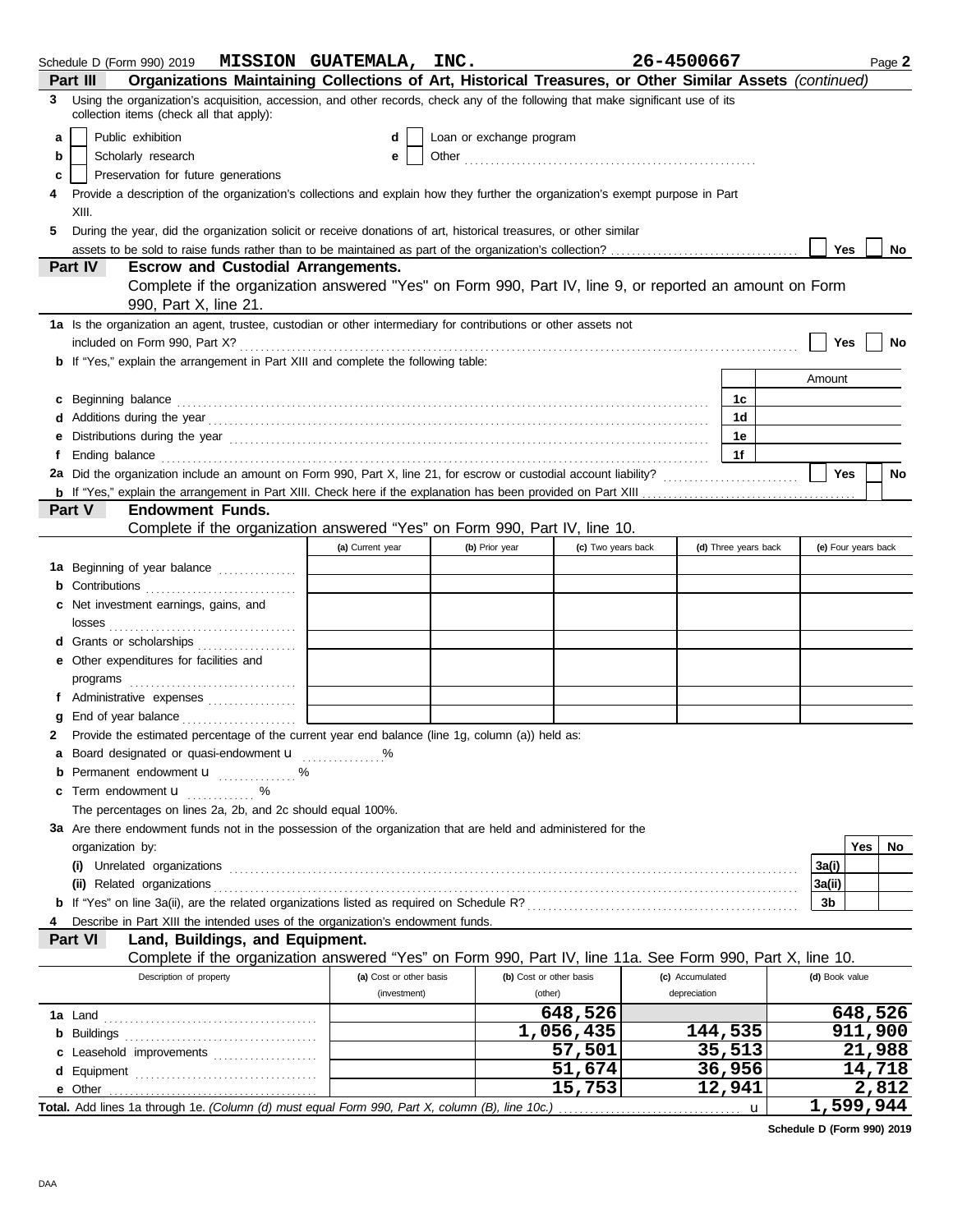|   | Schedule D (Form 990) 2019 $MISSION$ GUATEMALA, INC.                                                                                                                                                                                 |                         |                          |                         | 26-4500667      |                      |                     |     | Page 2  |
|---|--------------------------------------------------------------------------------------------------------------------------------------------------------------------------------------------------------------------------------------|-------------------------|--------------------------|-------------------------|-----------------|----------------------|---------------------|-----|---------|
|   | Organizations Maintaining Collections of Art, Historical Treasures, or Other Similar Assets (continued)<br>Part III                                                                                                                  |                         |                          |                         |                 |                      |                     |     |         |
| 3 | Using the organization's acquisition, accession, and other records, check any of the following that make significant use of its<br>collection items (check all that apply):                                                          |                         |                          |                         |                 |                      |                     |     |         |
| a | Public exhibition                                                                                                                                                                                                                    | d                       | Loan or exchange program |                         |                 |                      |                     |     |         |
| b | Scholarly research                                                                                                                                                                                                                   | е                       |                          |                         |                 |                      |                     |     |         |
| c | Preservation for future generations                                                                                                                                                                                                  |                         |                          |                         |                 |                      |                     |     |         |
| 4 | Provide a description of the organization's collections and explain how they further the organization's exempt purpose in Part                                                                                                       |                         |                          |                         |                 |                      |                     |     |         |
|   | XIII.                                                                                                                                                                                                                                |                         |                          |                         |                 |                      |                     |     |         |
| 5 | During the year, did the organization solicit or receive donations of art, historical treasures, or other similar                                                                                                                    |                         |                          |                         |                 |                      |                     |     |         |
|   |                                                                                                                                                                                                                                      |                         |                          |                         |                 |                      | Yes                 |     | No      |
|   | Part IV<br><b>Escrow and Custodial Arrangements.</b>                                                                                                                                                                                 |                         |                          |                         |                 |                      |                     |     |         |
|   | Complete if the organization answered "Yes" on Form 990, Part IV, line 9, or reported an amount on Form<br>990, Part X, line 21.                                                                                                     |                         |                          |                         |                 |                      |                     |     |         |
|   | 1a Is the organization an agent, trustee, custodian or other intermediary for contributions or other assets not                                                                                                                      |                         |                          |                         |                 |                      |                     |     |         |
|   |                                                                                                                                                                                                                                      |                         |                          |                         |                 |                      | Yes                 |     | No      |
|   | <b>b</b> If "Yes," explain the arrangement in Part XIII and complete the following table:                                                                                                                                            |                         |                          |                         |                 |                      |                     |     |         |
|   |                                                                                                                                                                                                                                      |                         |                          |                         |                 |                      | Amount              |     |         |
|   | c Beginning balance <b>contract the contract of the contract of the contract of the contract of the contract of the contract of the contract of the contract of the contract of the contract of the contract of the contract of </b> |                         |                          |                         |                 | 1c                   |                     |     |         |
|   |                                                                                                                                                                                                                                      |                         |                          |                         |                 | 1 <sub>d</sub>       |                     |     |         |
|   |                                                                                                                                                                                                                                      |                         |                          |                         |                 | 1e                   |                     |     |         |
|   | Ending balance with the continuum control of the control of the control of the control of the control of the control of the control of the control of the control of the control of the control of the control of the control        |                         |                          |                         |                 | 1f                   |                     |     |         |
|   |                                                                                                                                                                                                                                      |                         |                          |                         |                 |                      | <b>Yes</b>          |     | No      |
|   |                                                                                                                                                                                                                                      |                         |                          |                         |                 |                      |                     |     |         |
|   | Part V<br><b>Endowment Funds.</b>                                                                                                                                                                                                    |                         |                          |                         |                 |                      |                     |     |         |
|   | Complete if the organization answered "Yes" on Form 990, Part IV, line 10.                                                                                                                                                           |                         |                          |                         |                 |                      |                     |     |         |
|   |                                                                                                                                                                                                                                      | (a) Current year        | (b) Prior year           | (c) Two years back      |                 | (d) Three years back | (e) Four years back |     |         |
|   | 1a Beginning of year balance                                                                                                                                                                                                         |                         |                          |                         |                 |                      |                     |     |         |
|   |                                                                                                                                                                                                                                      |                         |                          |                         |                 |                      |                     |     |         |
|   | c Net investment earnings, gains, and                                                                                                                                                                                                |                         |                          |                         |                 |                      |                     |     |         |
|   |                                                                                                                                                                                                                                      |                         |                          |                         |                 |                      |                     |     |         |
|   | d Grants or scholarships                                                                                                                                                                                                             |                         |                          |                         |                 |                      |                     |     |         |
|   | e Other expenditures for facilities and                                                                                                                                                                                              |                         |                          |                         |                 |                      |                     |     |         |
|   |                                                                                                                                                                                                                                      |                         |                          |                         |                 |                      |                     |     |         |
|   |                                                                                                                                                                                                                                      |                         |                          |                         |                 |                      |                     |     |         |
|   |                                                                                                                                                                                                                                      |                         |                          |                         |                 |                      |                     |     |         |
| 2 | Provide the estimated percentage of the current year end balance (line 1g, column (a)) held as:                                                                                                                                      |                         |                          |                         |                 |                      |                     |     |         |
|   | a Board designated or quasi-endowment u                                                                                                                                                                                              |                         |                          |                         |                 |                      |                     |     |         |
|   | <b>b</b> Permanent endowment <b>u</b> %                                                                                                                                                                                              |                         |                          |                         |                 |                      |                     |     |         |
|   | c Term endowment <b>u</b> w %                                                                                                                                                                                                        |                         |                          |                         |                 |                      |                     |     |         |
|   | The percentages on lines 2a, 2b, and 2c should equal 100%.                                                                                                                                                                           |                         |                          |                         |                 |                      |                     |     |         |
|   | 3a Are there endowment funds not in the possession of the organization that are held and administered for the                                                                                                                        |                         |                          |                         |                 |                      |                     |     |         |
|   | organization by:                                                                                                                                                                                                                     |                         |                          |                         |                 |                      |                     | Yes | No.     |
|   |                                                                                                                                                                                                                                      |                         |                          |                         |                 |                      | 3a(i)               |     |         |
|   |                                                                                                                                                                                                                                      |                         |                          |                         |                 |                      | 3a(ii)              |     |         |
|   |                                                                                                                                                                                                                                      |                         |                          |                         |                 |                      | 3b                  |     |         |
|   | Describe in Part XIII the intended uses of the organization's endowment funds.                                                                                                                                                       |                         |                          |                         |                 |                      |                     |     |         |
|   | Land, Buildings, and Equipment.<br>Part VI                                                                                                                                                                                           |                         |                          |                         |                 |                      |                     |     |         |
|   | Complete if the organization answered "Yes" on Form 990, Part IV, line 11a. See Form 990, Part X, line 10.                                                                                                                           |                         |                          |                         |                 |                      |                     |     |         |
|   | Description of property                                                                                                                                                                                                              | (a) Cost or other basis |                          | (b) Cost or other basis | (c) Accumulated |                      | (d) Book value      |     |         |
|   |                                                                                                                                                                                                                                      | (investment)            |                          | (other)                 | depreciation    |                      |                     |     |         |
|   |                                                                                                                                                                                                                                      |                         |                          | 648,526                 |                 |                      |                     |     | 648,526 |
|   |                                                                                                                                                                                                                                      |                         |                          | 1,056,435               |                 | 144,535              |                     |     | 911,900 |
|   | c Leasehold improvements                                                                                                                                                                                                             |                         |                          | 57,501                  |                 | 35,513               |                     |     | 21,988  |
|   |                                                                                                                                                                                                                                      |                         |                          | 51,674                  |                 | 36,956               |                     |     | 14,718  |
|   | e Other                                                                                                                                                                                                                              |                         |                          | 15,753                  |                 | 12,941               |                     |     | 2,812   |
|   | Total. Add lines 1a through 1e. (Column (d) must equal Form 990, Part X, column (B), line 10c.)                                                                                                                                      |                         |                          |                         |                 | u                    | 1,599,944           |     |         |

**Schedule D (Form 990) 2019**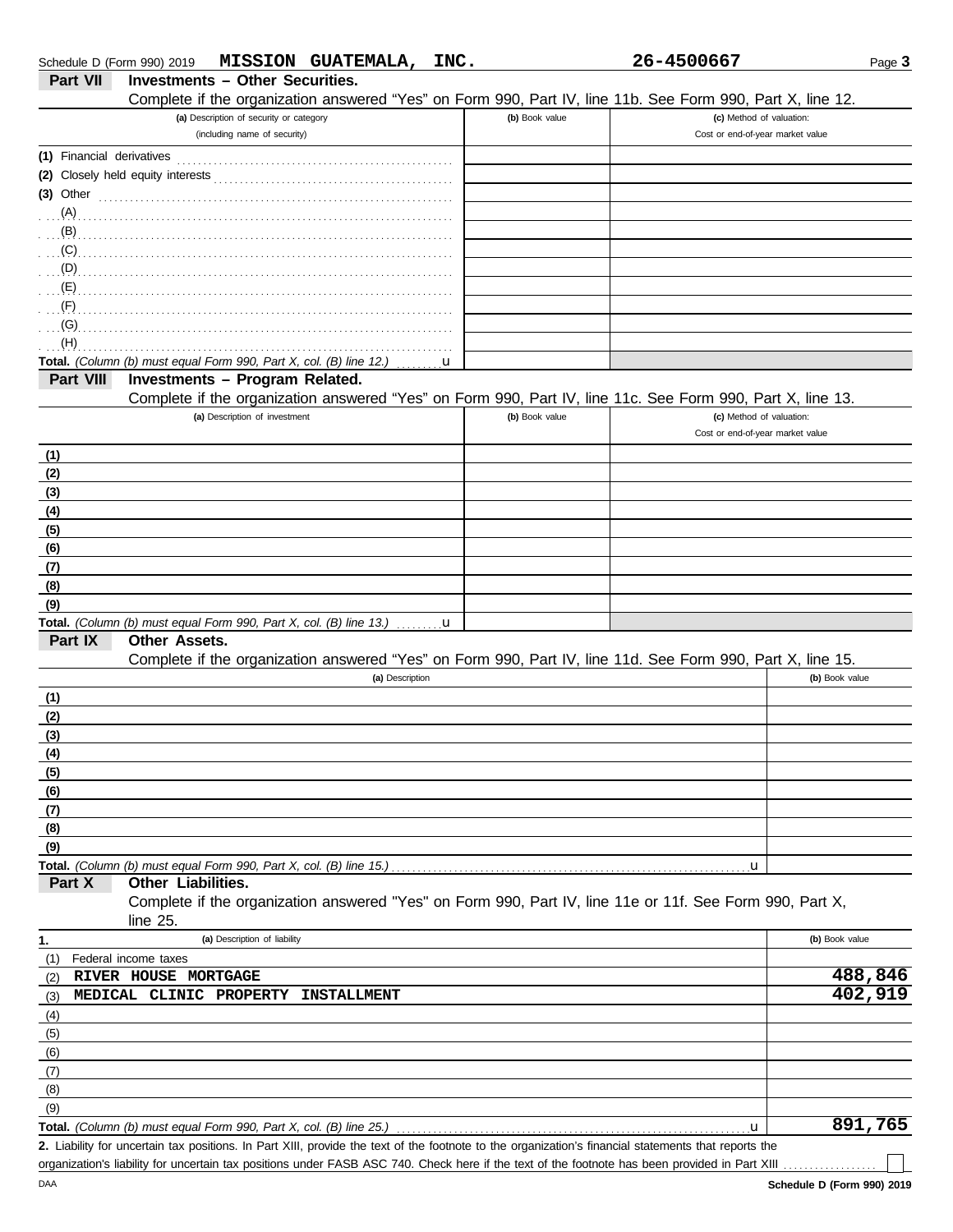| Schedule D (Form 990) 2019 |                                                                    |                                         | MISSION GUATEMALA,                                                                                                                                                                                                                        | INC. |                | 26-4500667                                                                                                                                           | Page 3         |
|----------------------------|--------------------------------------------------------------------|-----------------------------------------|-------------------------------------------------------------------------------------------------------------------------------------------------------------------------------------------------------------------------------------------|------|----------------|------------------------------------------------------------------------------------------------------------------------------------------------------|----------------|
| <b>Part VII</b>            | <b>Investments - Other Securities.</b>                             |                                         |                                                                                                                                                                                                                                           |      |                |                                                                                                                                                      |                |
|                            |                                                                    |                                         |                                                                                                                                                                                                                                           |      |                | Complete if the organization answered "Yes" on Form 990, Part IV, line 11b. See Form 990, Part X, line 12.                                           |                |
|                            |                                                                    | (a) Description of security or category |                                                                                                                                                                                                                                           |      | (b) Book value | (c) Method of valuation:                                                                                                                             |                |
|                            |                                                                    | (including name of security)            |                                                                                                                                                                                                                                           |      |                | Cost or end-of-year market value                                                                                                                     |                |
|                            |                                                                    |                                         |                                                                                                                                                                                                                                           |      |                |                                                                                                                                                      |                |
|                            |                                                                    |                                         |                                                                                                                                                                                                                                           |      |                |                                                                                                                                                      |                |
|                            |                                                                    |                                         | $(3)$ Other                                                                                                                                                                                                                               |      |                |                                                                                                                                                      |                |
|                            |                                                                    |                                         |                                                                                                                                                                                                                                           |      |                |                                                                                                                                                      |                |
|                            |                                                                    |                                         |                                                                                                                                                                                                                                           |      |                |                                                                                                                                                      |                |
| (C)                        |                                                                    |                                         |                                                                                                                                                                                                                                           |      |                |                                                                                                                                                      |                |
|                            |                                                                    |                                         | $\overline{p}$ (D) $\overline{p}$ . The contract of the contract of the contract of the contract of the contract of the contract of the contract of the contract of the contract of the contract of the contract of the contract of the c |      |                |                                                                                                                                                      |                |
|                            |                                                                    |                                         |                                                                                                                                                                                                                                           |      |                |                                                                                                                                                      |                |
|                            |                                                                    |                                         |                                                                                                                                                                                                                                           |      |                |                                                                                                                                                      |                |
| (G)                        |                                                                    |                                         |                                                                                                                                                                                                                                           |      |                |                                                                                                                                                      |                |
| (H)                        |                                                                    |                                         |                                                                                                                                                                                                                                           |      |                |                                                                                                                                                      |                |
|                            | Total. (Column (b) must equal Form 990, Part X, col. (B) line 12.) |                                         |                                                                                                                                                                                                                                           | u    |                |                                                                                                                                                      |                |
| Part VIII                  | Investments - Program Related.                                     |                                         |                                                                                                                                                                                                                                           |      |                |                                                                                                                                                      |                |
|                            |                                                                    |                                         |                                                                                                                                                                                                                                           |      |                | Complete if the organization answered "Yes" on Form 990, Part IV, line 11c. See Form 990, Part X, line 13.                                           |                |
|                            |                                                                    | (a) Description of investment           |                                                                                                                                                                                                                                           |      | (b) Book value | (c) Method of valuation:                                                                                                                             |                |
|                            |                                                                    |                                         |                                                                                                                                                                                                                                           |      |                | Cost or end-of-year market value                                                                                                                     |                |
| (1)                        |                                                                    |                                         |                                                                                                                                                                                                                                           |      |                |                                                                                                                                                      |                |
| (2)                        |                                                                    |                                         |                                                                                                                                                                                                                                           |      |                |                                                                                                                                                      |                |
| (3)                        |                                                                    |                                         |                                                                                                                                                                                                                                           |      |                |                                                                                                                                                      |                |
| (4)                        |                                                                    |                                         |                                                                                                                                                                                                                                           |      |                |                                                                                                                                                      |                |
| (5)                        |                                                                    |                                         |                                                                                                                                                                                                                                           |      |                |                                                                                                                                                      |                |
| (6)                        |                                                                    |                                         |                                                                                                                                                                                                                                           |      |                |                                                                                                                                                      |                |
| (7)                        |                                                                    |                                         |                                                                                                                                                                                                                                           |      |                |                                                                                                                                                      |                |
| (8)                        |                                                                    |                                         |                                                                                                                                                                                                                                           |      |                |                                                                                                                                                      |                |
| (9)                        |                                                                    |                                         |                                                                                                                                                                                                                                           |      |                |                                                                                                                                                      |                |
|                            |                                                                    |                                         | <b>Total.</b> (Column (b) must equal Form 990, Part X, col. (B) line 13.) $\ldots \ldots \mathbf{u}$                                                                                                                                      |      |                |                                                                                                                                                      |                |
| Part IX                    | <b>Other Assets.</b>                                               |                                         |                                                                                                                                                                                                                                           |      |                |                                                                                                                                                      |                |
|                            |                                                                    |                                         |                                                                                                                                                                                                                                           |      |                | Complete if the organization answered "Yes" on Form 990, Part IV, line 11d. See Form 990, Part X, line 15.                                           |                |
|                            |                                                                    |                                         | (a) Description                                                                                                                                                                                                                           |      |                |                                                                                                                                                      | (b) Book value |
| (1)                        |                                                                    |                                         |                                                                                                                                                                                                                                           |      |                |                                                                                                                                                      |                |
| (2)                        |                                                                    |                                         |                                                                                                                                                                                                                                           |      |                |                                                                                                                                                      |                |
| (3)                        |                                                                    |                                         |                                                                                                                                                                                                                                           |      |                |                                                                                                                                                      |                |
| (4)                        |                                                                    |                                         |                                                                                                                                                                                                                                           |      |                |                                                                                                                                                      |                |
| (5)                        |                                                                    |                                         |                                                                                                                                                                                                                                           |      |                |                                                                                                                                                      |                |
| (6)                        |                                                                    |                                         |                                                                                                                                                                                                                                           |      |                |                                                                                                                                                      |                |
| (7)                        |                                                                    |                                         |                                                                                                                                                                                                                                           |      |                |                                                                                                                                                      |                |
| (8)                        |                                                                    |                                         |                                                                                                                                                                                                                                           |      |                |                                                                                                                                                      |                |
| (9)                        |                                                                    |                                         |                                                                                                                                                                                                                                           |      |                |                                                                                                                                                      |                |
|                            |                                                                    |                                         |                                                                                                                                                                                                                                           |      |                | ս                                                                                                                                                    |                |
| Part X                     | Other Liabilities.                                                 |                                         |                                                                                                                                                                                                                                           |      |                |                                                                                                                                                      |                |
|                            |                                                                    |                                         |                                                                                                                                                                                                                                           |      |                | Complete if the organization answered "Yes" on Form 990, Part IV, line 11e or 11f. See Form 990, Part X,                                             |                |
|                            | line $25$ .                                                        |                                         |                                                                                                                                                                                                                                           |      |                |                                                                                                                                                      |                |
| 1.                         |                                                                    | (a) Description of liability            |                                                                                                                                                                                                                                           |      |                |                                                                                                                                                      | (b) Book value |
| (1)                        | Federal income taxes                                               |                                         |                                                                                                                                                                                                                                           |      |                |                                                                                                                                                      |                |
| (2)                        | RIVER HOUSE MORTGAGE                                               |                                         |                                                                                                                                                                                                                                           |      |                |                                                                                                                                                      | 488,846        |
| (3)                        | MEDICAL CLINIC PROPERTY                                            |                                         | <b>INSTALLMENT</b>                                                                                                                                                                                                                        |      |                |                                                                                                                                                      | 402,919        |
| (4)                        |                                                                    |                                         |                                                                                                                                                                                                                                           |      |                |                                                                                                                                                      |                |
| (5)                        |                                                                    |                                         |                                                                                                                                                                                                                                           |      |                |                                                                                                                                                      |                |
| (6)                        |                                                                    |                                         |                                                                                                                                                                                                                                           |      |                |                                                                                                                                                      |                |
| (7)                        |                                                                    |                                         |                                                                                                                                                                                                                                           |      |                |                                                                                                                                                      |                |
| (8)                        |                                                                    |                                         |                                                                                                                                                                                                                                           |      |                |                                                                                                                                                      |                |
| (9)                        |                                                                    |                                         |                                                                                                                                                                                                                                           |      |                |                                                                                                                                                      |                |
|                            | Total. (Column (b) must equal Form 990, Part X, col. (B) line 25.) |                                         |                                                                                                                                                                                                                                           |      |                | u                                                                                                                                                    | 891,765        |
|                            |                                                                    |                                         |                                                                                                                                                                                                                                           |      |                | 2. Liability for uncertain tax positions. In Part XIII, provide the text of the footnote to the organization's financial statements that reports the | 冖              |

organization's liability for uncertain tax positions under FASB ASC 740. Check here if the text of the footnote has been provided in Part XIII . . . . . . . . . . . . . . . . . .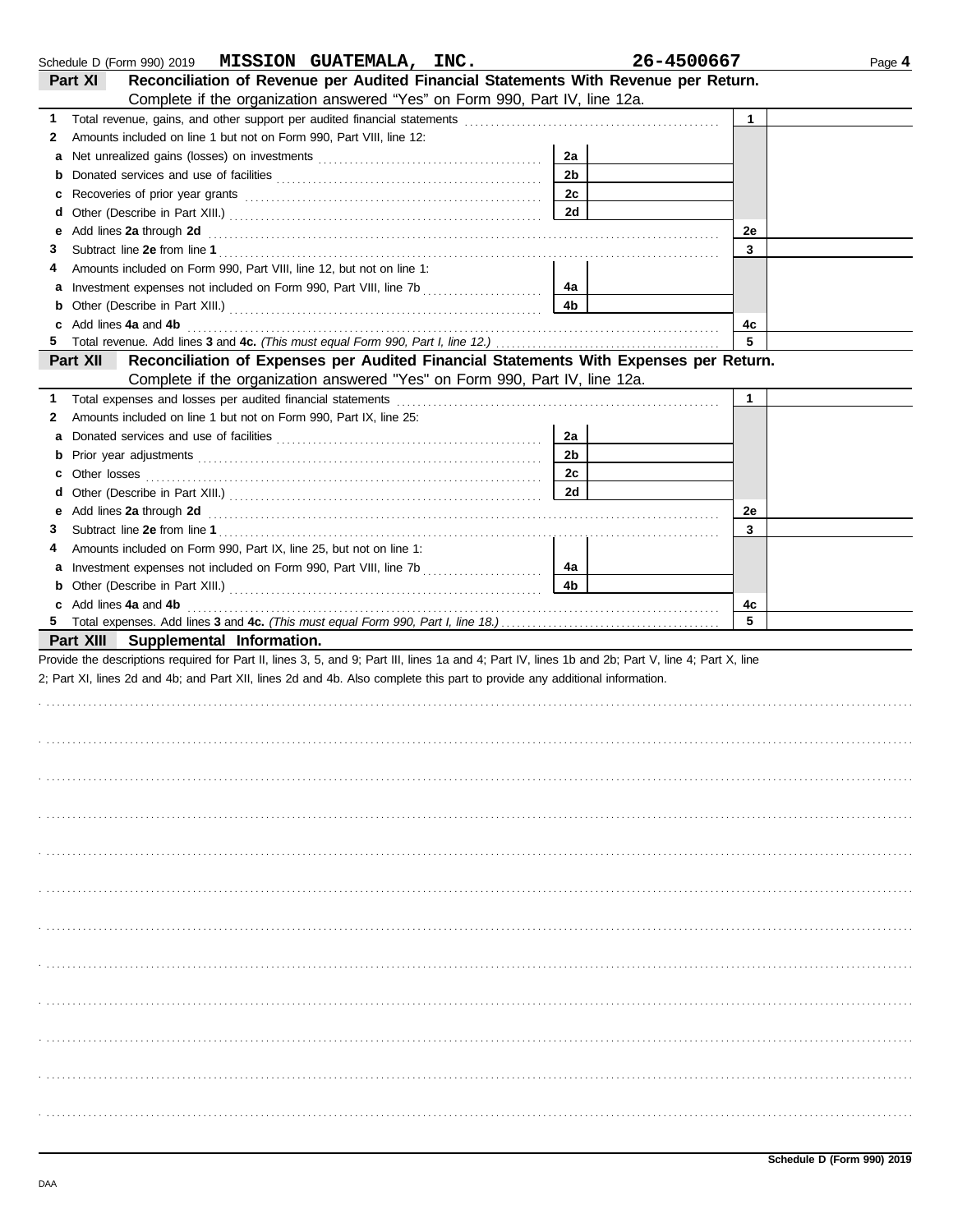|    | Schedule D (Form 990) 2019 MISSION GUATEMALA, INC.                                                                                                                                                                                                                                    |                | 26-4500667   | Page 4 |
|----|---------------------------------------------------------------------------------------------------------------------------------------------------------------------------------------------------------------------------------------------------------------------------------------|----------------|--------------|--------|
|    | Reconciliation of Revenue per Audited Financial Statements With Revenue per Return.<br>Part XI                                                                                                                                                                                        |                |              |        |
|    | Complete if the organization answered "Yes" on Form 990, Part IV, line 12a.                                                                                                                                                                                                           |                |              |        |
| 1. |                                                                                                                                                                                                                                                                                       |                | $\mathbf{1}$ |        |
| 2  | Amounts included on line 1 but not on Form 990, Part VIII, line 12:                                                                                                                                                                                                                   |                |              |        |
| а  |                                                                                                                                                                                                                                                                                       | 2a             |              |        |
| b  |                                                                                                                                                                                                                                                                                       | 2 <sub>b</sub> |              |        |
| c  |                                                                                                                                                                                                                                                                                       | 2c             |              |        |
| d  |                                                                                                                                                                                                                                                                                       | 2d             |              |        |
| е  | Add lines 2a through 2d <b>contained a contained a contained a contained a contained a contained a contained a contained a contained a contained a contained a contained a contained a contained a contained a contained a conta</b>                                                  |                | 2e           |        |
| 3. |                                                                                                                                                                                                                                                                                       |                | 3            |        |
| 4  | Amounts included on Form 990, Part VIII, line 12, but not on line 1:                                                                                                                                                                                                                  |                |              |        |
| а  |                                                                                                                                                                                                                                                                                       | 4a             |              |        |
| b  |                                                                                                                                                                                                                                                                                       | 4b             |              |        |
| c  | Add lines 4a and 4b (a) and 4b (a) and the contract of the contract of the contract of the contract of the contract of the contract of the contract of the contract of the contract of the contract of the contract of the con                                                        |                | 4c           |        |
| 5  |                                                                                                                                                                                                                                                                                       |                | 5            |        |
|    | Reconciliation of Expenses per Audited Financial Statements With Expenses per Return.<br>Part XII                                                                                                                                                                                     |                |              |        |
|    | Complete if the organization answered "Yes" on Form 990, Part IV, line 12a.                                                                                                                                                                                                           |                |              |        |
| 1. |                                                                                                                                                                                                                                                                                       |                | $\mathbf 1$  |        |
| 2  | Amounts included on line 1 but not on Form 990, Part IX, line 25:                                                                                                                                                                                                                     |                |              |        |
| а  |                                                                                                                                                                                                                                                                                       | 2a             |              |        |
| b  |                                                                                                                                                                                                                                                                                       | 2b             |              |        |
| c  |                                                                                                                                                                                                                                                                                       | 2с             |              |        |
| d  |                                                                                                                                                                                                                                                                                       | 2d             |              |        |
| е  | Add lines 2a through 2d [11] Additional Additional Additional Additional Additional Additional Additional Additional Additional Additional Additional Additional Additional Additional Additional Additional Additional Additi                                                        |                | 2e           |        |
| 3. |                                                                                                                                                                                                                                                                                       |                | 3            |        |
| 4  | Amounts included on Form 990, Part IX, line 25, but not on line 1:                                                                                                                                                                                                                    |                |              |        |
|    |                                                                                                                                                                                                                                                                                       | 4a             |              |        |
| b  |                                                                                                                                                                                                                                                                                       | 4b             |              |        |
|    |                                                                                                                                                                                                                                                                                       |                | 4c           |        |
|    | c Add lines 4a and 4b (a) and $\frac{1}{2}$ and $\frac{1}{2}$ and $\frac{1}{2}$ and $\frac{1}{2}$ and $\frac{1}{2}$ and $\frac{1}{2}$ and $\frac{1}{2}$ and $\frac{1}{2}$ and $\frac{1}{2}$ and $\frac{1}{2}$ and $\frac{1}{2}$ and $\frac{1}{2}$ and $\frac{1}{2}$ and $\frac{1}{2}$ |                | 5            |        |
|    | Part XIII Supplemental Information.                                                                                                                                                                                                                                                   |                |              |        |
|    | Provide the descriptions required for Part II, lines 3, 5, and 9; Part III, lines 1a and 4; Part IV, lines 1b and 2b; Part V, line 4; Part X, line                                                                                                                                    |                |              |        |
|    | 2; Part XI, lines 2d and 4b; and Part XII, lines 2d and 4b. Also complete this part to provide any additional information.                                                                                                                                                            |                |              |        |
|    |                                                                                                                                                                                                                                                                                       |                |              |        |
|    |                                                                                                                                                                                                                                                                                       |                |              |        |
|    |                                                                                                                                                                                                                                                                                       |                |              |        |
|    |                                                                                                                                                                                                                                                                                       |                |              |        |
|    |                                                                                                                                                                                                                                                                                       |                |              |        |
|    |                                                                                                                                                                                                                                                                                       |                |              |        |
|    |                                                                                                                                                                                                                                                                                       |                |              |        |
|    |                                                                                                                                                                                                                                                                                       |                |              |        |
|    |                                                                                                                                                                                                                                                                                       |                |              |        |
|    |                                                                                                                                                                                                                                                                                       |                |              |        |
|    |                                                                                                                                                                                                                                                                                       |                |              |        |
|    |                                                                                                                                                                                                                                                                                       |                |              |        |
|    |                                                                                                                                                                                                                                                                                       |                |              |        |
|    |                                                                                                                                                                                                                                                                                       |                |              |        |
|    |                                                                                                                                                                                                                                                                                       |                |              |        |
|    |                                                                                                                                                                                                                                                                                       |                |              |        |
|    |                                                                                                                                                                                                                                                                                       |                |              |        |
|    |                                                                                                                                                                                                                                                                                       |                |              |        |
|    |                                                                                                                                                                                                                                                                                       |                |              |        |
|    |                                                                                                                                                                                                                                                                                       |                |              |        |
|    |                                                                                                                                                                                                                                                                                       |                |              |        |
|    |                                                                                                                                                                                                                                                                                       |                |              |        |
|    |                                                                                                                                                                                                                                                                                       |                |              |        |
|    |                                                                                                                                                                                                                                                                                       |                |              |        |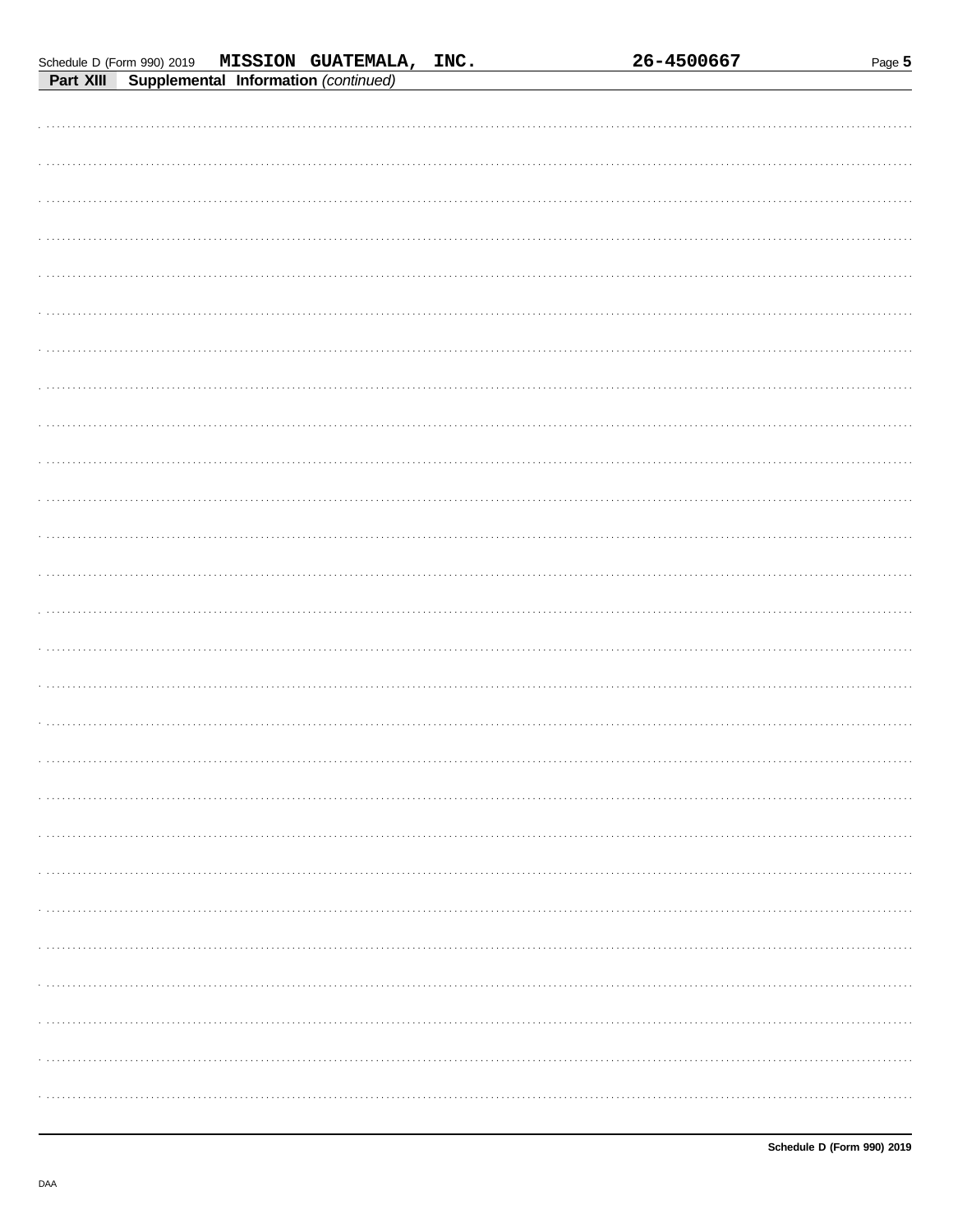|  |  | 26-4500667 |
|--|--|------------|
|  |  |            |

Page 5

| <b>FAIL AIII</b><br>supplemental implifiation (commuted) |
|----------------------------------------------------------|
|                                                          |
|                                                          |
|                                                          |
|                                                          |
|                                                          |
|                                                          |
|                                                          |
|                                                          |
|                                                          |
|                                                          |
|                                                          |
|                                                          |
|                                                          |
|                                                          |
|                                                          |
|                                                          |
|                                                          |
|                                                          |
|                                                          |
|                                                          |
|                                                          |
|                                                          |
|                                                          |
|                                                          |
|                                                          |
|                                                          |
|                                                          |
|                                                          |
|                                                          |
|                                                          |
|                                                          |
|                                                          |
|                                                          |
|                                                          |
|                                                          |
|                                                          |
|                                                          |
|                                                          |
|                                                          |
|                                                          |
|                                                          |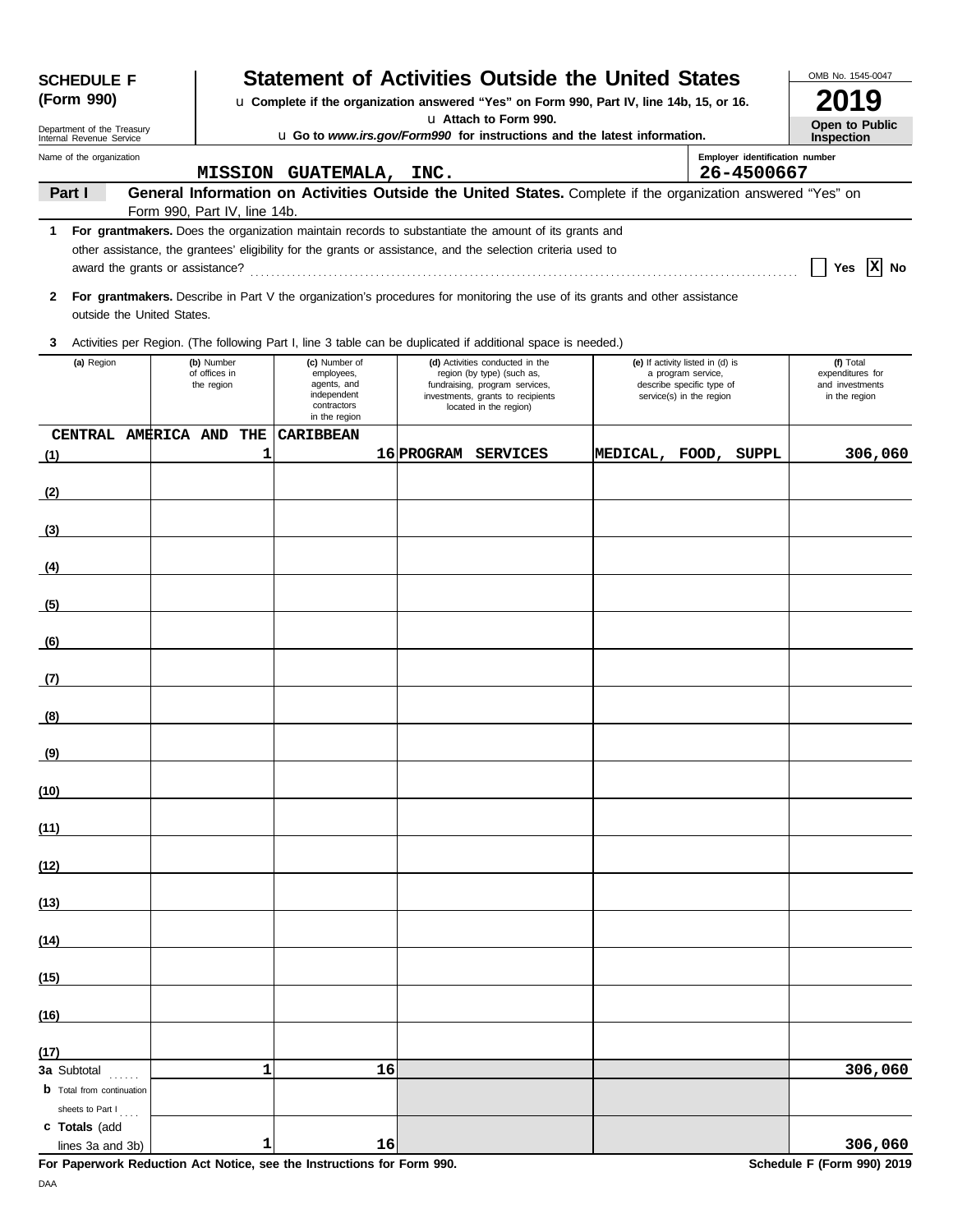| <b>SCHEDULE F</b>                                                                                                                                                  |                                              |   |                                                                                           | <b>Statement of Activities Outside the United States</b>                                                                                                       |                                                                                                                 |                      | OMB No. 1545-0047                                                 |
|--------------------------------------------------------------------------------------------------------------------------------------------------------------------|----------------------------------------------|---|-------------------------------------------------------------------------------------------|----------------------------------------------------------------------------------------------------------------------------------------------------------------|-----------------------------------------------------------------------------------------------------------------|----------------------|-------------------------------------------------------------------|
| (Form 990)                                                                                                                                                         |                                              |   |                                                                                           | u Complete if the organization answered "Yes" on Form 990, Part IV, line 14b, 15, or 16.                                                                       |                                                                                                                 |                      | 9                                                                 |
| u Attach to Form 990.<br>Department of the Treasury<br><b>u</b> Go to www.irs.gov/Form990 for instructions and the latest information.<br>Internal Revenue Service |                                              |   |                                                                                           |                                                                                                                                                                |                                                                                                                 |                      | Open to Public<br><b>Inspection</b>                               |
| Name of the organization                                                                                                                                           | Employer identification number<br>26-4500667 |   |                                                                                           |                                                                                                                                                                |                                                                                                                 |                      |                                                                   |
| Part I                                                                                                                                                             |                                              |   | MISSION GUATEMALA, INC.                                                                   | General Information on Activities Outside the United States. Complete if the organization answered "Yes" on                                                    |                                                                                                                 |                      |                                                                   |
| 1                                                                                                                                                                  | Form 990, Part IV, line 14b.                 |   |                                                                                           | For grantmakers. Does the organization maintain records to substantiate the amount of its grants and                                                           |                                                                                                                 |                      |                                                                   |
|                                                                                                                                                                    |                                              |   |                                                                                           | other assistance, the grantees' eligibility for the grants or assistance, and the selection criteria used to                                                   |                                                                                                                 |                      |                                                                   |
|                                                                                                                                                                    |                                              |   |                                                                                           |                                                                                                                                                                |                                                                                                                 |                      | x <br>Yes<br>No                                                   |
| $\mathbf{2}$<br>outside the United States.                                                                                                                         |                                              |   |                                                                                           | For grantmakers. Describe in Part V the organization's procedures for monitoring the use of its grants and other assistance                                    |                                                                                                                 |                      |                                                                   |
| 3                                                                                                                                                                  |                                              |   |                                                                                           | Activities per Region. (The following Part I, line 3 table can be duplicated if additional space is needed.)                                                   |                                                                                                                 |                      |                                                                   |
| (a) Region                                                                                                                                                         | (b) Number<br>of offices in<br>the region    |   | (c) Number of<br>employees,<br>agents, and<br>independent<br>contractors<br>in the region | (d) Activities conducted in the<br>region (by type) (such as,<br>fundraising, program services,<br>investments, grants to recipients<br>located in the region) | (e) If activity listed in (d) is<br>a program service,<br>describe specific type of<br>service(s) in the region |                      | (f) Total<br>expenditures for<br>and investments<br>in the region |
|                                                                                                                                                                    | CENTRAL AMERICA AND THE                      |   | <b>CARIBBEAN</b>                                                                          |                                                                                                                                                                |                                                                                                                 |                      |                                                                   |
| (1)                                                                                                                                                                |                                              | 1 |                                                                                           | 16 PROGRAM SERVICES                                                                                                                                            |                                                                                                                 | MEDICAL, FOOD, SUPPL | 306,060                                                           |
| (2)                                                                                                                                                                |                                              |   |                                                                                           |                                                                                                                                                                |                                                                                                                 |                      |                                                                   |
| (3)                                                                                                                                                                |                                              |   |                                                                                           |                                                                                                                                                                |                                                                                                                 |                      |                                                                   |
|                                                                                                                                                                    |                                              |   |                                                                                           |                                                                                                                                                                |                                                                                                                 |                      |                                                                   |
| (4)                                                                                                                                                                |                                              |   |                                                                                           |                                                                                                                                                                |                                                                                                                 |                      |                                                                   |
| (5)                                                                                                                                                                |                                              |   |                                                                                           |                                                                                                                                                                |                                                                                                                 |                      |                                                                   |
| (6)                                                                                                                                                                |                                              |   |                                                                                           |                                                                                                                                                                |                                                                                                                 |                      |                                                                   |
| (7)                                                                                                                                                                |                                              |   |                                                                                           |                                                                                                                                                                |                                                                                                                 |                      |                                                                   |
| (8)                                                                                                                                                                |                                              |   |                                                                                           |                                                                                                                                                                |                                                                                                                 |                      |                                                                   |
| <u>(9)</u>                                                                                                                                                         |                                              |   |                                                                                           |                                                                                                                                                                |                                                                                                                 |                      |                                                                   |
| (10)                                                                                                                                                               |                                              |   |                                                                                           |                                                                                                                                                                |                                                                                                                 |                      |                                                                   |
| (11)                                                                                                                                                               |                                              |   |                                                                                           |                                                                                                                                                                |                                                                                                                 |                      |                                                                   |
| (12)                                                                                                                                                               |                                              |   |                                                                                           |                                                                                                                                                                |                                                                                                                 |                      |                                                                   |
| (13)                                                                                                                                                               |                                              |   |                                                                                           |                                                                                                                                                                |                                                                                                                 |                      |                                                                   |
| (14)                                                                                                                                                               |                                              |   |                                                                                           |                                                                                                                                                                |                                                                                                                 |                      |                                                                   |
| (15)                                                                                                                                                               |                                              |   |                                                                                           |                                                                                                                                                                |                                                                                                                 |                      |                                                                   |
| (16)                                                                                                                                                               |                                              |   |                                                                                           |                                                                                                                                                                |                                                                                                                 |                      |                                                                   |
| (17)                                                                                                                                                               |                                              |   |                                                                                           |                                                                                                                                                                |                                                                                                                 |                      |                                                                   |
| 3a Subtotal<br><b>b</b> Total from continuation                                                                                                                    |                                              | 1 | 16                                                                                        |                                                                                                                                                                |                                                                                                                 |                      | 306,060                                                           |
| sheets to Part I<br>c Totals (add<br>lines 3a and 3b)                                                                                                              |                                              | 1 | 16                                                                                        |                                                                                                                                                                |                                                                                                                 |                      | 306,060                                                           |

**For Paperwork Reduction Act Notice, see the Instructions for Form 990.** Schedule F (Form 990) 2019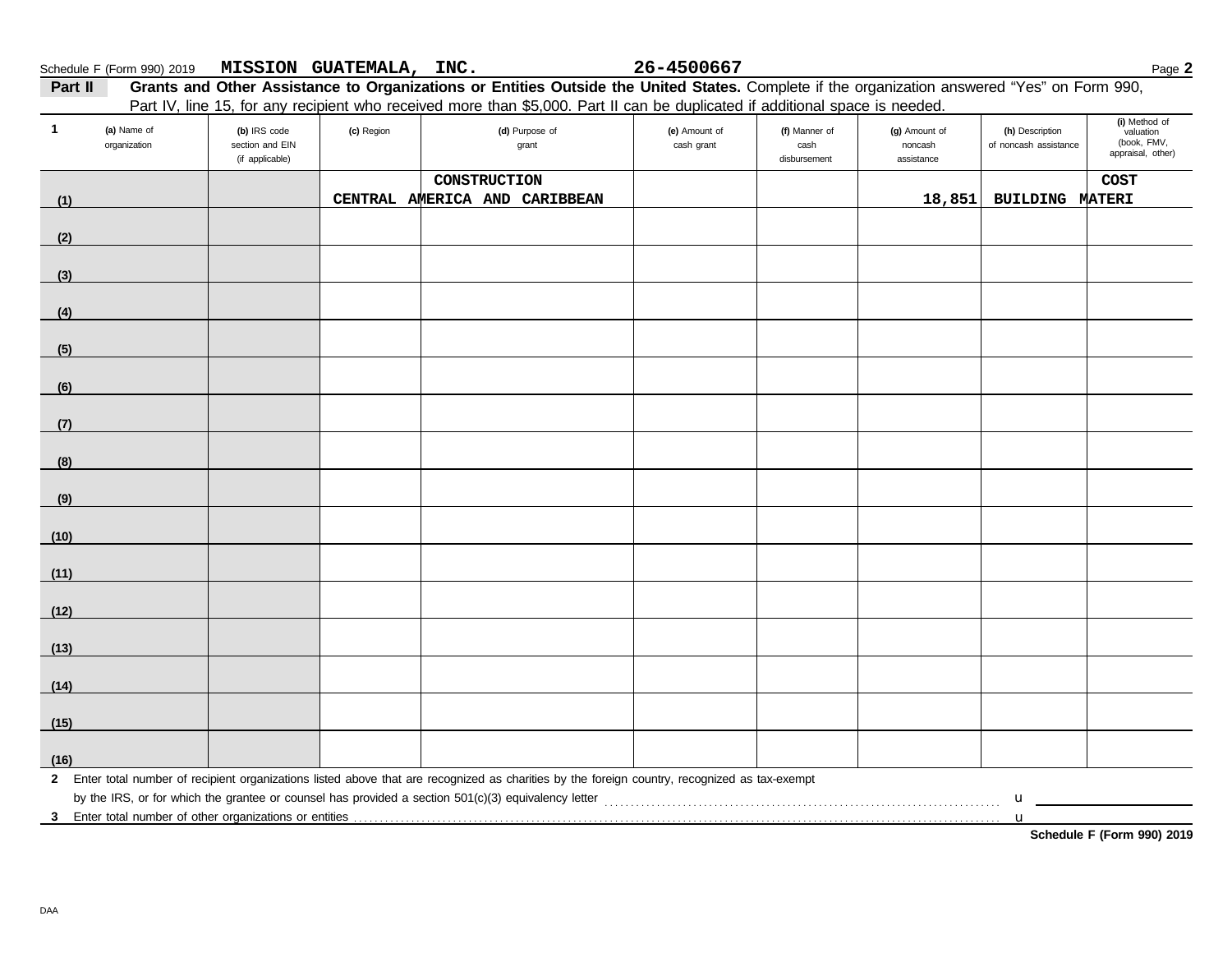| Schedule F (Form 990) 2019 |  | <b>MISSION GUATEMALA,</b> | INC. | 26-4500667 | Page ⊾ |
|----------------------------|--|---------------------------|------|------------|--------|
|----------------------------|--|---------------------------|------|------------|--------|

**a**  $\frac{1}{26}$  -4500667

| Part II | Grants and Other Assistance to Organizations or Entities Outside the United States. Complete if the organization answered "Yes" on Form 990, |
|---------|----------------------------------------------------------------------------------------------------------------------------------------------|
|         | Part IV, line 15, for any recipient who received more than \$5,000. Part II can be duplicated if additional space is needed.                 |

| $\mathbf{1}$ | (a) Name of<br>organization | (b) IRS code<br>section and EIN<br>(if applicable) | (c) Region | T all IV, lille TJ, IVI ally recipient who received more than \$0,000. I all in carried diplicated in additional space is needed.<br>(d) Purpose of<br>grant | (e) Amount of<br>cash grant | (f) Manner of<br>cash<br>disbursement | (g) Amount of<br>noncash<br>assistance | (h) Description<br>of noncash assistance | (i) Method of<br>valuation<br>(book, FMV,<br>appraisal, other) |
|--------------|-----------------------------|----------------------------------------------------|------------|--------------------------------------------------------------------------------------------------------------------------------------------------------------|-----------------------------|---------------------------------------|----------------------------------------|------------------------------------------|----------------------------------------------------------------|
|              |                             |                                                    |            | CONSTRUCTION                                                                                                                                                 |                             |                                       |                                        |                                          | COST                                                           |
| (1)          |                             |                                                    |            | CENTRAL AMERICA AND CARIBBEAN                                                                                                                                |                             |                                       | 18,851                                 | <b>BUILDING MATERI</b>                   |                                                                |
|              |                             |                                                    |            |                                                                                                                                                              |                             |                                       |                                        |                                          |                                                                |
| (2)          |                             |                                                    |            |                                                                                                                                                              |                             |                                       |                                        |                                          |                                                                |
|              |                             |                                                    |            |                                                                                                                                                              |                             |                                       |                                        |                                          |                                                                |
| (3)          |                             |                                                    |            |                                                                                                                                                              |                             |                                       |                                        |                                          |                                                                |
| (4)          |                             |                                                    |            |                                                                                                                                                              |                             |                                       |                                        |                                          |                                                                |
| (5)          |                             |                                                    |            |                                                                                                                                                              |                             |                                       |                                        |                                          |                                                                |
|              |                             |                                                    |            |                                                                                                                                                              |                             |                                       |                                        |                                          |                                                                |
| (6)          |                             |                                                    |            |                                                                                                                                                              |                             |                                       |                                        |                                          |                                                                |
|              |                             |                                                    |            |                                                                                                                                                              |                             |                                       |                                        |                                          |                                                                |
| (7)          |                             |                                                    |            |                                                                                                                                                              |                             |                                       |                                        |                                          |                                                                |
|              |                             |                                                    |            |                                                                                                                                                              |                             |                                       |                                        |                                          |                                                                |
| (8)          |                             |                                                    |            |                                                                                                                                                              |                             |                                       |                                        |                                          |                                                                |
| (9)          |                             |                                                    |            |                                                                                                                                                              |                             |                                       |                                        |                                          |                                                                |
| (10)         |                             |                                                    |            |                                                                                                                                                              |                             |                                       |                                        |                                          |                                                                |
|              |                             |                                                    |            |                                                                                                                                                              |                             |                                       |                                        |                                          |                                                                |
| (11)         |                             |                                                    |            |                                                                                                                                                              |                             |                                       |                                        |                                          |                                                                |
| (12)         |                             |                                                    |            |                                                                                                                                                              |                             |                                       |                                        |                                          |                                                                |
| (13)         |                             |                                                    |            |                                                                                                                                                              |                             |                                       |                                        |                                          |                                                                |
|              |                             |                                                    |            |                                                                                                                                                              |                             |                                       |                                        |                                          |                                                                |
| (14)         |                             |                                                    |            |                                                                                                                                                              |                             |                                       |                                        |                                          |                                                                |
| (15)         |                             |                                                    |            |                                                                                                                                                              |                             |                                       |                                        |                                          |                                                                |
|              |                             |                                                    |            |                                                                                                                                                              |                             |                                       |                                        |                                          |                                                                |
| (16)         |                             |                                                    |            |                                                                                                                                                              |                             |                                       |                                        |                                          |                                                                |
|              |                             |                                                    |            | 2 Enter total number of recipient organizations listed above that are recognized as charities by the foreign country, recognized as tax-exempt               |                             |                                       |                                        |                                          |                                                                |
|              |                             |                                                    |            |                                                                                                                                                              |                             |                                       |                                        | $\mathbf u$                              |                                                                |
|              |                             |                                                    |            |                                                                                                                                                              |                             |                                       |                                        | $\mathbf u$                              |                                                                |

**Schedule F (Form 990) 2019**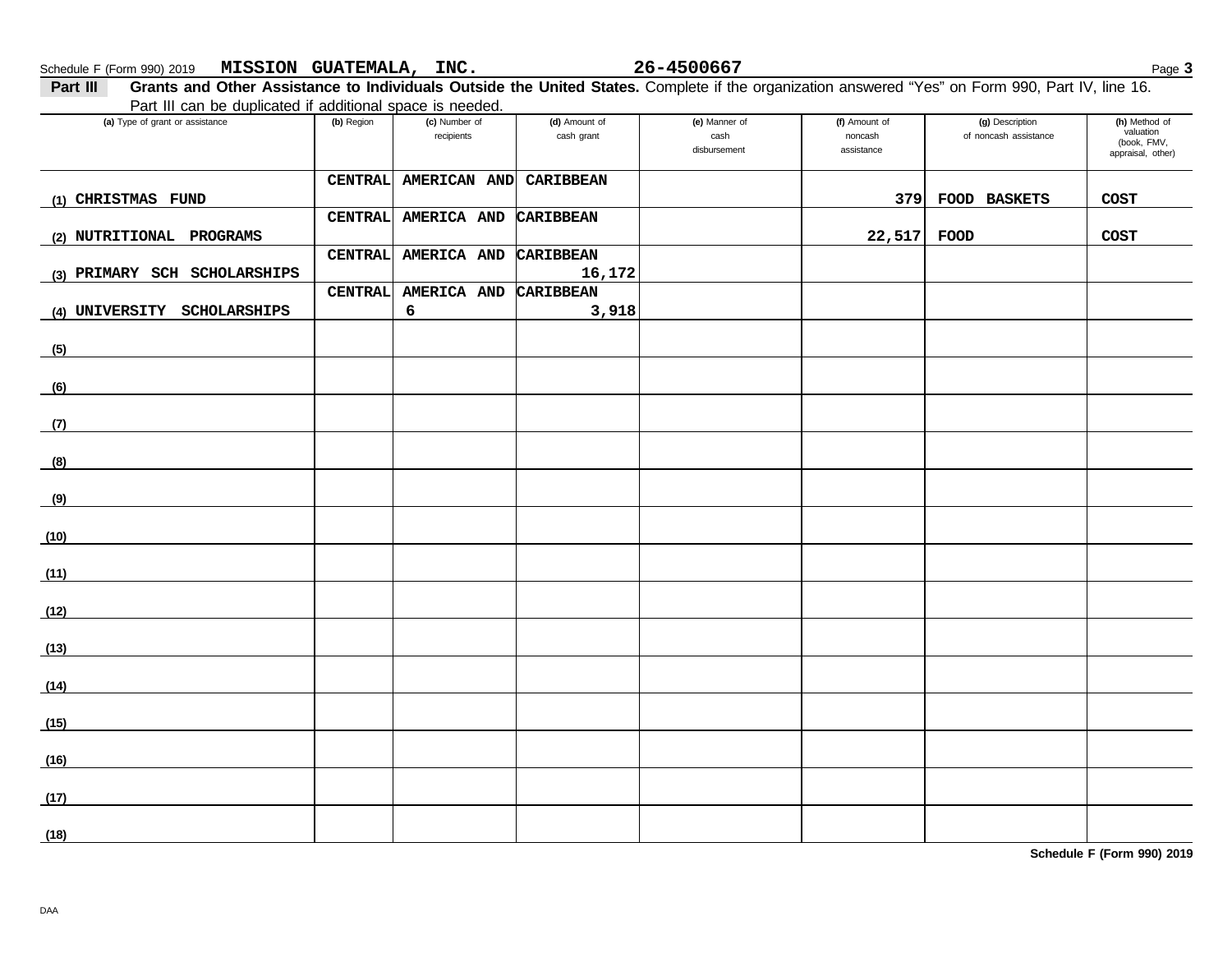**Part III** Grants and Other Assistance to Individuals Outside the United States. Complete if the organization answered "Yes" on Form 990, Part IV, line 16. Part III can be duplicated if additional space is needed.

| Fait in carr be duplicated in additional space is needed. |            |                             |                             |                                       |                                        |                                          |                                                                |
|-----------------------------------------------------------|------------|-----------------------------|-----------------------------|---------------------------------------|----------------------------------------|------------------------------------------|----------------------------------------------------------------|
| (a) Type of grant or assistance                           | (b) Region | (c) Number of<br>recipients | (d) Amount of<br>cash grant | (e) Manner of<br>cash<br>disbursement | (f) Amount of<br>noncash<br>assistance | (g) Description<br>of noncash assistance | (h) Method of<br>valuation<br>(book, FMV,<br>appraisal, other) |
|                                                           |            | CENTRAL AMERICAN AND        | CARIBBEAN                   |                                       |                                        |                                          |                                                                |
| (1) CHRISTMAS FUND                                        |            |                             |                             |                                       | 379                                    | FOOD BASKETS                             | <b>COST</b>                                                    |
| (2) NUTRITIONAL PROGRAMS                                  |            | CENTRAL AMERICA AND         | <b>CARIBBEAN</b>            |                                       | $22,517$ FOOD                          |                                          | COST                                                           |
|                                                           |            | CENTRAL AMERICA AND         | <b>CARIBBEAN</b>            |                                       |                                        |                                          |                                                                |
| (3) PRIMARY SCH SCHOLARSHIPS                              |            |                             | 16,172                      |                                       |                                        |                                          |                                                                |
|                                                           | CENTRAL    | AMERICA AND                 | <b>CARIBBEAN</b>            |                                       |                                        |                                          |                                                                |
| (4) UNIVERSITY SCHOLARSHIPS                               |            | 6                           | 3,918                       |                                       |                                        |                                          |                                                                |
| (5)<br><u> 1980 - Johann Barbara, martxa alemani</u> ar a |            |                             |                             |                                       |                                        |                                          |                                                                |
| (6)<br><u> 1980 - Johann Barbara, martxa alemani</u> ar a |            |                             |                             |                                       |                                        |                                          |                                                                |
| (7)<br><u> 1980 - Jan Samuel Barbara, poeta estable</u>   |            |                             |                             |                                       |                                        |                                          |                                                                |
|                                                           |            |                             |                             |                                       |                                        |                                          |                                                                |
| (8)                                                       |            |                             |                             |                                       |                                        |                                          |                                                                |
| (9)                                                       |            |                             |                             |                                       |                                        |                                          |                                                                |
| (10)                                                      |            |                             |                             |                                       |                                        |                                          |                                                                |
|                                                           |            |                             |                             |                                       |                                        |                                          |                                                                |
| (11)                                                      |            |                             |                             |                                       |                                        |                                          |                                                                |
| (12)                                                      |            |                             |                             |                                       |                                        |                                          |                                                                |
| (13)                                                      |            |                             |                             |                                       |                                        |                                          |                                                                |
| (14)<br>the company of the company of the company         |            |                             |                             |                                       |                                        |                                          |                                                                |
| (15)                                                      |            |                             |                             |                                       |                                        |                                          |                                                                |
|                                                           |            |                             |                             |                                       |                                        |                                          |                                                                |
| (16)                                                      |            |                             |                             |                                       |                                        |                                          |                                                                |
| (17)                                                      |            |                             |                             |                                       |                                        |                                          |                                                                |
| (18)                                                      |            |                             |                             |                                       |                                        |                                          |                                                                |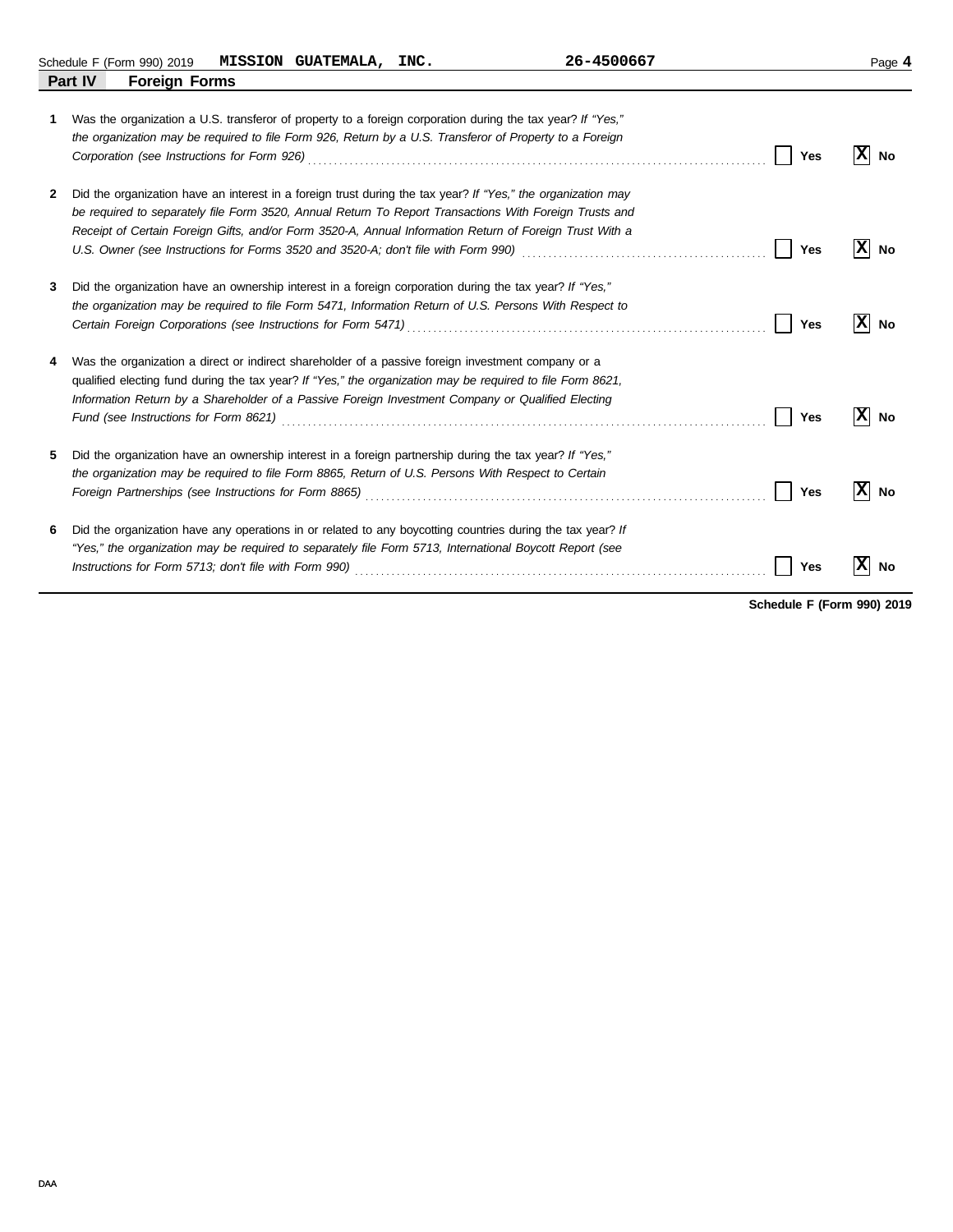Schedule F (Form 990) 2019 Page **4 MISSION GUATEMALA, INC. 26-4500667**

|   | Part IV<br><b>Foreign Forms</b>                                                                                                                                                                                                                                                                                                         |          |
|---|-----------------------------------------------------------------------------------------------------------------------------------------------------------------------------------------------------------------------------------------------------------------------------------------------------------------------------------------|----------|
| 1 | Was the organization a U.S. transferor of property to a foreign corporation during the tax year? If "Yes,"<br>the organization may be required to file Form 926, Return by a U.S. Transferor of Property to a Foreign<br>Yes                                                                                                            | ΙX<br>No |
| 2 | Did the organization have an interest in a foreign trust during the tax year? If "Yes," the organization may<br>be required to separately file Form 3520, Annual Return To Report Transactions With Foreign Trusts and<br>Receipt of Certain Foreign Gifts, and/or Form 3520-A, Annual Information Return of Foreign Trust With a       |          |
| 3 | Yes<br>Did the organization have an ownership interest in a foreign corporation during the tax year? If "Yes,"                                                                                                                                                                                                                          | No       |
|   | the organization may be required to file Form 5471, Information Return of U.S. Persons With Respect to<br>Yes                                                                                                                                                                                                                           | ΙX<br>No |
| 4 | Was the organization a direct or indirect shareholder of a passive foreign investment company or a<br>qualified electing fund during the tax year? If "Yes," the organization may be required to file Form 8621,<br>Information Return by a Shareholder of a Passive Foreign Investment Company or Qualified Electing<br>Yes            | No       |
| 5 | Did the organization have an ownership interest in a foreign partnership during the tax year? If "Yes,"<br>the organization may be required to file Form 8865, Return of U.S. Persons With Respect to Certain<br>Yes<br>Foreign Partnerships (see Instructions for Form 8865) [11] Conserved Conserved Conserved Conserved Conserved Co | No       |
| 6 | Did the organization have any operations in or related to any boycotting countries during the tax year? If<br>"Yes," the organization may be required to separately file Form 5713, International Boycott Report (see<br>Yes                                                                                                            | ΙX<br>No |

**Schedule F (Form 990) 2019**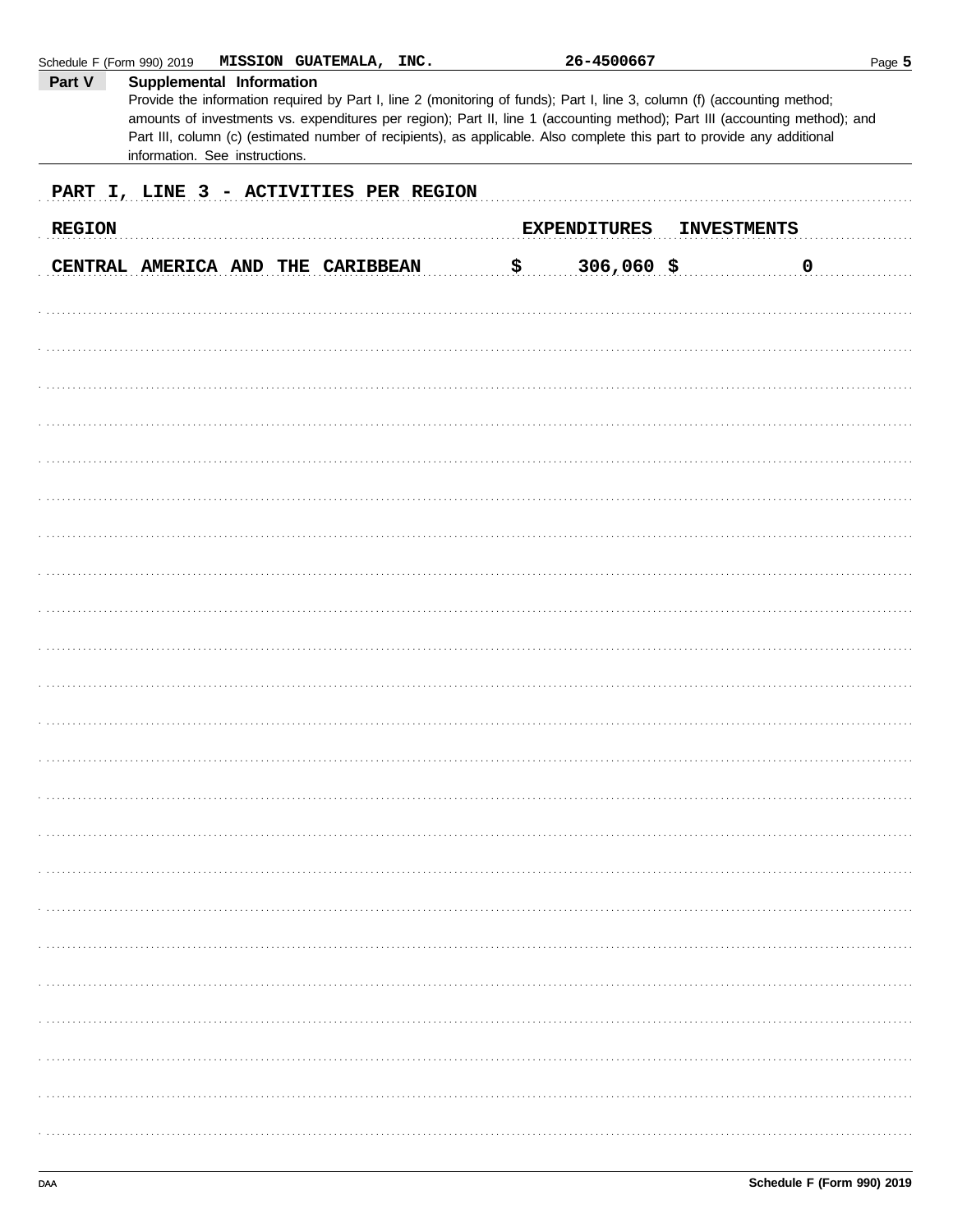| Schedule F (Form 990) 2019<br>Part V | MISSION GUATEMALA, INC.<br>Supplemental Information<br>Provide the information required by Part I, line 2 (monitoring of funds); Part I, line 3, column (f) (accounting method;                                                                                                          | 26-4500667          |                    | Page 5 |
|--------------------------------------|------------------------------------------------------------------------------------------------------------------------------------------------------------------------------------------------------------------------------------------------------------------------------------------|---------------------|--------------------|--------|
|                                      | amounts of investments vs. expenditures per region); Part II, line 1 (accounting method); Part III (accounting method); and<br>Part III, column (c) (estimated number of recipients), as applicable. Also complete this part to provide any additional<br>information. See instructions. |                     |                    |        |
|                                      | PART I, LINE 3 - ACTIVITIES PER REGION                                                                                                                                                                                                                                                   |                     |                    |        |
| <b>REGION</b>                        |                                                                                                                                                                                                                                                                                          | <b>EXPENDITURES</b> | <b>INVESTMENTS</b> |        |
|                                      | CENTRAL AMERICA AND THE CARIBBEAN                                                                                                                                                                                                                                                        | \$<br>$306,060$ \$  |                    | 0      |
|                                      |                                                                                                                                                                                                                                                                                          |                     |                    |        |
|                                      |                                                                                                                                                                                                                                                                                          |                     |                    |        |
|                                      |                                                                                                                                                                                                                                                                                          |                     |                    |        |
|                                      |                                                                                                                                                                                                                                                                                          |                     |                    |        |
|                                      |                                                                                                                                                                                                                                                                                          |                     |                    |        |
|                                      |                                                                                                                                                                                                                                                                                          |                     |                    |        |
|                                      |                                                                                                                                                                                                                                                                                          |                     |                    |        |
|                                      |                                                                                                                                                                                                                                                                                          |                     |                    |        |
|                                      |                                                                                                                                                                                                                                                                                          |                     |                    |        |
|                                      |                                                                                                                                                                                                                                                                                          |                     |                    |        |
|                                      |                                                                                                                                                                                                                                                                                          |                     |                    |        |
|                                      |                                                                                                                                                                                                                                                                                          |                     |                    |        |
|                                      |                                                                                                                                                                                                                                                                                          |                     |                    |        |
|                                      |                                                                                                                                                                                                                                                                                          |                     |                    |        |
|                                      |                                                                                                                                                                                                                                                                                          |                     |                    |        |
|                                      |                                                                                                                                                                                                                                                                                          |                     |                    |        |
|                                      |                                                                                                                                                                                                                                                                                          |                     |                    |        |
|                                      |                                                                                                                                                                                                                                                                                          |                     |                    |        |
|                                      |                                                                                                                                                                                                                                                                                          |                     |                    |        |
|                                      |                                                                                                                                                                                                                                                                                          |                     |                    |        |
|                                      |                                                                                                                                                                                                                                                                                          |                     |                    |        |
|                                      |                                                                                                                                                                                                                                                                                          |                     |                    |        |
|                                      |                                                                                                                                                                                                                                                                                          |                     |                    |        |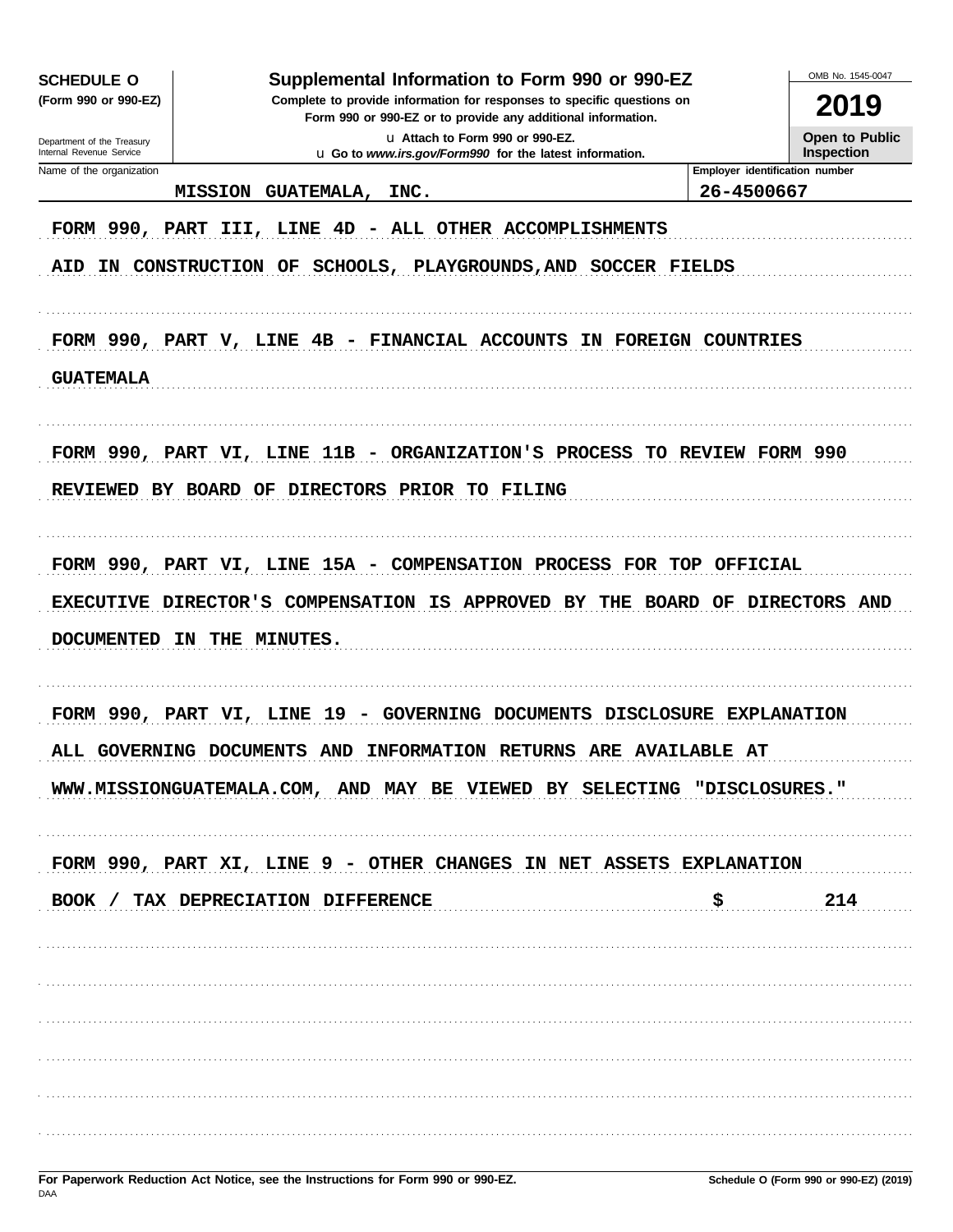| <b>SCHEDULE O</b>                                      | Supplemental Information to Form 990 or 990-EZ                                                                                                                                                                         |                                | OMB No. 1545-0047    |
|--------------------------------------------------------|------------------------------------------------------------------------------------------------------------------------------------------------------------------------------------------------------------------------|--------------------------------|----------------------|
| (Form 990 or 990-EZ)                                   | Complete to provide information for responses to specific questions on<br>Form 990 or 990-EZ or to provide any additional information.                                                                                 |                                | 2019                 |
| Department of the Treasury<br>Internal Revenue Service | u Attach to Form 990 or 990-EZ.                                                                                                                                                                                        |                                | Open to Public       |
| Name of the organization                               | u Go to www.irs.gov/Form990 for the latest information.                                                                                                                                                                | Employer identification number | <b>Inspection</b>    |
|                                                        | INC.<br><b>MISSION</b><br><b>GUATEMALA,</b>                                                                                                                                                                            | 26-4500667                     |                      |
| <b>AID</b>                                             | FORM 990, PART III, LINE 4D - ALL OTHER ACCOMPLISHMENTS<br>IN CONSTRUCTION OF<br>SCHOOLS, PLAYGROUNDS, AND SOCCER FIELDS                                                                                               |                                |                      |
| <b>GUATEMALA</b>                                       | FORM 990, PART V, LINE 4B - FINANCIAL ACCOUNTS IN FOREIGN COUNTRIES                                                                                                                                                    |                                |                      |
| REVIEWED BY BOARD OF                                   | FORM 990, PART VI, LINE 11B - ORGANIZATION'S PROCESS TO REVIEW FORM 990<br>DIRECTORS PRIOR TO FILING                                                                                                                   |                                |                      |
| EXECUTIVE DIRECTOR'S<br><b>DOCUMENTED</b>              | FORM 990, PART VI, LINE 15A - COMPENSATION PROCESS FOR TOP OFFICIAL<br>COMPENSATION IS APPROVED<br>BY<br>THE<br>THE<br><b>MINUTES.</b><br>IN                                                                           | BOARD OF                       | <b>DIRECTORS AND</b> |
|                                                        | FORM 990, PART VI, LINE 19 - GOVERNING DOCUMENTS DISCLOSURE EXPLANATION<br>ALL GOVERNING DOCUMENTS AND INFORMATION RETURNS ARE AVAILABLE AT<br>WWW.MISSIONGUATEMALA.COM, AND MAY BE VIEWED BY SELECTING "DISCLOSURES." |                                |                      |
|                                                        | FORM 990, PART XI, LINE 9 - OTHER CHANGES IN NET ASSETS EXPLANATION<br>BOOK / TAX DEPRECIATION DIFFERENCE                                                                                                              | \$                             | 214                  |
|                                                        |                                                                                                                                                                                                                        |                                |                      |
|                                                        |                                                                                                                                                                                                                        |                                |                      |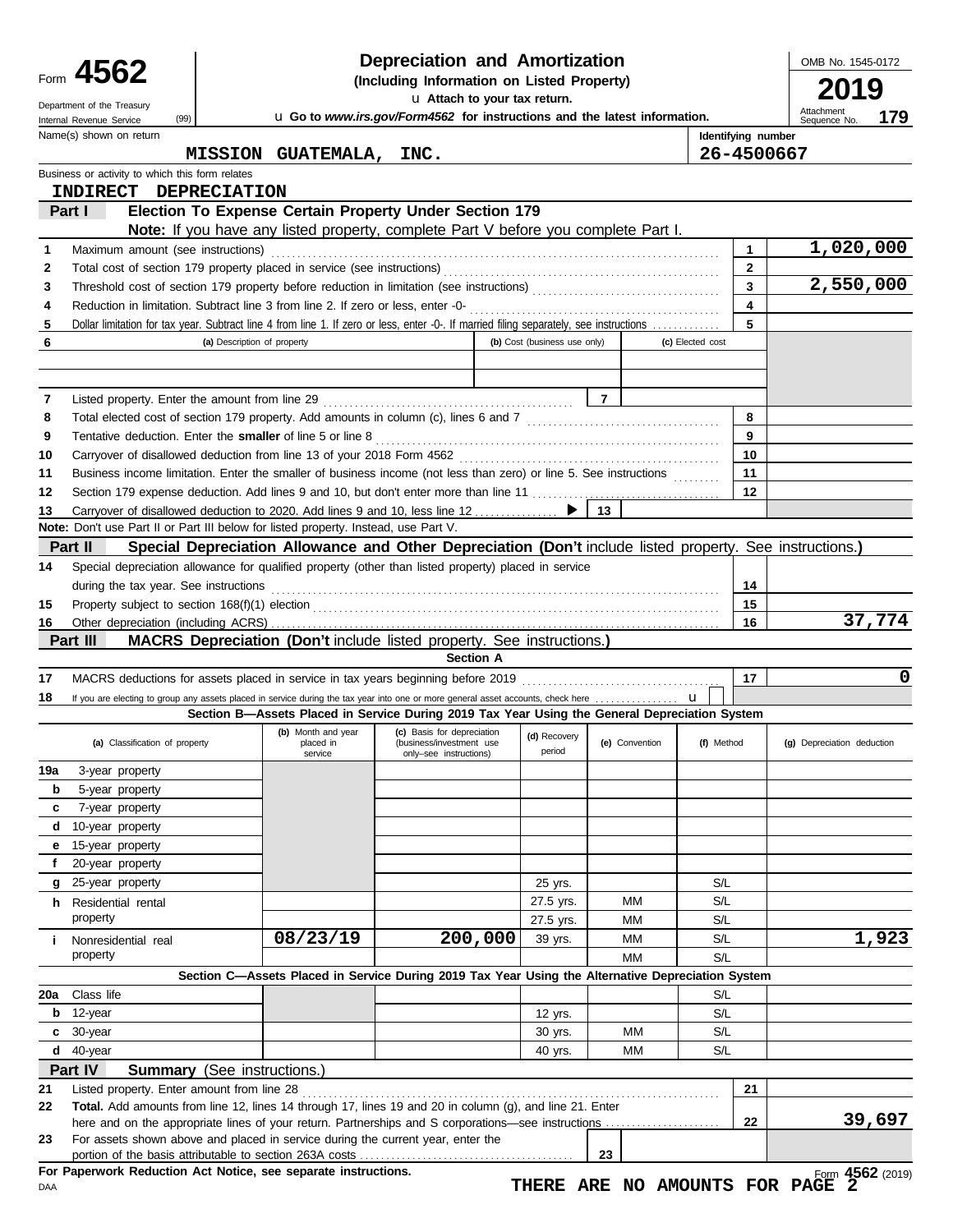|          | 4562                                                                                                                                                  |                                    |                                            | Depreciation and Amortization                                                                            |                              |                |                |                  |                         | OMB No. 1545-0172                                   |
|----------|-------------------------------------------------------------------------------------------------------------------------------------------------------|------------------------------------|--------------------------------------------|----------------------------------------------------------------------------------------------------------|------------------------------|----------------|----------------|------------------|-------------------------|-----------------------------------------------------|
| Form     |                                                                                                                                                       |                                    | (Including Information on Listed Property) |                                                                                                          |                              | 2019           |                |                  |                         |                                                     |
|          | Department of the Treasury                                                                                                                            |                                    |                                            | u Attach to your tax return.                                                                             |                              |                |                |                  |                         | Attachment                                          |
|          | (99)<br>Internal Revenue Service                                                                                                                      |                                    |                                            | u Go to www.irs.gov/Form4562 for instructions and the latest information.                                |                              |                |                |                  |                         | 179<br>Sequence No.                                 |
|          | Name(s) shown on return                                                                                                                               |                                    |                                            |                                                                                                          |                              |                |                |                  | Identifying number      |                                                     |
|          |                                                                                                                                                       |                                    | MISSION GUATEMALA, INC.                    |                                                                                                          |                              |                |                |                  | 26-4500667              |                                                     |
|          | Business or activity to which this form relates<br>INDIRECT DEPRECIATION                                                                              |                                    |                                            |                                                                                                          |                              |                |                |                  |                         |                                                     |
|          | Part I                                                                                                                                                |                                    |                                            | Election To Expense Certain Property Under Section 179                                                   |                              |                |                |                  |                         |                                                     |
|          |                                                                                                                                                       |                                    |                                            | <b>Note:</b> If you have any listed property, complete Part V before you complete Part I.                |                              |                |                |                  |                         |                                                     |
| 1        | Maximum amount (see instructions)                                                                                                                     |                                    |                                            |                                                                                                          |                              |                |                |                  | 1                       | 1,020,000                                           |
| 2        |                                                                                                                                                       |                                    |                                            |                                                                                                          |                              |                |                |                  | $\mathbf{2}$            |                                                     |
| 3        |                                                                                                                                                       |                                    |                                            |                                                                                                          |                              |                |                |                  | $\overline{\mathbf{3}}$ | 2,550,000                                           |
| 4        |                                                                                                                                                       |                                    |                                            |                                                                                                          |                              |                |                |                  | $\overline{\mathbf{4}}$ |                                                     |
| 5        | Dollar limitation for tax year. Subtract line 4 from line 1. If zero or less, enter -0-. If married filing separately, see instructions               |                                    |                                            |                                                                                                          |                              |                |                |                  | 5                       |                                                     |
| 6        |                                                                                                                                                       | (a) Description of property        |                                            |                                                                                                          | (b) Cost (business use only) |                |                | (c) Elected cost |                         |                                                     |
|          |                                                                                                                                                       |                                    |                                            |                                                                                                          |                              |                |                |                  |                         |                                                     |
|          |                                                                                                                                                       |                                    |                                            |                                                                                                          |                              |                |                |                  |                         |                                                     |
| 7        |                                                                                                                                                       |                                    |                                            |                                                                                                          |                              | $\overline{7}$ |                |                  |                         |                                                     |
| 8        |                                                                                                                                                       |                                    |                                            |                                                                                                          |                              |                |                |                  | 8                       |                                                     |
| 9        | Tentative deduction. Enter the smaller of line 5 or line 8                                                                                            |                                    |                                            |                                                                                                          |                              |                |                |                  | 9                       |                                                     |
| 10       |                                                                                                                                                       |                                    |                                            |                                                                                                          |                              |                |                |                  | 10                      |                                                     |
| 11       | Business income limitation. Enter the smaller of business income (not less than zero) or line 5. See instructions                                     |                                    |                                            |                                                                                                          |                              |                |                |                  | 11                      |                                                     |
| 12       |                                                                                                                                                       |                                    |                                            |                                                                                                          |                              |                |                |                  | 12                      |                                                     |
| 13       | Carryover of disallowed deduction to 2020. Add lines 9 and 10, less line 12                                                                           |                                    |                                            |                                                                                                          |                              | 13             |                |                  |                         |                                                     |
|          | <b>Note:</b> Don't use Part II or Part III below for listed property. Instead, use Part V.                                                            |                                    |                                            |                                                                                                          |                              |                |                |                  |                         |                                                     |
|          | Part II                                                                                                                                               |                                    |                                            | Special Depreciation Allowance and Other Depreciation (Don't include listed property. See instructions.) |                              |                |                |                  |                         |                                                     |
| 14       | Special depreciation allowance for qualified property (other than listed property) placed in service                                                  |                                    |                                            |                                                                                                          |                              |                |                |                  |                         |                                                     |
|          | during the tax year. See instructions                                                                                                                 |                                    |                                            |                                                                                                          |                              |                |                |                  | 14                      |                                                     |
| 15       |                                                                                                                                                       |                                    |                                            |                                                                                                          |                              |                |                |                  | 15<br>16                | 37,774                                              |
| 16       | Part III                                                                                                                                              |                                    |                                            | <b>MACRS Depreciation (Don't include listed property. See instructions.)</b>                             |                              |                |                |                  |                         |                                                     |
|          |                                                                                                                                                       |                                    |                                            | <b>Section A</b>                                                                                         |                              |                |                |                  |                         |                                                     |
| 17       | MACRS deductions for assets placed in service in tax years beginning before 2019                                                                      |                                    |                                            |                                                                                                          |                              |                |                |                  | 17                      | 0                                                   |
| 18       | If you are electing to group any assets placed in service during the tax year into one or more general asset accounts, check here                     |                                    |                                            |                                                                                                          |                              |                |                |                  |                         |                                                     |
|          |                                                                                                                                                       |                                    |                                            | Section B—Assets Placed in Service During 2019 Tax Year Using the General Depreciation System            |                              |                |                |                  |                         |                                                     |
|          |                                                                                                                                                       |                                    | (b) Month and year                         | (c) Basis for depreciation                                                                               | (d) Recovery                 |                |                |                  |                         |                                                     |
|          | (a) Classification of property                                                                                                                        |                                    | placed in<br>service                       | (business/investment use<br>only-see instructions)                                                       | period                       |                | (e) Convention | (f) Method       |                         | (g) Depreciation deduction                          |
| 19a      | 3-year property                                                                                                                                       |                                    |                                            |                                                                                                          |                              |                |                |                  |                         |                                                     |
| b        | 5-year property                                                                                                                                       |                                    |                                            |                                                                                                          |                              |                |                |                  |                         |                                                     |
| c        | 7-year property                                                                                                                                       |                                    |                                            |                                                                                                          |                              |                |                |                  |                         |                                                     |
|          | d 10-year property                                                                                                                                    |                                    |                                            |                                                                                                          |                              |                |                |                  |                         |                                                     |
| е        | 15-year property                                                                                                                                      |                                    |                                            |                                                                                                          |                              |                |                |                  |                         |                                                     |
| f        | 20-year property                                                                                                                                      |                                    |                                            |                                                                                                          |                              |                |                |                  |                         |                                                     |
| g        | 25-year property                                                                                                                                      |                                    |                                            |                                                                                                          | 25 yrs.                      |                |                | S/L              |                         |                                                     |
| h.       | Residential rental                                                                                                                                    |                                    |                                            |                                                                                                          | 27.5 yrs.                    |                | MМ             | S/L              |                         |                                                     |
|          | property                                                                                                                                              |                                    |                                            |                                                                                                          | 27.5 yrs.                    |                | МM             | S/L              |                         |                                                     |
| j.       | Nonresidential real                                                                                                                                   |                                    | 08/23/19                                   | 200,000                                                                                                  | 39 yrs.                      |                | MM             | S/L              |                         | 1,923                                               |
|          | property                                                                                                                                              |                                    |                                            |                                                                                                          |                              |                | MM             | S/L              |                         |                                                     |
|          |                                                                                                                                                       |                                    |                                            | Section C-Assets Placed in Service During 2019 Tax Year Using the Alternative Depreciation System        |                              |                |                |                  |                         |                                                     |
| 20a      | Class life                                                                                                                                            |                                    |                                            |                                                                                                          |                              |                |                | S/L              |                         |                                                     |
| b        | 12-year                                                                                                                                               |                                    |                                            |                                                                                                          | 12 yrs.                      |                |                | S/L              |                         |                                                     |
| c        | 30-year<br>$d$ 40-year                                                                                                                                |                                    |                                            |                                                                                                          | 30 yrs.                      |                | MМ<br>МM       | S/L<br>S/L       |                         |                                                     |
|          | Part IV                                                                                                                                               | <b>Summary</b> (See instructions.) |                                            |                                                                                                          | 40 yrs.                      |                |                |                  |                         |                                                     |
|          |                                                                                                                                                       |                                    |                                            |                                                                                                          |                              |                |                |                  | 21                      |                                                     |
| 21<br>22 | Listed property. Enter amount from line 28<br>Total. Add amounts from line 12, lines 14 through 17, lines 19 and 20 in column (g), and line 21. Enter |                                    |                                            |                                                                                                          |                              |                |                |                  |                         |                                                     |
|          |                                                                                                                                                       |                                    |                                            |                                                                                                          |                              |                |                |                  | 22                      | 39,697                                              |
| 23       | For assets shown above and placed in service during the current year, enter the                                                                       |                                    |                                            |                                                                                                          |                              |                |                |                  |                         |                                                     |
|          |                                                                                                                                                       |                                    |                                            |                                                                                                          |                              | 23             |                |                  |                         |                                                     |
| DAA      | For Paperwork Reduction Act Notice, see separate instructions.                                                                                        |                                    |                                            |                                                                                                          |                              |                |                |                  |                         | Form 4562 (2019)<br>THERE ARE NO AMOUNTS FOR PAGE 2 |

Form **4562** (2019) **THERE ARE NO AMOUNTS FOR PAGE 2**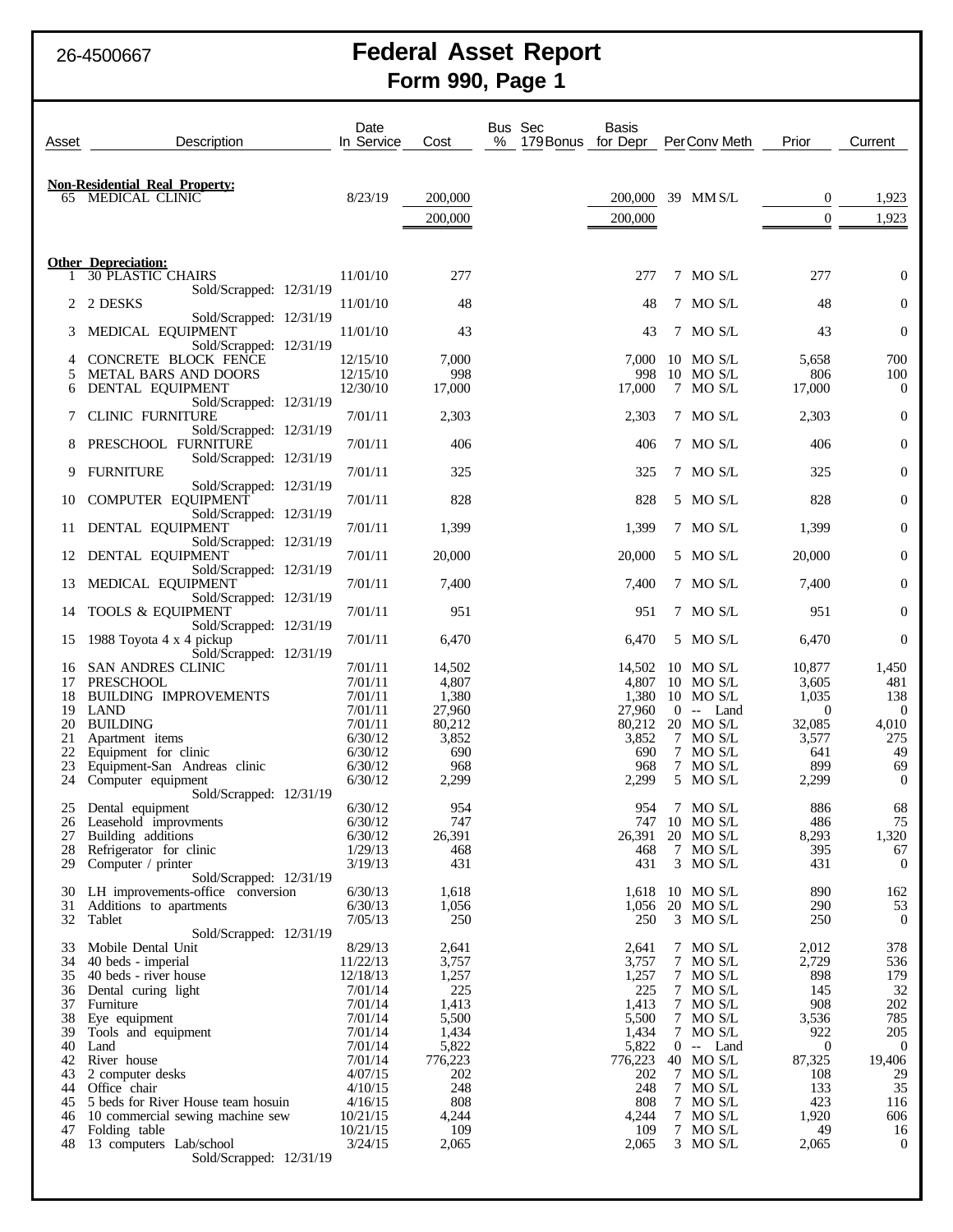# 26-4500667 **Federal Asset Report Form 990, Page 1**

| Asset    | Description                                                  | Date<br>In Service   | Cost             | Bus Sec<br>Basis<br>%<br>179 Bonus for Depr |     | PerConv Meth            | Prior                   | Current                 |
|----------|--------------------------------------------------------------|----------------------|------------------|---------------------------------------------|-----|-------------------------|-------------------------|-------------------------|
|          |                                                              |                      |                  |                                             |     |                         |                         |                         |
|          | <b>Non-Residential Real Property:</b>                        |                      |                  |                                             |     |                         |                         |                         |
|          | 65 MEDICAL CLINIC                                            | 8/23/19              | 200,000          | 200,000                                     |     | 39 MMS/L                | $\mathbf{0}$            | 1,923                   |
|          |                                                              |                      | 200,000          | 200,000                                     |     |                         | $\overline{0}$          | 1,923                   |
|          |                                                              |                      |                  |                                             |     |                         |                         |                         |
|          | <b>Other Depreciation:</b>                                   |                      |                  |                                             |     |                         |                         |                         |
|          | <b>30 PLASTIC CHAIRS</b>                                     | 11/01/10             | 277              | 277                                         |     | 7 MO S/L                | 277                     | $\theta$                |
|          | Sold/Scrapped: 12/31/19<br>2 DESKS                           | 11/01/10             | 48               |                                             | 48  | 7 MO S/L                | 48                      | $\theta$                |
|          | Sold/Scrapped: 12/31/19                                      |                      |                  |                                             |     |                         |                         |                         |
| 3        | MEDICAL EQUIPMENT<br>Sold/Scrapped: 12/31/19                 | 11/01/10             | 43               |                                             | 43  | 7 MO S/L                | 43                      | $\theta$                |
|          | CONCRETE BLOCK FENCE                                         | 12/15/10             | 7,000            | 7,000                                       |     | 10 MO S/L               | 5,658                   | 700                     |
| 5        | METAL BARS AND DOORS<br>DENTAL EQUIPMENT                     | 12/15/10<br>12/30/10 | 998<br>17,000    | 17,000                                      | 998 | $10$ MO S/L<br>7 MO S/L | 806<br>17,000           | 100<br>$\overline{0}$   |
| 6        | Sold/Scrapped: 12/31/19                                      |                      |                  |                                             |     |                         |                         |                         |
|          | <b>CLINIC FURNITURE</b>                                      | 7/01/11              | 2,303            | 2,303                                       |     | 7 MO S/L                | 2,303                   | $\theta$                |
|          | Sold/Scrapped: 12/31/19<br>PRESCHOOL FURNITURE               | 7/01/11              | 406              | 406                                         |     | 7 MO S/L                | 406                     | $\theta$                |
| 8        | Sold/Scrapped: 12/31/19                                      |                      |                  |                                             |     |                         |                         |                         |
| 9.       | <b>FURNITURE</b>                                             | 7/01/11              | 325              | 325                                         |     | 7 MO S/L                | 325                     | $\boldsymbol{0}$        |
| 10       | Sold/Scrapped: 12/31/19<br><b>COMPUTER EQUIPMENT</b>         | 7/01/11              | 828              | 828                                         |     | 5 MO S/L                | 828                     | $\theta$                |
|          | Sold/Scrapped: 12/31/19                                      |                      |                  |                                             |     |                         |                         |                         |
| 11       | DENTAL EQUIPMENT                                             | 7/01/11              | 1,399            | 1,399                                       |     | 7 MO S/L                | 1,399                   | $\boldsymbol{0}$        |
| 12       | Sold/Scrapped: 12/31/19<br>DENTAL EQUIPMENT                  | 7/01/11              | 20,000           | 20,000                                      |     | 5 MO S/L                | 20,000                  | $\theta$                |
|          | Sold/Scrapped: 12/31/19                                      |                      |                  |                                             |     |                         |                         |                         |
| 13       | MEDICAL EQUIPMENT                                            | 7/01/11              | 7,400            | 7,400                                       |     | 7 MO S/L                | 7,400                   | $\boldsymbol{0}$        |
| 14       | Sold/Scrapped: 12/31/19<br>TOOLS & EQUIPMENT                 | 7/01/11              | 951              | 951                                         |     | 7 MO S/L                | 951                     | $\theta$                |
|          | Sold/Scrapped: 12/31/19                                      |                      |                  |                                             |     |                         |                         |                         |
| 15       | 1988 Toyota 4 x 4 pickup                                     | 7/01/11              | 6,470            | 6,470                                       |     | 5 MO S/L                | 6,470                   | $\theta$                |
| 16       | Sold/Scrapped: 12/31/19<br><b>SAN ANDRES CLINIC</b>          | 7/01/11              | 14,502           | 14,502                                      |     | $10$ MO S/L             | 10,877                  | 1,450                   |
|          | 17 PRESCHOOL                                                 | 7/01/11              | 4,807            |                                             |     | 4,807 10 MO S/L         | 3,605                   | 481                     |
| 18       | <b>BUILDING IMPROVEMENTS</b>                                 | 7/01/11              | 1,380            | 1,380                                       |     | $10$ MO S/L             | 1,035                   | 138                     |
| 19<br>20 | LAND<br><b>BUILDING</b>                                      | 7/01/11<br>7/01/11   | 27,960<br>80,212 | 27,960<br>80,212                            |     | $0 -$ Land<br>20 MO S/L | $\mathbf 0$<br>32,085   | $\overline{0}$<br>4,010 |
| 21       | Apartment <i>items</i>                                       | 6/30/12              | 3,852            | 3,852                                       |     | 7 MO S/L                | 3,577                   | 275                     |
| 22       | Equipment for clinic                                         | 6/30/12              | 690              | 690                                         |     | 7 MO S/L                | 641                     | 49                      |
| 23       | Equipment-San Andreas clinic                                 | 6/30/12              | 968              | 968                                         |     | 7 MO S/L                | 899                     | 69                      |
| 24       | Computer equipment                                           | 6/30/12              | 2,299            | 2,299                                       |     | 5 MO S/L                | 2,299                   | $\theta$                |
| 25       | Sold/Scrapped: 12/31/19<br>Dental equipment                  | 6/30/12              | 954              | 954                                         |     | 7 MO S/L                | 886                     | 68                      |
| 26       | Leasehold improvments                                        | 6/30/12              | 747              |                                             | 747 | $10$ MO S/L             | 486                     | 75                      |
| 27       | Building additions                                           | 6/30/12              | 26,391           | 26,391                                      |     | 20 MO S/L               | 8,293                   | 1,320                   |
| 28       | Refrigerator for clinic                                      | 1/29/13              | 468              |                                             | 468 | 7 MO S/L                | 395                     | 67                      |
| 29       | Computer / printer                                           | 3/19/13              | 431              | 431                                         |     | $3$ MO S/L              | 431                     | $\overline{0}$          |
| 30       | Sold/Scrapped: 12/31/19<br>LH improvements-office conversion | 6/30/13              | 1,618            | 1,618                                       |     | $10$ MO S/L             | 890                     | 162                     |
| 31       | Additions to apartments                                      | 6/30/13              | 1,056            | 1,056                                       |     | 20 MO S/L               | 290                     | 53                      |
| 32       | Tablet                                                       | 7/05/13              | 250              |                                             | 250 | $3$ MO S/L              | 250                     | $\mathbf{0}$            |
| 33       | Sold/Scrapped: 12/31/19                                      | 8/29/13              | 2,641            | 2,641                                       |     | 7 MO S/L                | 2,012                   | 378                     |
| 34       | Mobile Dental Unit<br>40 beds - imperial                     | 11/22/13             | 3,757            | 3,757                                       |     | 7 MO S/L                | 2,729                   | 536                     |
| 35       | 40 beds - river house                                        | 12/18/13             | 1,257            | 1,257                                       |     | 7 MO S/L                | 898                     | 179                     |
|          | 36 Dental curing light                                       | 7/01/14              | 225              | 225                                         |     | 7 MO S/L                | 145                     | $32\,$                  |
|          | 37 Furniture                                                 | 7/01/14              | 1,413            | 1,413                                       |     | 7 MO S/L                | 908                     | 202                     |
| 38       | Eye equipment                                                | 7/01/14              | 5,500            | 5,500                                       |     | 7 MO S/L                | 3,536                   | 785                     |
| 39<br>40 | Tools and equipment<br>Land                                  | 7/01/14<br>7/01/14   | 1,434<br>5,822   | 1,434<br>5,822                              |     | 7 MO S/L<br>$0 -$ Land  | 922<br>$\boldsymbol{0}$ | 205<br>$\overline{0}$   |
| 42       | River house                                                  | 7/01/14              | 776,223          | 776,223                                     |     | 40 MO S/L               | 87,325                  | 19,406                  |
| 43       | 2 computer desks                                             | 4/07/15              | 202              | 202                                         |     | 7 MO S/L                | 108                     | 29                      |
| 44       | Office chair                                                 | 4/10/15              | 248              | 248                                         |     | 7 MO S/L                | 133                     | 35                      |
| 45       | 5 beds for River House team hosuin                           | 4/16/15              | 808              | 808                                         |     | 7 MO S/L                | 423                     | 116                     |
| 46<br>47 | 10 commercial sewing machine sew<br>Folding table            | 10/21/15<br>10/21/15 | 4,244<br>109     | 4,244<br>109                                |     | 7 MO S/L<br>7 MO S/L    | 1,920<br>49             | 606<br>16               |
| 48       | 13 computers Lab/school                                      | 3/24/15              | 2,065            | 2,065                                       |     | $3$ MO S/L              | 2,065                   | $\overline{0}$          |
|          | Sold/Scrapped: 12/31/19                                      |                      |                  |                                             |     |                         |                         |                         |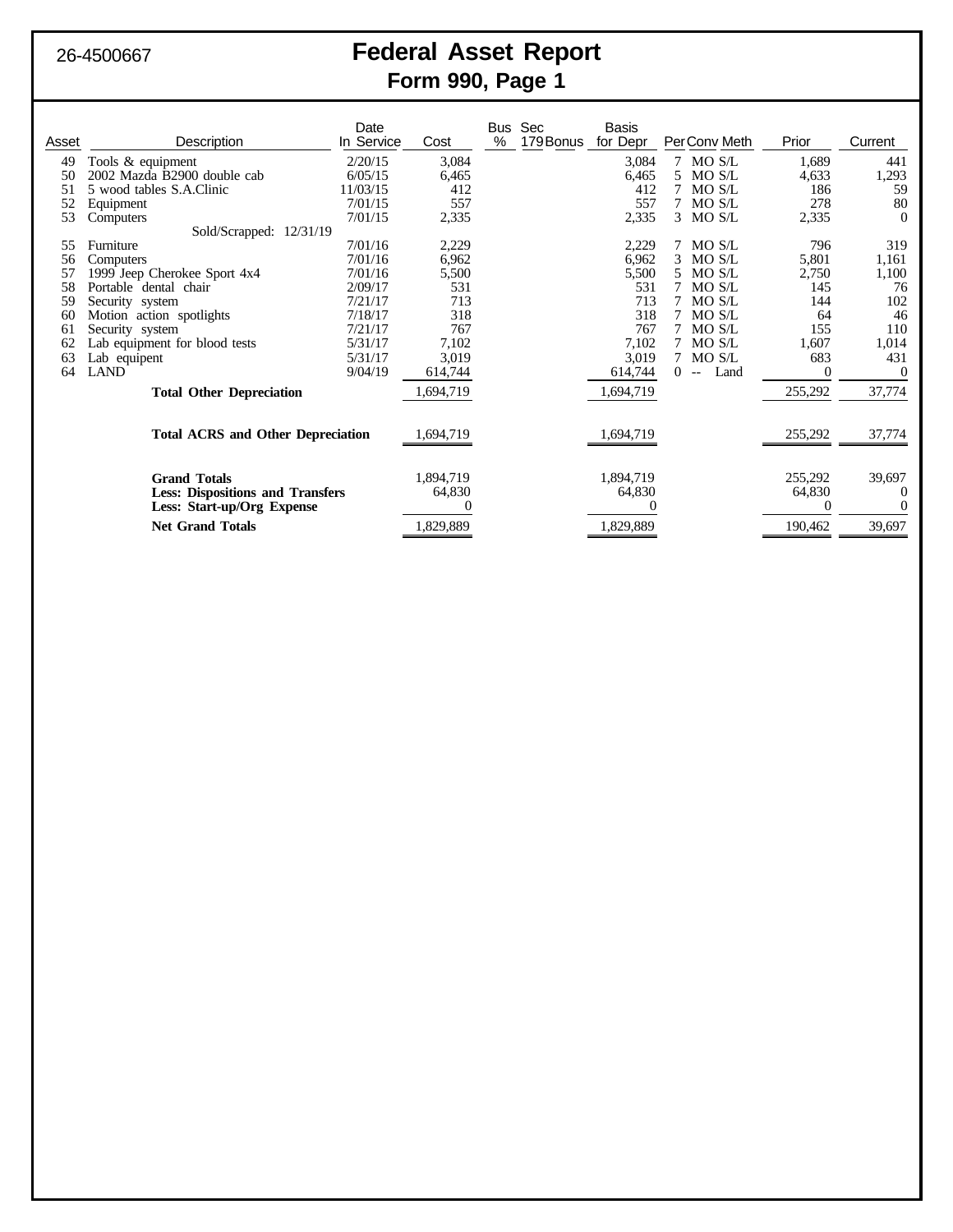# 26-4500667 **Federal Asset Report Form 990, Page 1**

| Asset                      | Description                                      | Date<br>In Service | Cost       | Bus<br>% | Sec<br>179 Bonus | <b>Basis</b><br>for Depr |          | PerConv Meth         | Prior    | Current        |
|----------------------------|--------------------------------------------------|--------------------|------------|----------|------------------|--------------------------|----------|----------------------|----------|----------------|
|                            |                                                  |                    |            |          |                  |                          |          |                      |          |                |
| 49<br>50                   | Tools & equipment<br>2002 Mazda B2900 double cab | 2/20/15            | 3,084      |          |                  | 3,084                    | 5.       | 7 MO S/L             | 1,689    | 441            |
| 51                         |                                                  | 6/05/15            | 6,465      |          |                  | 6,465                    |          | MO S/L               | 4,633    | 1,293          |
|                            | 5 wood tables S.A.Clinic                         | 11/03/15           | 412<br>557 |          |                  | 412                      |          | MO S/L<br>MO S/L     | 186      | 59<br>80       |
| 52<br>53                   | Equipment                                        | 7/01/15            |            |          |                  | 557                      |          |                      | 278      | $\Omega$       |
|                            | Computers                                        | 7/01/15            | 2,335      |          |                  | 2,335                    |          | 3 MOS/L              | 2,335    |                |
|                            | Sold/Scrapped: 12/31/19                          |                    |            |          |                  |                          |          |                      |          |                |
| 55                         | Furniture                                        | 7/01/16            | 2,229      |          |                  | 2,229                    | 3        | MO S/L               | 796      | 319            |
| 56                         | Computers                                        | 7/01/16            | 6,962      |          |                  | 6,962                    |          | MO S/L               | 5,801    | 1,161          |
| 57                         | 1999 Jeep Cherokee Sport 4x4                     | 7/01/16            | 5,500      |          |                  | 5,500                    |          | MO S/L               | 2,750    | 1,100          |
| 58                         | Portable dental chair                            | 2/09/17            | 531        |          |                  | 531                      |          | MO S/L               | 145      | 76             |
| 59                         | Security system                                  | 7/21/17            | 713        |          |                  | 713                      |          | MO S/L               | 144      | 102            |
| 60                         | Motion action spotlights                         | 7/18/17            | 318        |          |                  | 318                      | 7        | MO S/L               | 64       | 46             |
| 61                         | Security system                                  | 7/21/17            | 767        |          |                  | 767                      |          | MO S/L               | 155      | 110            |
| 62                         | Lab equipment for blood tests                    | 5/31/17            | 7,102      |          |                  | 7,102                    | 7        | MO S/L               | 1,607    | 1,014          |
| 63                         | Lab equipent                                     | 5/31/17            | 3,019      |          |                  | 3,019                    |          | MO S/L               | 683      | 431            |
| 64                         | <b>LAND</b>                                      | 9/04/19            | 614,744    |          |                  | 614,744                  | $\Omega$ | Land<br>$\mathbf{L}$ | $\Omega$ | $\overline{0}$ |
|                            | <b>Total Other Depreciation</b>                  |                    | 1,694,719  |          |                  | 1,694,719                |          |                      | 255,292  | 37,774         |
|                            |                                                  |                    |            |          |                  |                          |          |                      |          |                |
|                            | <b>Total ACRS and Other Depreciation</b>         |                    | 1,694,719  |          |                  | 1,694,719                |          |                      | 255,292  | 37,774         |
|                            |                                                  |                    |            |          |                  |                          |          |                      |          |                |
|                            | <b>Grand Totals</b>                              |                    |            |          |                  | 1,894,719                |          |                      | 255,292  | 39,697         |
|                            | <b>Less: Dispositions and Transfers</b>          |                    | 64,830     |          |                  | 64,830                   |          |                      | 64,830   | $\theta$       |
| Less: Start-up/Org Expense |                                                  |                    |            |          |                  |                          |          |                      | $\theta$ | $\Omega$       |
| <b>Net Grand Totals</b>    |                                                  |                    | 1,829,889  |          |                  | 1,829,889                |          |                      | 190,462  | 39,697         |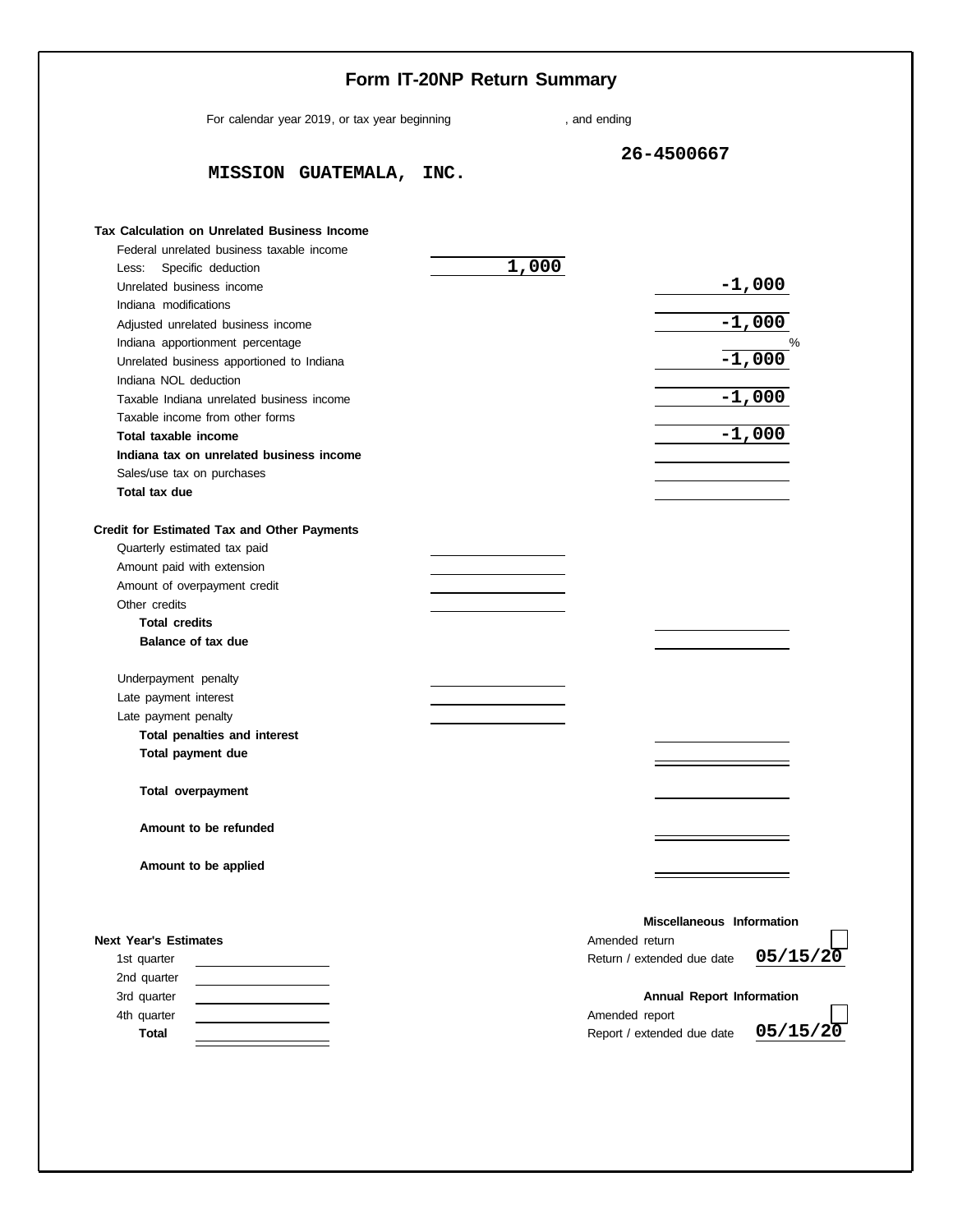|                                                             | Form IT-20NP Return Summary                 |  |
|-------------------------------------------------------------|---------------------------------------------|--|
| For calendar year 2019, or tax year beginning               | , and ending                                |  |
|                                                             | 26-4500667                                  |  |
| MISSION GUATEMALA, INC.                                     |                                             |  |
| <b>Tax Calculation on Unrelated Business Income</b>         |                                             |  |
| Federal unrelated business taxable income                   |                                             |  |
| Less: Specific deduction                                    | 1,000                                       |  |
| Unrelated business income                                   | $-1,000$                                    |  |
| Indiana modifications                                       |                                             |  |
| Adjusted unrelated business income                          | $-1,000$                                    |  |
| Indiana apportionment percentage                            | %                                           |  |
| Unrelated business apportioned to Indiana                   | $-1,000$                                    |  |
| Indiana NOL deduction                                       |                                             |  |
| Taxable Indiana unrelated business income                   | $-1,000$                                    |  |
| Taxable income from other forms                             |                                             |  |
| Total taxable income                                        | $-1,000$                                    |  |
| Indiana tax on unrelated business income                    |                                             |  |
| Sales/use tax on purchases                                  |                                             |  |
| Total tax due                                               |                                             |  |
| Credit for Estimated Tax and Other Payments                 |                                             |  |
| Quarterly estimated tax paid                                |                                             |  |
| Amount paid with extension                                  |                                             |  |
| Amount of overpayment credit                                |                                             |  |
| Other credits                                               |                                             |  |
| <b>Total credits</b>                                        |                                             |  |
| Balance of tax due                                          |                                             |  |
| Underpayment penalty                                        |                                             |  |
| Late payment interest                                       |                                             |  |
| Late payment penalty                                        |                                             |  |
| Total penalties and interest                                |                                             |  |
| Total payment due                                           |                                             |  |
| Total overpayment                                           |                                             |  |
| Amount to be refunded                                       |                                             |  |
| Amount to be applied                                        |                                             |  |
| <b>Next Year's Estimates</b>                                | Miscellaneous Information<br>Amended return |  |
| 1st quarter<br>the control of the control of the control of | 05/15/20<br>Return / extended due date      |  |
| 2nd quarter<br>the control of the control of the control of |                                             |  |
| 3rd quarter<br>the control of the control of the control of | <b>Annual Report Information</b>            |  |
| 4th quarter                                                 | Amended report                              |  |
| <b>Total</b>                                                | 05/15/20<br>Report / extended due date      |  |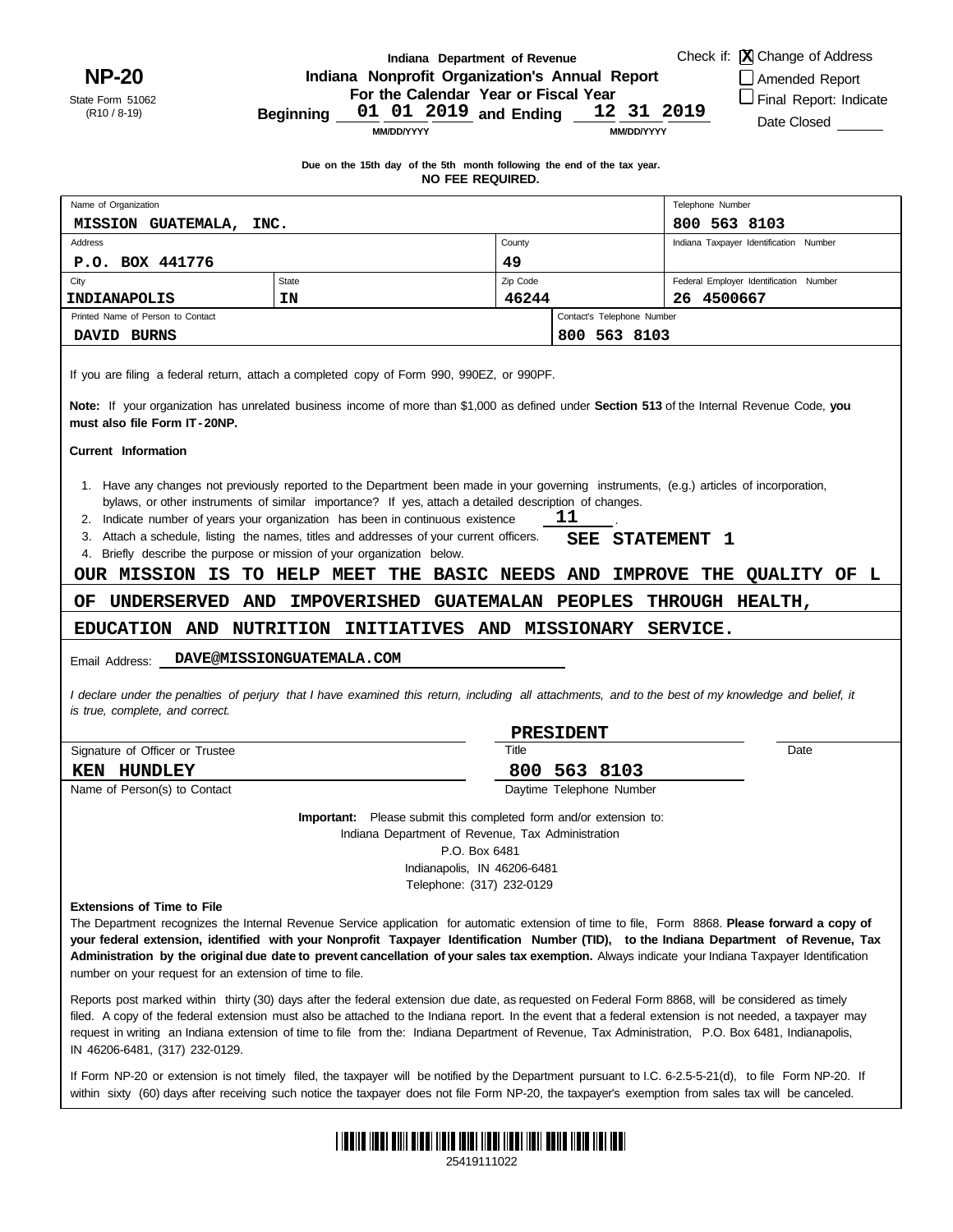**NP-20**

State Form 51062 (R10 / 8-19)

Name of Organization

Address

#### **Indiana Department of Revenue Indiana Nonprofit Organization's Annual Report**

**For the Calendar Year or Fiscal Year**

**Due on the 15th day of the 5th month following the end of the tax year. NO FEE REQUIRED.**

Check if: Change of Address **X**

Indiana Taxpayer Identification Number

Telephone Number

□ Amended Report

□ Final Report: Indicate

Date Closed

**MM/DD/YYYY**

**MISSION GUATEMALA, INC. 800 563 8103**

**Beginning and Ending 01 01 2019 12 31 2019**

**County** 

**MM/DD/YYYY**

| P.O. BOX 441776                                                                               |                                                                                                                                                                                                                                                                                                                                                                                                                                                                                                                                              | 49    |                                                        |                                        |  |  |  |
|-----------------------------------------------------------------------------------------------|----------------------------------------------------------------------------------------------------------------------------------------------------------------------------------------------------------------------------------------------------------------------------------------------------------------------------------------------------------------------------------------------------------------------------------------------------------------------------------------------------------------------------------------------|-------|--------------------------------------------------------|----------------------------------------|--|--|--|
| City<br><b>State</b>                                                                          |                                                                                                                                                                                                                                                                                                                                                                                                                                                                                                                                              |       |                                                        | Federal Employer Identification Number |  |  |  |
| INDIANAPOLIS                                                                                  | ΙN                                                                                                                                                                                                                                                                                                                                                                                                                                                                                                                                           | 46244 |                                                        | 26.<br>4500667                         |  |  |  |
| Printed Name of Person to Contact                                                             |                                                                                                                                                                                                                                                                                                                                                                                                                                                                                                                                              |       | Contact's Telephone Number                             |                                        |  |  |  |
| DAVID BURNS                                                                                   |                                                                                                                                                                                                                                                                                                                                                                                                                                                                                                                                              |       | 800 563 8103                                           |                                        |  |  |  |
| must also file Form IT-20NP.                                                                  | If you are filing a federal return, attach a completed copy of Form 990, 990EZ, or 990PF.<br>Note: If your organization has unrelated business income of more than \$1,000 as defined under Section 513 of the Internal Revenue Code, you                                                                                                                                                                                                                                                                                                    |       |                                                        |                                        |  |  |  |
| <b>Current Information</b>                                                                    |                                                                                                                                                                                                                                                                                                                                                                                                                                                                                                                                              |       |                                                        |                                        |  |  |  |
| 2.<br>3.<br>4.<br>OUR MISSION IS                                                              | 1. Have any changes not previously reported to the Department been made in your governing instruments, (e.g.) articles of incorporation,<br>bylaws, or other instruments of similar importance? If yes, attach a detailed description of changes.<br>Indicate number of years your organization has been in continuous existence<br>Attach a schedule, listing the names, titles and addresses of your current officers.<br>Briefly describe the purpose or mission of your organization below.<br><b>BASIC NEEDS</b><br>TO HELP MEET<br>THE |       | 11<br>SEE<br><b>STATEMENT</b><br><b>IMPROVE</b><br>AND | 1<br>THE<br><b>OUALITY OF L</b>        |  |  |  |
| UNDERSERVED<br>AND<br>ОF                                                                      | <b>IMPOVERISHED</b><br><b>GUATEMALAN</b>                                                                                                                                                                                                                                                                                                                                                                                                                                                                                                     |       | <b>PEOPLES</b>                                         | THROUGH HEALTH,                        |  |  |  |
| EDUCATION AND                                                                                 | AND<br><b>NUTRITION</b><br><b>INITIATIVES</b>                                                                                                                                                                                                                                                                                                                                                                                                                                                                                                |       | <b>MISSIONARY</b>                                      | SERVICE.                               |  |  |  |
| Email Address:<br>is true, complete, and correct.                                             | DAVE@MISSIONGUATEMALA.COM<br>I declare under the penalties of perjury that I have examined this return, including all attachments, and to the best of my knowledge and belief, it                                                                                                                                                                                                                                                                                                                                                            |       | PRESIDENT                                              |                                        |  |  |  |
| Signature of Officer or Trustee                                                               |                                                                                                                                                                                                                                                                                                                                                                                                                                                                                                                                              | Title |                                                        | Date                                   |  |  |  |
| <b>KEN HUNDLEY</b>                                                                            |                                                                                                                                                                                                                                                                                                                                                                                                                                                                                                                                              | 800   | 563 8103                                               |                                        |  |  |  |
| Name of Person(s) to Contact                                                                  |                                                                                                                                                                                                                                                                                                                                                                                                                                                                                                                                              |       | Daytime Telephone Number                               |                                        |  |  |  |
|                                                                                               | <b>Important:</b> Please submit this completed form and/or extension to:<br>Indiana Department of Revenue, Tax Administration<br>P.O. Box 6481<br>Indianapolis, IN 46206-6481                                                                                                                                                                                                                                                                                                                                                                |       |                                                        |                                        |  |  |  |
|                                                                                               | Telephone: (317) 232-0129                                                                                                                                                                                                                                                                                                                                                                                                                                                                                                                    |       |                                                        |                                        |  |  |  |
| <b>Extensions of Time to File</b><br>number on your request for an extension of time to file. | The Department recognizes the Internal Revenue Service application for automatic extension of time to file, Form 8868. Please forward a copy of<br>your federal extension, identified with your Nonprofit Taxpayer Identification Number (TID), to the Indiana Department of Revenue, Tax<br>Administration by the original due date to prevent cancellation of your sales tax exemption. Always indicate your Indiana Taxpayer Identification                                                                                               |       |                                                        |                                        |  |  |  |

Reports post marked within thirty (30) days after the federal extension due date, as requested on Federal Form 8868, will be considered as timely filed. A copy of the federal extension must also be attached to the Indiana report. In the event that a federal extension is not needed, a taxpayer may request in writing an Indiana extension of time to file from the: Indiana Department of Revenue, Tax Administration, P.O. Box 6481, Indianapolis, IN 46206-6481, (317) 232-0129.

within sixty (60) days after receiving such notice the taxpayer does not file Form NP-20, the taxpayer's exemption from sales tax will be canceled. If Form NP-20 or extension is not timely filed, the taxpayer will be notified by the Department pursuant to I.C. 6-2.5-5-21(d), to file Form NP-20. If



25419111022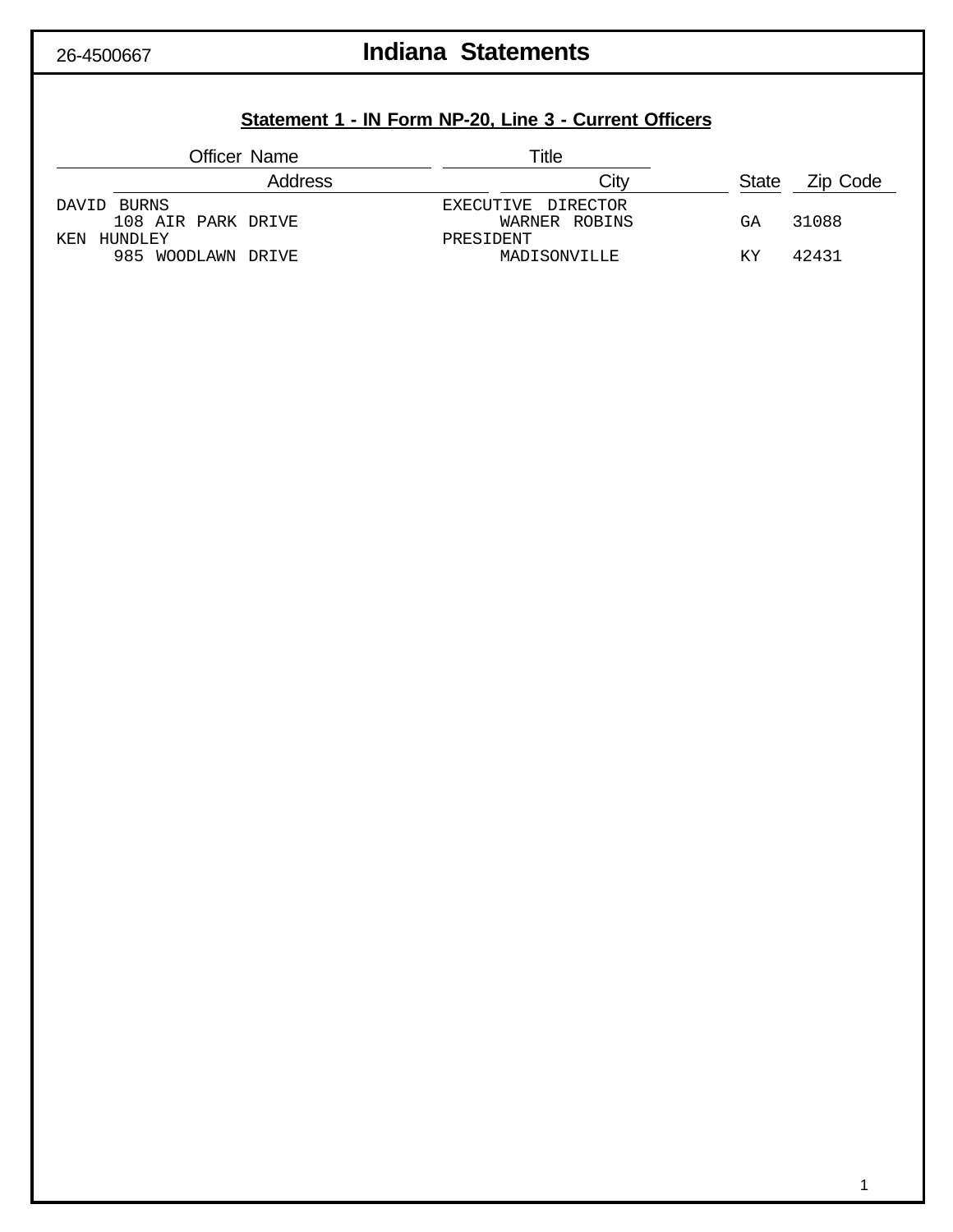# 26-4500667 **Indiana Statements**

# **Statement 1 - IN Form NP-20, Line 3 - Current Officers**

|                    | <b>Officer Name</b> | ™itle              |              |          |
|--------------------|---------------------|--------------------|--------------|----------|
|                    | Address             | Citv               | <b>State</b> | Zip Code |
| DAVID BURNS        |                     | EXECUTIVE DIRECTOR |              |          |
| 108 AIR PARK DRIVE |                     | WARNER ROBINS      | GА           | 31088    |
| KEN<br>HUNDLEY     |                     | PRESIDENT          |              |          |
| 985 WOODLAWN DRIVE |                     | MADISONVILLE       | ΚY           | 42431    |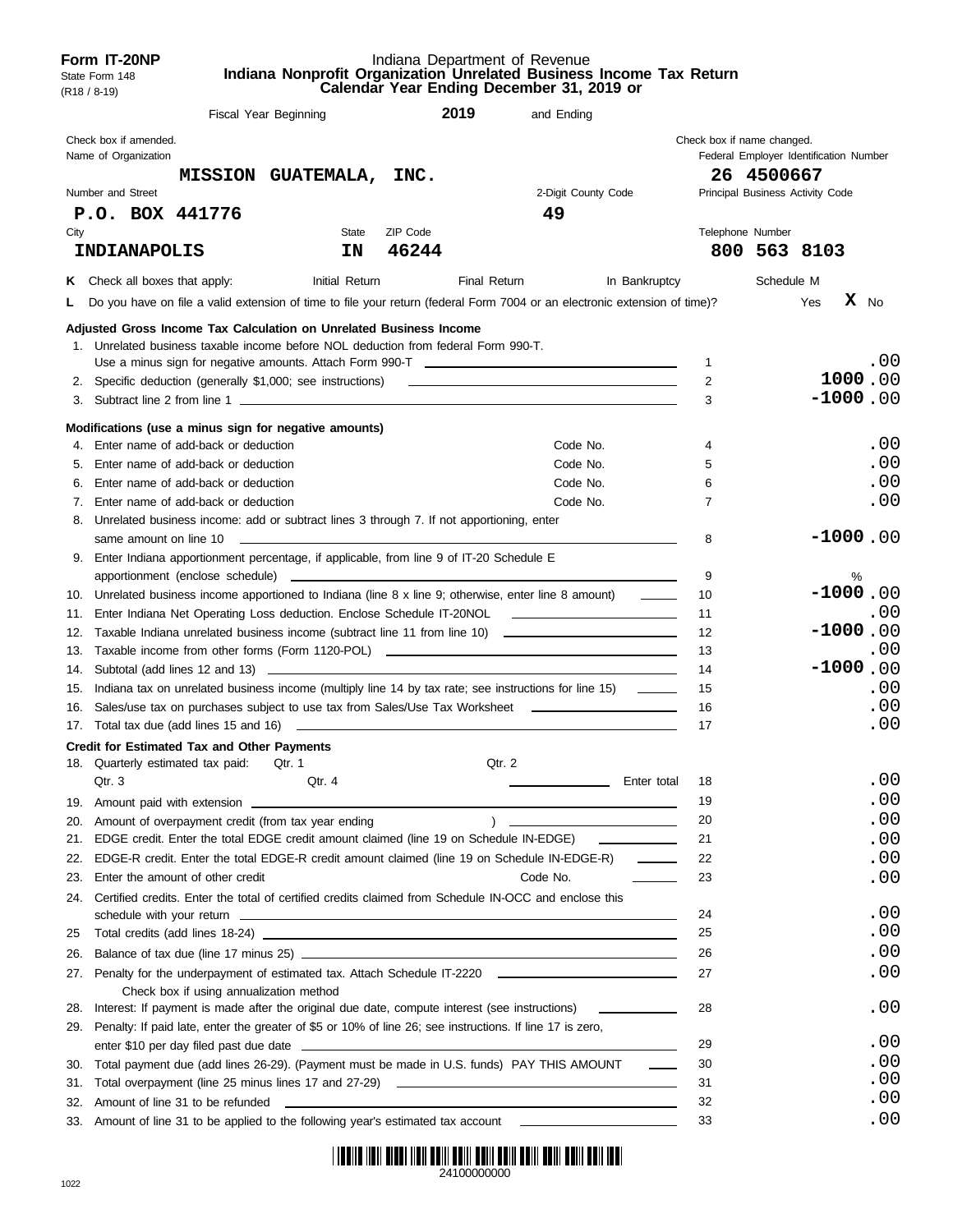|            | Form IT-20NP<br>State Form 148<br>$(R18 / 8-19)$ |                                         |                                                                                                                       |       |                   | Indiana Department of Revenue | Indiana Nonprofit Organization Unrelated Business Income Tax Return<br>Calendar Year Ending December 31, 2019 or                                                                                                                     |                          |                                                                      |              |     |   |                 |
|------------|--------------------------------------------------|-----------------------------------------|-----------------------------------------------------------------------------------------------------------------------|-------|-------------------|-------------------------------|--------------------------------------------------------------------------------------------------------------------------------------------------------------------------------------------------------------------------------------|--------------------------|----------------------------------------------------------------------|--------------|-----|---|-----------------|
|            |                                                  |                                         | Fiscal Year Beginning                                                                                                 |       |                   | 2019                          | and Ending                                                                                                                                                                                                                           |                          |                                                                      |              |     |   |                 |
|            | Check box if amended.<br>Name of Organization    |                                         |                                                                                                                       |       |                   |                               |                                                                                                                                                                                                                                      |                          | Check box if name changed.<br>Federal Employer Identification Number |              |     |   |                 |
|            |                                                  |                                         | MISSION GUATEMALA, INC.                                                                                               |       |                   |                               |                                                                                                                                                                                                                                      |                          |                                                                      | 26 4500667   |     |   |                 |
|            | Number and Street                                |                                         |                                                                                                                       |       |                   |                               | 2-Digit County Code                                                                                                                                                                                                                  |                          | Principal Business Activity Code                                     |              |     |   |                 |
|            | P.O. BOX 441776                                  |                                         |                                                                                                                       |       |                   |                               | 49                                                                                                                                                                                                                                   |                          |                                                                      |              |     |   |                 |
| City       | INDIANAPOLIS                                     |                                         | IN                                                                                                                    | State | ZIP Code<br>46244 |                               |                                                                                                                                                                                                                                      |                          | Telephone Number                                                     | 800 563 8103 |     |   |                 |
|            | <b>K</b> Check all boxes that apply:             |                                         | Initial Return                                                                                                        |       |                   | Final Return                  |                                                                                                                                                                                                                                      | In Bankruptcy            |                                                                      | Schedule M   |     |   |                 |
| L.         |                                                  |                                         |                                                                                                                       |       |                   |                               | Do you have on file a valid extension of time to file your return (federal Form 7004 or an electronic extension of time)?                                                                                                            |                          |                                                                      |              | Yes |   | $\mathbf{X}$ No |
|            |                                                  |                                         | Adjusted Gross Income Tax Calculation on Unrelated Business Income                                                    |       |                   |                               |                                                                                                                                                                                                                                      |                          |                                                                      |              |     |   |                 |
|            |                                                  |                                         | 1. Unrelated business taxable income before NOL deduction from federal Form 990-T.                                    |       |                   |                               |                                                                                                                                                                                                                                      |                          |                                                                      |              |     |   |                 |
|            |                                                  |                                         |                                                                                                                       |       |                   |                               |                                                                                                                                                                                                                                      |                          | $\mathbf{1}$                                                         |              |     |   | .00             |
|            |                                                  |                                         |                                                                                                                       |       |                   |                               |                                                                                                                                                                                                                                      |                          | 2                                                                    |              |     |   | 1000.00         |
|            |                                                  |                                         |                                                                                                                       |       |                   |                               |                                                                                                                                                                                                                                      |                          | 3                                                                    |              |     |   | $-1000.00$      |
|            |                                                  |                                         | Modifications (use a minus sign for negative amounts)                                                                 |       |                   |                               |                                                                                                                                                                                                                                      |                          |                                                                      |              |     |   |                 |
|            |                                                  | 4. Enter name of add-back or deduction  |                                                                                                                       |       |                   |                               | Code No.                                                                                                                                                                                                                             |                          | 4                                                                    |              |     |   | .00             |
| 5.         |                                                  | Enter name of add-back or deduction     |                                                                                                                       |       |                   |                               | Code No.                                                                                                                                                                                                                             |                          | 5                                                                    |              |     |   | .00             |
| 6.         |                                                  | Enter name of add-back or deduction     |                                                                                                                       |       |                   |                               | Code No.                                                                                                                                                                                                                             |                          | 6                                                                    |              |     |   | .00             |
|            |                                                  | 7. Enter name of add-back or deduction  |                                                                                                                       |       |                   |                               | Code No.                                                                                                                                                                                                                             |                          | 7                                                                    |              |     |   | .00             |
|            |                                                  |                                         | 8. Unrelated business income: add or subtract lines 3 through 7. If not apportioning, enter                           |       |                   |                               |                                                                                                                                                                                                                                      |                          |                                                                      |              |     |   | $-1000.00$      |
|            | same amount on line 10                           |                                         | <u> 1989 - Johann Harry Harry Harry Harry Harry Harry Harry Harry Harry Harry Harry Harry Harry Harry Harry Harry</u> |       |                   |                               |                                                                                                                                                                                                                                      |                          | 8                                                                    |              |     |   |                 |
|            |                                                  |                                         | 9. Enter Indiana apportionment percentage, if applicable, from line 9 of IT-20 Schedule E                             |       |                   |                               |                                                                                                                                                                                                                                      |                          | 9                                                                    |              |     |   |                 |
|            |                                                  |                                         |                                                                                                                       |       |                   |                               |                                                                                                                                                                                                                                      |                          | 10                                                                   |              |     | % | $-1000.00$      |
|            |                                                  |                                         |                                                                                                                       |       |                   |                               | 10. Unrelated business income apportioned to Indiana (line 8 x line 9; otherwise, enter line 8 amount)<br>Enter Indiana Net Operating Loss deduction. Enclose Schedule IT-20NOL [19] [2010] [2010] [2010] [2010] [2010] [            |                          | 11                                                                   |              |     |   | .00             |
| 11.<br>12. |                                                  |                                         |                                                                                                                       |       |                   |                               | Taxable Indiana unrelated business income (subtract line 11 from line 10) _________________________                                                                                                                                  |                          | 12                                                                   |              |     |   | $-1000.00$      |
| 13.        |                                                  |                                         |                                                                                                                       |       |                   |                               | Taxable income from other forms (Form 1120-POL) _________________________________                                                                                                                                                    |                          | 13                                                                   |              |     |   | .00             |
| 14.        |                                                  |                                         |                                                                                                                       |       |                   |                               |                                                                                                                                                                                                                                      |                          | 14                                                                   |              |     |   | $-1000.00$      |
| 15.        |                                                  |                                         |                                                                                                                       |       |                   |                               | Indiana tax on unrelated business income (multiply line 14 by tax rate; see instructions for line 15) _______                                                                                                                        |                          | 15                                                                   |              |     |   | .00             |
| 16.        |                                                  |                                         |                                                                                                                       |       |                   |                               | Sales/use tax on purchases subject to use tax from Sales/Use Tax Worksheet ________________________                                                                                                                                  |                          | 16                                                                   |              |     |   | .00             |
|            |                                                  |                                         |                                                                                                                       |       |                   |                               | 17. Total tax due (add lines 15 and 16) <b>contract the contract of the contract of the contract of the contract of the contract of the contract of the contract of the contract of the contract of the contract of the contract</b> |                          | 17                                                                   |              |     |   | .00             |
|            |                                                  |                                         | <b>Credit for Estimated Tax and Other Payments</b>                                                                    |       |                   |                               |                                                                                                                                                                                                                                      |                          |                                                                      |              |     |   |                 |
|            | 18. Quarterly estimated tax paid:                |                                         | Qtr. 1                                                                                                                |       |                   | Qtr. 2                        |                                                                                                                                                                                                                                      |                          |                                                                      |              |     |   |                 |
|            | Qtr. 3                                           |                                         | Qtr. 4                                                                                                                |       |                   |                               | Enter total                                                                                                                                                                                                                          |                          | 18                                                                   |              |     |   | .00             |
|            |                                                  |                                         |                                                                                                                       |       |                   |                               | <u> 1989 - Johann Stein, marwolaethau a bhann an t-Amhair an t-Amhair an t-Amhair an t-Amhair an t-Amhair an t-A</u>                                                                                                                 |                          | 19                                                                   |              |     |   | .00             |
|            |                                                  |                                         | 20. Amount of overpayment credit (from tax year ending                                                                |       |                   |                               |                                                                                                                                                                                                                                      |                          | 20                                                                   |              |     |   | .00             |
| 21.        |                                                  |                                         |                                                                                                                       |       |                   |                               | EDGE credit. Enter the total EDGE credit amount claimed (line 19 on Schedule IN-EDGE) _____________                                                                                                                                  |                          | 21                                                                   |              |     |   | .00             |
| 22.        |                                                  |                                         |                                                                                                                       |       |                   |                               | EDGE-R credit. Enter the total EDGE-R credit amount claimed (line 19 on Schedule IN-EDGE-R)                                                                                                                                          | <b>Contract Contract</b> | 22                                                                   |              |     |   | .00             |
| 23.        |                                                  | Enter the amount of other credit        |                                                                                                                       |       |                   |                               | Code No.                                                                                                                                                                                                                             |                          | 23                                                                   |              |     |   | .00             |
|            |                                                  |                                         |                                                                                                                       |       |                   |                               | 24. Certified credits. Enter the total of certified credits claimed from Schedule IN-OCC and enclose this                                                                                                                            |                          |                                                                      |              |     |   |                 |
|            |                                                  |                                         |                                                                                                                       |       |                   |                               |                                                                                                                                                                                                                                      |                          | 24                                                                   |              |     |   | .00             |
| 25         |                                                  |                                         |                                                                                                                       |       |                   |                               |                                                                                                                                                                                                                                      |                          | 25                                                                   |              |     |   | .00             |
| 26.        |                                                  |                                         |                                                                                                                       |       |                   |                               |                                                                                                                                                                                                                                      |                          | 26                                                                   |              |     |   | .00             |
|            |                                                  |                                         |                                                                                                                       |       |                   |                               | 27. Penalty for the underpayment of estimated tax. Attach Schedule IT-2220 _________________________                                                                                                                                 |                          | 27                                                                   |              |     |   | .00             |
|            |                                                  | Check box if using annualization method |                                                                                                                       |       |                   |                               |                                                                                                                                                                                                                                      |                          |                                                                      |              |     |   |                 |
| 28.        |                                                  |                                         |                                                                                                                       |       |                   |                               | Interest: If payment is made after the original due date, compute interest (see instructions) ___________                                                                                                                            |                          | 28                                                                   |              |     |   | .00             |
|            |                                                  |                                         | 29. Penalty: If paid late, enter the greater of \$5 or 10% of line 26; see instructions. If line 17 is zero,          |       |                   |                               |                                                                                                                                                                                                                                      |                          |                                                                      |              |     |   |                 |
|            |                                                  |                                         |                                                                                                                       |       |                   |                               | enter \$10 per day filed past due date entertainment and the series of the series of the series of the series o                                                                                                                      |                          | 29                                                                   |              |     |   | .00             |
| 30.        |                                                  |                                         |                                                                                                                       |       |                   |                               | Total payment due (add lines 26-29). (Payment must be made in U.S. funds) PAY THIS AMOUNT                                                                                                                                            |                          | 30                                                                   |              |     |   | .00             |
|            |                                                  |                                         |                                                                                                                       |       |                   |                               |                                                                                                                                                                                                                                      |                          | 31                                                                   |              |     |   | .00             |
| 32.        |                                                  | Amount of line 31 to be refunded        |                                                                                                                       |       |                   |                               | <u> Alexandro de la contrada de la contrada de la contrada de la contrada de la contrada de la contrada de la con</u>                                                                                                                |                          | 32                                                                   |              |     |   | .00             |
|            |                                                  |                                         |                                                                                                                       |       |                   |                               | 33. Amount of line 31 to be applied to the following year's estimated tax account __________________                                                                                                                                 |                          | 33                                                                   |              |     |   | .00             |

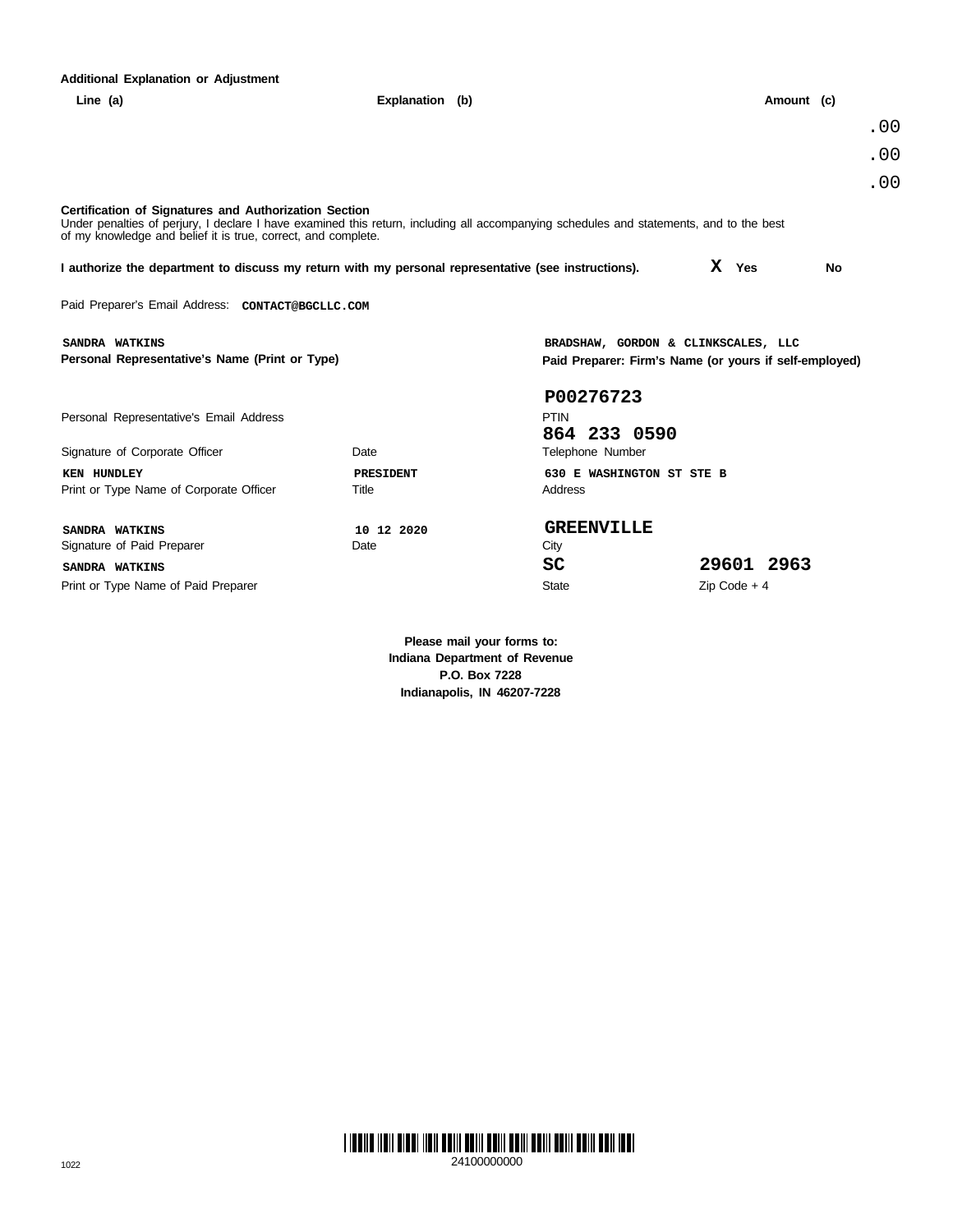| <b>Additional Explanation or Adjustment</b>                                                                                                                                                                                                                       |                    |                                                                                               |                |     |  |  |  |  |  |
|-------------------------------------------------------------------------------------------------------------------------------------------------------------------------------------------------------------------------------------------------------------------|--------------------|-----------------------------------------------------------------------------------------------|----------------|-----|--|--|--|--|--|
| Line $(a)$                                                                                                                                                                                                                                                        | Explanation (b)    |                                                                                               | Amount (c)     |     |  |  |  |  |  |
|                                                                                                                                                                                                                                                                   |                    |                                                                                               |                | .00 |  |  |  |  |  |
|                                                                                                                                                                                                                                                                   |                    |                                                                                               |                | .00 |  |  |  |  |  |
|                                                                                                                                                                                                                                                                   |                    |                                                                                               |                | .00 |  |  |  |  |  |
| Certification of Signatures and Authorization Section<br>Under penalties of perjury, I declare I have examined this return, including all accompanying schedules and statements, and to the best<br>of my knowledge and belief it is true, correct, and complete. |                    |                                                                                               |                |     |  |  |  |  |  |
| I authorize the department to discuss my return with my personal representative (see instructions).                                                                                                                                                               |                    |                                                                                               | X Yes          | No  |  |  |  |  |  |
| Paid Preparer's Email Address: CONTACT@BGCLLC.COM                                                                                                                                                                                                                 |                    |                                                                                               |                |     |  |  |  |  |  |
| SANDRA WATKINS<br>Personal Representative's Name (Print or Type)                                                                                                                                                                                                  |                    | BRADSHAW, GORDON & CLINKSCALES, LLC<br>Paid Preparer: Firm's Name (or yours if self-employed) |                |     |  |  |  |  |  |
| Personal Representative's Email Address<br>Signature of Corporate Officer                                                                                                                                                                                         | Date               | P00276723<br><b>PTIN</b><br>864 233 0590<br>Telephone Number                                  |                |     |  |  |  |  |  |
| KEN HUNDLEY<br>Print or Type Name of Corporate Officer                                                                                                                                                                                                            | PRESIDENT<br>Title | 630 E WASHINGTON ST STE B<br>Address                                                          |                |     |  |  |  |  |  |
| SANDRA WATKINS<br>Signature of Paid Preparer                                                                                                                                                                                                                      | 10 12 2020<br>Date | <b>GREENVILLE</b><br>City                                                                     |                |     |  |  |  |  |  |
| SANDRA WATKINS                                                                                                                                                                                                                                                    |                    | SC                                                                                            | 29601 2963     |     |  |  |  |  |  |
| Print or Type Name of Paid Preparer                                                                                                                                                                                                                               |                    | <b>State</b>                                                                                  | $Zip Code + 4$ |     |  |  |  |  |  |
|                                                                                                                                                                                                                                                                   |                    |                                                                                               |                |     |  |  |  |  |  |

**Please mail your forms to: Indiana Department of Revenue P.O. Box 7228 Indianapolis, IN 46207-7228**

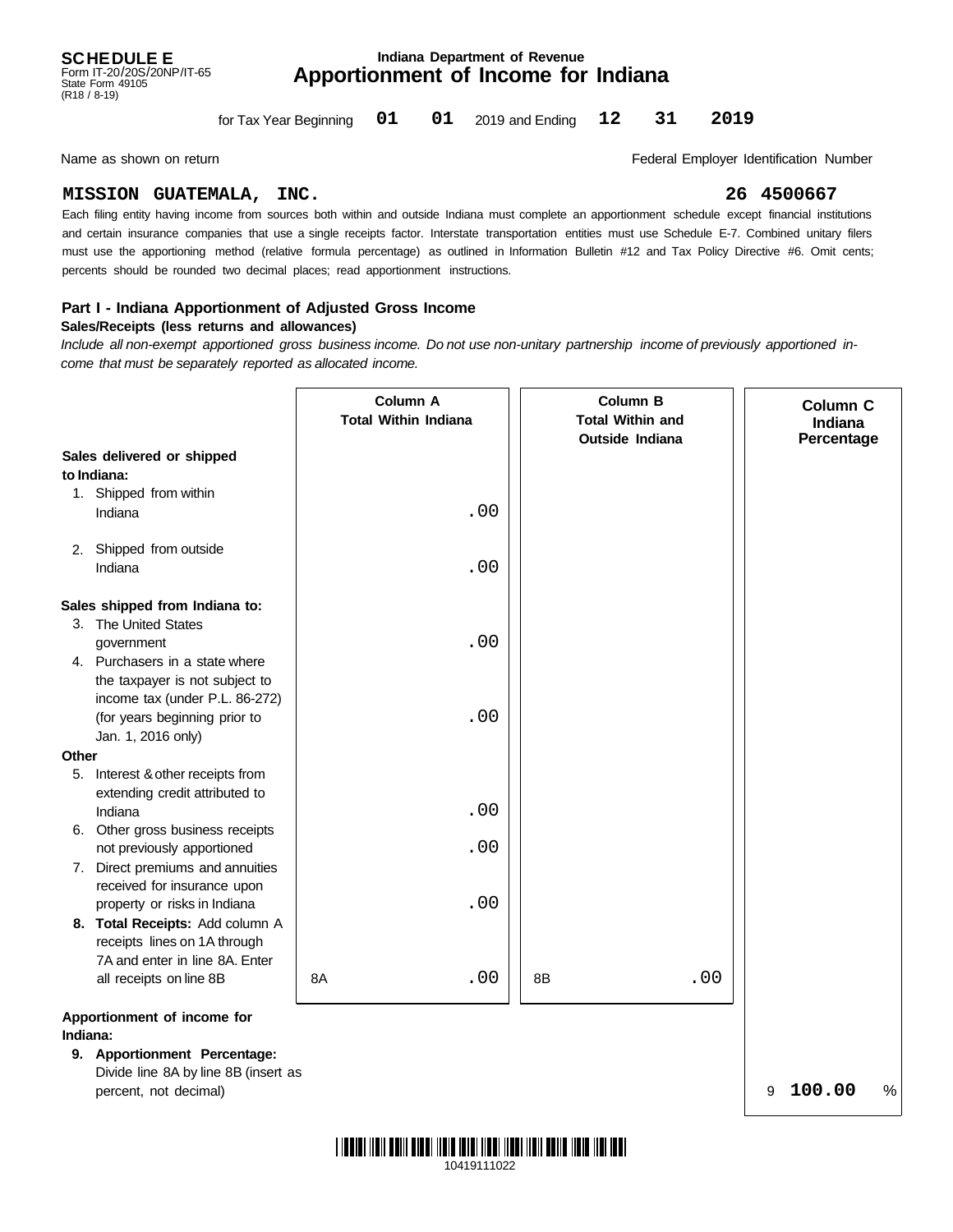#### **Apportionment of Income for Indiana Indiana Department of Revenue**

for Tax Year Beginning  $01$   $01$ **01 01 12 31 2019**

Name as shown on return **Federal Employer Identification Number Federal Employer Identification Number** 

#### **MISSION GUATEMALA, INC. 26 4500667**

must use the apportioning method (relative formula percentage) as outlined in Information Bulletin #12 and Tax Policy Directive #6. Omit cents; and certain insurance companies that use a single receipts factor. Interstate transportation entities must use Schedule E-7. Combined unitary filers Each filing entity having income from sources both within and outside Indiana must complete an apportionment schedule except financial institutions percents should be rounded two decimal places; read apportionment instructions.

#### **Part I - Indiana Apportionment of Adjusted Gross Income**

#### **Sales/Receipts (less returns and allowances)**

*Include all non-exempt apportioned gross business income. Do not use non-unitary partnership income of previously apportioned income that must be separately reported as allocated income.*

|             |                                   | Column A<br><b>Total Within Indiana</b> | <b>Column B</b><br><b>Total Within and</b><br><b>Outside Indiana</b> |     | Column C<br>Indiana<br>Percentage |
|-------------|-----------------------------------|-----------------------------------------|----------------------------------------------------------------------|-----|-----------------------------------|
|             | Sales delivered or shipped        |                                         |                                                                      |     |                                   |
| to Indiana: |                                   |                                         |                                                                      |     |                                   |
|             | 1. Shipped from within            |                                         |                                                                      |     |                                   |
|             | Indiana                           | .00                                     |                                                                      |     |                                   |
|             | 2. Shipped from outside           |                                         |                                                                      |     |                                   |
|             | Indiana                           | .00                                     |                                                                      |     |                                   |
|             | Sales shipped from Indiana to:    |                                         |                                                                      |     |                                   |
|             | 3. The United States              |                                         |                                                                      |     |                                   |
|             | government                        | .00                                     |                                                                      |     |                                   |
|             | 4. Purchasers in a state where    |                                         |                                                                      |     |                                   |
|             | the taxpayer is not subject to    |                                         |                                                                      |     |                                   |
|             | income tax (under P.L. 86-272)    |                                         |                                                                      |     |                                   |
|             | (for years beginning prior to     | .00                                     |                                                                      |     |                                   |
|             | Jan. 1, 2016 only)                |                                         |                                                                      |     |                                   |
| Other       |                                   |                                         |                                                                      |     |                                   |
|             | 5. Interest & other receipts from |                                         |                                                                      |     |                                   |
|             | extending credit attributed to    |                                         |                                                                      |     |                                   |
|             | Indiana                           | .00                                     |                                                                      |     |                                   |
|             | 6. Other gross business receipts  |                                         |                                                                      |     |                                   |
|             | not previously apportioned        | .00                                     |                                                                      |     |                                   |
|             | 7. Direct premiums and annuities  |                                         |                                                                      |     |                                   |
|             | received for insurance upon       |                                         |                                                                      |     |                                   |
|             | property or risks in Indiana      | .00                                     |                                                                      |     |                                   |
|             | 8. Total Receipts: Add column A   |                                         |                                                                      |     |                                   |
|             | receipts lines on 1A through      |                                         |                                                                      |     |                                   |
|             | 7A and enter in line 8A. Enter    |                                         |                                                                      |     |                                   |
|             | all receipts on line 8B           | .00<br>8A                               | 8B                                                                   | .00 |                                   |
|             | Apportionment of income for       |                                         |                                                                      |     |                                   |
| Indiana:    |                                   |                                         |                                                                      |     |                                   |
|             | 9. Apportionment Percentage:      |                                         |                                                                      |     |                                   |

Divide line 8A by line 8B (insert as percent, not decimal)

% 9 **100.00**